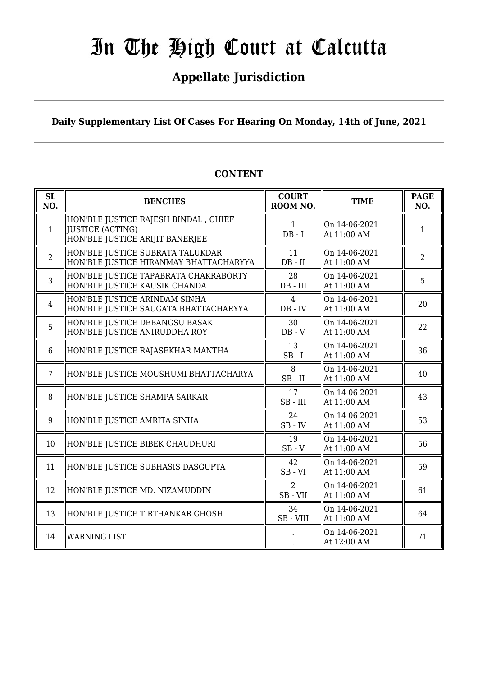## **Appellate Jurisdiction**

**Daily Supplementary List Of Cases For Hearing On Monday, 14th of June, 2021**

| SL<br>NO.      | <b>BENCHES</b>                                                                              | <b>COURT</b><br>ROOM NO.    | <b>TIME</b>                  | <b>PAGE</b><br>NO. |
|----------------|---------------------------------------------------------------------------------------------|-----------------------------|------------------------------|--------------------|
| $\mathbf{1}$   | HON'BLE JUSTICE RAJESH BINDAL, CHIEF<br>JUSTICE (ACTING)<br>HON'BLE JUSTICE ARIJIT BANERJEE | $\mathbf{1}$<br>$DB - I$    | On 14-06-2021<br>At 11:00 AM | $\mathbf{1}$       |
| $\overline{2}$ | HON'BLE JUSTICE SUBRATA TALUKDAR<br>HON'BLE JUSTICE HIRANMAY BHATTACHARYYA                  | 11<br>$DB - II$             | On 14-06-2021<br>At 11:00 AM | $\overline{2}$     |
| 3              | HON'BLE JUSTICE TAPABRATA CHAKRABORTY<br>HON'BLE JUSTICE KAUSIK CHANDA                      | 28<br>DB - III              | On 14-06-2021<br>At 11:00 AM | 5                  |
| $\overline{4}$ | HON'BLE JUSTICE ARINDAM SINHA<br>HON'BLE JUSTICE SAUGATA BHATTACHARYYA                      | $\overline{4}$<br>$DB - IV$ | On 14-06-2021<br>At 11:00 AM | 20                 |
| 5              | HON'BLE JUSTICE DEBANGSU BASAK<br>HON'BLE JUSTICE ANIRUDDHA ROY                             | 30<br>$DB - V$              | On 14-06-2021<br>At 11:00 AM | 22                 |
| 6              | HON'BLE JUSTICE RAJASEKHAR MANTHA                                                           | 13<br>$SB - I$              | On 14-06-2021<br>At 11:00 AM | 36                 |
| $\overline{7}$ | HON'BLE JUSTICE MOUSHUMI BHATTACHARYA                                                       | 8<br>$SB - II$              | On 14-06-2021<br>At 11:00 AM | 40                 |
| 8              | HON'BLE JUSTICE SHAMPA SARKAR                                                               | 17<br>$SB$ - $III$          | On 14-06-2021<br>At 11:00 AM | 43                 |
| 9              | HON'BLE JUSTICE AMRITA SINHA                                                                | 24<br>$SB$ - $IV$           | On 14-06-2021<br>At 11:00 AM | 53                 |
| 10             | HON'BLE JUSTICE BIBEK CHAUDHURI                                                             | 19<br>$SB - V$              | On 14-06-2021<br>At 11:00 AM | 56                 |
| 11             | HON'BLE JUSTICE SUBHASIS DASGUPTA                                                           | 42<br>$SB - VI$             | On 14-06-2021<br>At 11:00 AM | 59                 |
| 12             | HON'BLE JUSTICE MD. NIZAMUDDIN                                                              | $\overline{2}$<br>SB-VII    | On 14-06-2021<br>At 11:00 AM | 61                 |
| 13             | HON'BLE JUSTICE TIRTHANKAR GHOSH                                                            | 34<br>$SB - VIII$           | On 14-06-2021<br>At 11:00 AM | 64                 |
| 14             | <b>WARNING LIST</b>                                                                         |                             | On 14-06-2021<br>At 12:00 AM | 71                 |

### **CONTENT**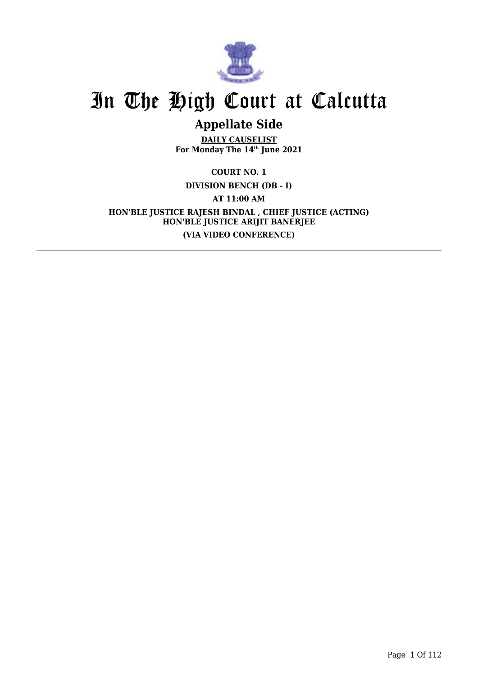

## **Appellate Side**

**DAILY CAUSELIST For Monday The 14th June 2021**

**COURT NO. 1 DIVISION BENCH (DB - I) AT 11:00 AM HON'BLE JUSTICE RAJESH BINDAL , CHIEF JUSTICE (ACTING) HON'BLE JUSTICE ARIJIT BANERJEE (VIA VIDEO CONFERENCE)**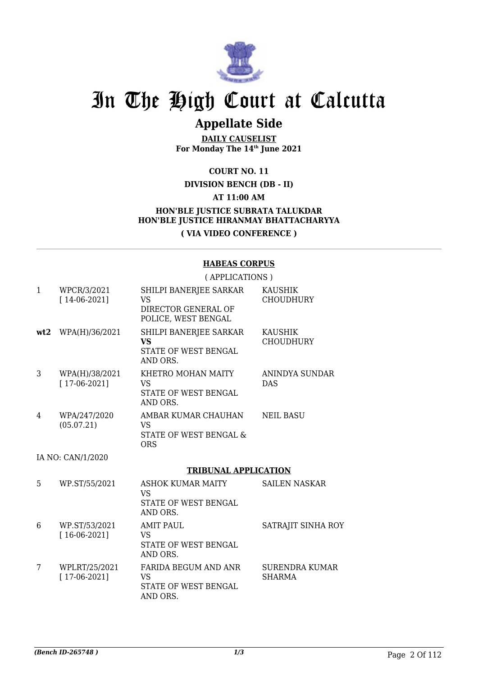

## **Appellate Side**

**DAILY CAUSELIST For Monday The 14th June 2021**

**COURT NO. 11**

### **DIVISION BENCH (DB - II)**

### **AT 11:00 AM**

### **HON'BLE JUSTICE SUBRATA TALUKDAR HON'BLE JUSTICE HIRANMAY BHATTACHARYYA ( VIA VIDEO CONFERENCE )**

#### **HABEAS CORPUS**

( APPLICATIONS ) 1 WPCR/3/2021 [ 14-06-2021] SHILPI BANERJEE SARKAR VS DIRECTOR GENERAL OF POLICE, WEST BENGAL KAUSHIK CHOUDHURY **wt2** WPA(H)/36/2021 SHILPI BANERJEE SARKAR **VS** STATE OF WEST BENGAL AND ORS. KAUSHIK **CHOUDHURY** 3 WPA(H)/38/2021 [ 17-06-2021] KHETRO MOHAN MAITY VS STATE OF WEST BENGAL AND ORS. ANINDYA SUNDAR DAS 4 WPA/247/2020 (05.07.21) AMBAR KUMAR CHAUHAN VS STATE OF WEST BENGAL & ORS NEIL BASU IA NO: CAN/1/2020 **TRIBUNAL APPLICATION** 5 WP.ST/55/2021 ASHOK KUMAR MAITY VS STATE OF WEST BENGAL AND ORS. SAILEN NASKAR 6 WP.ST/53/2021 [ 16-06-2021] AMIT PAUL VS STATE OF WEST BENGAL AND ORS. SATRAJIT SINHA ROY 7 WPLRT/25/2021 [ 17-06-2021] FARIDA BEGUM AND ANR VS STATE OF WEST BENGAL SURENDRA KUMAR SHARMA

AND ORS.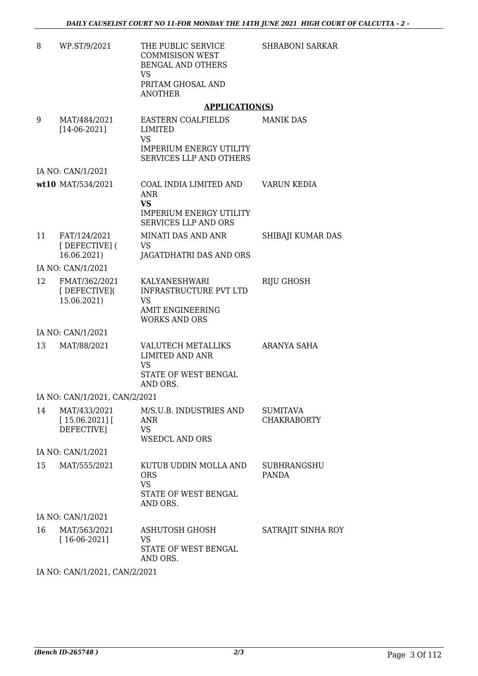| 8  | WP.ST/9/2021                                                              | THE PUBLIC SERVICE<br><b>COMMISISON WEST</b><br><b>BENGAL AND OTHERS</b><br><b>VS</b><br>PRITAM GHOSAL AND<br><b>ANOTHER</b> | <b>SHRABONI SARKAR</b>                |
|----|---------------------------------------------------------------------------|------------------------------------------------------------------------------------------------------------------------------|---------------------------------------|
|    |                                                                           | <b>APPLICATION(S)</b>                                                                                                        |                                       |
| 9  | MAT/484/2021<br>$[14-06-2021]$                                            | EASTERN COALFIELDS<br>LIMITED<br><b>VS</b><br><b>IMPERIUM ENERGY UTILITY</b><br><b>SERVICES LLP AND OTHERS</b>               | <b>MANIK DAS</b>                      |
|    | IA NO: CAN/1/2021                                                         |                                                                                                                              |                                       |
|    | wt10 MAT/534/2021                                                         | COAL INDIA LIMITED AND<br><b>ANR</b><br><b>VS</b><br><b>IMPERIUM ENERGY UTILITY</b><br><b>SERVICES LLP AND ORS</b>           | VARUN KEDIA                           |
| 11 | FAT/124/2021<br>[DEFECTIVE] (<br>16.06.2021)                              | MINATI DAS AND ANR<br><b>VS</b><br>JAGATDHATRI DAS AND ORS                                                                   | SHIBAJI KUMAR DAS                     |
|    | IA NO: CAN/1/2021                                                         |                                                                                                                              |                                       |
| 12 | FMAT/362/2021<br>[DEFECTIVE](<br>15.06.2021)                              | KALYANESHWARI<br><b>INFRASTRUCTURE PVT LTD</b><br>VS<br><b>AMIT ENGINEERING</b><br><b>WORKS AND ORS</b>                      | <b>RIJU GHOSH</b>                     |
|    | IA NO: CAN/1/2021                                                         |                                                                                                                              |                                       |
| 13 | MAT/88/2021                                                               | <b>VALUTECH METALLIKS</b><br><b>LIMITED AND ANR</b><br><b>VS</b><br>STATE OF WEST BENGAL<br>AND ORS.                         | ARANYA SAHA                           |
|    | IA NO: CAN/1/2021, CAN/2/2021                                             |                                                                                                                              |                                       |
| 14 | MAT/433/2021<br>[15.06.2021]<br>DEFECTIVE]                                | M/S.U.B. INDUSTRIES AND<br>ANR<br><b>VS</b><br><b>WSEDCL AND ORS</b>                                                         | <b>SUMITAVA</b><br><b>CHAKRABORTY</b> |
|    | IA NO: CAN/1/2021                                                         |                                                                                                                              |                                       |
| 15 | MAT/555/2021                                                              | KUTUB UDDIN MOLLA AND<br><b>ORS</b><br><b>VS</b><br>STATE OF WEST BENGAL<br>AND ORS.                                         | <b>SUBHRANGSHU</b><br><b>PANDA</b>    |
|    | IA NO: CAN/1/2021                                                         |                                                                                                                              |                                       |
| 16 | MAT/563/2021<br>$[16-06-2021]$                                            | ASHUTOSH GHOSH<br><b>VS</b><br>STATE OF WEST BENGAL<br>AND ORS.                                                              | SATRAJIT SINHA ROY                    |
|    | $Q$ $\lambda$ $\lambda$ $\tau$ $\mu$ $\Omega$ $\Omega$ $\Omega$ $\Lambda$ |                                                                                                                              |                                       |

IA NO: CAN/1/2021, CAN/2/2021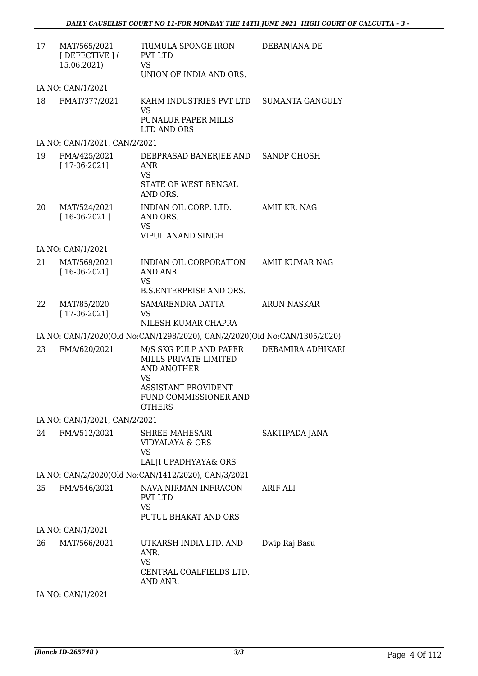| 17 | MAT/565/2021<br>[DEFECTIVE](<br>15.06.2021) | TRIMULA SPONGE IRON<br><b>PVT LTD</b><br><b>VS</b><br>UNION OF INDIA AND ORS.                                                                       | DEBANJANA DE           |
|----|---------------------------------------------|-----------------------------------------------------------------------------------------------------------------------------------------------------|------------------------|
|    | IA NO: CAN/1/2021                           |                                                                                                                                                     |                        |
| 18 | FMAT/377/2021                               | KAHM INDUSTRIES PVT LTD<br><b>VS</b><br><b>PUNALUR PAPER MILLS</b><br>LTD AND ORS                                                                   | <b>SUMANTA GANGULY</b> |
|    | IA NO: CAN/1/2021, CAN/2/2021               |                                                                                                                                                     |                        |
| 19 | FMA/425/2021<br>$[17-06-2021]$              | DEBPRASAD BANERJEE AND SANDP GHOSH<br><b>ANR</b><br><b>VS</b><br>STATE OF WEST BENGAL<br>AND ORS.                                                   |                        |
| 20 | MAT/524/2021<br>$[16-06-2021]$              | INDIAN OIL CORP. LTD.<br>AND ORS.<br><b>VS</b><br>VIPUL ANAND SINGH                                                                                 | AMIT KR. NAG           |
|    | IA NO: CAN/1/2021                           |                                                                                                                                                     |                        |
| 21 | MAT/569/2021<br>$[16-06-2021]$              | INDIAN OIL CORPORATION<br>AND ANR.<br><b>VS</b>                                                                                                     | <b>AMIT KUMAR NAG</b>  |
|    |                                             | <b>B.S.ENTERPRISE AND ORS.</b>                                                                                                                      |                        |
| 22 | MAT/85/2020<br>$[17-06-2021]$               | SAMARENDRA DATTA<br>VS<br>NILESH KUMAR CHAPRA                                                                                                       | ARUN NASKAR            |
|    |                                             | IA NO: CAN/1/2020(Old No:CAN/1298/2020), CAN/2/2020(Old No:CAN/1305/2020)                                                                           |                        |
| 23 | FMA/620/2021                                | M/S SKG PULP AND PAPER<br>MILLS PRIVATE LIMITED<br><b>AND ANOTHER</b><br><b>VS</b><br>ASSISTANT PROVIDENT<br>FUND COMMISSIONER AND<br><b>OTHERS</b> | DEBAMIRA ADHIKARI      |
|    | IA NO: CAN/1/2021, CAN/2/2021               |                                                                                                                                                     |                        |
| 24 | FMA/512/2021                                | SHREE MAHESARI<br>VIDYALAYA & ORS<br><b>VS</b><br>LALJI UPADHYAYA& ORS                                                                              | SAKTIPADA JANA         |
|    |                                             | IA NO: CAN/2/2020(Old No:CAN/1412/2020), CAN/3/2021                                                                                                 |                        |
| 25 | FMA/546/2021                                | NAVA NIRMAN INFRACON<br><b>PVT LTD</b><br><b>VS</b><br>PUTUL BHAKAT AND ORS                                                                         | ARIF ALI               |
|    | IA NO: CAN/1/2021                           |                                                                                                                                                     |                        |
| 26 | MAT/566/2021                                | UTKARSH INDIA LTD. AND<br>ANR.<br><b>VS</b><br>CENTRAL COALFIELDS LTD.<br>AND ANR.                                                                  | Dwip Raj Basu          |
|    | IA NO: CAN/1/2021                           |                                                                                                                                                     |                        |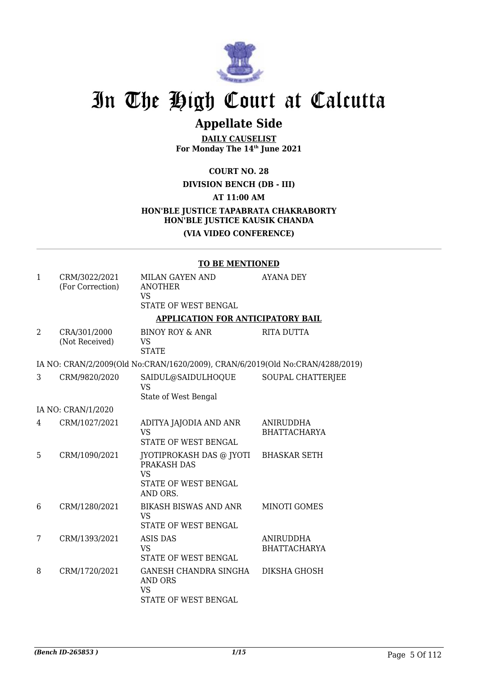

## **Appellate Side**

**DAILY CAUSELIST For Monday The 14th June 2021**

**COURT NO. 28**

**DIVISION BENCH (DB - III)**

**AT 11:00 AM**

## **HON'BLE JUSTICE TAPABRATA CHAKRABORTY HON'BLE JUSTICE KAUSIK CHANDA**

### **(VIA VIDEO CONFERENCE)**

#### **TO BE MENTIONED**

| $\mathbf{1}$   | CRM/3022/2021<br>(For Correction) | MILAN GAYEN AND<br><b>ANOTHER</b><br><b>VS</b><br><b>STATE OF WEST BENGAL</b>            | AYANA DEY                               |
|----------------|-----------------------------------|------------------------------------------------------------------------------------------|-----------------------------------------|
|                |                                   | <b>APPLICATION FOR ANTICIPATORY BAIL</b>                                                 |                                         |
| $\overline{2}$ | CRA/301/2000<br>(Not Received)    | <b>BINOY ROY &amp; ANR</b><br><b>VS</b><br><b>STATE</b>                                  | <b>RITA DUTTA</b>                       |
|                |                                   | IA NO: CRAN/2/2009(Old No:CRAN/1620/2009), CRAN/6/2019(Old No:CRAN/4288/2019)            |                                         |
| 3              | CRM/9820/2020                     | SAIDUL@SAIDULHOQUE<br><b>VS</b><br>State of West Bengal                                  | SOUPAL CHATTERJEE                       |
|                | IA NO: CRAN/1/2020                |                                                                                          |                                         |
| 4              | CRM/1027/2021                     | ADITYA JAJODIA AND ANR<br><b>VS</b><br>STATE OF WEST BENGAL                              | ANIRUDDHA<br><b>BHATTACHARYA</b>        |
| 5.             | CRM/1090/2021                     | JYOTIPROKASH DAS @ JYOTI<br>PRAKASH DAS<br><b>VS</b><br>STATE OF WEST BENGAL<br>AND ORS. | <b>BHASKAR SETH</b>                     |
| 6              | CRM/1280/2021                     | BIKASH BISWAS AND ANR<br><b>VS</b><br>STATE OF WEST BENGAL                               | MINOTI GOMES                            |
| 7              | CRM/1393/2021                     | <b>ASIS DAS</b><br><b>VS</b><br>STATE OF WEST BENGAL                                     | <b>ANIRUDDHA</b><br><b>BHATTACHARYA</b> |
| 8              | CRM/1720/2021                     | GANESH CHANDRA SINGHA<br><b>AND ORS</b><br><b>VS</b><br>STATE OF WEST BENGAL             | DIKSHA GHOSH                            |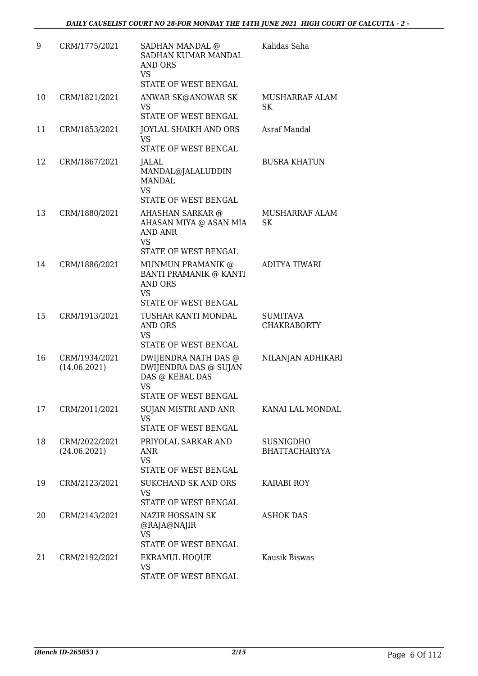| 9  | CRM/1775/2021                 | SADHAN MANDAL @<br>SADHAN KUMAR MANDAL<br>AND ORS<br><b>VS</b><br>STATE OF WEST BENGAL                | Kalidas Saha                             |
|----|-------------------------------|-------------------------------------------------------------------------------------------------------|------------------------------------------|
| 10 | CRM/1821/2021                 | ANWAR SK@ANOWAR SK<br><b>VS</b><br>STATE OF WEST BENGAL                                               | MUSHARRAF ALAM<br>SK                     |
| 11 | CRM/1853/2021                 | JOYLAL SHAIKH AND ORS<br><b>VS</b><br>STATE OF WEST BENGAL                                            | <b>Asraf Mandal</b>                      |
| 12 | CRM/1867/2021                 | JALAL<br>MANDAL@JALALUDDIN<br><b>MANDAL</b><br><b>VS</b><br>STATE OF WEST BENGAL                      | <b>BUSRA KHATUN</b>                      |
| 13 | CRM/1880/2021                 | AHASHAN SARKAR @<br>AHASAN MIYA @ ASAN MIA<br><b>AND ANR</b><br><b>VS</b><br>STATE OF WEST BENGAL     | MUSHARRAF ALAM<br>SK                     |
| 14 | CRM/1886/2021                 | MUNMUN PRAMANIK @<br>BANTI PRAMANIK @ KANTI<br>AND ORS<br><b>VS</b><br>STATE OF WEST BENGAL           | ADITYA TIWARI                            |
| 15 | CRM/1913/2021                 | TUSHAR KANTI MONDAL<br>AND ORS<br><b>VS</b><br>STATE OF WEST BENGAL                                   | <b>SUMITAVA</b><br><b>CHAKRABORTY</b>    |
| 16 | CRM/1934/2021<br>(14.06.2021) | DWIJENDRA NATH DAS @<br>DWIJENDRA DAS @ SUJAN<br>DAS @ KEBAL DAS<br><b>VS</b><br>STATE OF WEST BENGAL | NILANJAN ADHIKARI                        |
| 17 | CRM/2011/2021                 | SUJAN MISTRI AND ANR<br><b>VS</b><br>STATE OF WEST BENGAL                                             | KANAI LAL MONDAL                         |
| 18 | CRM/2022/2021<br>(24.06.2021) | PRIYOLAL SARKAR AND<br>ANR<br><b>VS</b><br>STATE OF WEST BENGAL                                       | <b>SUSNIGDHO</b><br><b>BHATTACHARYYA</b> |
| 19 | CRM/2123/2021                 | <b>SUKCHAND SK AND ORS</b><br>VS<br>STATE OF WEST BENGAL                                              | <b>KARABI ROY</b>                        |
| 20 | CRM/2143/2021                 | NAZIR HOSSAIN SK<br>@RAJA@NAJIR<br><b>VS</b><br>STATE OF WEST BENGAL                                  | <b>ASHOK DAS</b>                         |
| 21 | CRM/2192/2021                 | <b>EKRAMUL HOQUE</b><br><b>VS</b><br>STATE OF WEST BENGAL                                             | Kausik Biswas                            |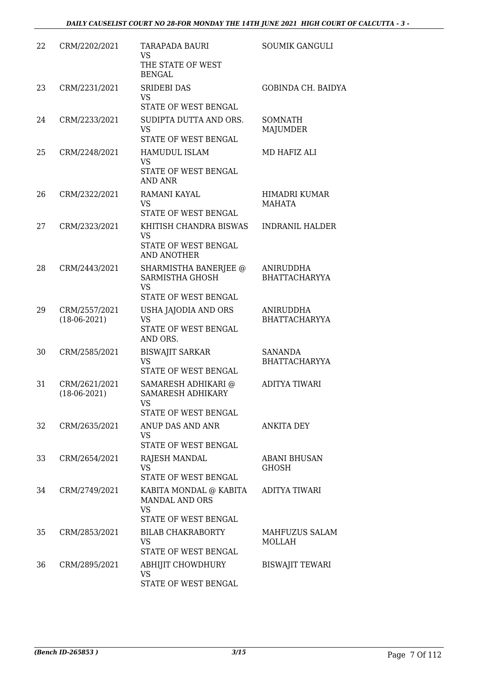| 22 | CRM/2202/2021                   | TARAPADA BAURI<br><b>VS</b><br>THE STATE OF WEST<br><b>BENGAL</b>                    | <b>SOUMIK GANGULI</b>                    |
|----|---------------------------------|--------------------------------------------------------------------------------------|------------------------------------------|
| 23 | CRM/2231/2021                   | <b>SRIDEBI DAS</b><br><b>VS</b><br>STATE OF WEST BENGAL                              | <b>GOBINDA CH. BAIDYA</b>                |
| 24 | CRM/2233/2021                   | SUDIPTA DUTTA AND ORS.<br><b>VS</b><br>STATE OF WEST BENGAL                          | SOMNATH<br>MAJUMDER                      |
| 25 | CRM/2248/2021                   | <b>HAMUDUL ISLAM</b><br>VS<br>STATE OF WEST BENGAL<br>AND ANR                        | MD HAFIZ ALI                             |
| 26 | CRM/2322/2021                   | RAMANI KAYAL<br><b>VS</b><br>STATE OF WEST BENGAL                                    | HIMADRI KUMAR<br><b>MAHATA</b>           |
| 27 | CRM/2323/2021                   | KHITISH CHANDRA BISWAS<br><b>VS</b><br>STATE OF WEST BENGAL<br><b>AND ANOTHER</b>    | <b>INDRANIL HALDER</b>                   |
| 28 | CRM/2443/2021                   | SHARMISTHA BANERJEE @<br>SARMISTHA GHOSH<br><b>VS</b><br>STATE OF WEST BENGAL        | <b>ANIRUDDHA</b><br><b>BHATTACHARYYA</b> |
| 29 | CRM/2557/2021<br>$(18-06-2021)$ | USHA JAJODIA AND ORS<br><b>VS</b><br>STATE OF WEST BENGAL<br>AND ORS.                | ANIRUDDHA<br><b>BHATTACHARYYA</b>        |
| 30 | CRM/2585/2021                   | <b>BISWAJIT SARKAR</b><br><b>VS</b><br>STATE OF WEST BENGAL                          | <b>SANANDA</b><br><b>BHATTACHARYYA</b>   |
| 31 | CRM/2621/2021<br>$(18-06-2021)$ | SAMARESH ADHIKARI @<br><b>SAMARESH ADHIKARY</b><br><b>VS</b><br>STATE OF WEST BENGAL | <b>ADITYA TIWARI</b>                     |
| 32 | CRM/2635/2021                   | ANUP DAS AND ANR<br><b>VS</b><br><b>STATE OF WEST BENGAL</b>                         | ANKITA DEY                               |
| 33 | CRM/2654/2021                   | RAJESH MANDAL<br>VS<br>STATE OF WEST BENGAL                                          | ABANI BHUSAN<br><b>GHOSH</b>             |
| 34 | CRM/2749/2021                   | KABITA MONDAL @ KABITA<br><b>MANDAL AND ORS</b><br><b>VS</b><br>STATE OF WEST BENGAL | <b>ADITYA TIWARI</b>                     |
| 35 | CRM/2853/2021                   | <b>BILAB CHAKRABORTY</b><br><b>VS</b><br>STATE OF WEST BENGAL                        | MAHFUZUS SALAM<br>MOLLAH                 |
| 36 | CRM/2895/2021                   | ABHIJIT CHOWDHURY<br><b>VS</b><br>STATE OF WEST BENGAL                               | <b>BISWAJIT TEWARI</b>                   |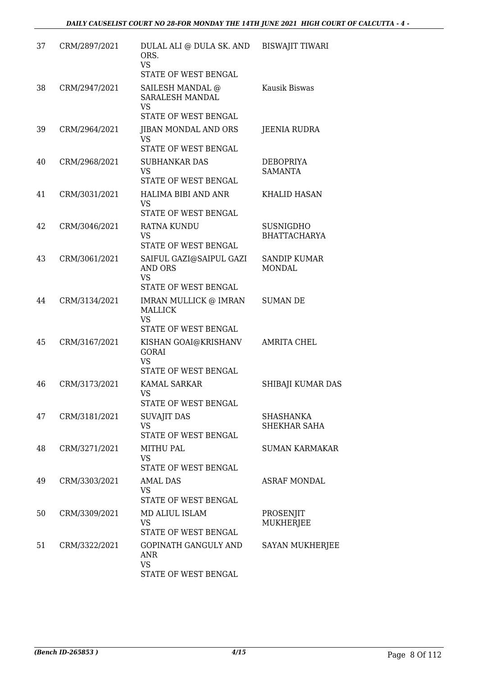| 37 | CRM/2897/2021 | DULAL ALI @ DULA SK. AND<br>ORS.<br><b>VS</b><br>STATE OF WEST BENGAL           | <b>BISWAJIT TIWARI</b>                  |
|----|---------------|---------------------------------------------------------------------------------|-----------------------------------------|
| 38 | CRM/2947/2021 | SAILESH MANDAL @<br><b>SARALESH MANDAL</b><br><b>VS</b><br>STATE OF WEST BENGAL | Kausik Biswas                           |
| 39 | CRM/2964/2021 | JIBAN MONDAL AND ORS<br><b>VS</b><br>STATE OF WEST BENGAL                       | <b>JEENIA RUDRA</b>                     |
| 40 | CRM/2968/2021 | <b>SUBHANKAR DAS</b><br><b>VS</b><br>STATE OF WEST BENGAL                       | <b>DEBOPRIYA</b><br><b>SAMANTA</b>      |
| 41 | CRM/3031/2021 | HALIMA BIBI AND ANR<br><b>VS</b><br>STATE OF WEST BENGAL                        | <b>KHALID HASAN</b>                     |
| 42 | CRM/3046/2021 | <b>RATNA KUNDU</b><br><b>VS</b><br>STATE OF WEST BENGAL                         | <b>SUSNIGDHO</b><br><b>BHATTACHARYA</b> |
| 43 | CRM/3061/2021 | SAIFUL GAZI@SAIPUL GAZI<br>AND ORS<br><b>VS</b><br>STATE OF WEST BENGAL         | <b>SANDIP KUMAR</b><br><b>MONDAL</b>    |
| 44 | CRM/3134/2021 | IMRAN MULLICK @ IMRAN<br><b>MALLICK</b><br><b>VS</b><br>STATE OF WEST BENGAL    | <b>SUMAN DE</b>                         |
| 45 | CRM/3167/2021 | KISHAN GOAI@KRISHANV<br><b>GORAI</b><br><b>VS</b><br>STATE OF WEST BENGAL       | <b>AMRITA CHEL</b>                      |
| 46 | CRM/3173/2021 | KAMAL SARKAR<br><b>VS</b><br>STATE OF WEST BENGAL                               | SHIBAJI KUMAR DAS                       |
| 47 | CRM/3181/2021 | <b>SUVAJIT DAS</b><br><b>VS</b><br>STATE OF WEST BENGAL                         | <b>SHASHANKA</b><br><b>SHEKHAR SAHA</b> |
| 48 | CRM/3271/2021 | <b>MITHU PAL</b><br><b>VS</b><br>STATE OF WEST BENGAL                           | <b>SUMAN KARMAKAR</b>                   |
| 49 | CRM/3303/2021 | AMAI. DAS<br><b>VS</b><br>STATE OF WEST BENGAL                                  | <b>ASRAF MONDAL</b>                     |
| 50 | CRM/3309/2021 | MD ALIUL ISLAM<br><b>VS</b><br>STATE OF WEST BENGAL                             | PROSENJIT<br>MUKHERJEE                  |
| 51 | CRM/3322/2021 | GOPINATH GANGULY AND<br>ANR<br><b>VS</b><br>STATE OF WEST BENGAL                | SAYAN MUKHERJEE                         |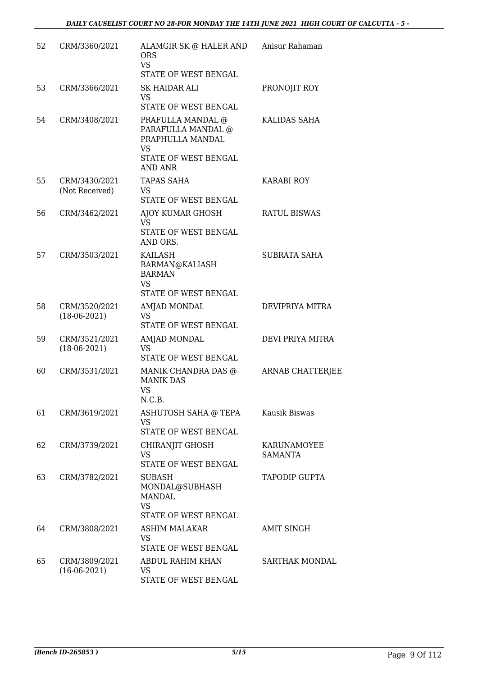| 52 | CRM/3360/2021                   | ALAMGIR SK @ HALER AND<br><b>ORS</b><br><b>VS</b><br>STATE OF WEST BENGAL                                                 | Anisur Rahaman                |
|----|---------------------------------|---------------------------------------------------------------------------------------------------------------------------|-------------------------------|
| 53 | CRM/3366/2021                   | SK HAIDAR ALI<br><b>VS</b><br>STATE OF WEST BENGAL                                                                        | PRONOJIT ROY                  |
| 54 | CRM/3408/2021                   | PRAFULLA MANDAL @<br>PARAFULLA MANDAL @<br>PRAPHULLA MANDAL<br><b>VS</b><br><b>STATE OF WEST BENGAL</b><br><b>AND ANR</b> | KALIDAS SAHA                  |
| 55 | CRM/3430/2021<br>(Not Received) | TAPAS SAHA<br><b>VS</b><br>STATE OF WEST BENGAL                                                                           | KARABI ROY                    |
| 56 | CRM/3462/2021                   | AJOY KUMAR GHOSH<br>VS<br>STATE OF WEST BENGAL<br>AND ORS.                                                                | <b>RATUL BISWAS</b>           |
| 57 | CRM/3503/2021                   | <b>KAILASH</b><br>BARMAN@KALIASH<br><b>BARMAN</b><br><b>VS</b><br>STATE OF WEST BENGAL                                    | <b>SUBRATA SAHA</b>           |
| 58 | CRM/3520/2021<br>$(18-06-2021)$ | AMJAD MONDAL<br><b>VS</b><br>STATE OF WEST BENGAL                                                                         | DEVIPRIYA MITRA               |
| 59 | CRM/3521/2021<br>$(18-06-2021)$ | AMJAD MONDAL<br>VS<br>STATE OF WEST BENGAL                                                                                | DEVI PRIYA MITRA              |
| 60 | CRM/3531/2021                   | MANIK CHANDRA DAS @<br><b>MANIK DAS</b><br><b>VS</b><br>N.C.B.                                                            | <b>ARNAB CHATTERJEE</b>       |
| 61 | CRM/3619/2021                   | ASHUTOSH SAHA @ TEPA<br><b>VS</b><br>STATE OF WEST BENGAL                                                                 | Kausik Biswas                 |
| 62 | CRM/3739/2021                   | CHIRANJIT GHOSH<br><b>VS</b><br>STATE OF WEST BENGAL                                                                      | KARUNAMOYEE<br><b>SAMANTA</b> |
| 63 | CRM/3782/2021                   | SUBASH<br>MONDAL@SUBHASH<br><b>MANDAL</b><br><b>VS</b><br>STATE OF WEST BENGAL                                            | TAPODIP GUPTA                 |
| 64 | CRM/3808/2021                   | ASHIM MALAKAR<br><b>VS</b><br>STATE OF WEST BENGAL                                                                        | <b>AMIT SINGH</b>             |
| 65 | CRM/3809/2021<br>$(16-06-2021)$ | ABDUL RAHIM KHAN<br>VS<br>STATE OF WEST BENGAL                                                                            | SARTHAK MONDAL                |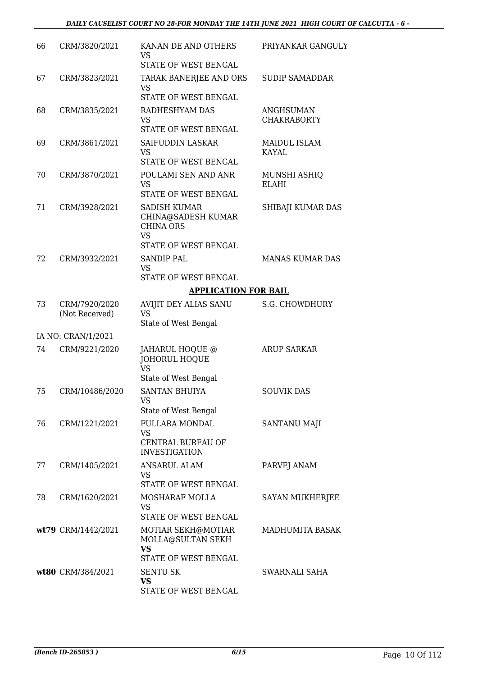| 66 | CRM/3820/2021      | KANAN DE AND OTHERS<br><b>VS</b><br>STATE OF WEST BENGAL                               | PRIYANKAR GANGULY                   |
|----|--------------------|----------------------------------------------------------------------------------------|-------------------------------------|
| 67 | CRM/3823/2021      | TARAK BANERJEE AND ORS<br><b>VS</b><br>STATE OF WEST BENGAL                            | <b>SUDIP SAMADDAR</b>               |
| 68 | CRM/3835/2021      | RADHESHYAM DAS<br><b>VS</b><br>STATE OF WEST BENGAL                                    | ANGHSUMAN<br><b>CHAKRABORTY</b>     |
| 69 | CRM/3861/2021      | <b>SAIFUDDIN LASKAR</b><br><b>VS</b>                                                   | <b>MAIDUL ISLAM</b><br><b>KAYAL</b> |
| 70 | CRM/3870/2021      | STATE OF WEST BENGAL<br>POULAMI SEN AND ANR<br><b>VS</b><br>STATE OF WEST BENGAL       | MUNSHI ASHIQ<br><b>ELAHI</b>        |
| 71 | CRM/3928/2021      | SADISH KUMAR<br>CHINA@SADESH KUMAR<br><b>CHINA ORS</b><br><b>VS</b>                    | SHIBAJI KUMAR DAS                   |
|    |                    | <b>STATE OF WEST BENGAL</b>                                                            |                                     |
| 72 | CRM/3932/2021      | <b>SANDIP PAL</b><br><b>VS</b>                                                         | <b>MANAS KUMAR DAS</b>              |
|    |                    | STATE OF WEST BENGAL<br><b>APPLICATION FOR BAIL</b>                                    |                                     |
| 73 | CRM/7920/2020      | AVIJIT DEY ALIAS SANU                                                                  | <b>S.G. CHOWDHURY</b>               |
|    | (Not Received)     | <b>VS</b><br>State of West Bengal                                                      |                                     |
|    | IA NO: CRAN/1/2021 |                                                                                        |                                     |
| 74 | CRM/9221/2020      | JAHARUL HOQUE @<br><b>JOHORUL HOQUE</b><br><b>VS</b><br>State of West Bengal           | <b>ARUP SARKAR</b>                  |
| 75 | CRM/10486/2020     | <b>SANTAN BHUIYA</b><br><b>VS</b><br>State of West Bengal                              | <b>SOUVIK DAS</b>                   |
| 76 | CRM/1221/2021      | <b>FULLARA MONDAL</b><br><b>VS</b><br><b>CENTRAL BUREAU OF</b><br><b>INVESTIGATION</b> | SANTANU MAJI                        |
| 77 | CRM/1405/2021      | <b>ANSARUL ALAM</b><br><b>VS</b><br><b>STATE OF WEST BENGAL</b>                        | PARVEJ ANAM                         |
| 78 | CRM/1620/2021      | MOSHARAF MOLLA<br>VS<br>STATE OF WEST BENGAL                                           | SAYAN MUKHERJEE                     |
|    | wt79 CRM/1442/2021 | MOTIAR SEKH@MOTIAR<br>MOLLA@SULTAN SEKH<br><b>VS</b>                                   | MADHUMITA BASAK                     |
|    |                    | STATE OF WEST BENGAL                                                                   |                                     |
|    | wt80 CRM/384/2021  | <b>SENTU SK</b><br>VS<br>STATE OF WEST BENGAL                                          | SWARNALI SAHA                       |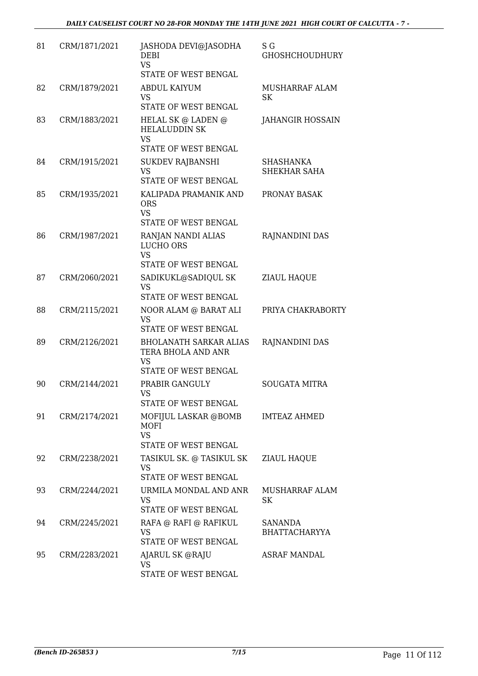| 81 | CRM/1871/2021 | JASHODA DEVI@JASODHA<br><b>DEBI</b><br><b>VS</b><br>STATE OF WEST BENGAL                 | S G<br><b>GHOSHCHOUDHURY</b>           |
|----|---------------|------------------------------------------------------------------------------------------|----------------------------------------|
| 82 | CRM/1879/2021 | ABDUL KAIYUM<br><b>VS</b><br>STATE OF WEST BENGAL                                        | <b>MUSHARRAF ALAM</b><br><b>SK</b>     |
| 83 | CRM/1883/2021 | <b>HELAL SK @ LADEN @</b><br><b>HELALUDDIN SK</b><br><b>VS</b>                           | <b>JAHANGIR HOSSAIN</b>                |
| 84 | CRM/1915/2021 | STATE OF WEST BENGAL<br><b>SUKDEV RAJBANSHI</b>                                          | <b>SHASHANKA</b>                       |
|    |               | <b>VS</b><br>STATE OF WEST BENGAL                                                        | <b>SHEKHAR SAHA</b>                    |
| 85 | CRM/1935/2021 | KALIPADA PRAMANIK AND<br><b>ORS</b><br><b>VS</b><br>STATE OF WEST BENGAL                 | PRONAY BASAK                           |
| 86 | CRM/1987/2021 | RANJAN NANDI ALIAS<br>LUCHO ORS<br><b>VS</b><br>STATE OF WEST BENGAL                     | RAJNANDINI DAS                         |
| 87 | CRM/2060/2021 | SADIKUKL@SADIQUL SK<br><b>VS</b><br>STATE OF WEST BENGAL                                 | ZIAUL HAQUE                            |
| 88 | CRM/2115/2021 | NOOR ALAM @ BARAT ALI<br><b>VS</b><br>STATE OF WEST BENGAL                               | PRIYA CHAKRABORTY                      |
| 89 | CRM/2126/2021 | <b>BHOLANATH SARKAR ALIAS</b><br>TERA BHOLA AND ANR<br><b>VS</b><br>STATE OF WEST BENGAL | RAJNANDINI DAS                         |
| 90 | CRM/2144/2021 | PRABIR GANGULY<br><b>VS</b><br>STATE OF WEST BENGAL                                      | <b>SOUGATA MITRA</b>                   |
| 91 | CRM/2174/2021 | MOFIJUL LASKAR @BOMB<br>MOFI<br><b>VS</b><br>STATE OF WEST BENGAL                        | <b>IMTEAZ AHMED</b>                    |
| 92 | CRM/2238/2021 | TASIKUL SK. @ TASIKUL SK<br><b>VS</b><br>STATE OF WEST BENGAL                            | <b>ZIAUL HAQUE</b>                     |
| 93 | CRM/2244/2021 | URMILA MONDAL AND ANR<br><b>VS</b><br>STATE OF WEST BENGAL                               | MUSHARRAF ALAM<br>SK                   |
| 94 | CRM/2245/2021 | RAFA @ RAFI @ RAFIKUL<br><b>VS</b><br>STATE OF WEST BENGAL                               | <b>SANANDA</b><br><b>BHATTACHARYYA</b> |
| 95 | CRM/2283/2021 | AJARUL SK @RAJU<br>VS<br>STATE OF WEST BENGAL                                            | <b>ASRAF MANDAL</b>                    |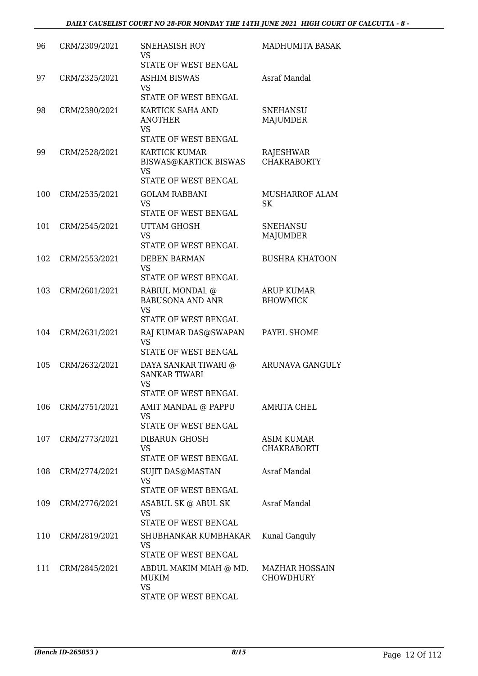| 96  | CRM/2309/2021 | <b>SNEHASISH ROY</b><br><b>VS</b><br><b>STATE OF WEST BENGAL</b>                   | MADHUMITA BASAK                           |
|-----|---------------|------------------------------------------------------------------------------------|-------------------------------------------|
| 97  | CRM/2325/2021 | <b>ASHIM BISWAS</b><br><b>VS</b><br>STATE OF WEST BENGAL                           | Asraf Mandal                              |
| 98  | CRM/2390/2021 | KARTICK SAHA AND<br><b>ANOTHER</b><br><b>VS</b>                                    | <b>SNEHANSU</b><br><b>MAJUMDER</b>        |
|     |               | STATE OF WEST BENGAL                                                               |                                           |
| 99  | CRM/2528/2021 | <b>KARTICK KUMAR</b><br>BISWAS@KARTICK BISWAS<br><b>VS</b><br>STATE OF WEST BENGAL | <b>RAJESHWAR</b><br><b>CHAKRABORTY</b>    |
| 100 | CRM/2535/2021 | <b>GOLAM RABBANI</b><br><b>VS</b><br>STATE OF WEST BENGAL                          | MUSHARROF ALAM<br>SK                      |
| 101 | CRM/2545/2021 | UTTAM GHOSH<br><b>VS</b><br>STATE OF WEST BENGAL                                   | <b>SNEHANSU</b><br><b>MAJUMDER</b>        |
| 102 | CRM/2553/2021 | <b>DEBEN BARMAN</b><br><b>VS</b><br>STATE OF WEST BENGAL                           | <b>BUSHRA KHATOON</b>                     |
| 103 | CRM/2601/2021 | RABIUL MONDAL @<br><b>BABUSONA AND ANR</b><br><b>VS</b><br>STATE OF WEST BENGAL    | ARUP KUMAR<br><b>BHOWMICK</b>             |
| 104 | CRM/2631/2021 | RAJ KUMAR DAS@SWAPAN<br><b>VS</b><br>STATE OF WEST BENGAL                          | PAYEL SHOME                               |
| 105 | CRM/2632/2021 | DAYA SANKAR TIWARI @<br><b>SANKAR TIWARI</b><br><b>VS</b><br>STATE OF WEST BENGAL  | ARUNAVA GANGULY                           |
| 106 | CRM/2751/2021 | AMIT MANDAL @ PAPPU<br><b>VS</b><br>STATE OF WEST BENGAL                           | <b>AMRITA CHEL</b>                        |
| 107 | CRM/2773/2021 | DIBARUN GHOSH<br>VS<br>STATE OF WEST BENGAL                                        | ASIM KUMAR<br>CHAKRABORTI                 |
| 108 | CRM/2774/2021 | SUJIT DAS@MASTAN<br><b>VS</b>                                                      | Asraf Mandal                              |
| 109 | CRM/2776/2021 | STATE OF WEST BENGAL<br>ASABUL SK @ ABUL SK<br>VS<br>STATE OF WEST BENGAL          | Asraf Mandal                              |
| 110 | CRM/2819/2021 | SHUBHANKAR KUMBHAKAR<br><b>VS</b><br>STATE OF WEST BENGAL                          | Kunal Ganguly                             |
| 111 | CRM/2845/2021 | ABDUL MAKIM MIAH @ MD.<br><b>MUKIM</b><br><b>VS</b><br>STATE OF WEST BENGAL        | <b>MAZHAR HOSSAIN</b><br><b>CHOWDHURY</b> |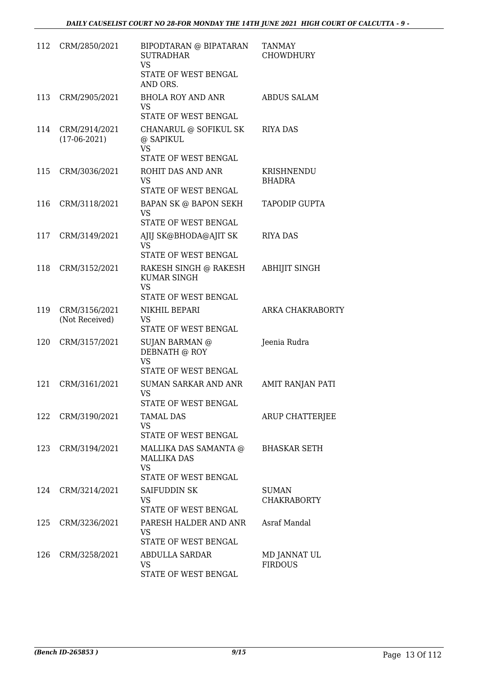| 112 | CRM/2850/2021                   | BIPODTARAN @ BIPATARAN<br><b>SUTRADHAR</b><br><b>VS</b><br>STATE OF WEST BENGAL<br>AND ORS. | <b>TANMAY</b><br><b>CHOWDHURY</b>  |
|-----|---------------------------------|---------------------------------------------------------------------------------------------|------------------------------------|
| 113 | CRM/2905/2021                   | <b>BHOLA ROY AND ANR</b><br>VS<br>STATE OF WEST BENGAL                                      | <b>ABDUS SALAM</b>                 |
| 114 | CRM/2914/2021<br>$(17-06-2021)$ | CHANARUL @ SOFIKUL SK<br>@ SAPIKUL<br><b>VS</b><br>STATE OF WEST BENGAL                     | <b>RIYA DAS</b>                    |
| 115 | CRM/3036/2021                   | ROHIT DAS AND ANR<br><b>VS</b><br>STATE OF WEST BENGAL                                      | KRISHNENDU<br><b>BHADRA</b>        |
| 116 | CRM/3118/2021                   | <b>BAPAN SK @ BAPON SEKH</b><br><b>VS</b><br>STATE OF WEST BENGAL                           | <b>TAPODIP GUPTA</b>               |
| 117 | CRM/3149/2021                   | AJIJ SK@BHODA@AJIT SK<br>VS<br>STATE OF WEST BENGAL                                         | <b>RIYA DAS</b>                    |
| 118 | CRM/3152/2021                   | RAKESH SINGH @ RAKESH<br><b>KUMAR SINGH</b><br><b>VS</b><br>STATE OF WEST BENGAL            | <b>ABHIJIT SINGH</b>               |
| 119 | CRM/3156/2021<br>(Not Received) | NIKHIL BEPARI<br><b>VS</b><br>STATE OF WEST BENGAL                                          | ARKA CHAKRABORTY                   |
| 120 | CRM/3157/2021                   | SUJAN BARMAN @<br>DEBNATH @ ROY<br><b>VS</b><br><b>STATE OF WEST BENGAL</b>                 | Jeenia Rudra                       |
| 121 | CRM/3161/2021                   | SUMAN SARKAR AND ANR<br><b>VS</b><br>STATE OF WEST BENGAL                                   | AMIT RANJAN PATI                   |
| 122 | CRM/3190/2021                   | <b>TAMAL DAS</b><br>VS.<br>STATE OF WEST BENGAL                                             | ARUP CHATTERJEE                    |
| 123 | CRM/3194/2021                   | MALLIKA DAS SAMANTA @<br><b>MALLIKA DAS</b><br><b>VS</b><br>STATE OF WEST BENGAL            | <b>BHASKAR SETH</b>                |
| 124 | CRM/3214/2021                   | SAIFUDDIN SK<br><b>VS</b><br>STATE OF WEST BENGAL                                           | <b>SUMAN</b><br><b>CHAKRABORTY</b> |
| 125 | CRM/3236/2021                   | PARESH HALDER AND ANR<br>VS<br>STATE OF WEST BENGAL                                         | Asraf Mandal                       |
| 126 | CRM/3258/2021                   | ABDULLA SARDAR<br>VS<br>STATE OF WEST BENGAL                                                | MD JANNAT UL<br><b>FIRDOUS</b>     |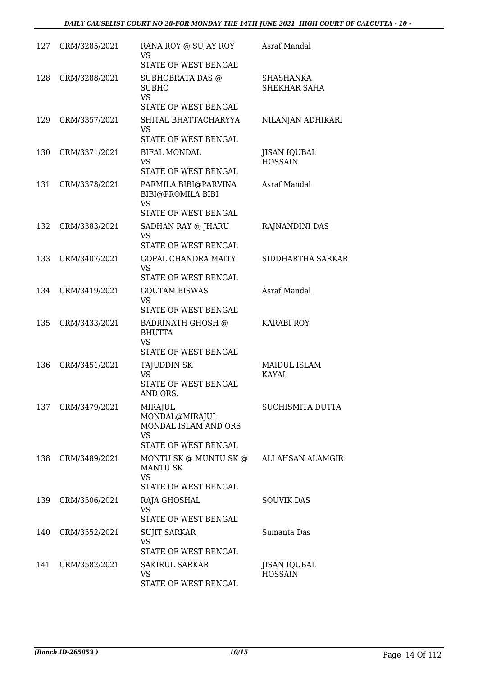| 127 | CRM/3285/2021 | RANA ROY @ SUJAY ROY<br>VS<br>STATE OF WEST BENGAL                                     | Asraf Mandal                          |
|-----|---------------|----------------------------------------------------------------------------------------|---------------------------------------|
| 128 | CRM/3288/2021 | SUBHOBRATA DAS @<br><b>SUBHO</b><br><b>VS</b><br>STATE OF WEST BENGAL                  | <b>SHASHANKA</b><br>SHEKHAR SAHA      |
| 129 | CRM/3357/2021 | SHITAL BHATTACHARYYA<br><b>VS</b><br>STATE OF WEST BENGAL                              | NILANJAN ADHIKARI                     |
| 130 | CRM/3371/2021 | <b>BIFAL MONDAL</b><br><b>VS</b><br>STATE OF WEST BENGAL                               | <b>JISAN IQUBAL</b><br><b>HOSSAIN</b> |
| 131 | CRM/3378/2021 | PARMILA BIBI@PARVINA<br>BIBI@PROMILA BIBI<br><b>VS</b><br><b>STATE OF WEST BENGAL</b>  | Asraf Mandal                          |
| 132 | CRM/3383/2021 | SADHAN RAY @ JHARU<br>VS<br>STATE OF WEST BENGAL                                       | RAJNANDINI DAS                        |
| 133 | CRM/3407/2021 | <b>GOPAL CHANDRA MAITY</b><br><b>VS</b><br>STATE OF WEST BENGAL                        | SIDDHARTHA SARKAR                     |
| 134 | CRM/3419/2021 | <b>GOUTAM BISWAS</b><br><b>VS</b><br>STATE OF WEST BENGAL                              | Asraf Mandal                          |
| 135 | CRM/3433/2021 | <b>BADRINATH GHOSH @</b><br><b>BHUTTA</b><br><b>VS</b><br>STATE OF WEST BENGAL         | <b>KARABI ROY</b>                     |
| 136 | CRM/3451/2021 | <b>TAJUDDIN SK</b><br><b>VS</b><br>STATE OF WEST BENGAL<br>AND ORS.                    | MAIDUL ISLAM<br><b>KAYAL</b>          |
| 137 | CRM/3479/2021 | MIRAJUL<br>MONDAL@MIRAJUL<br>MONDAL ISLAM AND ORS<br><b>VS</b><br>STATE OF WEST BENGAL | SUCHISMITA DUTTA                      |
| 138 | CRM/3489/2021 | MONTU SK @ MUNTU SK @<br><b>MANTU SK</b><br><b>VS</b><br>STATE OF WEST BENGAL          | ALI AHSAN ALAMGIR                     |
| 139 | CRM/3506/2021 | RAJA GHOSHAL<br><b>VS</b><br>STATE OF WEST BENGAL                                      | <b>SOUVIK DAS</b>                     |
| 140 | CRM/3552/2021 | <b>SUJIT SARKAR</b><br><b>VS</b><br>STATE OF WEST BENGAL                               | Sumanta Das                           |
| 141 | CRM/3582/2021 | <b>SAKIRUL SARKAR</b><br><b>VS</b><br>STATE OF WEST BENGAL                             | JISAN IQUBAL<br><b>HOSSAIN</b>        |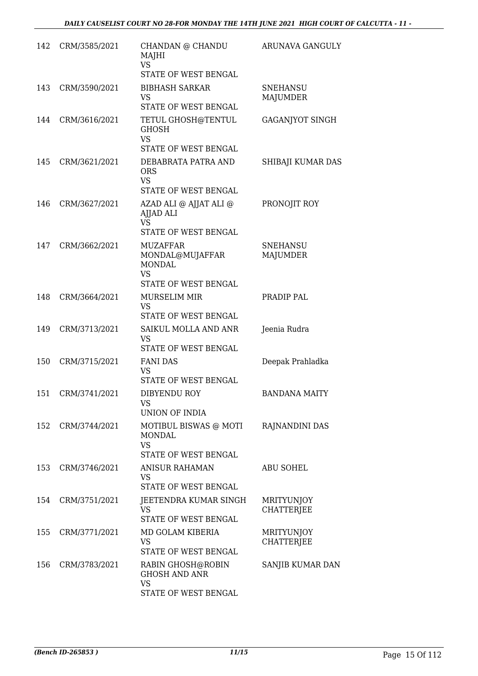| 142 | CRM/3585/2021 | CHANDAN @ CHANDU<br>MAJHI<br><b>VS</b><br>STATE OF WEST BENGAL                                 | ARUNAVA GANGULY                        |
|-----|---------------|------------------------------------------------------------------------------------------------|----------------------------------------|
| 143 | CRM/3590/2021 | <b>BIBHASH SARKAR</b><br><b>VS</b><br>STATE OF WEST BENGAL                                     | <b>SNEHANSU</b><br>MAJUMDER            |
| 144 | CRM/3616/2021 | TETUL GHOSH@TENTUL<br><b>GHOSH</b><br><b>VS</b>                                                | <b>GAGANJYOT SINGH</b>                 |
| 145 | CRM/3621/2021 | STATE OF WEST BENGAL<br>DEBABRATA PATRA AND<br><b>ORS</b><br><b>VS</b><br>STATE OF WEST BENGAL | SHIBAJI KUMAR DAS                      |
| 146 | CRM/3627/2021 | AZAD ALI @ AJJAT ALI @<br>AJJAD ALI<br><b>VS</b><br>STATE OF WEST BENGAL                       | PRONOJIT ROY                           |
| 147 | CRM/3662/2021 | <b>MUZAFFAR</b><br>MONDAL@MUJAFFAR<br><b>MONDAL</b><br><b>VS</b><br>STATE OF WEST BENGAL       | <b>SNEHANSU</b><br>MAJUMDER            |
| 148 | CRM/3664/2021 | MURSELIM MIR<br>VS<br>STATE OF WEST BENGAL                                                     | PRADIP PAL                             |
| 149 | CRM/3713/2021 | SAIKUL MOLLA AND ANR<br><b>VS</b><br>STATE OF WEST BENGAL                                      | Jeenia Rudra                           |
| 150 | CRM/3715/2021 | <b>FANI DAS</b><br>VS<br><b>STATE OF WEST BENGAL</b>                                           | Deepak Prahladka                       |
| 151 | CRM/3741/2021 | DIBYENDU ROY<br><b>VS</b><br>UNION OF INDIA                                                    | <b>BANDANA MAITY</b>                   |
| 152 | CRM/3744/2021 | MOTIBUL BISWAS @ MOTI<br>MONDAL<br><b>VS</b><br><b>STATE OF WEST BENGAL</b>                    | RAJNANDINI DAS                         |
| 153 | CRM/3746/2021 | ANISUR RAHAMAN<br>VS<br>STATE OF WEST BENGAL                                                   | <b>ABU SOHEL</b>                       |
| 154 | CRM/3751/2021 | JEETENDRA KUMAR SINGH<br><b>VS</b><br>STATE OF WEST BENGAL                                     | <b>MRITYUNJOY</b><br><b>CHATTERJEE</b> |
| 155 | CRM/3771/2021 | MD GOLAM KIBERIA<br>VS<br>STATE OF WEST BENGAL                                                 | <b>MRITYUNJOY</b><br><b>CHATTERJEE</b> |
| 156 | CRM/3783/2021 | RABIN GHOSH@ROBIN<br><b>GHOSH AND ANR</b><br>VS<br>STATE OF WEST BENGAL                        | SANJIB KUMAR DAN                       |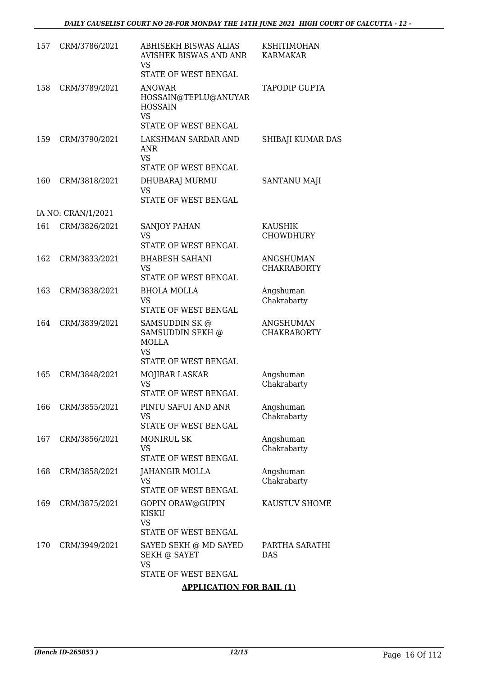| 157 | CRM/3786/2021      | ABHISEKH BISWAS ALIAS<br><b>AVISHEK BISWAS AND ANR</b><br>VS<br>STATE OF WEST BENGAL                      | <b>KSHITIMOHAN</b><br><b>KARMAKAR</b>  |
|-----|--------------------|-----------------------------------------------------------------------------------------------------------|----------------------------------------|
| 158 | CRM/3789/2021      | <b>ANOWAR</b><br>HOSSAIN@TEPLU@ANUYAR<br><b>HOSSAIN</b><br>VS                                             | <b>TAPODIP GUPTA</b>                   |
|     |                    | STATE OF WEST BENGAL                                                                                      |                                        |
| 159 | CRM/3790/2021      | LAKSHMAN SARDAR AND<br>ANR<br><b>VS</b>                                                                   | SHIBAJI KUMAR DAS                      |
|     |                    | STATE OF WEST BENGAL                                                                                      |                                        |
| 160 | CRM/3818/2021      | DHUBARAJ MURMU<br>VS<br>STATE OF WEST BENGAL                                                              | <b>SANTANU MAJI</b>                    |
|     | IA NO: CRAN/1/2021 |                                                                                                           |                                        |
| 161 | CRM/3826/2021      | <b>SANJOY PAHAN</b><br><b>VS</b><br>STATE OF WEST BENGAL                                                  | <b>KAUSHIK</b><br><b>CHOWDHURY</b>     |
| 162 | CRM/3833/2021      | <b>BHABESH SAHANI</b><br><b>VS</b><br>STATE OF WEST BENGAL                                                | <b>ANGSHUMAN</b><br><b>CHAKRABORTY</b> |
| 163 | CRM/3838/2021      | <b>BHOLA MOLLA</b><br><b>VS</b><br>STATE OF WEST BENGAL                                                   | Angshuman<br>Chakrabarty               |
| 164 | CRM/3839/2021      | SAMSUDDIN SK@<br>SAMSUDDIN SEKH @<br><b>MOLLA</b><br><b>VS</b><br>STATE OF WEST BENGAL                    | <b>ANGSHUMAN</b><br><b>CHAKRABORTY</b> |
| 165 | CRM/3848/2021      | MOJIBAR LASKAR<br><b>VS</b><br>STATE OF WEST BENGAL                                                       | Angshuman<br>Chakrabarty               |
| 166 | CRM/3855/2021      | PINTU SAFUI AND ANR<br><b>VS</b><br>STATE OF WEST BENGAL                                                  | Angshuman<br>Chakrabarty               |
| 167 | CRM/3856/2021      | <b>MONIRUL SK</b><br>VS<br><b>STATE OF WEST BENGAL</b>                                                    | Angshuman<br>Chakrabarty               |
| 168 | CRM/3858/2021      | JAHANGIR MOLLA<br><b>VS</b><br>STATE OF WEST BENGAL                                                       | Angshuman<br>Chakrabarty               |
| 169 | CRM/3875/2021      | GOPIN ORAW@GUPIN<br><b>KISKU</b><br><b>VS</b>                                                             | KAUSTUV SHOME                          |
| 170 | CRM/3949/2021      | STATE OF WEST BENGAL<br>SAYED SEKH @ MD SAYED<br><b>SEKH @ SAYET</b><br><b>VS</b><br>STATE OF WEST BENGAL | PARTHA SARATHI<br><b>DAS</b>           |

## **APPLICATION FOR BAIL (1)**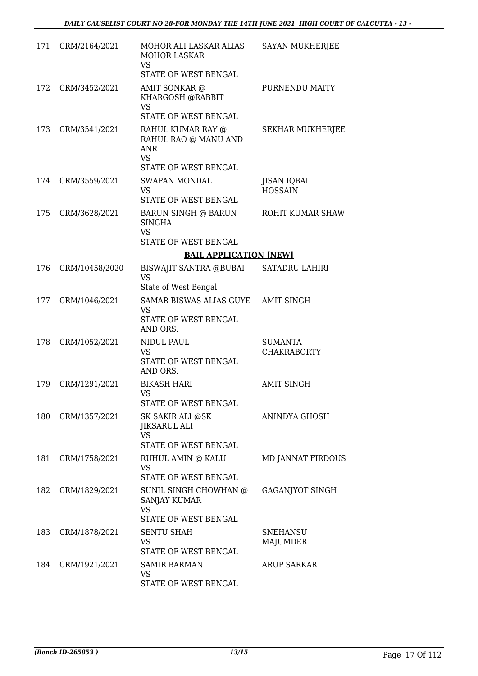| 171 | CRM/2164/2021  | MOHOR ALI LASKAR ALIAS<br><b>MOHOR LASKAR</b><br><b>VS</b><br>STATE OF WEST BENGAL           | <b>SAYAN MUKHERJEE</b>               |
|-----|----------------|----------------------------------------------------------------------------------------------|--------------------------------------|
| 172 | CRM/3452/2021  | AMIT SONKAR @<br>KHARGOSH @RABBIT<br><b>VS</b><br>STATE OF WEST BENGAL                       | PURNENDU MAITY                       |
| 173 | CRM/3541/2021  | RAHUL KUMAR RAY @<br>RAHUL RAO @ MANU AND<br><b>ANR</b><br><b>VS</b><br>STATE OF WEST BENGAL | <b>SEKHAR MUKHERJEE</b>              |
| 174 | CRM/3559/2021  | <b>SWAPAN MONDAL</b><br><b>VS</b><br>STATE OF WEST BENGAL                                    | <b>JISAN IQBAL</b><br><b>HOSSAIN</b> |
| 175 | CRM/3628/2021  | BARUN SINGH @ BARUN<br><b>SINGHA</b><br><b>VS</b>                                            | ROHIT KUMAR SHAW                     |
|     |                | STATE OF WEST BENGAL                                                                         |                                      |
|     |                | <b>BAIL APPLICATION [NEW]</b>                                                                |                                      |
| 176 | CRM/10458/2020 | <b>BISWAJIT SANTRA @BUBAI</b><br><b>VS</b><br>State of West Bengal                           | <b>SATADRU LAHIRI</b>                |
| 177 | CRM/1046/2021  | SAMAR BISWAS ALIAS GUYE<br><b>VS</b><br>STATE OF WEST BENGAL<br>AND ORS.                     | <b>AMIT SINGH</b>                    |
| 178 | CRM/1052/2021  | NIDUL PAUL<br><b>VS</b><br>STATE OF WEST BENGAL<br>AND ORS.                                  | <b>SUMANTA</b><br><b>CHAKRABORTY</b> |
| 179 | CRM/1291/2021  | <b>BIKASH HARI</b><br>VS<br>STATE OF WEST BENGAL                                             | <b>AMIT SINGH</b>                    |
| 180 | CRM/1357/2021  | SK SAKIR ALI @SK<br><b>JIKSARUL ALI</b><br><b>VS</b><br>STATE OF WEST BENGAL                 | ANINDYA GHOSH                        |
| 181 | CRM/1758/2021  | RUHUL AMIN @ KALU<br><b>VS</b><br>STATE OF WEST BENGAL                                       | <b>MD JANNAT FIRDOUS</b>             |
| 182 | CRM/1829/2021  | SUNIL SINGH CHOWHAN @<br><b>SANJAY KUMAR</b><br><b>VS</b><br>STATE OF WEST BENGAL            | GAGANJYOT SINGH                      |
| 183 | CRM/1878/2021  | <b>SENTU SHAH</b><br>VS<br>STATE OF WEST BENGAL                                              | <b>SNEHANSU</b><br>MAJUMDER          |
| 184 | CRM/1921/2021  | <b>SAMIR BARMAN</b><br><b>VS</b><br>STATE OF WEST BENGAL                                     | <b>ARUP SARKAR</b>                   |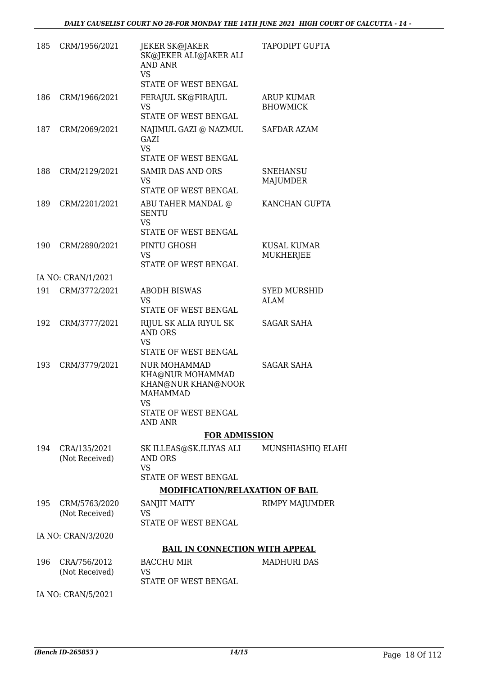| 185 | CRM/1956/2021                   | JEKER SK@JAKER<br>SK@JEKER ALI@JAKER ALI<br>AND ANR<br><b>VS</b><br>STATE OF WEST BENGAL                           | <b>TAPODIPT GUPTA</b>                |
|-----|---------------------------------|--------------------------------------------------------------------------------------------------------------------|--------------------------------------|
| 186 | CRM/1966/2021                   | FERAJUL SK@FIRAJUL<br><b>VS</b><br>STATE OF WEST BENGAL                                                            | <b>ARUP KUMAR</b><br><b>BHOWMICK</b> |
| 187 | CRM/2069/2021                   | NAJIMUL GAZI @ NAZMUL<br>GAZI<br><b>VS</b><br>STATE OF WEST BENGAL                                                 | <b>SAFDAR AZAM</b>                   |
| 188 | CRM/2129/2021                   | <b>SAMIR DAS AND ORS</b><br><b>VS</b><br>STATE OF WEST BENGAL                                                      | <b>SNEHANSU</b><br>MAJUMDER          |
| 189 | CRM/2201/2021                   | ABU TAHER MANDAL @<br><b>SENTU</b><br><b>VS</b>                                                                    | KANCHAN GUPTA                        |
| 190 | CRM/2890/2021                   | STATE OF WEST BENGAL<br>PINTU GHOSH<br><b>VS</b><br>STATE OF WEST BENGAL                                           | KUSAL KUMAR<br>MUKHERJEE             |
|     | IA NO: CRAN/1/2021              |                                                                                                                    |                                      |
| 191 | CRM/3772/2021                   | <b>ABODH BISWAS</b><br><b>VS</b><br>STATE OF WEST BENGAL                                                           | <b>SYED MURSHID</b><br>ALAM          |
| 192 | CRM/3777/2021                   | RIJUL SK ALIA RIYUL SK<br><b>AND ORS</b><br><b>VS</b><br>STATE OF WEST BENGAL                                      | SAGAR SAHA                           |
| 193 | CRM/3779/2021                   | NUR MOHAMMAD<br>KHA@NUR MOHAMMAD<br>KHAN@NUR KHAN@NOOR<br>MAHAMMAD<br>VS<br>STATE OF WEST BENGAL<br><b>AND ANR</b> | <b>SAGAR SAHA</b>                    |
|     |                                 | <b>FOR ADMISSION</b>                                                                                               |                                      |
| 194 | CRA/135/2021<br>(Not Received)  | SK ILLEAS@SK.ILIYAS ALI MUNSHIASHIQ ELAHI<br>AND ORS<br><b>VS</b>                                                  |                                      |
|     |                                 | STATE OF WEST BENGAL                                                                                               |                                      |
|     |                                 | <b>MODIFICATION/RELAXATION OF BAIL</b>                                                                             |                                      |
| 195 | CRM/5763/2020<br>(Not Received) | SANJIT MAITY<br>VS<br>STATE OF WEST BENGAL                                                                         | RIMPY MAJUMDER                       |
|     | IA NO: CRAN/3/2020              |                                                                                                                    |                                      |
|     |                                 | <b>BAIL IN CONNECTION WITH APPEAL</b>                                                                              |                                      |
| 196 | CRA/756/2012<br>(Not Received)  | <b>BACCHU MIR</b><br>VS<br>STATE OF WEST BENGAL                                                                    | <b>MADHURI DAS</b>                   |
|     |                                 |                                                                                                                    |                                      |

IA NO: CRAN/5/2021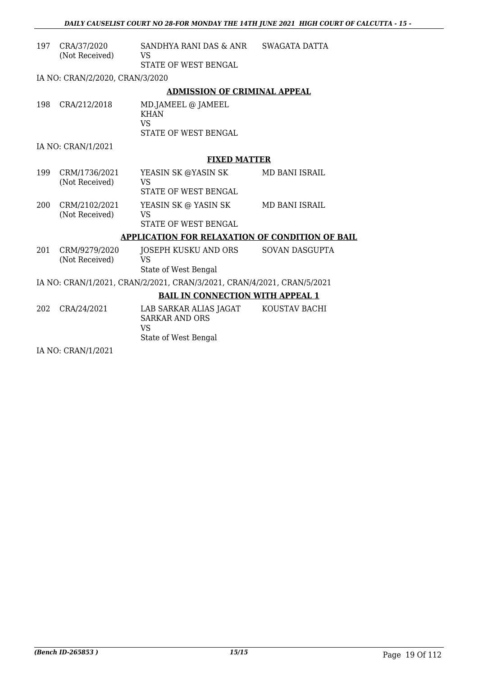| 197 | CRA/37/2020<br>(Not Received)                                          | SANDHYA RANI DAS & ANR<br><b>VS</b><br>STATE OF WEST BENGAL                          | SWAGATA DATTA         |  |  |
|-----|------------------------------------------------------------------------|--------------------------------------------------------------------------------------|-----------------------|--|--|
|     | IA NO: CRAN/2/2020, CRAN/3/2020                                        |                                                                                      |                       |  |  |
|     |                                                                        | <b>ADMISSION OF CRIMINAL APPEAL</b>                                                  |                       |  |  |
| 198 | CRA/212/2018                                                           | MD.JAMEEL @ JAMEEL<br><b>KHAN</b><br><b>VS</b><br>STATE OF WEST BENGAL               |                       |  |  |
|     | IA NO: CRAN/1/2021                                                     |                                                                                      |                       |  |  |
|     |                                                                        | <b>FIXED MATTER</b>                                                                  |                       |  |  |
| 199 | CRM/1736/2021<br>(Not Received)                                        | YEASIN SK @YASIN SK<br><b>VS</b><br><b>STATE OF WEST BENGAL</b>                      | MD BANI ISRAIL        |  |  |
| 200 | CRM/2102/2021<br>(Not Received)                                        | YEASIN SK @ YASIN SK<br><b>VS</b><br><b>STATE OF WEST BENGAL</b>                     | MD BANI ISRAIL        |  |  |
|     |                                                                        | APPLICATION FOR RELAXATION OF CONDITION OF BAIL                                      |                       |  |  |
| 201 | CRM/9279/2020<br>(Not Received)                                        | JOSEPH KUSKU AND ORS<br><b>VS</b><br>State of West Bengal                            | <b>SOVAN DASGUPTA</b> |  |  |
|     | IA NO: CRAN/1/2021, CRAN/2/2021, CRAN/3/2021, CRAN/4/2021, CRAN/5/2021 |                                                                                      |                       |  |  |
|     | <b>BAIL IN CONNECTION WITH APPEAL 1</b>                                |                                                                                      |                       |  |  |
| 202 | CRA/24/2021                                                            | LAB SARKAR ALIAS JAGAT<br><b>SARKAR AND ORS</b><br><b>VS</b><br>State of West Bengal | KOUSTAV BACHI         |  |  |

IA NO: CRAN/1/2021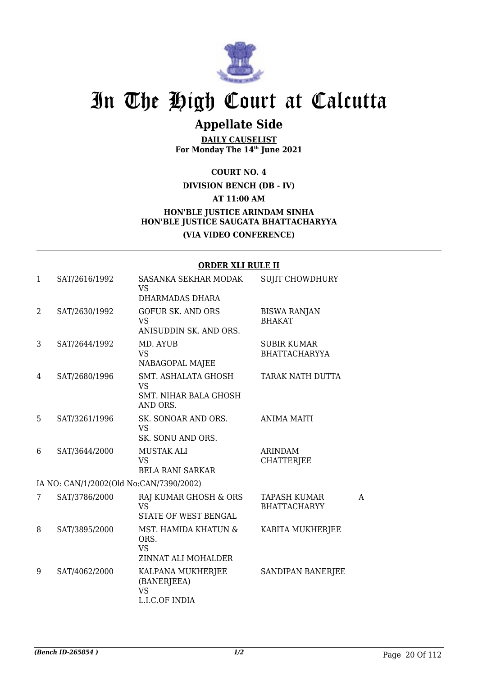

## **Appellate Side**

**DAILY CAUSELIST For Monday The 14th June 2021**

**COURT NO. 4**

**DIVISION BENCH (DB - IV)**

**AT 11:00 AM**

## **HON'BLE JUSTICE ARINDAM SINHA HON'BLE JUSTICE SAUGATA BHATTACHARYYA (VIA VIDEO CONFERENCE)**

#### **ORDER XLI RULE II**

| $\mathbf{1}$   | SAT/2616/1992                           | SASANKA SEKHAR MODAK<br><b>VS</b><br>DHARMADAS DHARA                         | <b>SUJIT CHOWDHURY</b>                     |   |
|----------------|-----------------------------------------|------------------------------------------------------------------------------|--------------------------------------------|---|
| $\overline{2}$ | SAT/2630/1992                           | <b>GOFUR SK. AND ORS</b><br><b>VS</b><br>ANISUDDIN SK. AND ORS.              | <b>BISWA RANJAN</b><br><b>BHAKAT</b>       |   |
| 3              | SAT/2644/1992                           | MD. AYUB<br><b>VS</b><br>NABAGOPAL MAJEE                                     | <b>SUBIR KUMAR</b><br><b>BHATTACHARYYA</b> |   |
| 4              | SAT/2680/1996                           | SMT. ASHALATA GHOSH<br><b>VS</b><br><b>SMT. NIHAR BALA GHOSH</b><br>AND ORS. | TARAK NATH DUTTA                           |   |
| 5              | SAT/3261/1996                           | SK. SONOAR AND ORS.<br><b>VS</b><br>SK. SONU AND ORS.                        | <b>ANIMA MAITI</b>                         |   |
| 6              | SAT/3644/2000                           | <b>MUSTAK ALI</b><br>VS<br><b>BELA RANI SARKAR</b>                           | <b>ARINDAM</b><br><b>CHATTERJEE</b>        |   |
|                | IA NO: CAN/1/2002(Old No:CAN/7390/2002) |                                                                              |                                            |   |
| 7              | SAT/3786/2000                           | RAJ KUMAR GHOSH & ORS<br><b>VS</b><br>STATE OF WEST BENGAL                   | <b>TAPASH KUMAR</b><br><b>BHATTACHARYY</b> | A |
| 8              | SAT/3895/2000                           | MST. HAMIDA KHATUN &<br>ORS.<br><b>VS</b><br>ZINNAT ALI MOHALDER             | KABITA MUKHERJEE                           |   |
| 9              | SAT/4062/2000                           | KALPANA MUKHERJEE<br>(BANERJEEA)<br><b>VS</b><br>L.I.C.OF INDIA              | SANDIPAN BANERJEE                          |   |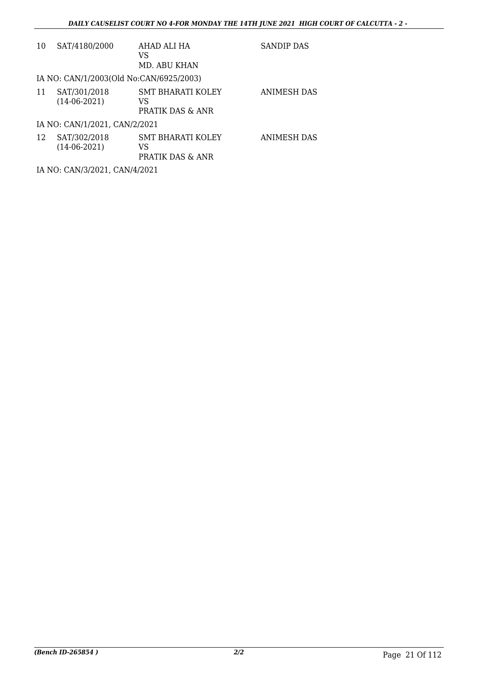| 10 | SAT/4180/2000                           | AHAD ALI HA<br>VS<br>MD. ABU KHAN                  | SANDIP DAS         |
|----|-----------------------------------------|----------------------------------------------------|--------------------|
|    | IA NO: CAN/1/2003(Old No:CAN/6925/2003) |                                                    |                    |
| 11 | SAT/301/2018<br>$(14-06-2021)$          | <b>SMT BHARATI KOLEY</b><br>VS<br>PRATIK DAS & ANR | <b>ANIMESH DAS</b> |
|    | IA NO: CAN/1/2021, CAN/2/2021           |                                                    |                    |
| 12 | SAT/302/2018<br>$(14-06-2021)$          | SMT BHARATI KOLEY<br>VS<br>PRATIK DAS & ANR        | ANIMESH DAS        |
|    | IA NO: CAN/3/2021, CAN/4/2021           |                                                    |                    |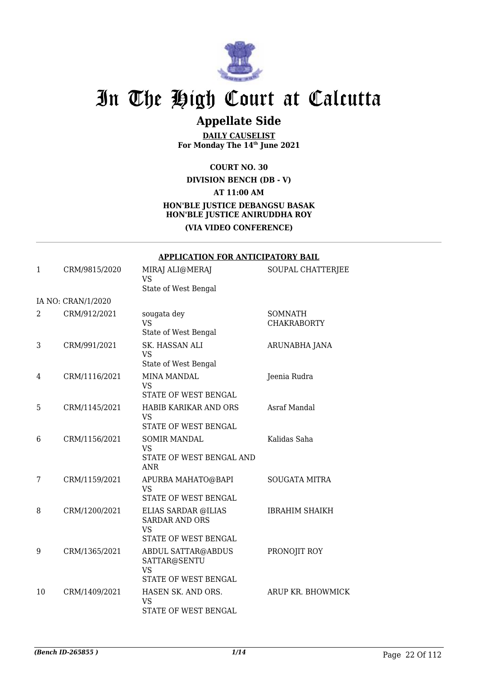

## **Appellate Side**

**DAILY CAUSELIST For Monday The 14th June 2021**

### **COURT NO. 30 DIVISION BENCH (DB - V) AT 11:00 AM HON'BLE JUSTICE DEBANGSU BASAK HON'BLE JUSTICE ANIRUDDHA ROY (VIA VIDEO CONFERENCE)**

|              | <b>APPLICATION FOR ANTICIPATORY BAIL</b> |                                                                                   |                                      |  |
|--------------|------------------------------------------|-----------------------------------------------------------------------------------|--------------------------------------|--|
| $\mathbf{1}$ | CRM/9815/2020                            | MIRAJ ALI@MERAJ<br><b>VS</b><br>State of West Bengal                              | SOUPAL CHATTERJEE                    |  |
|              | IA NO: CRAN/1/2020                       |                                                                                   |                                      |  |
| 2            | CRM/912/2021                             | sougata dey<br><b>VS</b><br>State of West Bengal                                  | <b>SOMNATH</b><br><b>CHAKRABORTY</b> |  |
| 3            | CRM/991/2021                             | SK. HASSAN ALI<br><b>VS</b><br>State of West Bengal                               | ARUNABHA JANA                        |  |
| 4            | CRM/1116/2021                            | <b>MINA MANDAL</b><br><b>VS</b><br>STATE OF WEST BENGAL                           | Jeenia Rudra                         |  |
| 5            | CRM/1145/2021                            | HABIB KARIKAR AND ORS<br><b>VS</b><br>STATE OF WEST BENGAL                        | <b>Asraf Mandal</b>                  |  |
| 6            | CRM/1156/2021                            | <b>SOMIR MANDAL</b><br><b>VS</b><br>STATE OF WEST BENGAL AND<br><b>ANR</b>        | Kalidas Saha                         |  |
| 7            | CRM/1159/2021                            | APURBA MAHATO@BAPI<br><b>VS</b><br>STATE OF WEST BENGAL                           | <b>SOUGATA MITRA</b>                 |  |
| 8            | CRM/1200/2021                            | ELIAS SARDAR @ILIAS<br><b>SARDAR AND ORS</b><br><b>VS</b><br>STATE OF WEST BENGAL | <b>IBRAHIM SHAIKH</b>                |  |
| 9            | CRM/1365/2021                            | <b>ABDUL SATTAR@ABDUS</b><br>SATTAR@SENTU<br><b>VS</b><br>STATE OF WEST BENGAL    | PRONOJIT ROY                         |  |
| 10           | CRM/1409/2021                            | HASEN SK. AND ORS.<br>VS<br>STATE OF WEST BENGAL                                  | ARUP KR. BHOWMICK                    |  |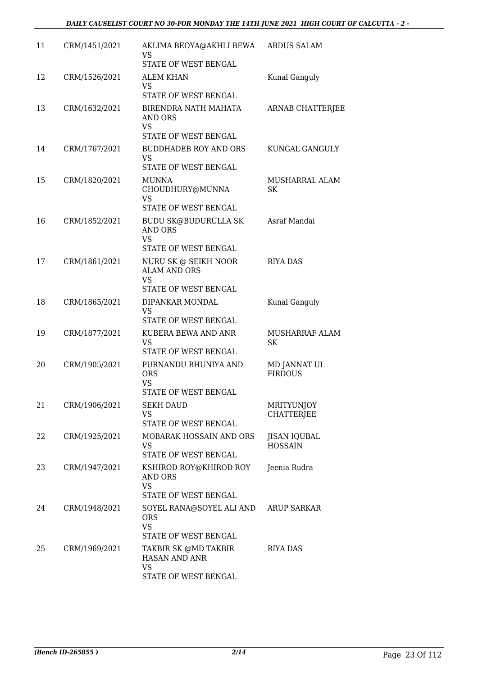| 11 | CRM/1451/2021 | AKLIMA BEOYA@AKHLI BEWA<br>VS<br>STATE OF WEST BENGAL                                                    | ABDUS SALAM                            |
|----|---------------|----------------------------------------------------------------------------------------------------------|----------------------------------------|
| 12 | CRM/1526/2021 | <b>ALEM KHAN</b><br>VS.<br>STATE OF WEST BENGAL                                                          | Kunal Ganguly                          |
| 13 | CRM/1632/2021 | BIRENDRA NATH MAHATA<br>AND ORS<br>VS                                                                    | <b>ARNAB CHATTERJEE</b>                |
| 14 | CRM/1767/2021 | STATE OF WEST BENGAL<br><b>BUDDHADEB ROY AND ORS</b><br><b>VS</b><br>STATE OF WEST BENGAL                | KUNGAL GANGULY                         |
| 15 | CRM/1820/2021 | <b>MUNNA</b><br>CHOUDHURY@MUNNA<br>VS                                                                    | MUSHARRAL ALAM<br>SK                   |
| 16 | CRM/1852/2021 | STATE OF WEST BENGAL<br><b>BUDU SK@BUDURULLA SK</b><br><b>AND ORS</b><br><b>VS</b>                       | Asraf Mandal                           |
| 17 | CRM/1861/2021 | STATE OF WEST BENGAL<br>NURU SK @ SEIKH NOOR<br><b>ALAM AND ORS</b><br><b>VS</b><br>STATE OF WEST BENGAL | <b>RIYA DAS</b>                        |
| 18 | CRM/1865/2021 | DIPANKAR MONDAL<br><b>VS</b><br>STATE OF WEST BENGAL                                                     | Kunal Ganguly                          |
| 19 | CRM/1877/2021 | KUBERA BEWA AND ANR<br><b>VS</b><br>STATE OF WEST BENGAL                                                 | MUSHARRAF ALAM<br>SK                   |
| 20 | CRM/1905/2021 | PURNANDU BHUNIYA AND<br><b>ORS</b><br>VS<br><b>STATE OF WEST BENGAL</b>                                  | MD JANNAT UL<br><b>FIRDOUS</b>         |
| 21 | CRM/1906/2021 | <b>SEKH DAUD</b><br>VS.<br>STATE OF WEST BENGAL                                                          | <b>MRITYUNJOY</b><br><b>CHATTERJEE</b> |
| 22 | CRM/1925/2021 | MOBARAK HOSSAIN AND ORS<br>VS.<br>STATE OF WEST BENGAL                                                   | JISAN IQUBAL<br><b>HOSSAIN</b>         |
| 23 | CRM/1947/2021 | KSHIROD ROY@KHIROD ROY<br>AND ORS<br><b>VS</b><br>STATE OF WEST BENGAL                                   | Jeenia Rudra                           |
| 24 | CRM/1948/2021 | SOYEL RANA@SOYEL ALI AND<br><b>ORS</b><br><b>VS</b><br><b>STATE OF WEST BENGAL</b>                       | ARUP SARKAR                            |
| 25 | CRM/1969/2021 | TAKBIR SK @MD TAKBIR<br>HASAN AND ANR<br><b>VS</b><br>STATE OF WEST BENGAL                               | RIYA DAS                               |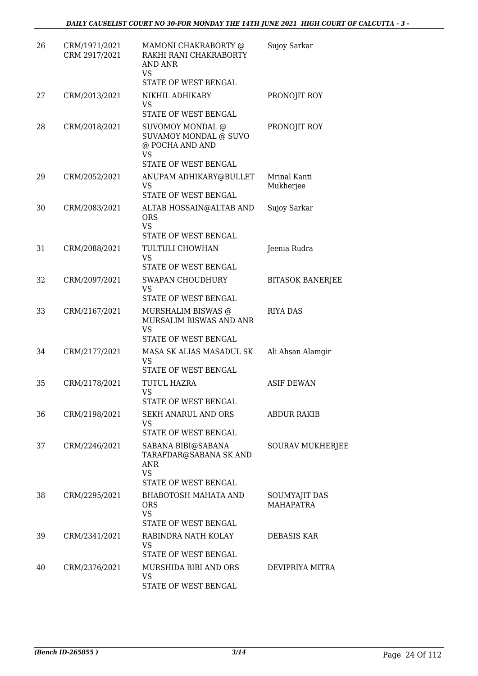| 26 | CRM/1971/2021<br>CRM 2917/2021 | MAMONI CHAKRABORTY @<br>RAKHI RANI CHAKRABORTY<br>AND ANR<br><b>VS</b>                          | Sujoy Sarkar                      |
|----|--------------------------------|-------------------------------------------------------------------------------------------------|-----------------------------------|
|    |                                | <b>STATE OF WEST BENGAL</b>                                                                     |                                   |
| 27 | CRM/2013/2021                  | NIKHIL ADHIKARY<br>VS.<br>STATE OF WEST BENGAL                                                  | PRONOJIT ROY                      |
| 28 | CRM/2018/2021                  | <b>SUVOMOY MONDAL @</b><br><b>SUVAMOY MONDAL @ SUVO</b><br>@ POCHA AND AND<br><b>VS</b>         | PRONOJIT ROY                      |
|    |                                | STATE OF WEST BENGAL                                                                            |                                   |
| 29 | CRM/2052/2021                  | ANUPAM ADHIKARY@BULLET<br>VS.<br><b>STATE OF WEST BENGAL</b>                                    | Mrinal Kanti<br>Mukherjee         |
| 30 | CRM/2083/2021                  | ALTAB HOSSAIN@ALTAB AND<br><b>ORS</b><br><b>VS</b><br>STATE OF WEST BENGAL                      | Sujoy Sarkar                      |
| 31 | CRM/2088/2021                  | TULTULI CHOWHAN<br>VS.                                                                          | Jeenia Rudra                      |
| 32 | CRM/2097/2021                  | STATE OF WEST BENGAL<br><b>SWAPAN CHOUDHURY</b><br>VS<br>STATE OF WEST BENGAL                   | <b>BITASOK BANERJEE</b>           |
| 33 | CRM/2167/2021                  | MURSHALIM BISWAS @<br>MURSALIM BISWAS AND ANR<br><b>VS</b><br>STATE OF WEST BENGAL              | <b>RIYA DAS</b>                   |
| 34 | CRM/2177/2021                  | MASA SK ALIAS MASADUL SK<br>VS                                                                  | Ali Ahsan Alamqir                 |
| 35 | CRM/2178/2021                  | <b>STATE OF WEST BENGAL</b><br>TUTUL HAZRA<br>VS                                                | <b>ASIF DEWAN</b>                 |
| 36 | CRM/2198/2021                  | STATE OF WEST BENGAL<br>SEKH ANARUL AND ORS<br>VS<br><b>STATE OF WEST BENGAL</b>                | <b>ABDUR RAKIB</b>                |
| 37 | CRM/2246/2021                  | SABANA BIBI@SABANA<br>TARAFDAR@SABANA SK AND<br><b>ANR</b><br><b>VS</b><br>STATE OF WEST BENGAL | SOURAV MUKHERJEE                  |
| 38 | CRM/2295/2021                  | <b>BHABOTOSH MAHATA AND</b><br><b>ORS</b><br><b>VS</b><br>STATE OF WEST BENGAL                  | SOUMYAJIT DAS<br><b>MAHAPATRA</b> |
| 39 | CRM/2341/2021                  | RABINDRA NATH KOLAY<br>VS<br>STATE OF WEST BENGAL                                               | DEBASIS KAR                       |
| 40 | CRM/2376/2021                  | MURSHIDA BIBI AND ORS<br><b>VS</b><br>STATE OF WEST BENGAL                                      | DEVIPRIYA MITRA                   |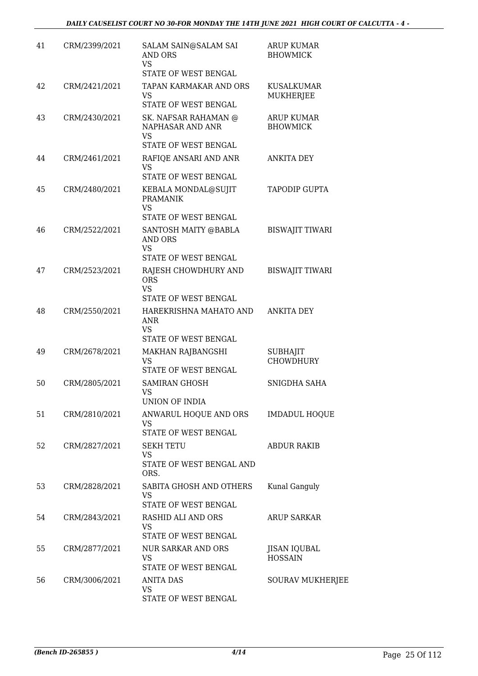| 41 | CRM/2399/2021 | SALAM SAIN@SALAM SAI<br><b>AND ORS</b><br>VS<br>STATE OF WEST BENGAL                          | <b>ARUP KUMAR</b><br><b>BHOWMICK</b>  |
|----|---------------|-----------------------------------------------------------------------------------------------|---------------------------------------|
| 42 | CRM/2421/2021 | TAPAN KARMAKAR AND ORS<br><b>VS</b><br>STATE OF WEST BENGAL                                   | <b>KUSALKUMAR</b><br><b>MUKHERJEE</b> |
| 43 | CRM/2430/2021 | SK. NAFSAR RAHAMAN @<br>NAPHASAR AND ANR<br><b>VS</b><br>STATE OF WEST BENGAL                 | <b>ARUP KUMAR</b><br><b>BHOWMICK</b>  |
| 44 | CRM/2461/2021 | RAFIQE ANSARI AND ANR<br><b>VS</b>                                                            | <b>ANKITA DEY</b>                     |
| 45 | CRM/2480/2021 | STATE OF WEST BENGAL<br>KEBALA MONDAL@SUJIT<br><b>PRAMANIK</b><br>VS.<br>STATE OF WEST BENGAL | TAPODIP GUPTA                         |
| 46 | CRM/2522/2021 | SANTOSH MAITY @BABLA<br>AND ORS<br>VS                                                         | <b>BISWAJIT TIWARI</b>                |
| 47 | CRM/2523/2021 | STATE OF WEST BENGAL<br>RAJESH CHOWDHURY AND<br><b>ORS</b><br><b>VS</b>                       | <b>BISWAJIT TIWARI</b>                |
| 48 | CRM/2550/2021 | STATE OF WEST BENGAL<br>HAREKRISHNA MAHATO AND<br>ANR<br><b>VS</b>                            | <b>ANKITA DEY</b>                     |
| 49 | CRM/2678/2021 | STATE OF WEST BENGAL<br><b>MAKHAN RAJBANGSHI</b><br><b>VS</b><br>STATE OF WEST BENGAL         | <b>SUBHAJIT</b><br><b>CHOWDHURY</b>   |
| 50 | CRM/2805/2021 | <b>SAMIRAN GHOSH</b><br>VS<br><b>UNION OF INDIA</b>                                           | SNIGDHA SAHA                          |
| 51 | CRM/2810/2021 | ANWARUL HOQUE AND ORS<br><b>VS</b><br><b>STATE OF WEST BENGAL</b>                             | <b>IMDADUL HOQUE</b>                  |
| 52 | CRM/2827/2021 | <b>SEKH TETU</b><br>VS<br>STATE OF WEST BENGAL AND<br>ORS.                                    | <b>ABDUR RAKIB</b>                    |
| 53 | CRM/2828/2021 | SABITA GHOSH AND OTHERS<br>VS.<br>STATE OF WEST BENGAL                                        | Kunal Ganguly                         |
| 54 | CRM/2843/2021 | RASHID ALI AND ORS<br>VS<br>STATE OF WEST BENGAL                                              | <b>ARUP SARKAR</b>                    |
| 55 | CRM/2877/2021 | <b>NUR SARKAR AND ORS</b><br>VS<br>STATE OF WEST BENGAL                                       | JISAN IQUBAL<br><b>HOSSAIN</b>        |
| 56 | CRM/3006/2021 | <b>ANITA DAS</b><br>VS<br>STATE OF WEST BENGAL                                                | SOURAV MUKHERJEE                      |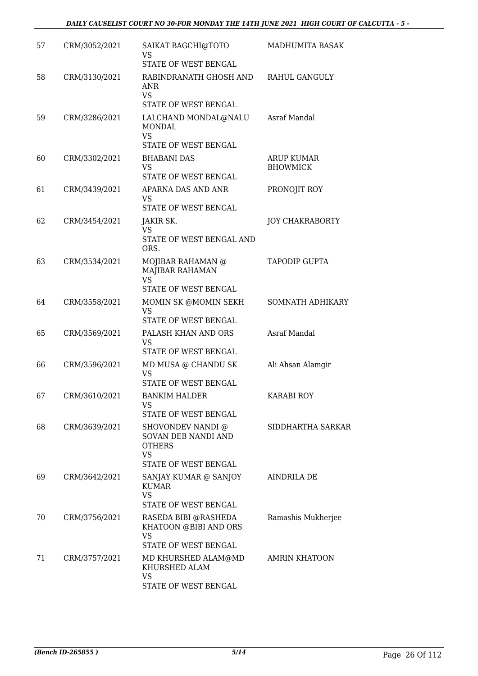| 57 | CRM/3052/2021 | SAIKAT BAGCHI@TOTO<br><b>VS</b><br>STATE OF WEST BENGAL                                            | MADHUMITA BASAK                      |
|----|---------------|----------------------------------------------------------------------------------------------------|--------------------------------------|
| 58 | CRM/3130/2021 | RABINDRANATH GHOSH AND<br><b>ANR</b><br><b>VS</b>                                                  | RAHUL GANGULY                        |
| 59 | CRM/3286/2021 | STATE OF WEST BENGAL<br>LALCHAND MONDAL@NALU<br><b>MONDAL</b><br><b>VS</b><br>STATE OF WEST BENGAL | Asraf Mandal                         |
| 60 | CRM/3302/2021 | <b>BHABANI DAS</b><br>VS.<br>STATE OF WEST BENGAL                                                  | <b>ARUP KUMAR</b><br><b>BHOWMICK</b> |
| 61 | CRM/3439/2021 | APARNA DAS AND ANR<br>VS<br>STATE OF WEST BENGAL                                                   | PRONOJIT ROY                         |
| 62 | CRM/3454/2021 | JAKIR SK.<br>VS.<br>STATE OF WEST BENGAL AND<br>ORS.                                               | <b>JOY CHAKRABORTY</b>               |
| 63 | CRM/3534/2021 | MOJIBAR RAHAMAN @<br>MAJIBAR RAHAMAN<br>VS<br>STATE OF WEST BENGAL                                 | <b>TAPODIP GUPTA</b>                 |
| 64 | CRM/3558/2021 | MOMIN SK @MOMIN SEKH<br><b>VS</b><br>STATE OF WEST BENGAL                                          | SOMNATH ADHIKARY                     |
| 65 | CRM/3569/2021 | PALASH KHAN AND ORS<br>VS<br>STATE OF WEST BENGAL                                                  | Asraf Mandal                         |
| 66 | CRM/3596/2021 | MD MUSA @ CHANDU SK<br><b>VS</b><br>STATE OF WEST BENGAL                                           | Ali Ahsan Alamqir                    |
| 67 | CRM/3610/2021 | BANKIM HALDER<br>VS<br>STATE OF WEST BENGAL                                                        | KARABI ROY                           |
| 68 | CRM/3639/2021 | SHOVONDEV NANDI @<br>SOVAN DEB NANDI AND<br><b>OTHERS</b><br><b>VS</b><br>STATE OF WEST BENGAL     | SIDDHARTHA SARKAR                    |
| 69 | CRM/3642/2021 | SANJAY KUMAR @ SANJOY<br><b>KUMAR</b><br><b>VS</b><br>STATE OF WEST BENGAL                         | AINDRILA DE                          |
| 70 | CRM/3756/2021 | RASEDA BIBI @RASHEDA<br>KHATOON @BIBI AND ORS<br>VS<br>STATE OF WEST BENGAL                        | Ramashis Mukherjee                   |
| 71 | CRM/3757/2021 | MD KHURSHED ALAM@MD<br>KHURSHED ALAM<br><b>VS</b><br>STATE OF WEST BENGAL                          | <b>AMRIN KHATOON</b>                 |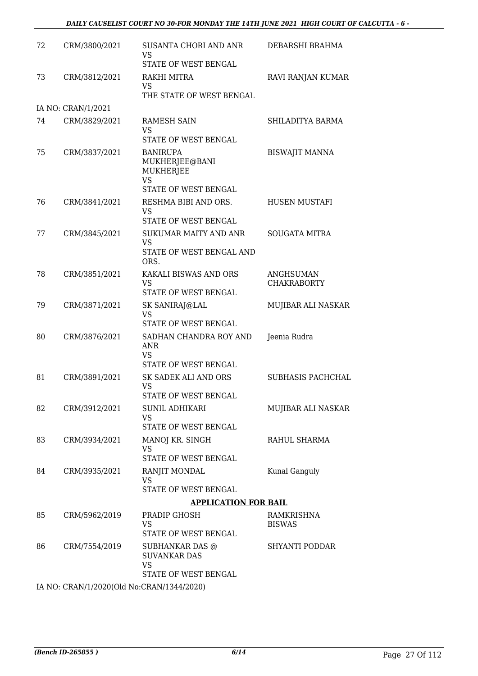| 72 | CRM/3800/2021      | SUSANTA CHORI AND ANR<br>VS<br>STATE OF WEST BENGAL                                        | DEBARSHI BRAHMA                 |
|----|--------------------|--------------------------------------------------------------------------------------------|---------------------------------|
| 73 | CRM/3812/2021      | RAKHI MITRA<br>VS<br>THE STATE OF WEST BENGAL                                              | RAVI RANJAN KUMAR               |
|    | IA NO: CRAN/1/2021 |                                                                                            |                                 |
| 74 | CRM/3829/2021      | RAMESH SAIN<br><b>VS</b><br>STATE OF WEST BENGAL                                           | SHILADITYA BARMA                |
| 75 | CRM/3837/2021      | <b>BANIRUPA</b><br>MUKHERJEE@BANI<br><b>MUKHERJEE</b><br><b>VS</b><br>STATE OF WEST BENGAL | <b>BISWAJIT MANNA</b>           |
| 76 | CRM/3841/2021      | RESHMA BIBI AND ORS.<br>VS<br>STATE OF WEST BENGAL                                         | <b>HUSEN MUSTAFI</b>            |
| 77 | CRM/3845/2021      | <b>SUKUMAR MAITY AND ANR</b><br><b>VS</b><br>STATE OF WEST BENGAL AND<br>ORS.              | <b>SOUGATA MITRA</b>            |
| 78 | CRM/3851/2021      | KAKALI BISWAS AND ORS<br><b>VS</b><br>STATE OF WEST BENGAL                                 | ANGHSUMAN<br><b>CHAKRABORTY</b> |
| 79 | CRM/3871/2021      | SK SANIRAJ@LAL<br><b>VS</b><br>STATE OF WEST BENGAL                                        | MUJIBAR ALI NASKAR              |
| 80 | CRM/3876/2021      | SADHAN CHANDRA ROY AND<br><b>ANR</b><br><b>VS</b><br>STATE OF WEST BENGAL                  | Jeenia Rudra                    |
| 81 | CRM/3891/2021      | SK SADEK ALI AND ORS<br><b>VS</b><br>STATE OF WEST BENGAL                                  | <b>SUBHASIS PACHCHAL</b>        |
| 82 | CRM/3912/2021      | <b>SUNIL ADHIKARI</b><br>VS<br>STATE OF WEST BENGAL                                        | MUJIBAR ALI NASKAR              |
| 83 | CRM/3934/2021      | MANOJ KR. SINGH<br>VS<br>STATE OF WEST BENGAL                                              | RAHUL SHARMA                    |
| 84 | CRM/3935/2021      | RANJIT MONDAL<br>VS<br>STATE OF WEST BENGAL                                                | Kunal Ganguly                   |
|    |                    | <b>APPLICATION FOR BAIL</b>                                                                |                                 |
| 85 | CRM/5962/2019      | PRADIP GHOSH<br>VS<br>STATE OF WEST BENGAL                                                 | RAMKRISHNA<br><b>BISWAS</b>     |
| 86 | CRM/7554/2019      | SUBHANKAR DAS @<br><b>SUVANKAR DAS</b><br><b>VS</b>                                        | <b>SHYANTI PODDAR</b>           |
|    |                    | STATE OF WEST BENGAL                                                                       |                                 |

IA NO: CRAN/1/2020(Old No:CRAN/1344/2020)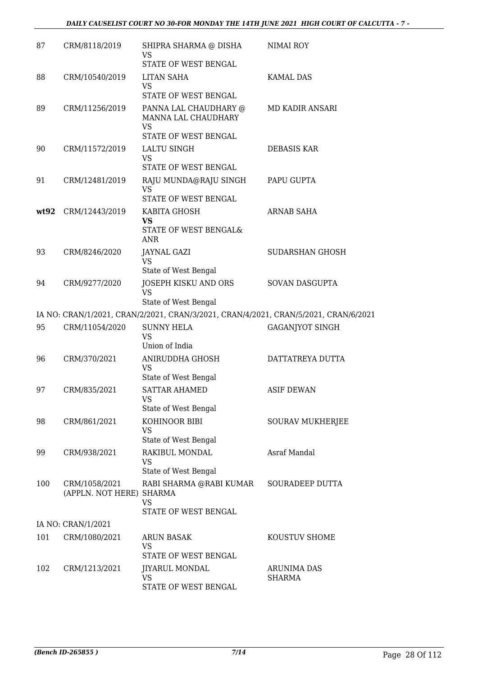| 87   | CRM/8118/2019                             | SHIPRA SHARMA @ DISHA<br>VS<br>STATE OF WEST BENGAL                                 | NIMAI ROY               |
|------|-------------------------------------------|-------------------------------------------------------------------------------------|-------------------------|
| 88   | CRM/10540/2019                            | <b>LITAN SAHA</b><br>VS<br>STATE OF WEST BENGAL                                     | <b>KAMAL DAS</b>        |
| 89   | CRM/11256/2019                            | PANNA LAL CHAUDHARY @<br>MANNA LAL CHAUDHARY<br><b>VS</b>                           | MD KADIR ANSARI         |
| 90   | CRM/11572/2019                            | STATE OF WEST BENGAL<br>LALTU SINGH<br><b>VS</b><br>STATE OF WEST BENGAL            | <b>DEBASIS KAR</b>      |
| 91   | CRM/12481/2019                            | RAJU MUNDA@RAJU SINGH<br><b>VS</b><br>STATE OF WEST BENGAL                          | PAPU GUPTA              |
| wt92 | CRM/12443/2019                            | KABITA GHOSH<br><b>VS</b><br>STATE OF WEST BENGAL&<br><b>ANR</b>                    | <b>ARNAB SAHA</b>       |
| 93   | CRM/8246/2020                             | JAYNAL GAZI<br><b>VS</b><br>State of West Bengal                                    | <b>SUDARSHAN GHOSH</b>  |
| 94   | CRM/9277/2020                             | JOSEPH KISKU AND ORS<br><b>VS</b><br>State of West Bengal                           | SOVAN DASGUPTA          |
|      |                                           | IA NO: CRAN/1/2021, CRAN/2/2021, CRAN/3/2021, CRAN/4/2021, CRAN/5/2021, CRAN/6/2021 |                         |
| 95   | CRM/11054/2020                            | <b>SUNNY HELA</b><br><b>VS</b><br>Union of India                                    | <b>GAGANJYOT SINGH</b>  |
| 96   | CRM/370/2021                              | ANIRUDDHA GHOSH<br><b>VS</b><br>State of West Bengal                                | DATTATREYA DUTTA        |
| 97   | CRM/835/2021                              | <b>SATTAR AHAMED</b><br>VS<br>State of West Bengal                                  | <b>ASIF DEWAN</b>       |
| 98   | CRM/861/2021                              | KOHINOOR BIBI<br><b>VS</b><br>State of West Bengal                                  | <b>SOURAV MUKHERJEE</b> |
| 99   | CRM/938/2021                              | RAKIBUL MONDAL<br>VS<br>State of West Bengal                                        | Asraf Mandal            |
| 100  | CRM/1058/2021<br>(APPLN. NOT HERE) SHARMA | RABI SHARMA @RABI KUMAR<br><b>VS</b><br>STATE OF WEST BENGAL                        | SOURADEEP DUTTA         |
|      | IA NO: CRAN/1/2021                        |                                                                                     |                         |
| 101  | CRM/1080/2021                             | <b>ARUN BASAK</b><br>VS<br>STATE OF WEST BENGAL                                     | KOUSTUV SHOME           |
| 102  | CRM/1213/2021                             | JIYARUL MONDAL<br>VS<br>STATE OF WEST BENGAL                                        | ARUNIMA DAS<br>SHARMA   |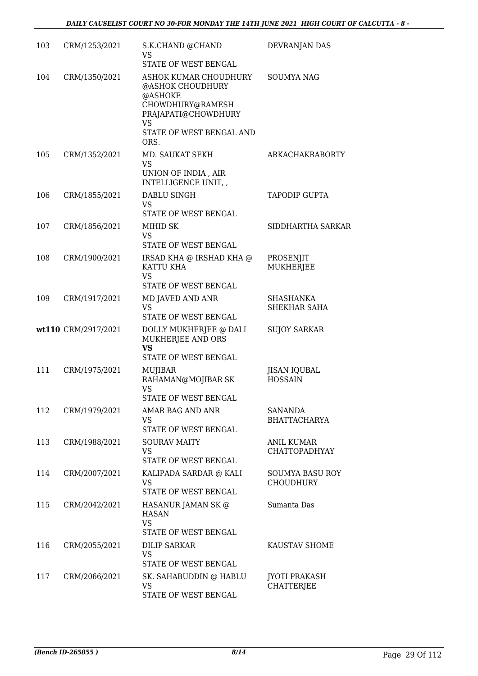| 103 | CRM/1253/2021       | S.K.CHAND @CHAND<br>VS<br>STATE OF WEST BENGAL                                                                                                   | DEVRANJAN DAS                             |
|-----|---------------------|--------------------------------------------------------------------------------------------------------------------------------------------------|-------------------------------------------|
| 104 | CRM/1350/2021       | ASHOK KUMAR CHOUDHURY<br>@ASHOK CHOUDHURY<br>@ASHOKE<br>CHOWDHURY@RAMESH<br>PRAJAPATI@CHOWDHURY<br><b>VS</b><br>STATE OF WEST BENGAL AND<br>ORS. | <b>SOUMYA NAG</b>                         |
| 105 | CRM/1352/2021       | MD. SAUKAT SEKH<br>VS<br>UNION OF INDIA, AIR<br>INTELLIGENCE UNIT, ,                                                                             | <b>ARKACHAKRABORTY</b>                    |
| 106 | CRM/1855/2021       | <b>DABLU SINGH</b><br>VS<br>STATE OF WEST BENGAL                                                                                                 | <b>TAPODIP GUPTA</b>                      |
| 107 | CRM/1856/2021       | MIHID SK<br>VS<br>STATE OF WEST BENGAL                                                                                                           | SIDDHARTHA SARKAR                         |
| 108 | CRM/1900/2021       | IRSAD KHA @ IRSHAD KHA @<br>KATTU KHA<br><b>VS</b><br>STATE OF WEST BENGAL                                                                       | PROSENJIT<br><b>MUKHERJEE</b>             |
| 109 | CRM/1917/2021       | MD JAVED AND ANR<br><b>VS</b><br>STATE OF WEST BENGAL                                                                                            | SHASHANKA<br>SHEKHAR SAHA                 |
|     | wt110 CRM/2917/2021 | DOLLY MUKHERJEE @ DALI<br>MUKHERJEE AND ORS<br><b>VS</b><br><b>STATE OF WEST BENGAL</b>                                                          | <b>SUJOY SARKAR</b>                       |
| 111 | CRM/1975/2021       | MUJIBAR<br>RAHAMAN@MOJIBAR SK<br><b>VS</b><br><b>STATE OF WEST BENGAL</b>                                                                        | JISAN IQUBAL<br><b>HOSSAIN</b>            |
| 112 | CRM/1979/2021       | AMAR BAG AND ANR<br>VS<br>STATE OF WEST BENGAL                                                                                                   | <b>SANANDA</b><br><b>BHATTACHARYA</b>     |
| 113 | CRM/1988/2021       | <b>SOURAV MAITY</b><br>VS<br>STATE OF WEST BENGAL                                                                                                | <b>ANIL KUMAR</b><br><b>CHATTOPADHYAY</b> |
| 114 | CRM/2007/2021       | KALIPADA SARDAR @ KALI<br>VS<br>STATE OF WEST BENGAL                                                                                             | SOUMYA BASU ROY<br><b>CHOUDHURY</b>       |
| 115 | CRM/2042/2021       | HASANUR JAMAN SK @<br>HASAN<br><b>VS</b><br>STATE OF WEST BENGAL                                                                                 | Sumanta Das                               |
| 116 | CRM/2055/2021       | <b>DILIP SARKAR</b><br>VS<br>STATE OF WEST BENGAL                                                                                                | KAUSTAV SHOME                             |
| 117 | CRM/2066/2021       | SK. SAHABUDDIN @ HABLU<br><b>VS</b><br>STATE OF WEST BENGAL                                                                                      | <b>JYOTI PRAKASH</b><br><b>CHATTERJEE</b> |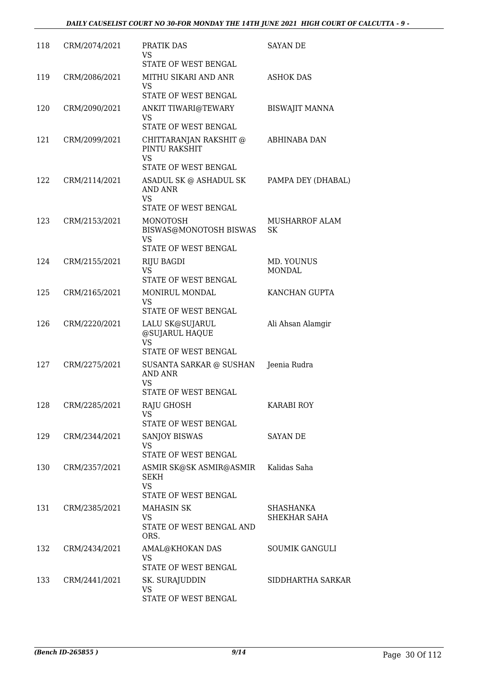| 118 | CRM/2074/2021 | PRATIK DAS<br><b>VS</b><br>STATE OF WEST BENGAL                                                  | SAYAN DE                    |
|-----|---------------|--------------------------------------------------------------------------------------------------|-----------------------------|
| 119 | CRM/2086/2021 | MITHU SIKARI AND ANR<br>VS<br>STATE OF WEST BENGAL                                               | <b>ASHOK DAS</b>            |
| 120 | CRM/2090/2021 | ANKIT TIWARI@TEWARY<br><b>VS</b><br>STATE OF WEST BENGAL                                         | <b>BISWAJIT MANNA</b>       |
| 121 | CRM/2099/2021 | CHITTARANJAN RAKSHIT @<br>PINTU RAKSHIT<br><b>VS</b><br>STATE OF WEST BENGAL                     | ABHINABA DAN                |
| 122 | CRM/2114/2021 | ASADUL SK @ ASHADUL SK<br>AND ANR<br><b>VS</b><br>STATE OF WEST BENGAL                           | PAMPA DEY (DHABAL)          |
| 123 | CRM/2153/2021 | <b>MONOTOSH</b><br>BISWAS@MONOTOSH BISWAS<br><b>VS</b><br>STATE OF WEST BENGAL                   | <b>MUSHARROF ALAM</b><br>SK |
| 124 | CRM/2155/2021 | <b>RIJU BAGDI</b><br><b>VS</b><br>STATE OF WEST BENGAL                                           | MD. YOUNUS<br><b>MONDAL</b> |
| 125 | CRM/2165/2021 | MONIRUL MONDAL<br>VS<br>STATE OF WEST BENGAL                                                     | KANCHAN GUPTA               |
| 126 | CRM/2220/2021 | LALU SK@SUJARUL<br>@SUJARUL HAQUE<br><b>VS</b>                                                   | Ali Ahsan Alamgir           |
| 127 | CRM/2275/2021 | STATE OF WEST BENGAL.<br>SUSANTA SARKAR @ SUSHAN<br><b>AND ANR</b><br>VS<br>STATE OF WEST BENGAL | Jeenia Rudra                |
| 128 | CRM/2285/2021 | <b>RAJU GHOSH</b><br><b>VS</b><br>STATE OF WEST BENGAL                                           | <b>KARABI ROY</b>           |
| 129 | CRM/2344/2021 | <b>SANJOY BISWAS</b><br>VS<br>STATE OF WEST BENGAL                                               | SAYAN DE                    |
| 130 | CRM/2357/2021 | ASMIR SK@SK ASMIR@ASMIR<br><b>SEKH</b><br><b>VS</b><br>STATE OF WEST BENGAL                      | Kalidas Saha                |
| 131 | CRM/2385/2021 | <b>MAHASIN SK</b><br><b>VS</b><br>STATE OF WEST BENGAL AND<br>ORS.                               | SHASHANKA<br>SHEKHAR SAHA   |
| 132 | CRM/2434/2021 | AMAL@KHOKAN DAS<br>VS<br>STATE OF WEST BENGAL                                                    | SOUMIK GANGULI              |
| 133 | CRM/2441/2021 | SK. SURAJUDDIN<br><b>VS</b><br>STATE OF WEST BENGAL                                              | SIDDHARTHA SARKAR           |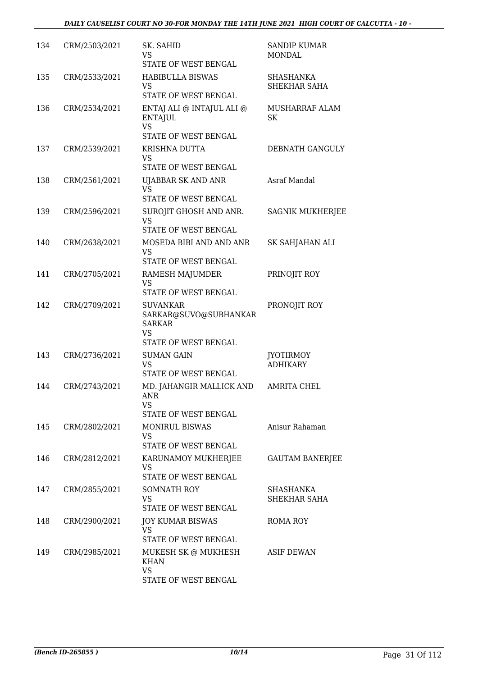| 134 | CRM/2503/2021 | SK. SAHID<br>VS<br>STATE OF WEST BENGAL                                                        | <b>SANDIP KUMAR</b><br>MONDAL       |
|-----|---------------|------------------------------------------------------------------------------------------------|-------------------------------------|
| 135 | CRM/2533/2021 | <b>HABIBULLA BISWAS</b><br>VS<br><b>STATE OF WEST BENGAL</b>                                   | <b>SHASHANKA</b><br>SHEKHAR SAHA    |
| 136 | CRM/2534/2021 | ENTAJ ALI @ INTAJUL ALI @<br><b>ENTAJUL</b><br><b>VS</b><br>STATE OF WEST BENGAL               | MUSHARRAF ALAM<br>SK                |
| 137 | CRM/2539/2021 | KRISHNA DUTTA<br>VS<br>STATE OF WEST BENGAL                                                    | DEBNATH GANGULY                     |
| 138 | CRM/2561/2021 | UJABBAR SK AND ANR<br><b>VS</b><br>STATE OF WEST BENGAL                                        | Asraf Mandal                        |
| 139 | CRM/2596/2021 | SUROJIT GHOSH AND ANR.<br><b>VS</b><br>STATE OF WEST BENGAL                                    | <b>SAGNIK MUKHERJEE</b>             |
| 140 | CRM/2638/2021 | MOSEDA BIBI AND AND ANR<br><b>VS</b><br>STATE OF WEST BENGAL                                   | SK SAHJAHAN ALI                     |
| 141 | CRM/2705/2021 | RAMESH MAJUMDER<br><b>VS</b><br>STATE OF WEST BENGAL                                           | PRINOJIT ROY                        |
| 142 | CRM/2709/2021 | <b>SUVANKAR</b><br>SARKAR@SUVO@SUBHANKAR<br><b>SARKAR</b><br><b>VS</b><br>STATE OF WEST BENGAL | PRONOJIT ROY                        |
| 143 | CRM/2736/2021 | <b>SUMAN GAIN</b><br><b>VS</b><br>STATE OF WEST BENGAL                                         | <b>JYOTIRMOY</b><br><b>ADHIKARY</b> |
| 144 | CRM/2743/2021 | MD. JAHANGIR MALLICK AND<br>ANR<br>VS<br>STATE OF WEST BENGAL                                  | <b>AMRITA CHEL</b>                  |
| 145 | CRM/2802/2021 | <b>MONIRUL BISWAS</b><br>VS<br>STATE OF WEST BENGAL                                            | Anisur Rahaman                      |
| 146 | CRM/2812/2021 | KARUNAMOY MUKHERJEE<br><b>VS</b><br>STATE OF WEST BENGAL                                       | <b>GAUTAM BANERJEE</b>              |
| 147 | CRM/2855/2021 | <b>SOMNATH ROY</b><br><b>VS</b><br>STATE OF WEST BENGAL                                        | SHASHANKA<br>SHEKHAR SAHA           |
| 148 | CRM/2900/2021 | <b>JOY KUMAR BISWAS</b><br><b>VS</b><br>STATE OF WEST BENGAL                                   | ROMA ROY                            |
| 149 | CRM/2985/2021 | MUKESH SK @ MUKHESH<br><b>KHAN</b><br><b>VS</b><br>STATE OF WEST BENGAL                        | ASIF DEWAN                          |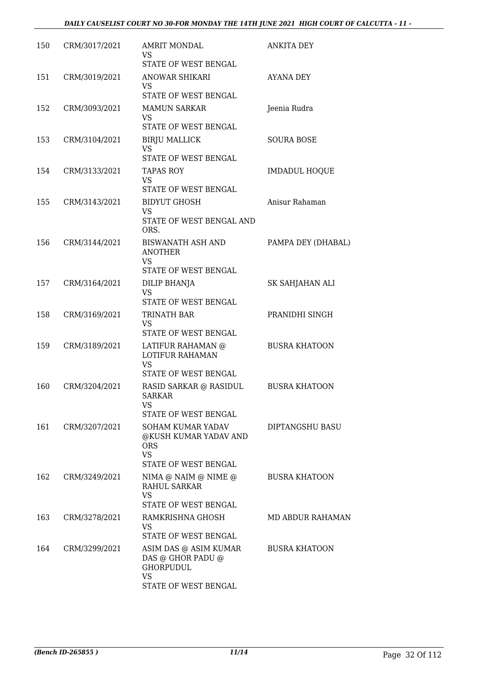| 150 | CRM/3017/2021 | <b>AMRIT MONDAL</b><br>VS<br>STATE OF WEST BENGAL                                                                     | <b>ANKITA DEY</b>      |
|-----|---------------|-----------------------------------------------------------------------------------------------------------------------|------------------------|
| 151 | CRM/3019/2021 | <b>ANOWAR SHIKARI</b><br>VS<br>STATE OF WEST BENGAL                                                                   | <b>AYANA DEY</b>       |
| 152 | CRM/3093/2021 | <b>MAMUN SARKAR</b><br>VS<br>STATE OF WEST BENGAL                                                                     | Jeenia Rudra           |
| 153 | CRM/3104/2021 | <b>BIRJU MALLICK</b><br>VS<br>STATE OF WEST BENGAL                                                                    | SOURA BOSE             |
| 154 | CRM/3133/2021 | TAPAS ROY<br>VS<br>STATE OF WEST BENGAL                                                                               | <b>IMDADUL HOQUE</b>   |
| 155 | CRM/3143/2021 | <b>BIDYUT GHOSH</b><br>VS<br>STATE OF WEST BENGAL AND<br>ORS.                                                         | Anisur Rahaman         |
| 156 | CRM/3144/2021 | <b>BISWANATH ASH AND</b><br><b>ANOTHER</b><br>VS<br>STATE OF WEST BENGAL                                              | PAMPA DEY (DHABAL)     |
| 157 | CRM/3164/2021 | DILIP BHANJA<br>VS<br>STATE OF WEST BENGAL                                                                            | SK SAHJAHAN ALI        |
| 158 | CRM/3169/2021 | TRINATH BAR<br>VS<br>STATE OF WEST BENGAL                                                                             | PRANIDHI SINGH         |
| 159 | CRM/3189/2021 | LATIFUR RAHAMAN @<br>LOTIFUR RAHAMAN<br><b>VS</b><br>STATE OF WEST BENGAL                                             | <b>BUSRA KHATOON</b>   |
| 160 | CRM/3204/2021 | RASID SARKAR @ RASIDUL<br><b>SARKAR</b><br>VS                                                                         | <b>BUSRA KHATOON</b>   |
| 161 | CRM/3207/2021 | STATE OF WEST BENGAL<br>SOHAM KUMAR YADAV<br>@KUSH KUMAR YADAV AND<br><b>ORS</b><br><b>VS</b><br>STATE OF WEST BENGAL | <b>DIPTANGSHU BASU</b> |
| 162 | CRM/3249/2021 | NIMA @ NAIM @ NIME @<br><b>RAHUL SARKAR</b><br>VS<br>STATE OF WEST BENGAL                                             | <b>BUSRA KHATOON</b>   |
| 163 | CRM/3278/2021 | RAMKRISHNA GHOSH<br>VS.<br>STATE OF WEST BENGAL                                                                       | MD ABDUR RAHAMAN       |
| 164 | CRM/3299/2021 | ASIM DAS @ ASIM KUMAR<br>DAS @ GHOR PADU @<br><b>GHORPUDUL</b><br><b>VS</b><br>STATE OF WEST BENGAL                   | <b>BUSRA KHATOON</b>   |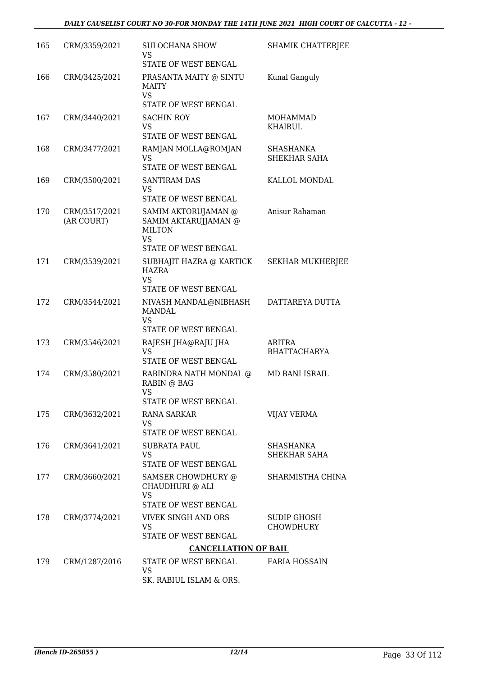| 165 | CRM/3359/2021               | <b>SULOCHANA SHOW</b><br><b>VS</b><br>STATE OF WEST BENGAL                                               | <b>SHAMIK CHATTERJEE</b>         |
|-----|-----------------------------|----------------------------------------------------------------------------------------------------------|----------------------------------|
| 166 | CRM/3425/2021               | PRASANTA MAITY @ SINTU<br><b>MAITY</b><br><b>VS</b>                                                      | Kunal Ganguly                    |
| 167 | CRM/3440/2021               | STATE OF WEST BENGAL<br><b>SACHIN ROY</b>                                                                | MOHAMMAD                         |
|     |                             | <b>VS</b><br><b>STATE OF WEST BENGAL</b>                                                                 | KHAIRUL                          |
| 168 | CRM/3477/2021               | RAMJAN MOLLA@ROMJAN<br><b>VS</b><br>STATE OF WEST BENGAL                                                 | SHASHANKA<br>SHEKHAR SAHA        |
| 169 | CRM/3500/2021               | <b>SANTIRAM DAS</b><br>VS.<br>STATE OF WEST BENGAL                                                       | KALLOL MONDAL                    |
| 170 | CRM/3517/2021<br>(AR COURT) | SAMIM AKTORUJAMAN @<br>SAMIM AKTARUJJAMAN @<br><b>MILTON</b><br><b>VS</b><br><b>STATE OF WEST BENGAL</b> | Anisur Rahaman                   |
| 171 | CRM/3539/2021               | SUBHAJIT HAZRA @ KARTICK<br>HAZRA<br><b>VS</b>                                                           | <b>SEKHAR MUKHERJEE</b>          |
| 172 | CRM/3544/2021               | STATE OF WEST BENGAL<br>NIVASH MANDAL@NIBHASH<br><b>MANDAL</b><br><b>VS</b><br>STATE OF WEST BENGAL      | DATTAREYA DUTTA                  |
| 173 | CRM/3546/2021               | RAJESH JHA@RAJU JHA<br><b>VS</b><br>STATE OF WEST BENGAL                                                 | ARITRA<br><b>BHATTACHARYA</b>    |
| 174 | CRM/3580/2021               | RABINDRA NATH MONDAL @<br>RABIN @ BAG<br><b>VS</b><br>STATE OF WEST BENGAL                               | <b>MD BANI ISRAIL</b>            |
| 175 | CRM/3632/2021               | <b>RANA SARKAR</b><br><b>VS</b><br>STATE OF WEST BENGAL                                                  | VIJAY VERMA                      |
| 176 | CRM/3641/2021               | <b>SUBRATA PAUL</b><br>VS<br>STATE OF WEST BENGAL                                                        | <b>SHASHANKA</b><br>SHEKHAR SAHA |
| 177 | CRM/3660/2021               | SAMSER CHOWDHURY @<br>CHAUDHURI @ ALI<br>VS<br>STATE OF WEST BENGAL                                      | SHARMISTHA CHINA                 |
| 178 | CRM/3774/2021               | <b>VIVEK SINGH AND ORS</b><br><b>VS</b>                                                                  | SUDIP GHOSH<br><b>CHOWDHURY</b>  |
|     |                             | STATE OF WEST BENGAL                                                                                     |                                  |
| 179 | CRM/1287/2016               | <b>CANCELLATION OF BAIL</b><br>STATE OF WEST BENGAL                                                      | <b>FARIA HOSSAIN</b>             |
|     |                             | <b>VS</b><br>SK. RABIUL ISLAM & ORS.                                                                     |                                  |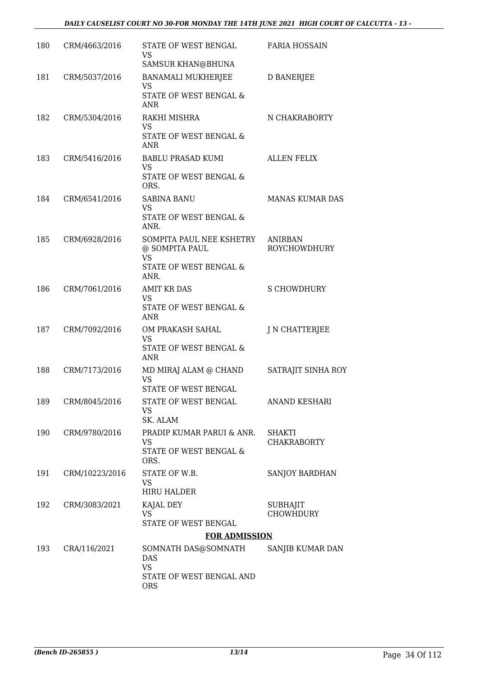| 180 | CRM/4663/2016  | STATE OF WEST BENGAL<br>VS.<br>SAMSUR KHAN@BHUNA                                                     | <b>FARIA HOSSAIN</b>                |
|-----|----------------|------------------------------------------------------------------------------------------------------|-------------------------------------|
| 181 | CRM/5037/2016  | BANAMALI MUKHERJEE<br>VS<br>STATE OF WEST BENGAL &<br><b>ANR</b>                                     | <b>D BANERJEE</b>                   |
| 182 | CRM/5304/2016  | RAKHI MISHRA<br><b>VS</b><br>STATE OF WEST BENGAL &<br><b>ANR</b>                                    | N CHAKRABORTY                       |
| 183 | CRM/5416/2016  | <b>BABLU PRASAD KUMI</b><br><b>VS</b><br>STATE OF WEST BENGAL &<br>ORS.                              | <b>ALLEN FELIX</b>                  |
| 184 | CRM/6541/2016  | SABINA BANU<br>VS<br>STATE OF WEST BENGAL &<br>ANR.                                                  | <b>MANAS KUMAR DAS</b>              |
| 185 | CRM/6928/2016  | SOMPITA PAUL NEE KSHETRY<br>@ SOMPITA PAUL<br><b>VS</b><br><b>STATE OF WEST BENGAL &amp;</b><br>ANR. | ANIRBAN<br>ROYCHOWDHURY             |
| 186 | CRM/7061/2016  | <b>AMIT KR DAS</b><br>VS<br>STATE OF WEST BENGAL &<br><b>ANR</b>                                     | <b>S CHOWDHURY</b>                  |
| 187 | CRM/7092/2016  | OM PRAKASH SAHAL<br><b>VS</b><br>STATE OF WEST BENGAL &<br><b>ANR</b>                                | J N CHATTERJEE                      |
| 188 | CRM/7173/2016  | MD MIRAJ ALAM @ CHAND<br><b>VS</b><br><b>STATE OF WEST BENGAL</b>                                    | SATRAJIT SINHA ROY                  |
| 189 | CRM/8045/2016  | STATE OF WEST BENGAL<br>VS<br>SK. ALAM                                                               | <b>ANAND KESHARI</b>                |
| 190 | CRM/9780/2016  | PRADIP KUMAR PARUI & ANR.<br><b>VS</b><br>STATE OF WEST BENGAL &<br>ORS.                             | SHAKTI<br><b>CHAKRABORTY</b>        |
| 191 | CRM/10223/2016 | STATE OF W.B.<br>VS.<br><b>HIRU HALDER</b>                                                           | SANJOY BARDHAN                      |
| 192 | CRM/3083/2021  | KAJAL DEY<br>VS<br>STATE OF WEST BENGAL                                                              | <b>SUBHAJIT</b><br><b>CHOWHDURY</b> |
|     |                | <b>FOR ADMISSION</b>                                                                                 |                                     |
| 193 | CRA/116/2021   | SOMNATH DAS@SOMNATH<br>DAS<br><b>VS</b><br>STATE OF WEST BENGAL AND<br><b>ORS</b>                    | SANJIB KUMAR DAN                    |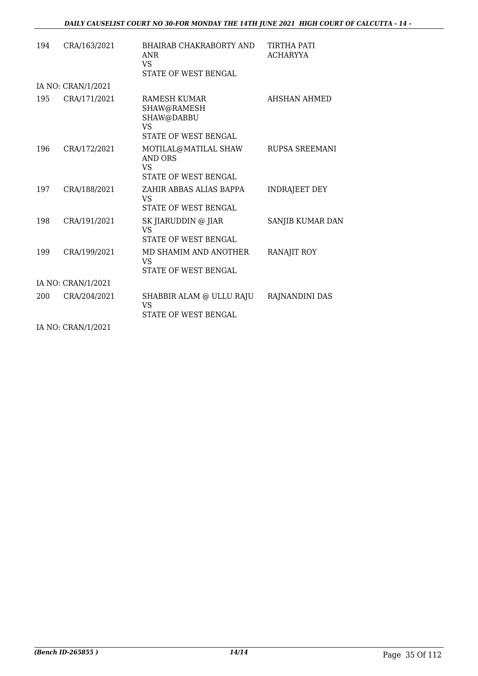| 194 | CRA/163/2021       | <b>BHAIRAB CHAKRABORTY AND</b><br>ANR<br>VS<br><b>STATE OF WEST BENGAL</b> | TIRTHA PATI<br><b>ACHARYYA</b> |
|-----|--------------------|----------------------------------------------------------------------------|--------------------------------|
|     | IA NO: CRAN/1/2021 |                                                                            |                                |
| 195 | CRA/171/2021       | RAMESH KUMAR<br>SHAW@RAMESH<br>SHAW@DABBU<br>VS<br>STATE OF WEST BENGAL    | AHSHAN AHMED                   |
| 196 | CRA/172/2021       | MOTILAL@MATILAL SHAW<br>AND ORS<br>VS<br>STATE OF WEST BENGAL              | RUPSA SREEMANI                 |
| 197 | CRA/188/2021       | ZAHIR ABBAS ALIAS BAPPA<br>VS<br>STATE OF WEST BENGAL                      | <b>INDRAJEET DEY</b>           |
| 198 | CRA/191/2021       | SK JIARUDDIN @ JIAR<br>VS.<br>STATE OF WEST BENGAL                         | SANJIB KUMAR DAN               |
| 199 | CRA/199/2021       | MD SHAMIM AND ANOTHER<br><b>VS</b><br>STATE OF WEST BENGAL                 | RANAJIT ROY                    |
|     | IA NO: CRAN/1/2021 |                                                                            |                                |
| 200 | CRA/204/2021       | SHABBIR ALAM @ ULLU RAJU<br><b>VS</b><br><b>STATE OF WEST BENGAL</b>       | RAJNANDINI DAS                 |

IA NO: CRAN/1/2021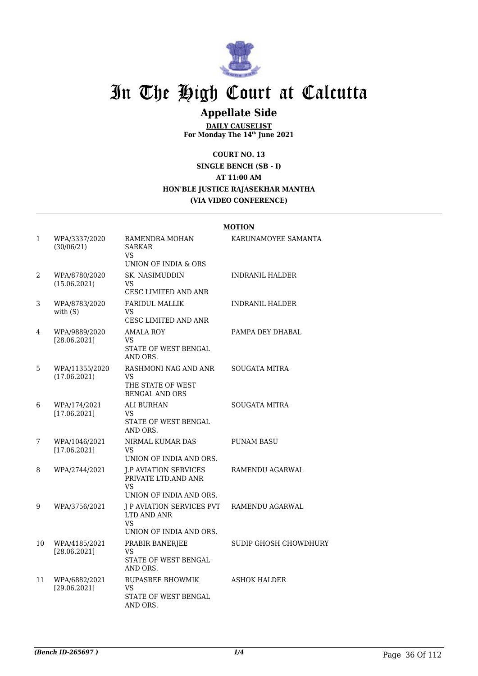

### **Appellate Side**

**DAILY CAUSELIST For Monday The 14th June 2021**

**COURT NO. 13**

#### **SINGLE BENCH (SB - I) AT 11:00 AM HON'BLE JUSTICE RAJASEKHAR MANTHA (VIA VIDEO CONFERENCE)**

|              |                                |                                                                                             | <b>MOTION</b>          |
|--------------|--------------------------------|---------------------------------------------------------------------------------------------|------------------------|
| $\mathbf{1}$ | WPA/3337/2020<br>(30/06/21)    | RAMENDRA MOHAN<br><b>SARKAR</b><br><b>VS</b><br>UNION OF INDIA & ORS                        | KARUNAMOYEE SAMANTA    |
| 2            | WPA/8780/2020<br>(15.06.2021)  | <b>SK. NASIMUDDIN</b><br>VS<br>CESC LIMITED AND ANR                                         | <b>INDRANIL HALDER</b> |
| 3            | WPA/8783/2020<br>with $(S)$    | <b>FARIDUL MALLIK</b><br><b>VS</b><br>CESC LIMITED AND ANR                                  | <b>INDRANIL HALDER</b> |
| 4            | WPA/9889/2020<br>[28.06.2021]  | <b>AMALA ROY</b><br><b>VS</b><br>STATE OF WEST BENGAL<br>AND ORS.                           | PAMPA DEY DHABAL       |
| 5            | WPA/11355/2020<br>(17.06.2021) | RASHMONI NAG AND ANR<br>VS.<br>THE STATE OF WEST<br><b>BENGAL AND ORS</b>                   | SOUGATA MITRA          |
| 6            | WPA/174/2021<br>[17.06.2021]   | ALI BURHAN<br>VS.<br>STATE OF WEST BENGAL<br>AND ORS.                                       | SOUGATA MITRA          |
| 7            | WPA/1046/2021<br>[17.06.2021]  | NIRMAL KUMAR DAS<br>VS.<br>UNION OF INDIA AND ORS.                                          | <b>PUNAM BASU</b>      |
| 8            | WPA/2744/2021                  | <b>J.P AVIATION SERVICES</b><br>PRIVATE LTD.AND ANR<br><b>VS</b><br>UNION OF INDIA AND ORS. | RAMENDU AGARWAL        |
| 9            | WPA/3756/2021                  | <b>J P AVIATION SERVICES PVT</b><br>LTD AND ANR<br>VS<br>UNION OF INDIA AND ORS.            | RAMENDU AGARWAL        |
| 10           | WPA/4185/2021<br>[28.06.2021]  | PRABIR BANERJEE<br><b>VS</b><br>STATE OF WEST BENGAL<br>AND ORS.                            | SUDIP GHOSH CHOWDHURY  |
| 11           | WPA/6882/2021<br>[29.06.2021]  | RUPASREE BHOWMIK<br>VS.<br>STATE OF WEST BENGAL<br>AND ORS.                                 | <b>ASHOK HALDER</b>    |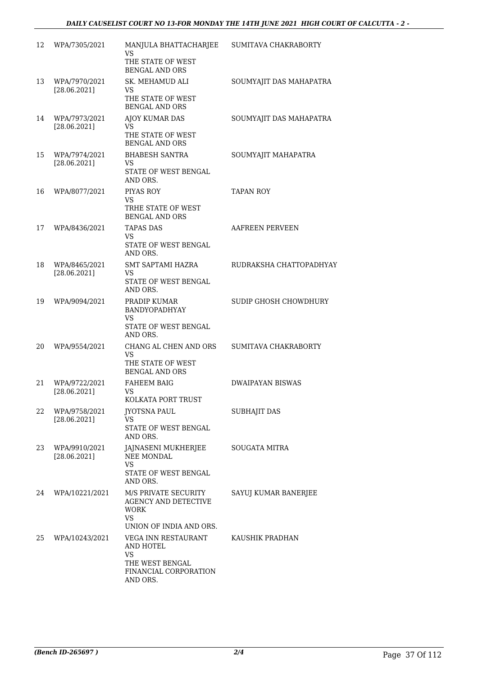#### *DAILY CAUSELIST COURT NO 13-FOR MONDAY THE 14TH JUNE 2021 HIGH COURT OF CALCUTTA - 2 -*

| 12 | WPA/7305/2021                 | MANJULA BHATTACHARJEE<br>VS<br>THE STATE OF WEST<br><b>BENGAL AND ORS</b>                           | SUMITAVA CHAKRABORTY    |
|----|-------------------------------|-----------------------------------------------------------------------------------------------------|-------------------------|
| 13 | WPA/7970/2021<br>[28.06.2021] | SK. MEHAMUD ALI<br>VS.<br>THE STATE OF WEST<br><b>BENGAL AND ORS</b>                                | SOUMYAJIT DAS MAHAPATRA |
| 14 | WPA/7973/2021<br>[28.06.2021] | <b>AJOY KUMAR DAS</b><br>VS.<br>THE STATE OF WEST<br><b>BENGAL AND ORS</b>                          | SOUMYAJIT DAS MAHAPATRA |
| 15 | WPA/7974/2021<br>[28.06.2021] | <b>BHABESH SANTRA</b><br>VS<br>STATE OF WEST BENGAL<br>AND ORS.                                     | SOUMYAJIT MAHAPATRA     |
| 16 | WPA/8077/2021                 | PIYAS ROY<br>VS<br>TRHE STATE OF WEST<br><b>BENGAL AND ORS</b>                                      | <b>TAPAN ROY</b>        |
| 17 | WPA/8436/2021                 | <b>TAPAS DAS</b><br>VS<br>STATE OF WEST BENGAL<br>AND ORS.                                          | AAFREEN PERVEEN         |
| 18 | WPA/8465/2021<br>[28.06.2021] | <b>SMT SAPTAMI HAZRA</b><br>VS<br>STATE OF WEST BENGAL<br>AND ORS.                                  | RUDRAKSHA CHATTOPADHYAY |
| 19 | WPA/9094/2021                 | PRADIP KUMAR<br>BANDYOPADHYAY<br><b>VS</b><br>STATE OF WEST BENGAL<br>AND ORS.                      | SUDIP GHOSH CHOWDHURY   |
| 20 | WPA/9554/2021                 | CHANG AL CHEN AND ORS<br><b>VS</b><br>THE STATE OF WEST<br><b>BENGAL AND ORS</b>                    | SUMITAVA CHAKRABORTY    |
| 21 | WPA/9722/2021<br>[28.06.2021] | <b>FAHEEM BAIG</b><br>VS<br>KOLKATA PORT TRUST                                                      | <b>DWAIPAYAN BISWAS</b> |
| 22 | WPA/9758/2021<br>[28.06.2021] | JYOTSNA PAUL<br>VS<br>STATE OF WEST BENGAL<br>AND ORS.                                              | <b>SUBHAJIT DAS</b>     |
| 23 | WPA/9910/2021<br>[28.06.2021] | JAJNASENI MUKHERJEE<br><b>NEE MONDAL</b><br>VS<br>STATE OF WEST BENGAL<br>AND ORS.                  | SOUGATA MITRA           |
| 24 | WPA/10221/2021                | M/S PRIVATE SECURITY<br><b>AGENCY AND DETECTIVE</b><br>WORK<br><b>VS</b><br>UNION OF INDIA AND ORS. | SAYUJ KUMAR BANERJEE    |
| 25 | WPA/10243/2021                | VEGA INN RESTAURANT<br>AND HOTEL<br>VS<br>THE WEST BENGAL<br>FINANCIAL CORPORATION<br>AND ORS.      | KAUSHIK PRADHAN         |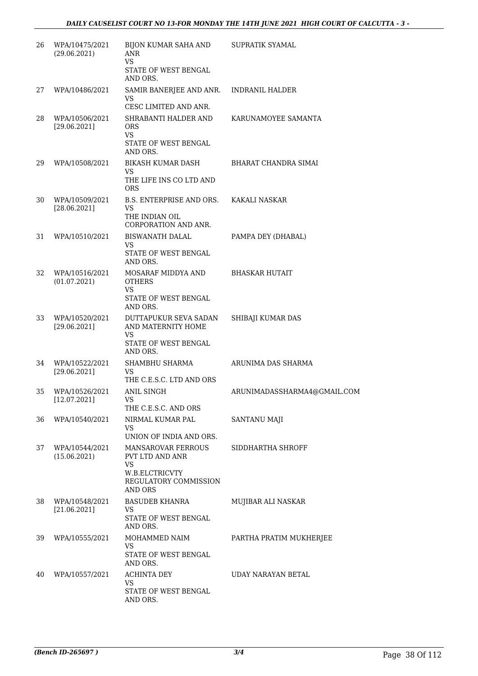| 26 | WPA/10475/2021<br>(29.06.2021) | <b>BIJON KUMAR SAHA AND</b><br>ANR<br><b>VS</b>                                                                 | <b>SUPRATIK SYAMAL</b>      |
|----|--------------------------------|-----------------------------------------------------------------------------------------------------------------|-----------------------------|
|    |                                | STATE OF WEST BENGAL<br>AND ORS.                                                                                |                             |
| 27 | WPA/10486/2021                 | SAMIR BANERJEE AND ANR.<br>VS                                                                                   | <b>INDRANIL HALDER</b>      |
| 28 | WPA/10506/2021<br>[29.06.2021] | CESC LIMITED AND ANR.<br>SHRABANTI HALDER AND<br><b>ORS</b><br><b>VS</b><br>STATE OF WEST BENGAL<br>AND ORS.    | KARUNAMOYEE SAMANTA         |
| 29 | WPA/10508/2021                 | BIKASH KUMAR DASH<br>VS<br>THE LIFE INS CO LTD AND<br><b>ORS</b>                                                | BHARAT CHANDRA SIMAI        |
| 30 | WPA/10509/2021<br>[28.06.2021] | B.S. ENTERPRISE AND ORS.<br><b>VS</b><br>THE INDIAN OIL<br>CORPORATION AND ANR.                                 | KAKALI NASKAR               |
| 31 | WPA/10510/2021                 | <b>BISWANATH DALAL</b><br>VS<br>STATE OF WEST BENGAL<br>AND ORS.                                                | PAMPA DEY (DHABAL)          |
| 32 | WPA/10516/2021<br>(01.07.2021) | MOSARAF MIDDYA AND<br><b>OTHERS</b><br><b>VS</b><br>STATE OF WEST BENGAL<br>AND ORS.                            | BHASKAR HUTAIT              |
| 33 | WPA/10520/2021<br>[29.06.2021] | DUTTAPUKUR SEVA SADAN<br>AND MATERNITY HOME<br>VS<br>STATE OF WEST BENGAL<br>AND ORS.                           | SHIBAJI KUMAR DAS           |
| 34 | WPA/10522/2021<br>[29.06.2021] | <b>SHAMBHU SHARMA</b><br>VS.<br>THE C.E.S.C. LTD AND ORS                                                        | ARUNIMA DAS SHARMA          |
| 35 | WPA/10526/2021<br>[12.07.2021] | <b>ANIL SINGH</b><br>VS FOR THE STREET<br>THE C.E.S.C. AND ORS                                                  | ARUNIMADASSHARMA4@GMAIL.COM |
| 36 | WPA/10540/2021                 | NIRMAL KUMAR PAL<br>VS<br>UNION OF INDIA AND ORS.                                                               | SANTANU MAJI                |
| 37 | WPA/10544/2021<br>(15.06.2021) | <b>MANSAROVAR FERROUS</b><br>PVT LTD AND ANR<br><b>VS</b><br>W.B.ELCTRICVTY<br>REGULATORY COMMISSION<br>AND ORS | SIDDHARTHA SHROFF           |
| 38 | WPA/10548/2021<br>[21.06.2021] | <b>BASUDEB KHANRA</b><br>VS.<br>STATE OF WEST BENGAL<br>AND ORS.                                                | MUJIBAR ALI NASKAR          |
| 39 | WPA/10555/2021                 | MOHAMMED NAIM<br>VS<br>STATE OF WEST BENGAL<br>AND ORS.                                                         | PARTHA PRATIM MUKHERJEE     |
| 40 | WPA/10557/2021                 | <b>ACHINTA DEY</b><br>VS<br>STATE OF WEST BENGAL<br>AND ORS.                                                    | UDAY NARAYAN BETAL          |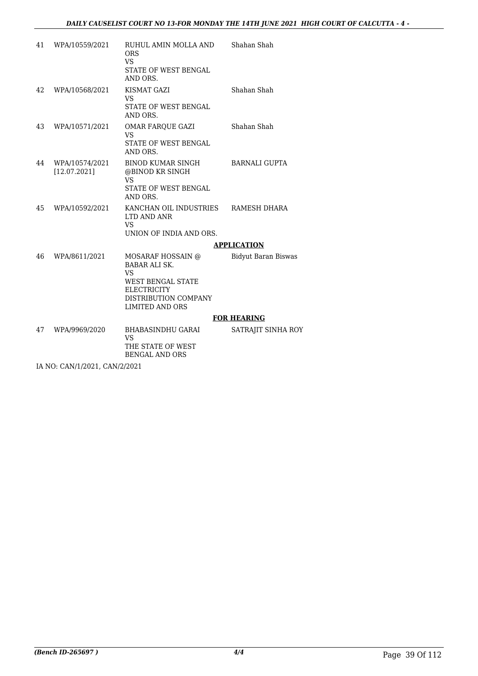| 41 | WPA/10559/2021                 | RUHUL AMIN MOLLA AND<br><b>ORS</b><br><b>VS</b><br>STATE OF WEST BENGAL<br>AND ORS.                                                                 | Shahan Shah                |
|----|--------------------------------|-----------------------------------------------------------------------------------------------------------------------------------------------------|----------------------------|
| 42 | WPA/10568/2021                 | KISMAT GAZI<br><b>VS</b><br>STATE OF WEST BENGAL<br>AND ORS.                                                                                        | Shahan Shah                |
| 43 | WPA/10571/2021                 | OMAR FAROUE GAZI<br><b>VS</b><br>STATE OF WEST BENGAL<br>AND ORS.                                                                                   | Shahan Shah                |
| 44 | WPA/10574/2021<br>[12.07.2021] | BINOD KUMAR SINGH<br>@BINOD KR SINGH<br><b>VS</b><br>STATE OF WEST BENGAL<br>AND ORS.                                                               | <b>BARNALI GUPTA</b>       |
| 45 | WPA/10592/2021                 | KANCHAN OIL INDUSTRIES<br>LTD AND ANR<br>VS.<br>UNION OF INDIA AND ORS.                                                                             | RAMESH DHARA               |
|    |                                |                                                                                                                                                     | <b>APPLICATION</b>         |
| 46 | WPA/8611/2021                  | MOSARAF HOSSAIN @<br><b>BABAR ALI SK.</b><br><b>VS</b><br>WEST BENGAL STATE<br><b>ELECTRICITY</b><br>DISTRIBUTION COMPANY<br><b>LIMITED AND ORS</b> | <b>Bidyut Baran Biswas</b> |
|    |                                |                                                                                                                                                     | <b>FOR HEARING</b>         |
| 47 | WPA/9969/2020                  | BHABASINDHU GARAI<br><b>VS</b><br>THE STATE OF WEST<br><b>BENGAL AND ORS</b>                                                                        | SATRAJIT SINHA ROY         |
|    | IA NO: CAN/1/2021, CAN/2/2021  |                                                                                                                                                     |                            |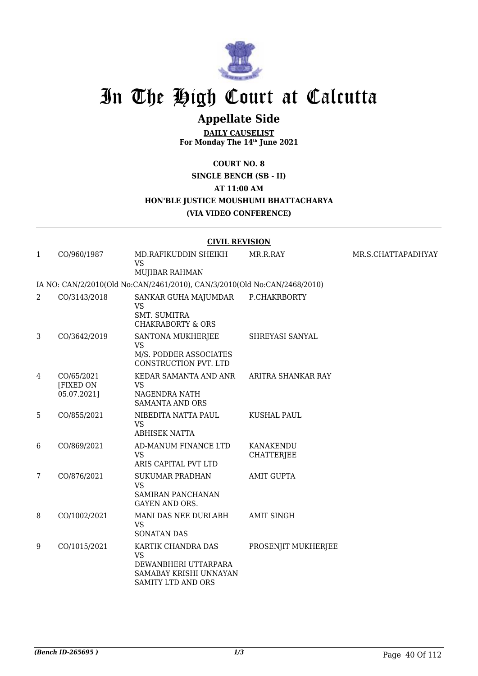

### **Appellate Side**

**DAILY CAUSELIST For Monday The 14th June 2021**

#### **COURT NO. 8**

**SINGLE BENCH (SB - II)**

**AT 11:00 AM**

#### **HON'BLE JUSTICE MOUSHUMI BHATTACHARYA**

**(VIA VIDEO CONFERENCE)**

#### **CIVIL REVISION**

| $\mathbf{1}$   | CO/960/1987                            | MD.RAFIKUDDIN SHEIKH<br><b>VS</b><br>MUJIBAR RAHMAN                                                            | MR.R.RAY                              | MR.S.CHATTAPADHYAY |
|----------------|----------------------------------------|----------------------------------------------------------------------------------------------------------------|---------------------------------------|--------------------|
|                |                                        | IA NO: CAN/2/2010(Old No:CAN/2461/2010), CAN/3/2010(Old No:CAN/2468/2010)                                      |                                       |                    |
| 2              | CO/3143/2018                           | SANKAR GUHA MAJUMDAR<br><b>VS</b><br><b>SMT. SUMITRA</b><br><b>CHAKRABORTY &amp; ORS</b>                       | P.CHAKRBORTY                          |                    |
| 3              | CO/3642/2019                           | SANTONA MUKHERJEE<br><b>VS</b><br>M/S. PODDER ASSOCIATES<br>CONSTRUCTION PVT. LTD                              | SHREYASI SANYAL                       |                    |
| 4              | CO/65/2021<br>[FIXED ON<br>05.07.2021] | KEDAR SAMANTA AND ANR<br><b>VS</b><br>NAGENDRA NATH<br><b>SAMANTA AND ORS</b>                                  | ARITRA SHANKAR RAY                    |                    |
| 5              | CO/855/2021                            | NIBEDITA NATTA PAUL<br><b>VS</b><br><b>ABHISEK NATTA</b>                                                       | <b>KUSHAL PAUL</b>                    |                    |
| 6              | CO/869/2021                            | AD-MANUM FINANCE LTD<br><b>VS</b><br>ARIS CAPITAL PVT LTD                                                      | <b>KANAKENDU</b><br><b>CHATTERJEE</b> |                    |
| $\overline{7}$ | CO/876/2021                            | <b>SUKUMAR PRADHAN</b><br><b>VS</b><br>SAMIRAN PANCHANAN<br><b>GAYEN AND ORS.</b>                              | <b>AMIT GUPTA</b>                     |                    |
| 8              | CO/1002/2021                           | MANI DAS NEE DURLABH<br><b>VS</b><br><b>SONATAN DAS</b>                                                        | <b>AMIT SINGH</b>                     |                    |
| 9              | CO/1015/2021                           | KARTIK CHANDRA DAS<br><b>VS</b><br>DEWANBHERI UTTARPARA<br>SAMABAY KRISHI UNNAYAN<br><b>SAMITY LTD AND ORS</b> | PROSENJIT MUKHERJEE                   |                    |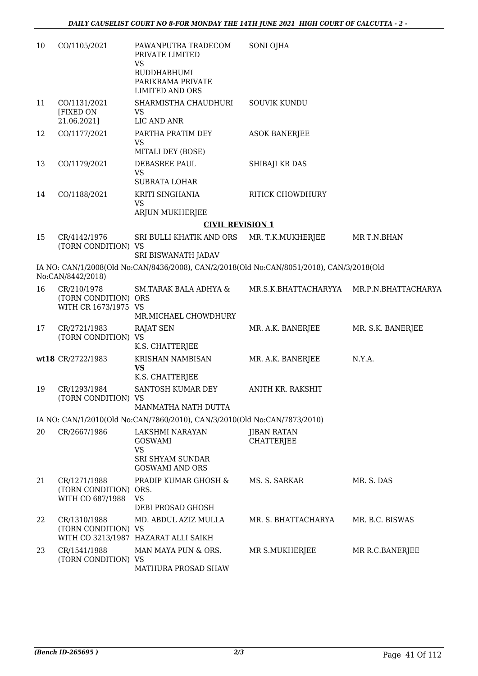| 10 | CO/1105/2021                                                | PAWANPUTRA TRADECOM<br>PRIVATE LIMITED<br><b>VS</b><br><b>BUDDHABHUMI</b><br>PARIKRAMA PRIVATE<br><b>LIMITED AND ORS</b> | SONI OJHA                                |                   |
|----|-------------------------------------------------------------|--------------------------------------------------------------------------------------------------------------------------|------------------------------------------|-------------------|
| 11 | CO/1131/2021<br>[FIXED ON<br>21.06.2021]                    | SHARMISTHA CHAUDHURI<br><b>VS</b><br>LIC AND ANR                                                                         | <b>SOUVIK KUNDU</b>                      |                   |
| 12 | CO/1177/2021                                                | PARTHA PRATIM DEY<br><b>VS</b><br>MITALI DEY (BOSE)                                                                      | <b>ASOK BANERJEE</b>                     |                   |
| 13 | CO/1179/2021                                                | DEBASREE PAUL<br><b>VS</b><br>SUBRATA LOHAR                                                                              | SHIBAJI KR DAS                           |                   |
| 14 | CO/1188/2021                                                | KRITI SINGHANIA<br><b>VS</b><br>ARJUN MUKHERJEE                                                                          | RITICK CHOWDHURY                         |                   |
|    |                                                             | <b>CIVIL REVISION 1</b>                                                                                                  |                                          |                   |
| 15 | CR/4142/1976<br>(TORN CONDITION) VS                         | SRI BULLI KHATIK AND ORS<br><b>SRI BISWANATH JADAV</b>                                                                   | MR. T.K.MUKHERJEE                        | MR T.N.BHAN       |
|    | No:CAN/8442/2018)                                           | IA NO: CAN/1/2008(Old No:CAN/8436/2008), CAN/2/2018(Old No:CAN/8051/2018), CAN/3/2018(Old                                |                                          |                   |
| 16 | CR/210/1978<br>(TORN CONDITION) ORS<br>WITH CR 1673/1975 VS | <b>SM.TARAK BALA ADHYA &amp;</b><br>MR.MICHAEL CHOWDHURY                                                                 | MR.S.K.BHATTACHARYYA MR.P.N.BHATTACHARYA |                   |
| 17 | CR/2721/1983<br>(TORN CONDITION) VS                         | <b>RAJAT SEN</b><br>K.S. CHATTERJEE                                                                                      | MR. A.K. BANERJEE                        | MR. S.K. BANERJEE |
|    | wt18 CR/2722/1983                                           | <b>KRISHAN NAMBISAN</b><br><b>VS</b><br>K.S. CHATTERJEE                                                                  | MR. A.K. BANERJEE                        | N.Y.A.            |
| 19 | CR/1293/1984<br>(TORN CONDITION) VS                         | SANTOSH KUMAR DEY<br>MANMATHA NATH DUTTA                                                                                 | ANITH KR. RAKSHIT                        |                   |
|    |                                                             | IA NO: CAN/1/2010(Old No:CAN/7860/2010), CAN/3/2010(Old No:CAN/7873/2010)                                                |                                          |                   |
| 20 | CR/2667/1986                                                | LAKSHMI NARAYAN<br><b>GOSWAMI</b><br><b>VS</b>                                                                           | JIBAN RATAN<br><b>CHATTERJEE</b>         |                   |
|    |                                                             | <b>SRI SHYAM SUNDAR</b><br><b>GOSWAMI AND ORS</b>                                                                        |                                          |                   |
| 21 | CR/1271/1988<br>(TORN CONDITION) ORS.<br>WITH CO 687/1988   | PRADIP KUMAR GHOSH &<br><b>VS</b><br>DEBI PROSAD GHOSH                                                                   | MS. S. SARKAR                            | MR. S. DAS        |
| 22 | CR/1310/1988<br>(TORN CONDITION) VS                         | MD. ABDUL AZIZ MULLA<br>WITH CO 3213/1987 HAZARAT ALLI SAIKH                                                             | MR. S. BHATTACHARYA                      | MR. B.C. BISWAS   |
| 23 | CR/1541/1988<br>(TORN CONDITION) VS                         | MAN MAYA PUN & ORS.<br>MATHURA PROSAD SHAW                                                                               | MR S.MUKHERJEE                           | MR R.C.BANERJEE   |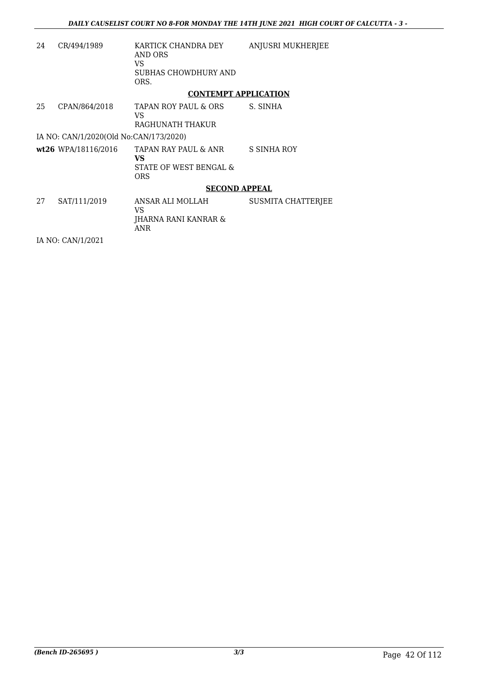| 24 | CR/494/1989                            | KARTICK CHANDRA DEY<br>AND ORS<br>VS.<br>SUBHAS CHOWDHURY AND<br>ORS.     | ANJUSRI MUKHERJEE  |
|----|----------------------------------------|---------------------------------------------------------------------------|--------------------|
|    |                                        | <b>CONTEMPT APPLICATION</b>                                               |                    |
| 25 | CPAN/864/2018                          | TAPAN ROY PAUL & ORS<br>VS.<br>RAGHUNATH THAKUR                           | S. SINHA           |
|    | IA NO: CAN/1/2020(Old No:CAN/173/2020) |                                                                           |                    |
|    | $wt26$ WPA/18116/2016                  | TAPAN RAY PAUL & ANR<br><b>VS</b><br>STATE OF WEST BENGAL &<br><b>ORS</b> | S SINHA ROY        |
|    |                                        | <b>SECOND APPEAL</b>                                                      |                    |
| 27 | SAT/111/2019                           | ANSAR ALI MOLLAH<br>VS.<br>JHARNA RANI KANRAR &<br><b>ANR</b>             | SUSMITA CHATTERJEE |
|    | IA NO: CAN/1/2021                      |                                                                           |                    |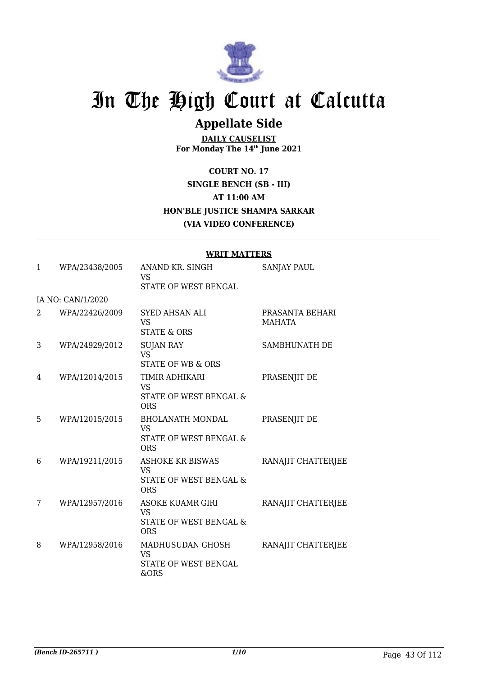

## **Appellate Side**

**DAILY CAUSELIST For Monday The 14th June 2021**

**COURT NO. 17 SINGLE BENCH (SB - III) AT 11:00 AM HON'BLE JUSTICE SHAMPA SARKAR (VIA VIDEO CONFERENCE)**

|   |                   | WKII MAIIEKS                                                                            |                                  |
|---|-------------------|-----------------------------------------------------------------------------------------|----------------------------------|
| 1 | WPA/23438/2005    | ANAND KR. SINGH<br><b>VS</b>                                                            | <b>SANJAY PAUL</b>               |
|   |                   | STATE OF WEST BENGAL                                                                    |                                  |
|   | IA NO: CAN/1/2020 |                                                                                         |                                  |
| 2 | WPA/22426/2009    | <b>SYED AHSAN ALI</b><br><b>VS</b><br><b>STATE &amp; ORS</b>                            | PRASANTA BEHARI<br><b>MAHATA</b> |
| 3 | WPA/24929/2012    | <b>SUJAN RAY</b><br><b>VS</b><br>STATE OF WB & ORS                                      | SAMBHUNATH DE                    |
| 4 | WPA/12014/2015    | TIMIR ADHIKARI<br><b>VS</b><br>STATE OF WEST BENGAL &<br><b>ORS</b>                     | PRASENJIT DE                     |
| 5 | WPA/12015/2015    | <b>BHOLANATH MONDAL</b><br><b>VS</b><br><b>STATE OF WEST BENGAL &amp;</b><br><b>ORS</b> | PRASENJIT DE                     |
| 6 | WPA/19211/2015    | <b>ASHOKE KR BISWAS</b><br><b>VS</b><br>STATE OF WEST BENGAL &<br><b>ORS</b>            | RANAJIT CHATTERJEE               |
| 7 | WPA/12957/2016    | <b>ASOKE KUAMR GIRI</b><br><b>VS</b><br>STATE OF WEST BENGAL &<br><b>ORS</b>            | RANAJIT CHATTERJEE               |
| 8 | WPA/12958/2016    | MADHUSUDAN GHOSH<br><b>VS</b><br><b>STATE OF WEST BENGAL</b><br>&ORS                    | RANAJIT CHATTERJEE               |

#### **WRIT MATTERS**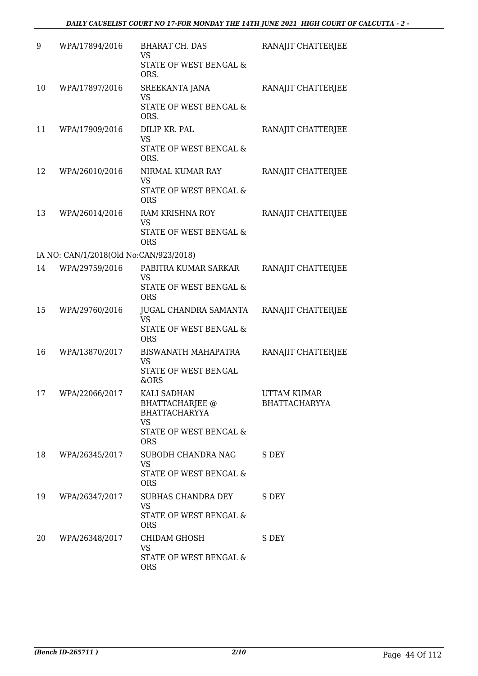| 9  | WPA/17894/2016                         | <b>BHARAT CH. DAS</b><br><b>VS</b><br>STATE OF WEST BENGAL &<br>ORS.                                               | RANAJIT CHATTERJEE                         |
|----|----------------------------------------|--------------------------------------------------------------------------------------------------------------------|--------------------------------------------|
| 10 | WPA/17897/2016                         | SREEKANTA JANA<br><b>VS</b><br>STATE OF WEST BENGAL &<br>ORS.                                                      | RANAJIT CHATTERJEE                         |
| 11 | WPA/17909/2016                         | DILIP KR. PAL<br>VS<br>STATE OF WEST BENGAL &<br>ORS.                                                              | RANAJIT CHATTERJEE                         |
| 12 | WPA/26010/2016                         | NIRMAL KUMAR RAY<br><b>VS</b><br>STATE OF WEST BENGAL &<br><b>ORS</b>                                              | RANAJIT CHATTERJEE                         |
| 13 | WPA/26014/2016                         | RAM KRISHNA ROY<br><b>VS</b><br>STATE OF WEST BENGAL &<br><b>ORS</b>                                               | RANAJIT CHATTERJEE                         |
|    | IA NO: CAN/1/2018(Old No:CAN/923/2018) |                                                                                                                    |                                            |
| 14 | WPA/29759/2016                         | PABITRA KUMAR SARKAR<br>VS<br>STATE OF WEST BENGAL &<br><b>ORS</b>                                                 | RANAJIT CHATTERJEE                         |
| 15 | WPA/29760/2016                         | JUGAL CHANDRA SAMANTA<br><b>VS</b><br>STATE OF WEST BENGAL &<br><b>ORS</b>                                         | RANAJIT CHATTERJEE                         |
| 16 | WPA/13870/2017                         | <b>BISWANATH MAHAPATRA</b><br><b>VS</b><br>STATE OF WEST BENGAL<br>&ORS                                            | RANAJIT CHATTERJEE                         |
| 17 | WPA/22066/2017                         | KALI SADHAN<br><b>BHATTACHARJEE</b> @<br><b>BHATTACHARYYA</b><br><b>VS</b><br>STATE OF WEST BENGAL &<br><b>ORS</b> | <b>UTTAM KUMAR</b><br><b>BHATTACHARYYA</b> |
| 18 | WPA/26345/2017                         | SUBODH CHANDRA NAG<br>VS<br>STATE OF WEST BENGAL &<br><b>ORS</b>                                                   | S DEY                                      |
| 19 | WPA/26347/2017                         | SUBHAS CHANDRA DEY<br><b>VS</b><br>STATE OF WEST BENGAL &<br><b>ORS</b>                                            | S DEY                                      |
| 20 | WPA/26348/2017                         | CHIDAM GHOSH<br><b>VS</b><br>STATE OF WEST BENGAL &<br><b>ORS</b>                                                  | S DEY                                      |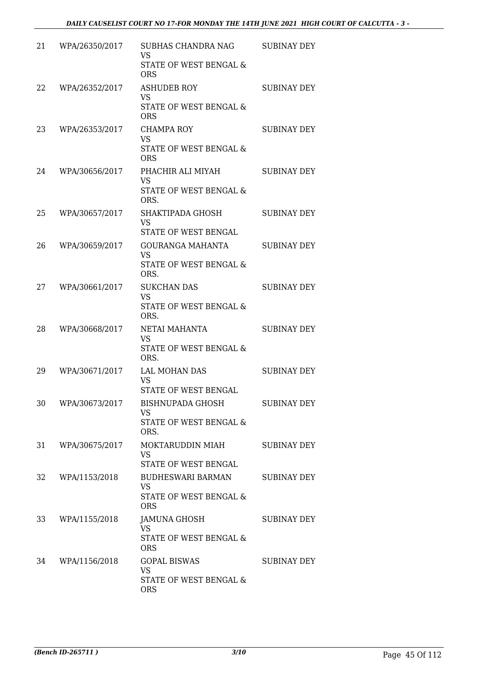| 21 | WPA/26350/2017 | SUBHAS CHANDRA NAG<br><b>VS</b><br>STATE OF WEST BENGAL &<br><b>ORS</b>       | <b>SUBINAY DEY</b> |
|----|----------------|-------------------------------------------------------------------------------|--------------------|
| 22 | WPA/26352/2017 | <b>ASHUDEB ROY</b><br><b>VS</b><br>STATE OF WEST BENGAL &<br><b>ORS</b>       | <b>SUBINAY DEY</b> |
| 23 | WPA/26353/2017 | CHAMPA ROY<br><b>VS</b><br>STATE OF WEST BENGAL &<br><b>ORS</b>               | <b>SUBINAY DEY</b> |
| 24 | WPA/30656/2017 | PHACHIR ALI MIYAH<br><b>VS</b><br>STATE OF WEST BENGAL &<br>ORS.              | <b>SUBINAY DEY</b> |
| 25 | WPA/30657/2017 | SHAKTIPADA GHOSH<br><b>VS</b><br><b>STATE OF WEST BENGAL</b>                  | <b>SUBINAY DEY</b> |
| 26 | WPA/30659/2017 | GOURANGA MAHANTA<br><b>VS</b><br>STATE OF WEST BENGAL &<br>ORS.               | <b>SUBINAY DEY</b> |
| 27 | WPA/30661/2017 | <b>SUKCHAN DAS</b><br><b>VS</b><br>STATE OF WEST BENGAL &<br>ORS.             | <b>SUBINAY DEY</b> |
| 28 | WPA/30668/2017 | NETAI MAHANTA<br><b>VS</b><br>STATE OF WEST BENGAL &<br>ORS.                  | <b>SUBINAY DEY</b> |
| 29 | WPA/30671/2017 | <b>LAL MOHAN DAS</b><br><b>VS</b><br>STATE OF WEST BENGAL                     | <b>SUBINAY DEY</b> |
| 30 | WPA/30673/2017 | <b>BISHNUPADA GHOSH</b><br><b>VS</b><br>STATE OF WEST BENGAL &<br>ORS.        | SUBINAY DEY        |
| 31 | WPA/30675/2017 | MOKTARUDDIN MIAH<br><b>VS</b><br>STATE OF WEST BENGAL                         | <b>SUBINAY DEY</b> |
| 32 | WPA/1153/2018  | <b>BUDHESWARI BARMAN</b><br><b>VS</b><br>STATE OF WEST BENGAL &<br><b>ORS</b> | <b>SUBINAY DEY</b> |
| 33 | WPA/1155/2018  | JAMUNA GHOSH<br><b>VS</b><br>STATE OF WEST BENGAL &<br><b>ORS</b>             | SUBINAY DEY        |
| 34 | WPA/1156/2018  | <b>GOPAL BISWAS</b><br><b>VS</b><br>STATE OF WEST BENGAL &<br><b>ORS</b>      | <b>SUBINAY DEY</b> |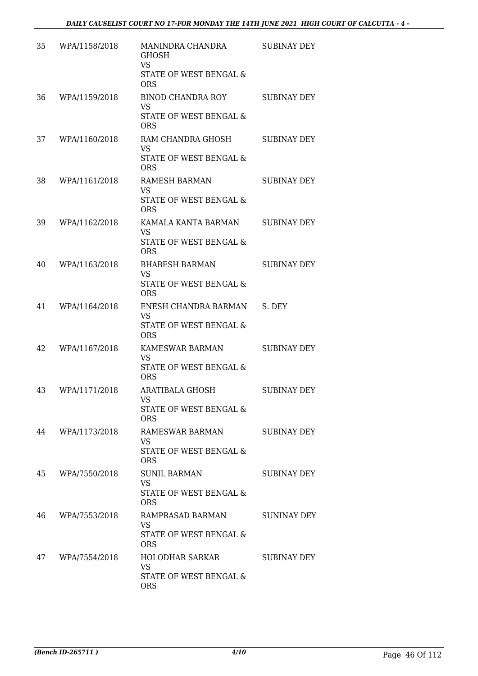| 35 | WPA/1158/2018 | MANINDRA CHANDRA<br><b>GHOSH</b><br><b>VS</b><br>STATE OF WEST BENGAL &<br><b>ORS</b> | <b>SUBINAY DEY</b> |
|----|---------------|---------------------------------------------------------------------------------------|--------------------|
| 36 | WPA/1159/2018 | <b>BINOD CHANDRA ROY</b><br><b>VS</b><br>STATE OF WEST BENGAL &<br><b>ORS</b>         | SUBINAY DEY        |
| 37 | WPA/1160/2018 | RAM CHANDRA GHOSH<br><b>VS</b><br>STATE OF WEST BENGAL &<br><b>ORS</b>                | <b>SUBINAY DEY</b> |
| 38 | WPA/1161/2018 | RAMESH BARMAN<br><b>VS</b><br>STATE OF WEST BENGAL &<br><b>ORS</b>                    | SUBINAY DEY        |
| 39 | WPA/1162/2018 | KAMALA KANTA BARMAN<br><b>VS</b><br>STATE OF WEST BENGAL &<br><b>ORS</b>              | <b>SUBINAY DEY</b> |
| 40 | WPA/1163/2018 | <b>BHABESH BARMAN</b><br><b>VS</b><br>STATE OF WEST BENGAL &<br><b>ORS</b>            | <b>SUBINAY DEY</b> |
| 41 | WPA/1164/2018 | ENESH CHANDRA BARMAN<br>VS.<br>STATE OF WEST BENGAL &<br><b>ORS</b>                   | S. DEY             |
| 42 | WPA/1167/2018 | KAMESWAR BARMAN<br><b>VS</b><br>STATE OF WEST BENGAL &<br><b>ORS</b>                  | <b>SUBINAY DEY</b> |
| 43 | WPA/1171/2018 | ARATIBALA GHOSH<br><b>VS</b><br>STATE OF WEST BENGAL &<br><b>ORS</b>                  | <b>SUBINAY DEY</b> |
| 44 | WPA/1173/2018 | RAMESWAR BARMAN<br><b>VS</b><br>STATE OF WEST BENGAL &<br><b>ORS</b>                  | <b>SUBINAY DEY</b> |
| 45 | WPA/7550/2018 | <b>SUNIL BARMAN</b><br><b>VS</b><br>STATE OF WEST BENGAL &<br><b>ORS</b>              | SUBINAY DEY        |
| 46 | WPA/7553/2018 | RAMPRASAD BARMAN<br>VS<br>STATE OF WEST BENGAL &<br><b>ORS</b>                        | <b>SUNINAY DEY</b> |
| 47 | WPA/7554/2018 | HOLODHAR SARKAR<br><b>VS</b><br>STATE OF WEST BENGAL &<br><b>ORS</b>                  | SUBINAY DEY        |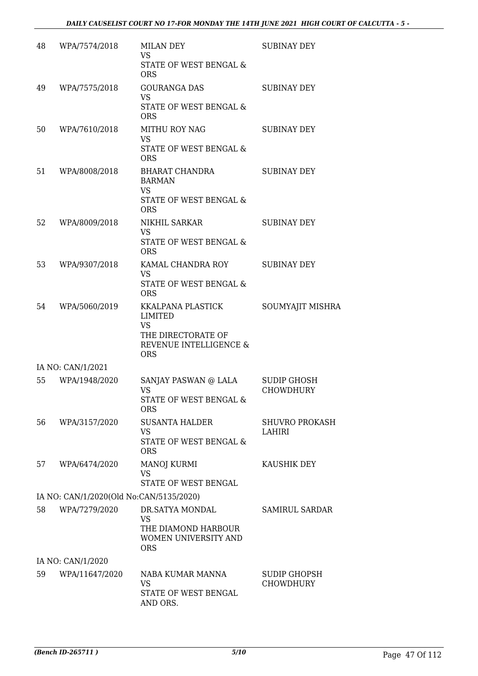| 48 | WPA/7574/2018                           | <b>MILAN DEY</b><br><b>VS</b><br>STATE OF WEST BENGAL &<br><b>ORS</b>                                          | <b>SUBINAY DEY</b>                      |
|----|-----------------------------------------|----------------------------------------------------------------------------------------------------------------|-----------------------------------------|
| 49 | WPA/7575/2018                           | <b>GOURANGA DAS</b><br><b>VS</b><br>STATE OF WEST BENGAL &<br><b>ORS</b>                                       | <b>SUBINAY DEY</b>                      |
| 50 | WPA/7610/2018                           | <b>MITHU ROY NAG</b><br><b>VS</b><br>STATE OF WEST BENGAL &<br><b>ORS</b>                                      | <b>SUBINAY DEY</b>                      |
| 51 | WPA/8008/2018                           | <b>BHARAT CHANDRA</b><br><b>BARMAN</b><br><b>VS</b><br>STATE OF WEST BENGAL &<br><b>ORS</b>                    | <b>SUBINAY DEY</b>                      |
| 52 | WPA/8009/2018                           | NIKHIL SARKAR<br><b>VS</b><br>STATE OF WEST BENGAL &<br><b>ORS</b>                                             | <b>SUBINAY DEY</b>                      |
| 53 | WPA/9307/2018                           | KAMAL CHANDRA ROY<br>VS<br>STATE OF WEST BENGAL &<br><b>ORS</b>                                                | <b>SUBINAY DEY</b>                      |
| 54 | WPA/5060/2019                           | KKALPANA PLASTICK<br><b>LIMITED</b><br><b>VS</b><br>THE DIRECTORATE OF<br>REVENUE INTELLIGENCE &<br><b>ORS</b> | SOUMYAJIT MISHRA                        |
|    | IA NO: CAN/1/2021                       |                                                                                                                |                                         |
| 55 | WPA/1948/2020                           | SANJAY PASWAN @ LALA<br>VS<br>STATE OF WEST BENGAL &<br><b>ORS</b>                                             | <b>SUDIP GHOSH</b><br><b>CHOWDHURY</b>  |
| 56 | WPA/3157/2020                           | <b>SUSANTA HALDER</b><br><b>VS</b><br><b>STATE OF WEST BENGAL &amp;</b><br><b>ORS</b>                          | <b>SHUVRO PROKASH</b><br>LAHIRI         |
| 57 | WPA/6474/2020                           | <b>MANOJ KURMI</b><br><b>VS</b><br>STATE OF WEST BENGAL                                                        | KAUSHIK DEY                             |
|    | IA NO: CAN/1/2020(Old No:CAN/5135/2020) |                                                                                                                |                                         |
| 58 | WPA/7279/2020                           | DR.SATYA MONDAL<br><b>VS</b><br>THE DIAMOND HARBOUR<br><b>WOMEN UNIVERSITY AND</b><br><b>ORS</b>               | <b>SAMIRUL SARDAR</b>                   |
|    | IA NO: CAN/1/2020                       |                                                                                                                |                                         |
| 59 | WPA/11647/2020                          | NABA KUMAR MANNA<br>VS<br>STATE OF WEST BENGAL<br>AND ORS.                                                     | <b>SUDIP GHOPSH</b><br><b>CHOWDHURY</b> |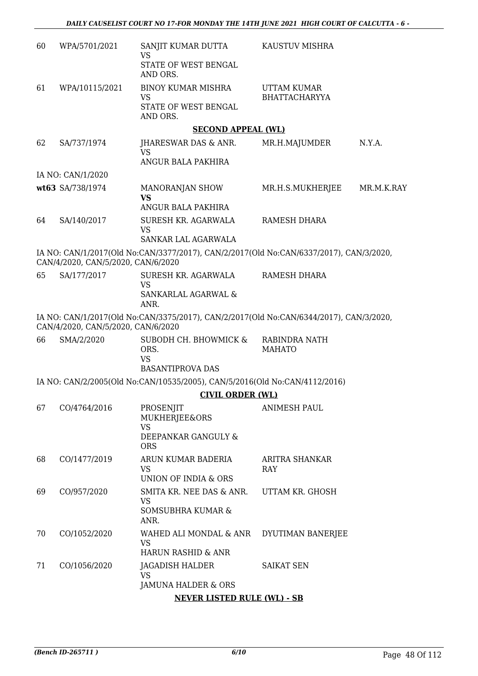| 60 | WPA/5701/2021                      | SANJIT KUMAR DUTTA<br><b>VS</b>                                                        | KAUSTUV MISHRA                      |            |
|----|------------------------------------|----------------------------------------------------------------------------------------|-------------------------------------|------------|
|    |                                    | STATE OF WEST BENGAL<br>AND ORS.                                                       |                                     |            |
| 61 | WPA/10115/2021                     | <b>BINOY KUMAR MISHRA</b><br><b>VS</b>                                                 | UTTAM KUMAR<br><b>BHATTACHARYYA</b> |            |
|    |                                    | STATE OF WEST BENGAL<br>AND ORS.                                                       |                                     |            |
|    |                                    | <b>SECOND APPEAL (WL)</b>                                                              |                                     |            |
| 62 | SA/737/1974                        | <b>JHARESWAR DAS &amp; ANR.</b><br><b>VS</b>                                           | MR.H.MAJUMDER                       | N.Y.A.     |
|    |                                    | ANGUR BALA PAKHIRA                                                                     |                                     |            |
|    | IA NO: CAN/1/2020                  |                                                                                        |                                     |            |
|    | wt63 SA/738/1974                   | MANORANJAN SHOW<br><b>VS</b>                                                           | MR.H.S.MUKHERJEE                    | MR.M.K.RAY |
|    |                                    | ANGUR BALA PAKHIRA                                                                     |                                     |            |
| 64 | SA/140/2017                        | SURESH KR. AGARWALA<br><b>VS</b>                                                       | RAMESH DHARA                        |            |
|    |                                    | SANKAR LAL AGARWALA                                                                    |                                     |            |
|    | CAN/4/2020, CAN/5/2020, CAN/6/2020 | IA NO: CAN/1/2017(Old No:CAN/3377/2017), CAN/2/2017(Old No:CAN/6337/2017), CAN/3/2020, |                                     |            |
| 65 | SA/177/2017                        | SURESH KR. AGARWALA<br><b>VS</b>                                                       | <b>RAMESH DHARA</b>                 |            |
|    |                                    | SANKARLAL AGARWAL &<br>ANR.                                                            |                                     |            |
|    | CAN/4/2020, CAN/5/2020, CAN/6/2020 | IA NO: CAN/1/2017(Old No:CAN/3375/2017), CAN/2/2017(Old No:CAN/6344/2017), CAN/3/2020, |                                     |            |
| 66 | SMA/2/2020                         | SUBODH CH. BHOWMICK &<br>ORS.<br><b>VS</b>                                             | RABINDRA NATH<br><b>MAHATO</b>      |            |
|    |                                    | <b>BASANTIPROVA DAS</b>                                                                |                                     |            |
|    |                                    | IA NO: CAN/2/2005(Old No:CAN/10535/2005), CAN/5/2016(Old No:CAN/4112/2016)             |                                     |            |
|    |                                    | <b>CIVIL ORDER (WL)</b>                                                                |                                     |            |
| 67 | CO/4764/2016                       | PROSENJIT<br><b>MUKHERJEE&amp;ORS</b>                                                  | <b>ANIMESH PAUL</b>                 |            |
|    |                                    | <b>VS</b><br>DEEPANKAR GANGULY &<br><b>ORS</b>                                         |                                     |            |
| 68 | CO/1477/2019                       | ARUN KUMAR BADERIA<br><b>VS</b>                                                        | ARITRA SHANKAR<br>RAY               |            |
|    |                                    | <b>UNION OF INDIA &amp; ORS</b>                                                        |                                     |            |
| 69 | CO/957/2020                        | SMITA KR. NEE DAS & ANR.<br><b>VS</b>                                                  | UTTAM KR. GHOSH                     |            |
|    |                                    | SOMSUBHRA KUMAR &<br>ANR.                                                              |                                     |            |
| 70 | CO/1052/2020                       | WAHED ALI MONDAL & ANR<br><b>VS</b>                                                    | DYUTIMAN BANERJEE                   |            |
|    |                                    | HARUN RASHID & ANR                                                                     |                                     |            |
| 71 | CO/1056/2020                       | <b>JAGADISH HALDER</b><br><b>VS</b>                                                    | <b>SAIKAT SEN</b>                   |            |
|    |                                    | JAMUNA HALDER & ORS                                                                    |                                     |            |
|    |                                    | <b>NEVER LISTED RULE (WL) - SB</b>                                                     |                                     |            |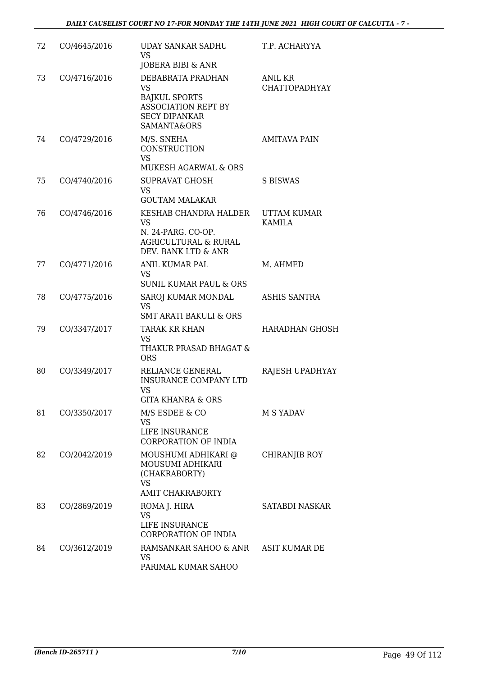| 72 | CO/4645/2016 | UDAY SANKAR SADHU<br><b>VS</b><br>JOBERA BIBI & ANR                                                                         | T.P. ACHARYYA                       |
|----|--------------|-----------------------------------------------------------------------------------------------------------------------------|-------------------------------------|
| 73 | CO/4716/2016 | DEBABRATA PRADHAN<br><b>VS</b><br><b>BAJKUL SPORTS</b><br><b>ASSOCIATION REPT BY</b><br><b>SECY DIPANKAR</b><br>SAMANTA&ORS | ANIL KR<br><b>CHATTOPADHYAY</b>     |
| 74 | CO/4729/2016 | M/S. SNEHA<br><b>CONSTRUCTION</b><br><b>VS</b>                                                                              | <b>AMITAVA PAIN</b>                 |
| 75 | CO/4740/2016 | MUKESH AGARWAL & ORS<br><b>SUPRAVAT GHOSH</b><br><b>VS</b><br><b>GOUTAM MALAKAR</b>                                         | S BISWAS                            |
| 76 | CO/4746/2016 | KESHAB CHANDRA HALDER<br><b>VS</b><br>N. 24-PARG. CO-OP.<br><b>AGRICULTURAL &amp; RURAL</b><br>DEV. BANK LTD & ANR          | <b>UTTAM KUMAR</b><br><b>KAMILA</b> |
| 77 | CO/4771/2016 | ANIL KUMAR PAL<br>VS<br><b>SUNIL KUMAR PAUL &amp; ORS</b>                                                                   | M. AHMED                            |
| 78 | CO/4775/2016 | SAROJ KUMAR MONDAL<br><b>VS</b><br><b>SMT ARATI BAKULI &amp; ORS</b>                                                        | ASHIS SANTRA                        |
| 79 | CO/3347/2017 | <b>TARAK KR KHAN</b><br><b>VS</b><br>THAKUR PRASAD BHAGAT &<br><b>ORS</b>                                                   | <b>HARADHAN GHOSH</b>               |
| 80 | CO/3349/2017 | RELIANCE GENERAL<br><b>INSURANCE COMPANY LTD</b><br><b>VS</b><br>GITA KHANRA & ORS                                          | RAJESH UPADHYAY                     |
| 81 | CO/3350/2017 | M/S ESDEE & CO<br><b>VS</b><br>LIFE INSURANCE<br>CORPORATION OF INDIA                                                       | M S YADAV                           |
| 82 | CO/2042/2019 | MOUSHUMI ADHIKARI @<br>MOUSUMI ADHIKARI<br>(CHAKRABORTY)<br><b>VS</b><br><b>AMIT CHAKRABORTY</b>                            | <b>CHIRANJIB ROY</b>                |
| 83 | CO/2869/2019 | ROMA J. HIRA<br><b>VS</b><br>LIFE INSURANCE<br><b>CORPORATION OF INDIA</b>                                                  | <b>SATABDI NASKAR</b>               |
| 84 | CO/3612/2019 | RAMSANKAR SAHOO & ANR<br><b>VS</b><br>PARIMAL KUMAR SAHOO                                                                   | ASIT KUMAR DE                       |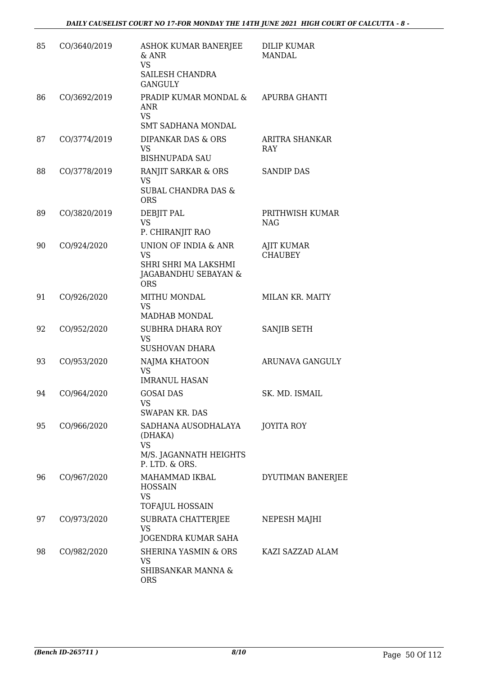| 85 | CO/3640/2019 | ASHOK KUMAR BANERJEE<br>& ANR<br><b>VS</b><br>SAILESH CHANDRA<br><b>GANGULY</b>                 | DILIP KUMAR<br><b>MANDAL</b>        |
|----|--------------|-------------------------------------------------------------------------------------------------|-------------------------------------|
| 86 | CO/3692/2019 | PRADIP KUMAR MONDAL &<br>ANR<br><b>VS</b><br><b>SMT SADHANA MONDAL</b>                          | APURBA GHANTI                       |
| 87 | CO/3774/2019 | DIPANKAR DAS & ORS<br><b>VS</b><br><b>BISHNUPADA SAU</b>                                        | <b>ARITRA SHANKAR</b><br><b>RAY</b> |
| 88 | CO/3778/2019 | RANJIT SARKAR & ORS<br><b>VS</b><br><b>SUBAL CHANDRA DAS &amp;</b><br><b>ORS</b>                | <b>SANDIP DAS</b>                   |
| 89 | CO/3820/2019 | <b>DEBJIT PAL</b><br><b>VS</b><br>P. CHIRANJIT RAO                                              | PRITHWISH KUMAR<br><b>NAG</b>       |
| 90 | CO/924/2020  | UNION OF INDIA & ANR<br><b>VS</b><br>SHRI SHRI MA LAKSHMI<br>JAGABANDHU SEBAYAN &<br><b>ORS</b> | <b>AJIT KUMAR</b><br><b>CHAUBEY</b> |
| 91 | CO/926/2020  | MITHU MONDAL<br><b>VS</b><br>MADHAB MONDAL                                                      | MILAN KR. MAITY                     |
| 92 | CO/952/2020  | <b>SUBHRA DHARA ROY</b><br><b>VS</b><br><b>SUSHOVAN DHARA</b>                                   | SANJIB SETH                         |
| 93 | CO/953/2020  | NAJMA KHATOON<br><b>VS</b><br><b>IMRANUL HASAN</b>                                              | ARUNAVA GANGULY                     |
| 94 | CO/964/2020  | <b>GOSAI DAS</b><br><b>VS</b><br>SWAPAN KR. DAS                                                 | SK. MD. ISMAIL                      |
| 95 | CO/966/2020  | SADHANA AUSODHALAYA<br>(DHAKA)<br><b>VS</b><br>M/S. JAGANNATH HEIGHTS<br>P. LTD. & ORS.         | <b>JOYITA ROY</b>                   |
| 96 | CO/967/2020  | MAHAMMAD IKBAL<br><b>HOSSAIN</b><br><b>VS</b><br>TOFAJUL HOSSAIN                                | DYUTIMAN BANERJEE                   |
| 97 | CO/973/2020  | SUBRATA CHATTERJEE<br><b>VS</b><br>JOGENDRA KUMAR SAHA                                          | NEPESH MAJHI                        |
| 98 | CO/982/2020  | <b>SHERINA YASMIN &amp; ORS</b><br>VS<br>SHIBSANKAR MANNA &<br><b>ORS</b>                       | KAZI SAZZAD ALAM                    |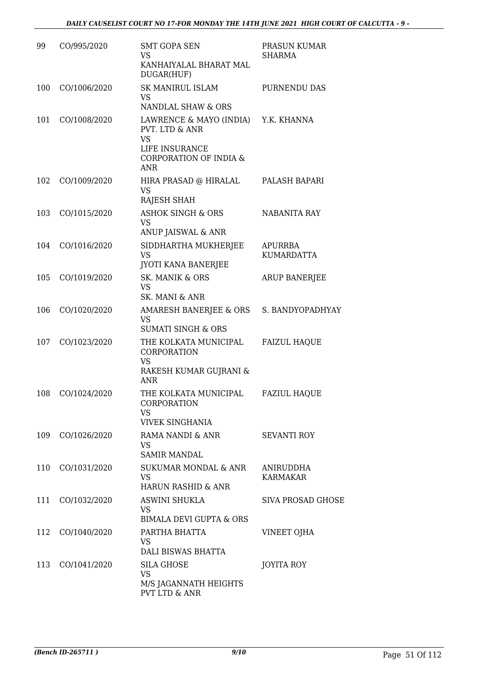| 99  | CO/995/2020  | <b>SMT GOPA SEN</b><br>VS.<br>KANHAIYALAL BHARAT MAL<br>DUGAR(HUF)                                                                      | PRASUN KUMAR<br>SHARMA              |
|-----|--------------|-----------------------------------------------------------------------------------------------------------------------------------------|-------------------------------------|
| 100 | CO/1006/2020 | SK MANIRUL ISLAM<br><b>VS</b><br>NANDLAL SHAW & ORS                                                                                     | PURNENDU DAS                        |
| 101 | CO/1008/2020 | LAWRENCE & MAYO (INDIA) Y.K. KHANNA<br>PVT. LTD & ANR<br><b>VS</b><br>LIFE INSURANCE<br><b>CORPORATION OF INDIA &amp;</b><br><b>ANR</b> |                                     |
| 102 | CO/1009/2020 | HIRA PRASAD @ HIRALAL<br><b>VS</b><br>RAJESH SHAH                                                                                       | PALASH BAPARI                       |
| 103 | CO/1015/2020 | <b>ASHOK SINGH &amp; ORS</b><br><b>VS</b><br>ANUP JAISWAL & ANR                                                                         | NABANITA RAY                        |
| 104 | CO/1016/2020 | SIDDHARTHA MUKHERJEE<br><b>VS</b><br><b>JYOTI KANA BANERJEE</b>                                                                         | <b>APURRBA</b><br><b>KUMARDATTA</b> |
| 105 | CO/1019/2020 | SK. MANIK & ORS<br><b>VS</b><br><b>SK. MANI &amp; ANR</b>                                                                               | <b>ARUP BANERJEE</b>                |
| 106 | CO/1020/2020 | AMARESH BANERJEE & ORS S. BANDYOPADHYAY<br><b>VS</b><br><b>SUMATI SINGH &amp; ORS</b>                                                   |                                     |
| 107 | CO/1023/2020 | THE KOLKATA MUNICIPAL<br><b>CORPORATION</b><br>VS<br>RAKESH KUMAR GUJRANI &<br><b>ANR</b>                                               | <b>FAIZUL HAQUE</b>                 |
| 108 | CO/1024/2020 | THE KOLKATA MUNICIPAL<br>CORPORATION<br><b>VS</b><br><b>VIVEK SINGHANIA</b>                                                             | <b>FAZIUL HAQUE</b>                 |
| 109 | CO/1026/2020 | RAMA NANDI & ANR<br>VS.<br><b>SAMIR MANDAL</b>                                                                                          | <b>SEVANTI ROY</b>                  |
| 110 | CO/1031/2020 | SUKUMAR MONDAL & ANR<br><b>VS</b><br><b>HARUN RASHID &amp; ANR</b>                                                                      | ANIRUDDHA<br><b>KARMAKAR</b>        |
| 111 | CO/1032/2020 | <b>ASWINI SHUKLA</b><br>VS<br><b>BIMALA DEVI GUPTA &amp; ORS</b>                                                                        | <b>SIVA PROSAD GHOSE</b>            |
| 112 | CO/1040/2020 | PARTHA BHATTA<br>VS<br>DALI BISWAS BHATTA                                                                                               | VINEET OJHA                         |
| 113 | CO/1041/2020 | <b>SILA GHOSE</b><br><b>VS</b><br>M/S JAGANNATH HEIGHTS<br>PVT LTD & ANR                                                                | JOYITA ROY                          |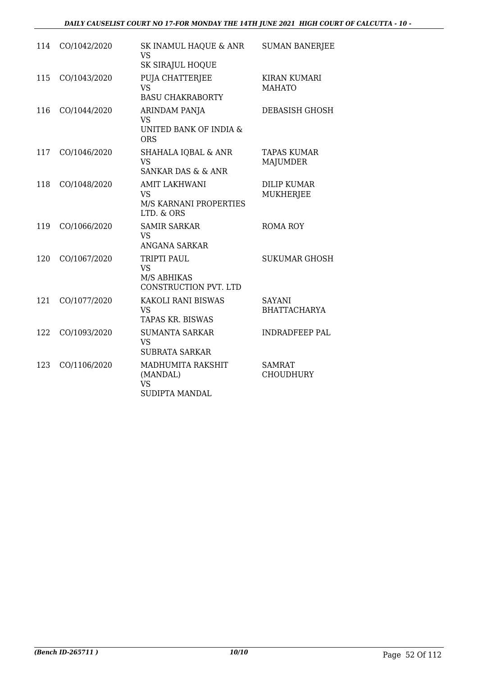| 114 | CO/1042/2020 | SK INAMUL HAQUE & ANR<br>VS<br>SK SIRAJUL HOQUE                                  | <b>SUMAN BANERJEE</b>                  |
|-----|--------------|----------------------------------------------------------------------------------|----------------------------------------|
| 115 | CO/1043/2020 | PUJA CHATTERJEE<br><b>VS</b><br><b>BASU CHAKRABORTY</b>                          | <b>KIRAN KUMARI</b><br><b>MAHATO</b>   |
| 116 | CO/1044/2020 | ARINDAM PANJA<br><b>VS</b><br>UNITED BANK OF INDIA &<br><b>ORS</b>               | <b>DEBASISH GHOSH</b>                  |
| 117 | CO/1046/2020 | <b>SHAHALA IQBAL &amp; ANR</b><br><b>VS</b><br><b>SANKAR DAS &amp; &amp; ANR</b> | <b>TAPAS KUMAR</b><br><b>MAJUMDER</b>  |
| 118 | CO/1048/2020 | <b>AMIT LAKHWANI</b><br><b>VS</b><br>M/S KARNANI PROPERTIES<br>LTD. & ORS        | <b>DILIP KUMAR</b><br><b>MUKHERJEE</b> |
| 119 | CO/1066/2020 | <b>SAMIR SARKAR</b><br><b>VS</b><br>ANGANA SARKAR                                | <b>ROMA ROY</b>                        |
| 120 | CO/1067/2020 | TRIPTI PAUL<br><b>VS</b><br>M/S ABHIKAS<br>CONSTRUCTION PVT. LTD                 | <b>SUKUMAR GHOSH</b>                   |
| 121 | CO/1077/2020 | KAKOLI RANI BISWAS<br><b>VS</b><br><b>TAPAS KR. BISWAS</b>                       | <b>SAYANI</b><br><b>BHATTACHARYA</b>   |
| 122 | CO/1093/2020 | <b>SUMANTA SARKAR</b><br><b>VS</b><br><b>SUBRATA SARKAR</b>                      | <b>INDRADFEEP PAL</b>                  |
| 123 | CO/1106/2020 | MADHUMITA RAKSHIT<br>(MANDAL)<br><b>VS</b><br>SUDIPTA MANDAL                     | <b>SAMRAT</b><br><b>CHOUDHURY</b>      |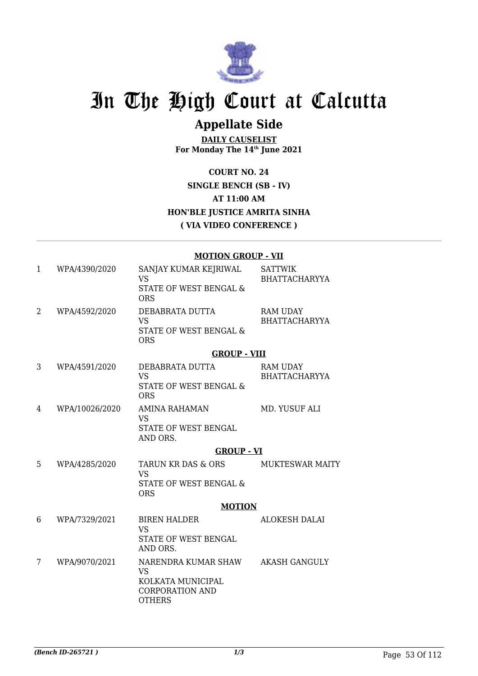

### **Appellate Side**

**DAILY CAUSELIST For Monday The 14th June 2021**

**COURT NO. 24 SINGLE BENCH (SB - IV) AT 11:00 AM HON'BLE JUSTICE AMRITA SINHA ( VIA VIDEO CONFERENCE )**

#### **MOTION GROUP - VII**

| 1 | WPA/4390/2020  | SANJAY KUMAR KEJRIWAL<br>VS<br>STATE OF WEST BENGAL &<br><b>ORS</b>                              | <b>SATTWIK</b><br><b>BHATTACHARYYA</b>  |
|---|----------------|--------------------------------------------------------------------------------------------------|-----------------------------------------|
| 2 | WPA/4592/2020  | DEBABRATA DUTTA<br><b>VS</b><br><b>STATE OF WEST BENGAL &amp;</b><br><b>ORS</b>                  | <b>RAM UDAY</b><br><b>BHATTACHARYYA</b> |
|   |                | <b>GROUP - VIII</b>                                                                              |                                         |
| 3 | WPA/4591/2020  | DEBABRATA DUTTA<br><b>VS</b><br>STATE OF WEST BENGAL &<br><b>ORS</b>                             | RAM UDAY<br><b>BHATTACHARYYA</b>        |
| 4 | WPA/10026/2020 | <b>AMINA RAHAMAN</b><br><b>VS</b><br>STATE OF WEST BENGAL<br>AND ORS.                            | MD. YUSUF ALI                           |
|   |                | <b>GROUP - VI</b>                                                                                |                                         |
| 5 | WPA/4285/2020  | <b>TARUN KR DAS &amp; ORS</b><br><b>VS</b><br>STATE OF WEST BENGAL &<br><b>ORS</b>               | <b>MUKTESWAR MAITY</b>                  |
|   |                | <b>MOTION</b>                                                                                    |                                         |
| 6 | WPA/7329/2021  | <b>BIREN HALDER</b><br><b>VS</b><br><b>STATE OF WEST BENGAL</b><br>AND ORS.                      | <b>ALOKESH DALAI</b>                    |
| 7 | WPA/9070/2021  | NARENDRA KUMAR SHAW<br><b>VS</b><br>KOLKATA MUNICIPAL<br><b>CORPORATION AND</b><br><b>OTHERS</b> | <b>AKASH GANGULY</b>                    |
|   |                |                                                                                                  |                                         |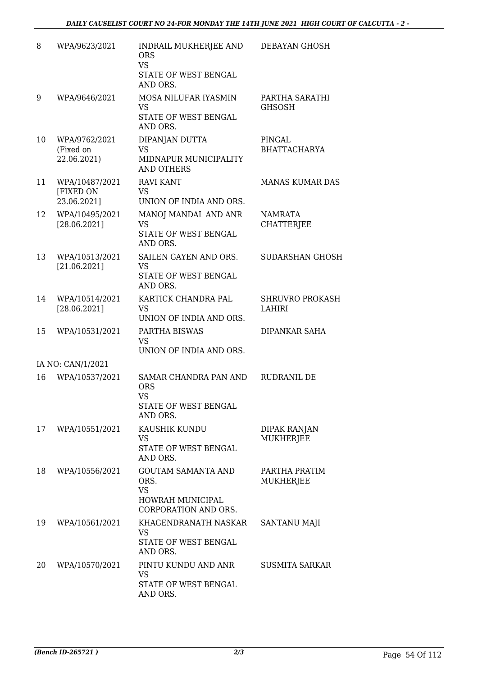| 8  | WPA/9623/2021                              | INDRAIL MUKHERJEE AND<br><b>ORS</b><br><b>VS</b><br>STATE OF WEST BENGAL<br>AND ORS.       | DEBAYAN GHOSH                           |
|----|--------------------------------------------|--------------------------------------------------------------------------------------------|-----------------------------------------|
| 9  | WPA/9646/2021                              | MOSA NILUFAR IYASMIN<br><b>VS</b><br>STATE OF WEST BENGAL<br>AND ORS.                      | PARTHA SARATHI<br><b>GHSOSH</b>         |
| 10 | WPA/9762/2021<br>(Fixed on<br>22.06.2021)  | DIPANJAN DUTTA<br><b>VS</b><br>MIDNAPUR MUNICIPALITY<br><b>AND OTHERS</b>                  | PINGAL<br><b>BHATTACHARYA</b>           |
| 11 | WPA/10487/2021<br>[FIXED ON<br>23.06.2021] | <b>RAVI KANT</b><br>VS<br>UNION OF INDIA AND ORS.                                          | <b>MANAS KUMAR DAS</b>                  |
| 12 | WPA/10495/2021<br>[28.06.2021]             | MANOJ MANDAL AND ANR<br><b>VS</b><br>STATE OF WEST BENGAL<br>AND ORS.                      | <b>NAMRATA</b><br><b>CHATTERJEE</b>     |
| 13 | WPA/10513/2021<br>[21.06.2021]             | SAILEN GAYEN AND ORS.<br>VS<br>STATE OF WEST BENGAL<br>AND ORS.                            | <b>SUDARSHAN GHOSH</b>                  |
| 14 | WPA/10514/2021<br>[28.06.2021]             | KARTICK CHANDRA PAL<br><b>VS</b><br>UNION OF INDIA AND ORS.                                | <b>SHRUVRO PROKASH</b><br><b>LAHIRI</b> |
| 15 | WPA/10531/2021                             | PARTHA BISWAS<br><b>VS</b><br>UNION OF INDIA AND ORS.                                      | <b>DIPANKAR SAHA</b>                    |
|    | IA NO: CAN/1/2021                          |                                                                                            |                                         |
| 16 | WPA/10537/2021                             | SAMAR CHANDRA PAN AND<br><b>ORS</b><br><b>VS</b><br>STATE OF WEST BENGAL<br>AND ORS.       | RUDRANIL DE                             |
| 17 | WPA/10551/2021                             | KAUSHIK KUNDU<br>VS<br>STATE OF WEST BENGAL<br>AND ORS.                                    | <b>DIPAK RANJAN</b><br><b>MUKHERJEE</b> |
| 18 | WPA/10556/2021                             | <b>GOUTAM SAMANTA AND</b><br>ORS.<br><b>VS</b><br>HOWRAH MUNICIPAL<br>CORPORATION AND ORS. | PARTHA PRATIM<br>MUKHERJEE              |
| 19 | WPA/10561/2021                             | KHAGENDRANATH NASKAR<br>VS<br>STATE OF WEST BENGAL<br>AND ORS.                             | SANTANU MAJI                            |
| 20 | WPA/10570/2021                             | PINTU KUNDU AND ANR<br><b>VS</b><br>STATE OF WEST BENGAL<br>AND ORS.                       | <b>SUSMITA SARKAR</b>                   |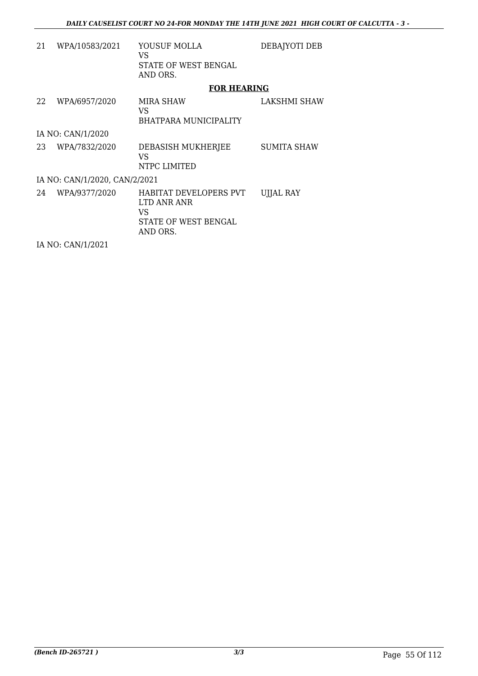| 21 | WPA/10583/2021                | YOUSUF MOLLA<br>VS<br>STATE OF WEST BENGAL                                      | DEBAJYOTI DEB       |
|----|-------------------------------|---------------------------------------------------------------------------------|---------------------|
|    |                               | AND ORS.                                                                        |                     |
|    |                               | <b>FOR HEARING</b>                                                              |                     |
| 22 | WPA/6957/2020                 | MIRA SHAW<br>VS                                                                 | <b>LAKSHMI SHAW</b> |
|    |                               | BHATPARA MUNICIPALITY                                                           |                     |
|    | IA NO: CAN/1/2020             |                                                                                 |                     |
| 23 | WPA/7832/2020                 | DEBASISH MUKHERJEE<br>VS<br>NTPC LIMITED                                        | <b>SUMITA SHAW</b>  |
|    | IA NO: CAN/1/2020, CAN/2/2021 |                                                                                 |                     |
| 24 | WPA/9377/2020                 | HABITAT DEVELOPERS PVT<br>LTD ANR ANR<br>VS<br>STATE OF WEST BENGAL<br>AND ORS. | <b>UIJAL RAY</b>    |
|    | IA NO: CAN/1/2021             |                                                                                 |                     |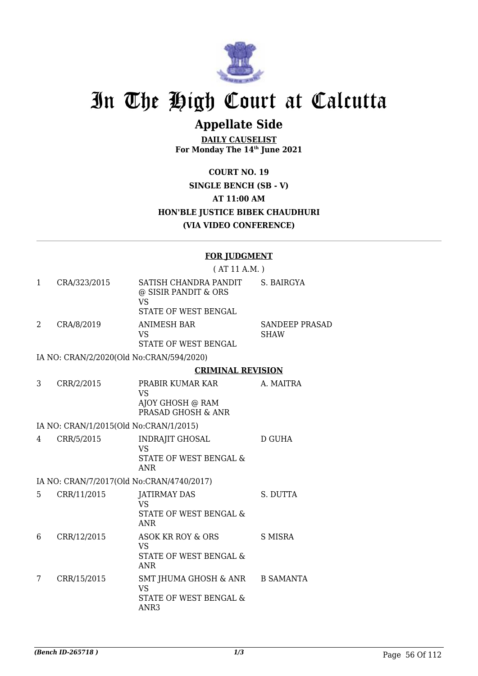

### **Appellate Side**

**DAILY CAUSELIST For Monday The 14th June 2021**

**COURT NO. 19 SINGLE BENCH (SB - V) AT 11:00 AM HON'BLE JUSTICE BIBEK CHAUDHURI (VIA VIDEO CONFERENCE)**

#### **FOR JUDGMENT**

|    |                                          | (AT 11 A.M.)                                                                               |                                      |
|----|------------------------------------------|--------------------------------------------------------------------------------------------|--------------------------------------|
| 1  | CRA/323/2015                             | SATISH CHANDRA PANDIT<br>@ SISIR PANDIT & ORS<br><b>VS</b><br>STATE OF WEST BENGAL         | S. BAIRGYA                           |
| 2  | CRA/8/2019                               | <b>ANIMESH BAR</b><br><b>VS</b>                                                            | <b>SANDEEP PRASAD</b><br><b>SHAW</b> |
|    |                                          | STATE OF WEST BENGAL                                                                       |                                      |
|    | IA NO: CRAN/2/2020(Old No:CRAN/594/2020) |                                                                                            |                                      |
|    |                                          | <b>CRIMINAL REVISION</b>                                                                   |                                      |
| 3  | CRR/2/2015                               | PRABIR KUMAR KAR<br><b>VS</b>                                                              | A. MAITRA                            |
|    |                                          | AJOY GHOSH @ RAM<br>PRASAD GHOSH & ANR                                                     |                                      |
|    | IA NO: CRAN/1/2015(Old No:CRAN/1/2015)   |                                                                                            |                                      |
| 4  | CRR/5/2015                               | <b>INDRAJIT GHOSAL</b><br><b>VS</b><br>STATE OF WEST BENGAL &<br><b>ANR</b>                | <b>D GUHA</b>                        |
|    |                                          | IA NO: CRAN/7/2017(Old No:CRAN/4740/2017)                                                  |                                      |
| 5. | CRR/11/2015                              | <b>JATIRMAY DAS</b><br><b>VS</b><br><b>STATE OF WEST BENGAL &amp;</b><br><b>ANR</b>        | S. DUTTA                             |
| 6  | CRR/12/2015                              | <b>ASOK KR ROY &amp; ORS</b><br><b>VS</b><br>STATE OF WEST BENGAL &<br><b>ANR</b>          | <b>S MISRA</b>                       |
| 7  | CRR/15/2015                              | SMT JHUMA GHOSH & ANR B SAMANTA<br><b>VS</b><br>STATE OF WEST BENGAL &<br>ANR <sub>3</sub> |                                      |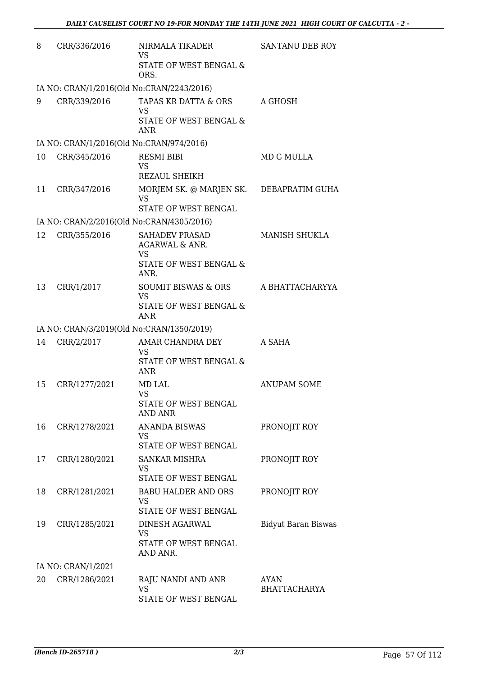| 8  | CRR/336/2016       | NIRMALA TIKADER<br>VS<br>STATE OF WEST BENGAL &<br>ORS.                                                      | SANTANU DEB ROY                    |
|----|--------------------|--------------------------------------------------------------------------------------------------------------|------------------------------------|
|    |                    | IA NO: CRAN/1/2016(Old No:CRAN/2243/2016)                                                                    |                                    |
| 9  | CRR/339/2016       | TAPAS KR DATTA & ORS<br><b>VS</b><br><b>STATE OF WEST BENGAL &amp;</b><br><b>ANR</b>                         | A GHOSH                            |
|    |                    | IA NO: CRAN/1/2016(Old No:CRAN/974/2016)                                                                     |                                    |
| 10 | CRR/345/2016       | <b>RESMI BIBI</b><br><b>VS</b><br><b>REZAUL SHEIKH</b>                                                       | <b>MD G MULLA</b>                  |
| 11 | CRR/347/2016       | MORJEM SK. @ MARJEN SK.<br><b>VS</b><br>STATE OF WEST BENGAL                                                 | DEBAPRATIM GUHA                    |
|    |                    | IA NO: CRAN/2/2016(Old No:CRAN/4305/2016)                                                                    |                                    |
| 12 | CRR/355/2016       | <b>SAHADEV PRASAD</b><br><b>AGARWAL &amp; ANR.</b><br><b>VS</b><br><b>STATE OF WEST BENGAL &amp;</b><br>ANR. | <b>MANISH SHUKLA</b>               |
| 13 | CRR/1/2017         | SOUMIT BISWAS & ORS<br><b>VS</b><br>STATE OF WEST BENGAL &<br><b>ANR</b>                                     | A BHATTACHARYYA                    |
|    |                    | IA NO: CRAN/3/2019(Old No:CRAN/1350/2019)                                                                    |                                    |
| 14 | CRR/2/2017         | AMAR CHANDRA DEY<br><b>VS</b><br>STATE OF WEST BENGAL &<br><b>ANR</b>                                        | A SAHA                             |
| 15 | CRR/1277/2021      | MD LAL<br><b>VS</b><br><b>STATE OF WEST BENGAL</b><br><b>AND ANR</b>                                         | <b>ANUPAM SOME</b>                 |
| 16 | CRR/1278/2021      | <b>ANANDA BISWAS</b><br>VS.<br>STATE OF WEST BENGAL                                                          | PRONOJIT ROY                       |
| 17 | CRR/1280/2021      | <b>SANKAR MISHRA</b><br>VS<br>STATE OF WEST BENGAL                                                           | PRONOJIT ROY                       |
| 18 | CRR/1281/2021      | <b>BABU HALDER AND ORS</b><br><b>VS</b><br>STATE OF WEST BENGAL                                              | PRONOJIT ROY                       |
| 19 | CRR/1285/2021      | DINESH AGARWAL<br><b>VS</b><br>STATE OF WEST BENGAL<br>AND ANR.                                              | <b>Bidyut Baran Biswas</b>         |
|    | IA NO: CRAN/1/2021 |                                                                                                              |                                    |
| 20 | CRR/1286/2021      | RAJU NANDI AND ANR<br><b>VS</b><br>STATE OF WEST BENGAL                                                      | <b>AYAN</b><br><b>BHATTACHARYA</b> |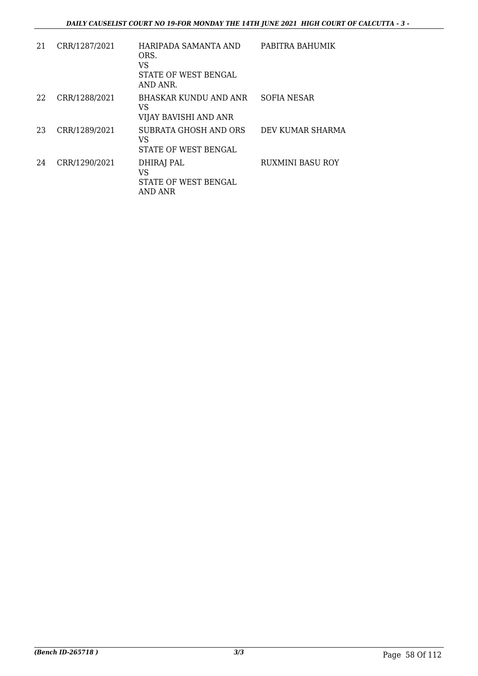| 21 | CRR/1287/2021 | HARIPADA SAMANTA AND<br>ORS.<br>VS<br>STATE OF WEST BENGAL<br>AND ANR. | PABITRA BAHUMIK         |
|----|---------------|------------------------------------------------------------------------|-------------------------|
| 22 | CRR/1288/2021 | <b>BHASKAR KUNDU AND ANR</b><br>VS<br>VIJAY BAVISHI AND ANR            | SOFIA NESAR             |
| 23 | CRR/1289/2021 | SUBRATA GHOSH AND ORS<br>VS<br>STATE OF WEST BENGAL                    | DEV KUMAR SHARMA        |
| 24 | CRR/1290/2021 | DHIRAJ PAL<br>VS<br>STATE OF WEST BENGAL<br>AND ANR                    | <b>RUXMINI BASU ROY</b> |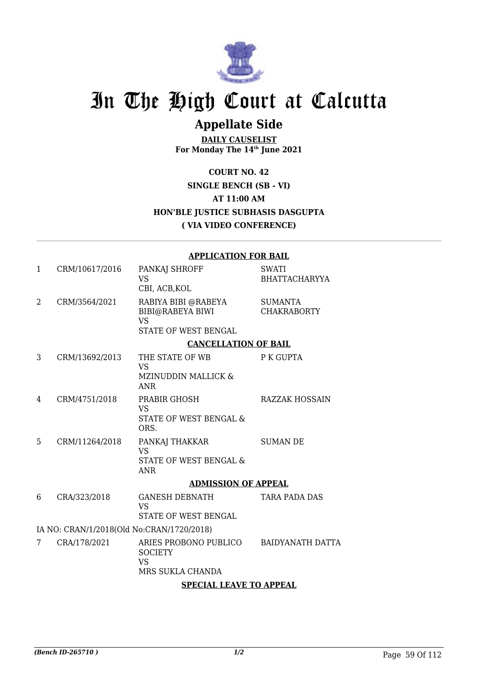

### **Appellate Side**

**DAILY CAUSELIST For Monday The 14th June 2021**

#### **COURT NO. 42 SINGLE BENCH (SB - VI) AT 11:00 AM HON'BLE JUSTICE SUBHASIS DASGUPTA ( VIA VIDEO CONFERENCE)**

|                                           |                | <b>APPLICATION FOR BAIL</b>                                                         |                                      |  |
|-------------------------------------------|----------------|-------------------------------------------------------------------------------------|--------------------------------------|--|
| 1                                         | CRM/10617/2016 | PANKAJ SHROFF<br><b>VS</b><br>CBI, ACB, KOL                                         | <b>SWATI</b><br><b>BHATTACHARYYA</b> |  |
| 2                                         | CRM/3564/2021  | RABIYA BIBI @RABEYA<br><b>BIBI@RABEYA BIWI</b><br><b>VS</b><br>STATE OF WEST BENGAL | <b>SUMANTA</b><br><b>CHAKRABORTY</b> |  |
|                                           |                | <b>CANCELLATION OF BAIL</b>                                                         |                                      |  |
| 3                                         | CRM/13692/2013 | THE STATE OF WB<br><b>VS</b><br><b>MZINUDDIN MALLICK &amp;</b><br><b>ANR</b>        | P K GUPTA                            |  |
| 4                                         | CRM/4751/2018  | PRABIR GHOSH<br><b>VS</b><br>STATE OF WEST BENGAL &<br>ORS.                         | <b>RAZZAK HOSSAIN</b>                |  |
| 5                                         | CRM/11264/2018 | PANKAJ THAKKAR<br><b>VS</b><br>STATE OF WEST BENGAL &<br><b>ANR</b>                 | <b>SUMAN DE</b>                      |  |
|                                           |                | <b>ADMISSION OF APPEAL</b>                                                          |                                      |  |
| 6                                         | CRA/323/2018   | <b>GANESH DEBNATH</b><br><b>VS</b><br>STATE OF WEST BENGAL                          | <b>TARA PADA DAS</b>                 |  |
| IA NO: CRAN/1/2018(Old No:CRAN/1720/2018) |                |                                                                                     |                                      |  |
| 7                                         | CRA/178/2021   | ARIES PROBONO PUBLICO<br><b>SOCIETY</b><br><b>VS</b><br>MRS SUKLA CHANDA            | <b>BAIDYANATH DATTA</b>              |  |
|                                           |                | <b>SPECIAL LEAVE TO APPEAL</b>                                                      |                                      |  |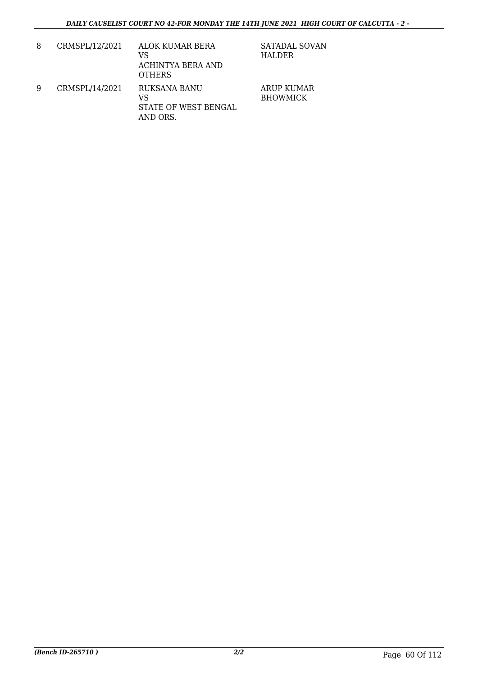| 8 | CRMSPL/12/2021 | ALOK KUMAR BERA<br>VS<br>ACHINTYA BERA AND<br><b>OTHERS</b> | SATADAL SOVAN<br>HALDER              |
|---|----------------|-------------------------------------------------------------|--------------------------------------|
| 9 | CRMSPL/14/2021 | RUKSANA BANU<br>VS<br>STATE OF WEST BENGAL<br>AND ORS.      | <b>ARUP KUMAR</b><br><b>BHOWMICK</b> |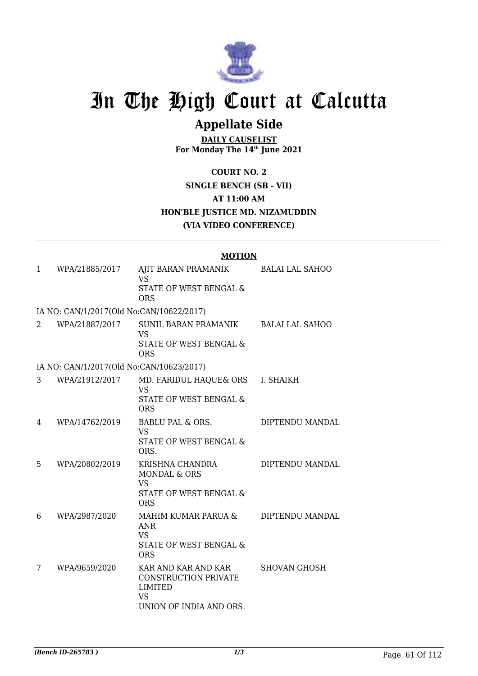

## **Appellate Side**

**DAILY CAUSELIST For Monday The 14th June 2021**

**COURT NO. 2 SINGLE BENCH (SB - VII) AT 11:00 AM HON'BLE JUSTICE MD. NIZAMUDDIN (VIA VIDEO CONFERENCE)**

|                                          | <b>MOTION</b>                                                                                              |                        |
|------------------------------------------|------------------------------------------------------------------------------------------------------------|------------------------|
| WPA/21885/2017<br>1                      | AJIT BARAN PRAMANIK<br><b>VS</b>                                                                           | <b>BALAI LAL SAHOO</b> |
|                                          | STATE OF WEST BENGAL &<br><b>ORS</b>                                                                       |                        |
| IA NO: CAN/1/2017(Old No:CAN/10622/2017) |                                                                                                            |                        |
| WPA/21887/2017<br>2                      | SUNIL BARAN PRAMANIK<br><b>VS</b><br>STATE OF WEST BENGAL &<br><b>ORS</b>                                  | <b>BALAI LAL SAHOO</b> |
| IA NO: CAN/1/2017(Old No:CAN/10623/2017) |                                                                                                            |                        |
| 3<br>WPA/21912/2017                      | MD. FARIDUL HAQUE& ORS I. SHAIKH<br><b>VS</b><br>STATE OF WEST BENGAL &<br><b>ORS</b>                      |                        |
| WPA/14762/2019<br>4                      | <b>BABLU PAL &amp; ORS.</b><br><b>VS</b><br>STATE OF WEST BENGAL &<br>ORS.                                 | DIPTENDU MANDAL        |
| WPA/20802/2019<br>5                      | KRISHNA CHANDRA<br><b>MONDAL &amp; ORS</b><br><b>VS</b><br><b>STATE OF WEST BENGAL &amp;</b><br><b>ORS</b> | DIPTENDU MANDAL        |
| WPA/2987/2020<br>6                       | MAHIM KUMAR PARUA &<br><b>ANR</b><br><b>VS</b><br>STATE OF WEST BENGAL &<br><b>ORS</b>                     | DIPTENDU MANDAL        |
| WPA/9659/2020<br>7                       | KAR AND KAR AND KAR<br>CONSTRUCTION PRIVATE<br><b>LIMITED</b><br><b>VS</b><br>UNION OF INDIA AND ORS.      | <b>SHOVAN GHOSH</b>    |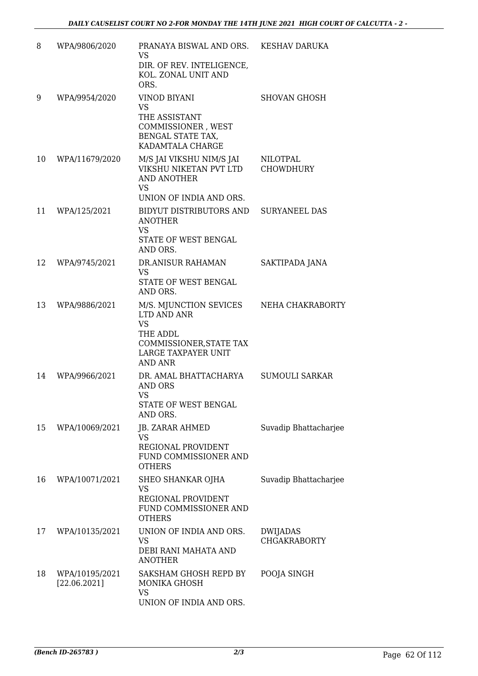| 8  | WPA/9806/2020                  | PRANAYA BISWAL AND ORS. KESHAV DARUKA<br><b>VS</b><br>DIR. OF REV. INTELIGENCE,<br>KOL. ZONAL UNIT AND<br>ORS.                     |                                        |
|----|--------------------------------|------------------------------------------------------------------------------------------------------------------------------------|----------------------------------------|
| 9  | WPA/9954/2020                  | <b>VINOD BIYANI</b><br><b>VS</b><br>THE ASSISTANT<br>COMMISSIONER, WEST<br>BENGAL STATE TAX,<br>KADAMTALA CHARGE                   | <b>SHOVAN GHOSH</b>                    |
| 10 | WPA/11679/2020                 | M/S JAI VIKSHU NIM/S JAI<br>VIKSHU NIKETAN PVT LTD<br><b>AND ANOTHER</b><br><b>VS</b><br>UNION OF INDIA AND ORS.                   | NILOTPAL<br><b>CHOWDHURY</b>           |
| 11 | WPA/125/2021                   | BIDYUT DISTRIBUTORS AND<br><b>ANOTHER</b><br><b>VS</b><br>STATE OF WEST BENGAL<br>AND ORS.                                         | <b>SURYANEEL DAS</b>                   |
| 12 | WPA/9745/2021                  | DR.ANISUR RAHAMAN<br><b>VS</b><br>STATE OF WEST BENGAL<br>AND ORS.                                                                 | SAKTIPADA JANA                         |
| 13 | WPA/9886/2021                  | M/S. MJUNCTION SEVICES<br>LTD AND ANR<br><b>VS</b><br>THE ADDL<br>COMMISSIONER, STATE TAX<br>LARGE TAXPAYER UNIT<br><b>AND ANR</b> | NEHA CHAKRABORTY                       |
| 14 | WPA/9966/2021                  | DR. AMAL BHATTACHARYA<br><b>AND ORS</b><br><b>VS</b><br>STATE OF WEST BENGAL<br>AND ORS.                                           | SUMOULI SARKAR                         |
| 15 | WPA/10069/2021                 | JB. ZARAR AHMED<br><b>VS</b><br>REGIONAL PROVIDENT<br>FUND COMMISSIONER AND<br><b>OTHERS</b>                                       | Suvadip Bhattacharjee                  |
| 16 | WPA/10071/2021                 | SHEO SHANKAR OJHA<br><b>VS</b><br>REGIONAL PROVIDENT<br>FUND COMMISSIONER AND<br><b>OTHERS</b>                                     | Suvadip Bhattacharjee                  |
| 17 | WPA/10135/2021                 | UNION OF INDIA AND ORS.<br><b>VS</b><br>DEBI RANI MAHATA AND<br><b>ANOTHER</b>                                                     | <b>DWIJADAS</b><br><b>CHGAKRABORTY</b> |
| 18 | WPA/10195/2021<br>[22.06.2021] | SAKSHAM GHOSH REPD BY<br>MONIKA GHOSH<br><b>VS</b><br>UNION OF INDIA AND ORS.                                                      | POOJA SINGH                            |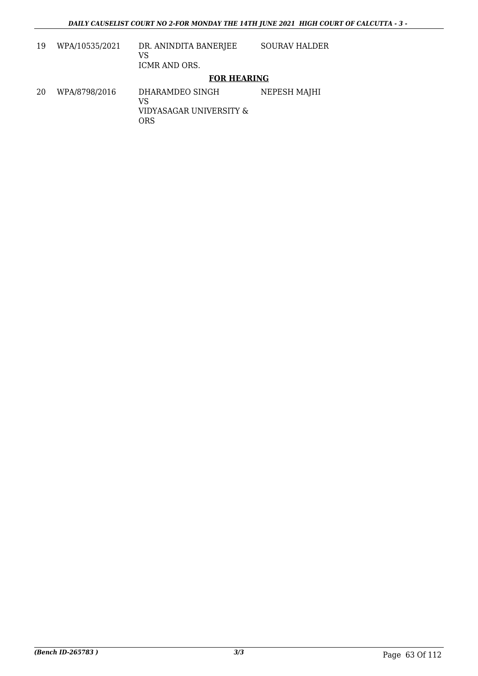| 19 | WPA/10535/2021 | DR. ANINDITA BANERJEE<br>VS<br><b>ICMR AND ORS.</b>     | <b>SOURAV HALDER</b> |
|----|----------------|---------------------------------------------------------|----------------------|
|    |                | <b>FOR HEARING</b>                                      |                      |
| 20 | WPA/8798/2016  | DHARAMDEO SINGH<br>VS<br>VIDYASAGAR UNIVERSITY &<br>ORS | NEPESH MAJHI         |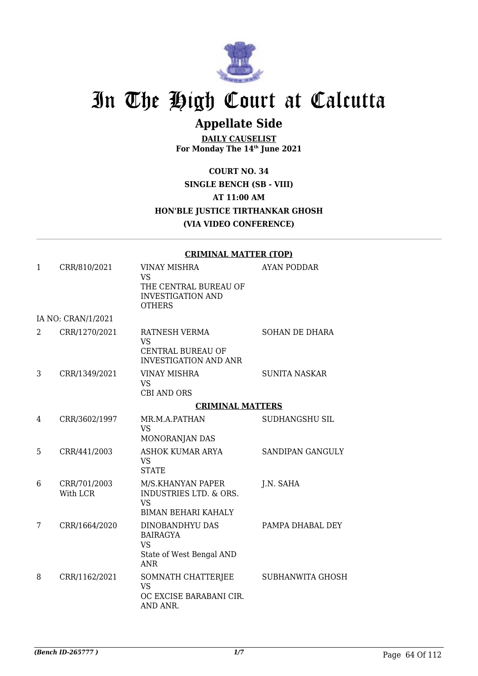

## **Appellate Side**

**DAILY CAUSELIST For Monday The 14th June 2021**

**COURT NO. 34 SINGLE BENCH (SB - VIII) AT 11:00 AM HON'BLE JUSTICE TIRTHANKAR GHOSH (VIA VIDEO CONFERENCE)**

|              |                          | <b>CRIMINAL MATTER (TOP)</b>                                                                           |                         |  |
|--------------|--------------------------|--------------------------------------------------------------------------------------------------------|-------------------------|--|
| $\mathbf{1}$ | CRR/810/2021             | <b>VINAY MISHRA</b><br><b>VS</b><br>THE CENTRAL BUREAU OF<br><b>INVESTIGATION AND</b><br><b>OTHERS</b> | <b>AYAN PODDAR</b>      |  |
|              | IA NO: CRAN/1/2021       |                                                                                                        |                         |  |
| 2            | CRR/1270/2021            | RATNESH VERMA<br><b>VS</b><br>CENTRAL BUREAU OF<br><b>INVESTIGATION AND ANR</b>                        | <b>SOHAN DE DHARA</b>   |  |
| 3            | CRR/1349/2021            | VINAY MISHRA<br><b>VS</b><br><b>CBI AND ORS</b>                                                        | SUNITA NASKAR           |  |
|              |                          | <b>CRIMINAL MATTERS</b>                                                                                |                         |  |
| 4            | CRR/3602/1997            | MR.M.A.PATHAN<br><b>VS</b><br>MONORANJAN DAS                                                           | SUDHANGSHU SIL          |  |
| 5            | CRR/441/2003             | <b>ASHOK KUMAR ARYA</b><br><b>VS</b><br><b>STATE</b>                                                   | SANDIPAN GANGULY        |  |
| 6            | CRR/701/2003<br>With LCR | M/S.KHANYAN PAPER<br>INDUSTRIES LTD. & ORS.<br><b>VS</b><br><b>BIMAN BEHARI KAHALY</b>                 | J.N. SAHA               |  |
| 7            | CRR/1664/2020            | DINOBANDHYU DAS<br><b>BAIRAGYA</b><br><b>VS</b><br>State of West Bengal AND<br><b>ANR</b>              | PAMPA DHABAL DEY        |  |
| 8            | CRR/1162/2021            | SOMNATH CHATTERJEE<br><b>VS</b><br>OC EXCISE BARABANI CIR.<br>AND ANR.                                 | <b>SUBHANWITA GHOSH</b> |  |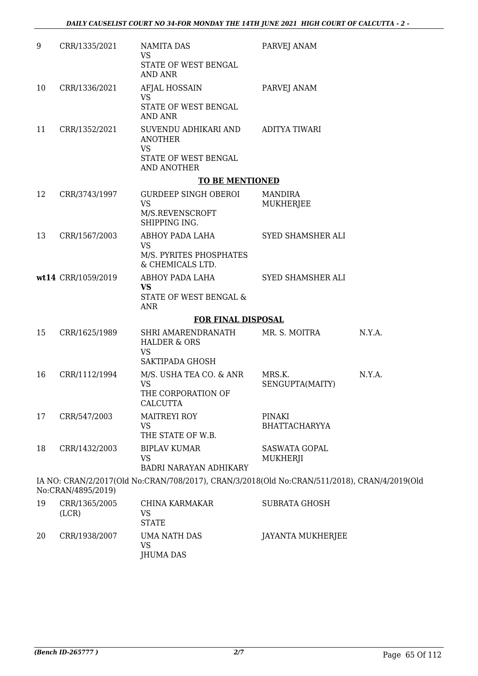| 9  | CRR/1335/2021          | <b>NAMITA DAS</b><br><b>VS</b><br>STATE OF WEST BENGAL                                       | PARVEJ ANAM                      |        |
|----|------------------------|----------------------------------------------------------------------------------------------|----------------------------------|--------|
|    |                        | <b>AND ANR</b>                                                                               |                                  |        |
| 10 | CRR/1336/2021          | AFJAL HOSSAIN<br><b>VS</b>                                                                   | PARVEJ ANAM                      |        |
|    |                        | STATE OF WEST BENGAL<br><b>AND ANR</b>                                                       |                                  |        |
| 11 | CRR/1352/2021          | SUVENDU ADHIKARI AND<br><b>ANOTHER</b><br><b>VS</b>                                          | <b>ADITYA TIWARI</b>             |        |
|    |                        | STATE OF WEST BENGAL<br>AND ANOTHER                                                          |                                  |        |
|    |                        | <b>TO BE MENTIONED</b>                                                                       |                                  |        |
| 12 | CRR/3743/1997          | <b>GURDEEP SINGH OBEROI</b><br><b>VS</b><br>M/S.REVENSCROFT<br>SHIPPING ING.                 | <b>MANDIRA</b><br>MUKHERJEE      |        |
| 13 | CRR/1567/2003          | ABHOY PADA LAHA<br><b>VS</b>                                                                 | SYED SHAMSHER ALI                |        |
|    |                        | M/S. PYRITES PHOSPHATES<br>& CHEMICALS LTD.                                                  |                                  |        |
|    | wt14 CRR/1059/2019     | ABHOY PADA LAHA<br><b>VS</b><br>STATE OF WEST BENGAL &<br><b>ANR</b>                         | SYED SHAMSHER ALI                |        |
|    |                        | <b>FOR FINAL DISPOSAL</b>                                                                    |                                  |        |
| 15 | CRR/1625/1989          | SHRI AMARENDRANATH<br><b>HALDER &amp; ORS</b><br>VS<br><b>SAKTIPADA GHOSH</b>                | MR. S. MOITRA                    | N.Y.A. |
| 16 | CRR/1112/1994          | M/S. USHA TEA CO. & ANR<br><b>VS</b><br>THE CORPORATION OF<br><b>CALCUTTA</b>                | MRS.K.<br>SENGUPTA(MAITY)        | N.Y.A. |
| 17 | CRR/547/2003           | <b>MAITREYI ROY</b><br><b>VS</b><br>THE STATE OF W.B.                                        | PINAKI<br><b>BHATTACHARYYA</b>   |        |
| 18 | CRR/1432/2003          | <b>BIPLAV KUMAR</b><br>VS<br><b>BADRI NARAYAN ADHIKARY</b>                                   | <b>SASWATA GOPAL</b><br>MUKHERJI |        |
|    | No:CRAN/4895/2019)     | IA NO: CRAN/2/2017(Old No:CRAN/708/2017), CRAN/3/2018(Old No:CRAN/511/2018), CRAN/4/2019(Old |                                  |        |
| 19 | CRR/1365/2005<br>(LCR) | CHINA KARMAKAR<br>VS<br><b>STATE</b>                                                         | <b>SUBRATA GHOSH</b>             |        |
|    |                        |                                                                                              |                                  |        |

20 CRR/1938/2007 UMA NATH DAS VS JHUMA DAS JAYANTA MUKHERJEE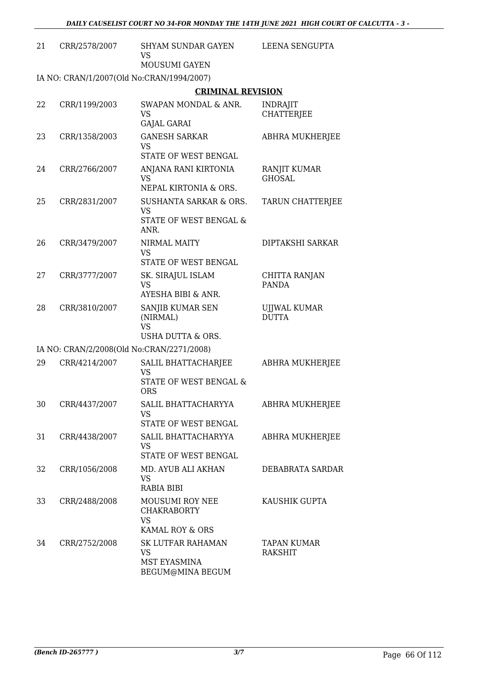| 21 | CRR/2578/2007 | <b>SHYAM SUNDAR GAYEN</b><br>VS<br><b>MOUSUMI GAYEN</b>                                      | LEENA SENGUPTA                       |
|----|---------------|----------------------------------------------------------------------------------------------|--------------------------------------|
|    |               | IA NO: CRAN/1/2007(Old No:CRAN/1994/2007)                                                    |                                      |
|    |               | <b>CRIMINAL REVISION</b>                                                                     |                                      |
| 22 | CRR/1199/2003 | SWAPAN MONDAL & ANR.<br>VS<br>GAJAL GARAI                                                    | <b>INDRAJIT</b><br><b>CHATTERJEE</b> |
| 23 | CRR/1358/2003 | <b>GANESH SARKAR</b><br><b>VS</b><br>STATE OF WEST BENGAL                                    | ABHRA MUKHERJEE                      |
| 24 | CRR/2766/2007 | ANJANA RANI KIRTONIA<br><b>VS</b><br>NEPAL KIRTONIA & ORS.                                   | RANJIT KUMAR<br><b>GHOSAL</b>        |
| 25 | CRR/2831/2007 | <b>SUSHANTA SARKAR &amp; ORS.</b><br><b>VS</b><br>STATE OF WEST BENGAL &<br>ANR.             | <b>TARUN CHATTERJEE</b>              |
| 26 | CRR/3479/2007 | NIRMAL MAITY<br>VS<br>STATE OF WEST BENGAL                                                   | DIPTAKSHI SARKAR                     |
| 27 | CRR/3777/2007 | SK. SIRAJUL ISLAM<br><b>VS</b><br>AYESHA BIBI & ANR.                                         | CHITTA RANJAN<br><b>PANDA</b>        |
| 28 | CRR/3810/2007 | SANJIB KUMAR SEN<br>(NIRMAL)<br><b>VS</b>                                                    | UJJWAL KUMAR<br><b>DUTTA</b>         |
|    |               | <b>USHA DUTTA &amp; ORS.</b>                                                                 |                                      |
|    |               | IA NO: CRAN/2/2008(Old No:CRAN/2271/2008)                                                    |                                      |
| 29 | CRR/4214/2007 | SALIL BHATTACHARJEE<br><b>VS</b><br>STATE OF WEST BENGAL &<br><b>ORS</b>                     | <b>ABHRA MUKHERJEE</b>               |
| 30 | CRR/4437/2007 | SALIL BHATTACHARYYA<br>VS.<br>STATE OF WEST BENGAL                                           | ABHRA MUKHERJEE                      |
| 31 | CRR/4438/2007 | SALIL BHATTACHARYYA<br>VS<br>STATE OF WEST BENGAL                                            | ABHRA MUKHERJEE                      |
| 32 | CRR/1056/2008 | MD. AYUB ALI AKHAN<br><b>VS</b><br><b>RABIA BIBI</b>                                         | DEBABRATA SARDAR                     |
| 33 | CRR/2488/2008 | MOUSUMI ROY NEE<br><b>CHAKRABORTY</b><br><b>VS</b>                                           | KAUSHIK GUPTA                        |
| 34 | CRR/2752/2008 | KAMAL ROY & ORS<br><b>SK LUTFAR RAHAMAN</b><br>VS<br><b>MST EYASMINA</b><br>BEGUM@MINA BEGUM | TAPAN KUMAR<br><b>RAKSHIT</b>        |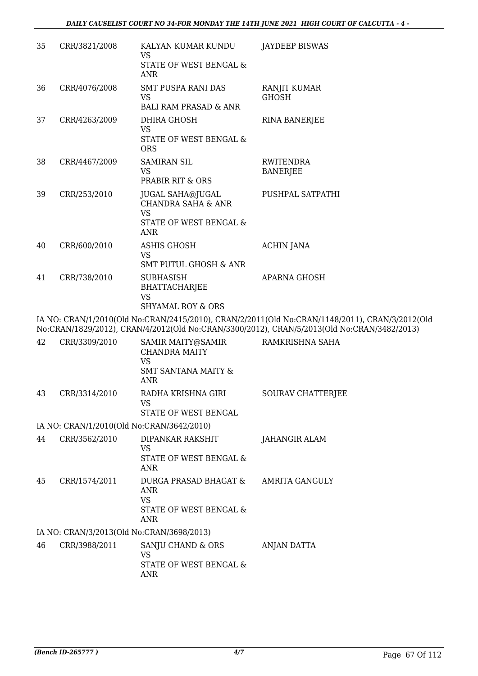| 35 | CRR/3821/2008 | KALYAN KUMAR KUNDU<br><b>VS</b>                                       | <b>JAYDEEP BISWAS</b>                                                                                                                                                                        |
|----|---------------|-----------------------------------------------------------------------|----------------------------------------------------------------------------------------------------------------------------------------------------------------------------------------------|
|    |               | STATE OF WEST BENGAL &<br><b>ANR</b>                                  |                                                                                                                                                                                              |
| 36 | CRR/4076/2008 | <b>SMT PUSPA RANI DAS</b><br><b>VS</b>                                | <b>RANJIT KUMAR</b><br><b>GHOSH</b>                                                                                                                                                          |
| 37 | CRR/4263/2009 | <b>BALI RAM PRASAD &amp; ANR</b><br>DHIRA GHOSH                       |                                                                                                                                                                                              |
|    |               | <b>VS</b>                                                             | <b>RINA BANERJEE</b>                                                                                                                                                                         |
|    |               | STATE OF WEST BENGAL &<br><b>ORS</b>                                  |                                                                                                                                                                                              |
| 38 | CRR/4467/2009 | <b>SAMIRAN SIL</b>                                                    | <b>RWITENDRA</b>                                                                                                                                                                             |
|    |               | <b>VS</b><br>PRABIR RIT & ORS                                         | <b>BANERJEE</b>                                                                                                                                                                              |
| 39 | CRR/253/2010  | <b>JUGAL SAHA@JUGAL</b><br><b>CHANDRA SAHA &amp; ANR</b><br><b>VS</b> | PUSHPAL SATPATHI                                                                                                                                                                             |
|    |               | STATE OF WEST BENGAL &<br><b>ANR</b>                                  |                                                                                                                                                                                              |
| 40 | CRR/600/2010  | <b>ASHIS GHOSH</b><br><b>VS</b>                                       | <b>ACHIN JANA</b>                                                                                                                                                                            |
|    |               | <b>SMT PUTUL GHOSH &amp; ANR</b>                                      |                                                                                                                                                                                              |
| 41 | CRR/738/2010  | <b>SUBHASISH</b><br><b>BHATTACHARJEE</b><br><b>VS</b>                 | <b>APARNA GHOSH</b>                                                                                                                                                                          |
|    |               | <b>SHYAMAL ROY &amp; ORS</b>                                          |                                                                                                                                                                                              |
|    |               |                                                                       | IA NO: CRAN/1/2010(Old No:CRAN/2415/2010), CRAN/2/2011(Old No:CRAN/1148/2011), CRAN/3/2012(Old<br>No:CRAN/1829/2012), CRAN/4/2012(Old No:CRAN/3300/2012), CRAN/5/2013(Old No:CRAN/3482/2013) |
| 42 | CRR/3309/2010 | SAMIR MAITY@SAMIR<br><b>CHANDRA MAITY</b><br><b>VS</b>                | RAMKRISHNA SAHA                                                                                                                                                                              |
|    |               | <b>SMT SANTANA MAITY &amp;</b><br><b>ANR</b>                          |                                                                                                                                                                                              |
| 43 | CRR/3314/2010 | RADHA KRISHNA GIRI<br><b>VS</b>                                       | <b>SOURAV CHATTERJEE</b>                                                                                                                                                                     |

STATE OF WEST BENGAL

#### IA NO: CRAN/1/2010(Old No:CRAN/3642/2010)

| 44 | CRR/3562/2010 | DIPANKAR RAKSHIT<br>VS<br>STATE OF WEST BENGAL &<br>ANR             | JAHANGIR ALAM  |
|----|---------------|---------------------------------------------------------------------|----------------|
| 45 | CRR/1574/2011 | DURGA PRASAD BHAGAT &<br>ANR<br>VS<br>STATE OF WEST BENGAL &<br>ANR | AMRITA GANGULY |
|    |               |                                                                     |                |

#### IA NO: CRAN/3/2013(Old No:CRAN/3698/2013)

| 46 | CRR/3988/2011 | SANJU CHAND & ORS<br>VS<br>STATE OF WEST BENGAL & | ANJAN DATTA |
|----|---------------|---------------------------------------------------|-------------|
|    |               | ANR                                               |             |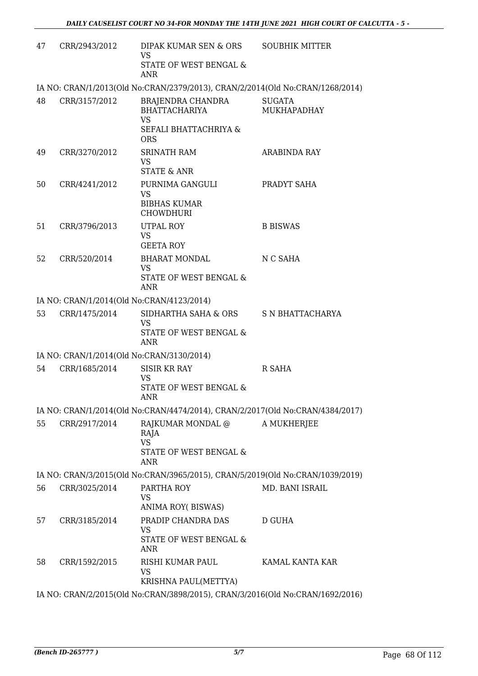| 47 | CRR/2943/2012 | DIPAK KUMAR SEN & ORS<br><b>VS</b><br>STATE OF WEST BENGAL &<br>ANR                                  | <b>SOUBHIK MITTER</b>        |
|----|---------------|------------------------------------------------------------------------------------------------------|------------------------------|
|    |               | IA NO: CRAN/1/2013(Old No:CRAN/2379/2013), CRAN/2/2014(Old No:CRAN/1268/2014)                        |                              |
| 48 | CRR/3157/2012 | <b>BRAJENDRA CHANDRA</b><br><b>BHATTACHARIYA</b><br><b>VS</b><br>SEFALI BHATTACHRIYA &<br><b>ORS</b> | <b>SUGATA</b><br>MUKHAPADHAY |
| 49 | CRR/3270/2012 | <b>SRINATH RAM</b><br><b>VS</b><br><b>STATE &amp; ANR</b>                                            | ARABINDA RAY                 |
| 50 | CRR/4241/2012 | PURNIMA GANGULI<br><b>VS</b><br><b>BIBHAS KUMAR</b><br><b>CHOWDHURI</b>                              | PRADYT SAHA                  |
| 51 | CRR/3796/2013 | <b>UTPAL ROY</b><br><b>VS</b><br><b>GEETA ROY</b>                                                    | <b>B BISWAS</b>              |
| 52 | CRR/520/2014  | <b>BHARAT MONDAL</b><br><b>VS</b><br>STATE OF WEST BENGAL &<br><b>ANR</b>                            | N C SAHA                     |
|    |               | IA NO: CRAN/1/2014(Old No:CRAN/4123/2014)                                                            |                              |
| 53 | CRR/1475/2014 | SIDHARTHA SAHA & ORS<br><b>VS</b><br>STATE OF WEST BENGAL &<br>ANR                                   | S N BHATTACHARYA             |
|    |               | IA NO: CRAN/1/2014(Old No:CRAN/3130/2014)                                                            |                              |
| 54 | CRR/1685/2014 | <b>SISIR KR RAY</b><br><b>VS</b><br>STATE OF WEST BENGAL &<br><b>ANR</b>                             | R SAHA                       |
|    |               | IA NO: CRAN/1/2014(Old No:CRAN/4474/2014), CRAN/2/2017(Old No:CRAN/4384/2017)                        |                              |
| 55 | CRR/2917/2014 | RAJKUMAR MONDAL @<br>RAJA<br><b>VS</b><br>STATE OF WEST BENGAL &<br><b>ANR</b>                       | A MUKHERJEE                  |
|    |               | IA NO: CRAN/3/2015(Old No:CRAN/3965/2015), CRAN/5/2019(Old No:CRAN/1039/2019)                        |                              |
| 56 | CRR/3025/2014 | PARTHA ROY<br><b>VS</b><br>ANIMA ROY(BISWAS)                                                         | MD. BANI ISRAIL              |
| 57 | CRR/3185/2014 | PRADIP CHANDRA DAS<br>VS<br>STATE OF WEST BENGAL &<br>ANR                                            | D GUHA                       |
| 58 | CRR/1592/2015 | RISHI KUMAR PAUL<br>VS<br>KRISHNA PAUL(METTYA)                                                       | KAMAL KANTA KAR              |
|    |               | IA NO: CRAN/2/2015(Old No:CRAN/3898/2015), CRAN/3/2016(Old No:CRAN/1692/2016)                        |                              |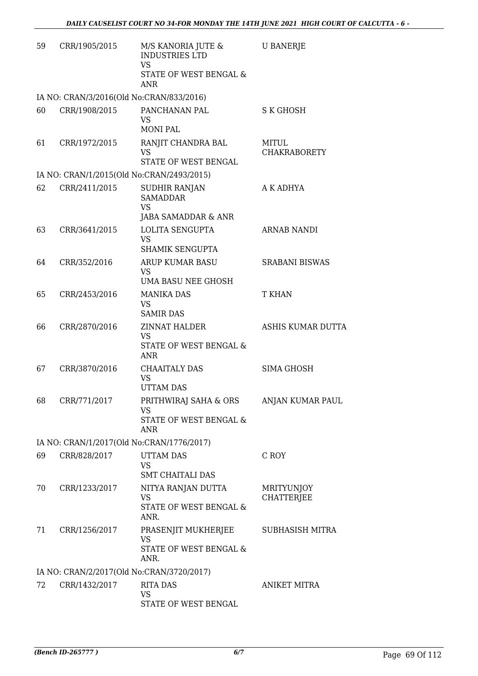| 59 | CRR/1905/2015                            | M/S KANORIA JUTE &<br><b>INDUSTRIES LTD</b><br><b>VS</b><br>STATE OF WEST BENGAL &<br><b>ANR</b> | <b>U BANERJE</b>                       |
|----|------------------------------------------|--------------------------------------------------------------------------------------------------|----------------------------------------|
|    | IA NO: CRAN/3/2016(Old No:CRAN/833/2016) |                                                                                                  |                                        |
| 60 | CRR/1908/2015                            | PANCHANAN PAL<br><b>VS</b><br><b>MONI PAL</b>                                                    | S K GHOSH                              |
| 61 | CRR/1972/2015                            | RANJIT CHANDRA BAL<br><b>VS</b><br>STATE OF WEST BENGAL                                          | MITUL<br>CHAKRABORETY                  |
|    |                                          | IA NO: CRAN/1/2015(Old No:CRAN/2493/2015)                                                        |                                        |
| 62 | CRR/2411/2015                            | <b>SUDHIR RANJAN</b><br><b>SAMADDAR</b><br><b>VS</b><br>JABA SAMADDAR & ANR                      | A K ADHYA                              |
| 63 | CRR/3641/2015                            | <b>LOLITA SENGUPTA</b><br><b>VS</b><br>SHAMIK SENGUPTA                                           | <b>ARNAB NANDI</b>                     |
| 64 | CRR/352/2016                             | ARUP KUMAR BASU<br><b>VS</b><br>UMA BASU NEE GHOSH                                               | <b>SRABANI BISWAS</b>                  |
| 65 | CRR/2453/2016                            | <b>MANIKA DAS</b><br><b>VS</b><br><b>SAMIR DAS</b>                                               | T KHAN                                 |
| 66 | CRR/2870/2016                            | <b>ZINNAT HALDER</b><br><b>VS</b><br>STATE OF WEST BENGAL &<br>ANR                               | ASHIS KUMAR DUTTA                      |
| 67 | CRR/3870/2016                            | CHAAITALY DAS<br><b>VS</b><br><b>UTTAM DAS</b>                                                   | <b>SIMA GHOSH</b>                      |
| 68 | CRR/771/2017                             | PRITHWIRAJ SAHA & ORS ANJAN KUMAR PAUL<br>VS<br>STATE OF WEST BENGAL &<br><b>ANR</b>             |                                        |
|    |                                          | IA NO: CRAN/1/2017(Old No:CRAN/1776/2017)                                                        |                                        |
| 69 | CRR/828/2017                             | <b>UTTAM DAS</b><br><b>VS</b><br><b>SMT CHAITALI DAS</b>                                         | C ROY                                  |
| 70 | CRR/1233/2017                            | NITYA RANJAN DUTTA<br><b>VS</b><br>STATE OF WEST BENGAL &<br>ANR.                                | <b>MRITYUNJOY</b><br><b>CHATTERJEE</b> |
| 71 | CRR/1256/2017                            | PRASENJIT MUKHERJEE<br><b>VS</b><br>STATE OF WEST BENGAL &<br>ANR.                               | <b>SUBHASISH MITRA</b>                 |
|    |                                          | IA NO: CRAN/2/2017(Old No:CRAN/3720/2017)                                                        |                                        |
| 72 | CRR/1432/2017                            | RITA DAS<br><b>VS</b><br>STATE OF WEST BENGAL                                                    | <b>ANIKET MITRA</b>                    |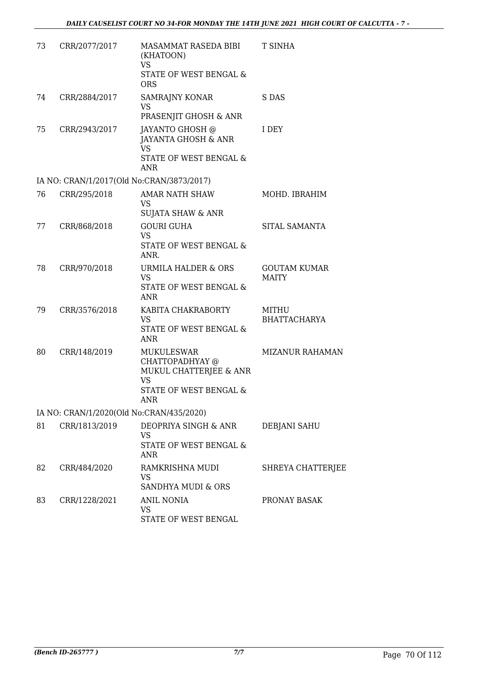| 73 | CRR/2077/2017 | MASAMMAT RASEDA BIBI<br>(KHATOON)<br><b>VS</b>                     | T SINHA                |
|----|---------------|--------------------------------------------------------------------|------------------------|
|    |               | STATE OF WEST BENGAL &<br><b>ORS</b>                               |                        |
| 74 | CRR/2884/2017 | <b>SAMRAJNY KONAR</b><br><b>VS</b>                                 | S DAS                  |
|    |               | PRASENJIT GHOSH & ANR                                              |                        |
| 75 | CRR/2943/2017 | JAYANTO GHOSH @<br>JAYANTA GHOSH & ANR<br><b>VS</b>                | I DEY                  |
|    |               | STATE OF WEST BENGAL &<br><b>ANR</b>                               |                        |
|    |               | IA NO: CRAN/1/2017(Old No:CRAN/3873/2017)                          |                        |
| 76 | CRR/295/2018  | <b>AMAR NATH SHAW</b><br><b>VS</b><br><b>SUJATA SHAW &amp; ANR</b> | MOHD. IBRAHIM          |
| 77 | CRR/868/2018  | <b>GOURI GUHA</b>                                                  | SITAL SAMANTA          |
|    |               | <b>VS</b>                                                          |                        |
|    |               | STATE OF WEST BENGAL &<br>ANR.                                     |                        |
| 78 | CRR/970/2018  | URMILA HALDER & ORS                                                | <b>GOUTAM KUMAR</b>    |
|    |               | <b>VS</b><br>STATE OF WEST BENGAL &<br>ANR                         | <b>MAITY</b>           |
| 79 | CRR/3576/2018 | KABITA CHAKRABORTY                                                 | MITHU                  |
|    |               | <b>VS</b><br>STATE OF WEST BENGAL &<br><b>ANR</b>                  | <b>BHATTACHARYA</b>    |
| 80 | CRR/148/2019  | <b>MUKULESWAR</b><br>CHATTOPADHYAY @                               | <b>MIZANUR RAHAMAN</b> |
|    |               | MUKUL CHATTERJEE & ANR<br><b>VS</b>                                |                        |
|    |               | <b>STATE OF WEST BENGAL &amp;</b><br>ANR                           |                        |
|    |               | IA NO: CRAN/1/2020(Old No:CRAN/435/2020)                           |                        |
| 81 | CRR/1813/2019 | DEOPRIYA SINGH & ANR                                               | <b>DEBJANI SAHU</b>    |
|    |               | VS<br>STATE OF WEST BENGAL &<br>ANR                                |                        |
| 82 | CRR/484/2020  | RAMKRISHNA MUDI<br>VS                                              | SHREYA CHATTERJEE      |
|    |               | SANDHYA MUDI & ORS                                                 |                        |
| 83 | CRR/1228/2021 | <b>ANIL NONIA</b><br><b>VS</b><br>STATE OF WEST BENGAL             | PRONAY BASAK           |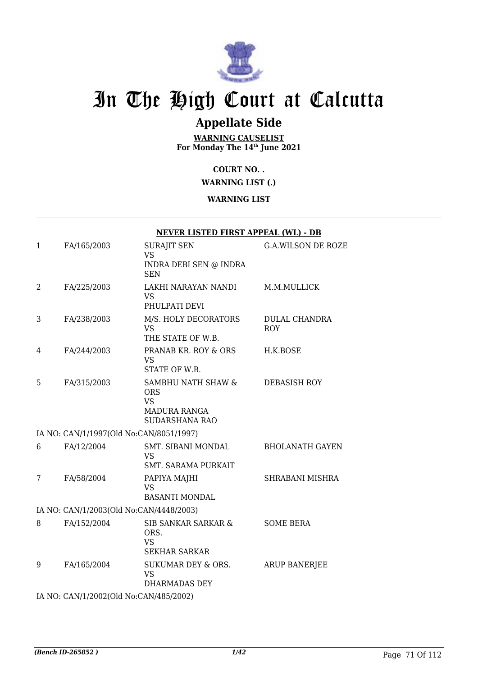

## **Appellate Side**

**WARNING CAUSELIST For Monday The 14th June 2021**

#### **COURT NO. .**

#### **WARNING LIST (.)**

#### **WARNING LIST**

|                |                                         | <b>NEVER LISTED FIRST APPEAL (WL) - DB</b>                                                    |                                    |
|----------------|-----------------------------------------|-----------------------------------------------------------------------------------------------|------------------------------------|
| $\mathbf{1}$   | FA/165/2003                             | <b>SURAJIT SEN</b><br><b>VS</b><br>INDRA DEBI SEN @ INDRA<br><b>SEN</b>                       | <b>G.A.WILSON DE ROZE</b>          |
| $\overline{2}$ | FA/225/2003                             | LAKHI NARAYAN NANDI<br><b>VS</b><br>PHULPATI DEVI                                             | M.M.MULLICK                        |
| 3              | FA/238/2003                             | M/S. HOLY DECORATORS<br><b>VS</b><br>THE STATE OF W.B.                                        | <b>DULAL CHANDRA</b><br><b>ROY</b> |
| 4              | FA/244/2003                             | PRANAB KR. ROY & ORS<br>VS<br>STATE OF W.B.                                                   | H.K.BOSE                           |
| 5              | FA/315/2003                             | SAMBHU NATH SHAW &<br><b>ORS</b><br><b>VS</b><br><b>MADURA RANGA</b><br><b>SUDARSHANA RAO</b> | DEBASISH ROY                       |
|                | IA NO: CAN/1/1997(Old No:CAN/8051/1997) |                                                                                               |                                    |
| 6              | FA/12/2004                              | SMT. SIBANI MONDAL<br><b>VS</b><br><b>SMT. SARAMA PURKAIT</b>                                 | <b>BHOLANATH GAYEN</b>             |
| 7              | FA/58/2004                              | PAPIYA MAJHI<br><b>VS</b><br><b>BASANTI MONDAL</b>                                            | SHRABANI MISHRA                    |
|                | IA NO: CAN/1/2003(Old No:CAN/4448/2003) |                                                                                               |                                    |
| 8              | FA/152/2004                             | SIB SANKAR SARKAR &<br>ORS.<br><b>VS</b><br><b>SEKHAR SARKAR</b>                              | <b>SOME BERA</b>                   |
| 9              | FA/165/2004                             | SUKUMAR DEY & ORS.<br><b>VS</b><br>DHARMADAS DEY                                              | <b>ARUP BANERJEE</b>               |

IA NO: CAN/1/2002(Old No:CAN/485/2002)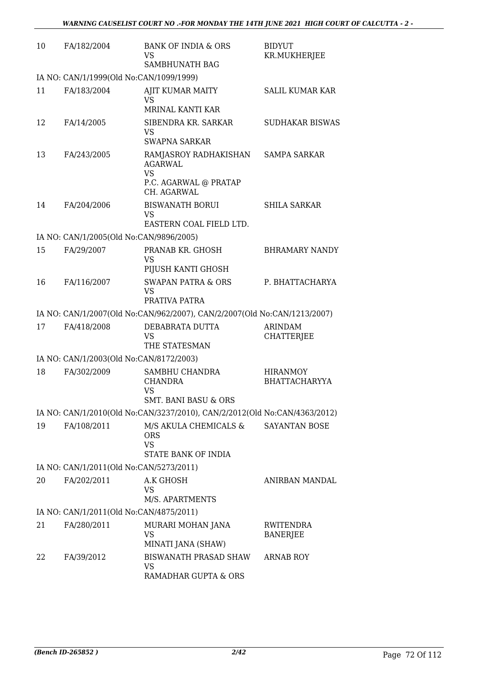| 10 | FA/182/2004                             | <b>BANK OF INDIA &amp; ORS</b><br>VS<br><b>SAMBHUNATH BAG</b>                                | <b>BIDYUT</b><br>KR.MUKHERJEE           |
|----|-----------------------------------------|----------------------------------------------------------------------------------------------|-----------------------------------------|
|    | IA NO: CAN/1/1999(Old No:CAN/1099/1999) |                                                                                              |                                         |
| 11 | FA/183/2004                             | <b>AJIT KUMAR MAITY</b><br><b>VS</b>                                                         | <b>SALIL KUMAR KAR</b>                  |
| 12 | FA/14/2005                              | MRINAL KANTI KAR<br>SIBENDRA KR. SARKAR<br>VS<br><b>SWAPNA SARKAR</b>                        | <b>SUDHAKAR BISWAS</b>                  |
| 13 | FA/243/2005                             | RAMJASROY RADHAKISHAN<br><b>AGARWAL</b><br><b>VS</b><br>P.C. AGARWAL @ PRATAP<br>CH. AGARWAL | <b>SAMPA SARKAR</b>                     |
| 14 | FA/204/2006                             | <b>BISWANATH BORUI</b><br>VS<br>EASTERN COAL FIELD LTD.                                      | <b>SHILA SARKAR</b>                     |
|    | IA NO: CAN/1/2005(Old No:CAN/9896/2005) |                                                                                              |                                         |
| 15 | FA/29/2007                              | PRANAB KR. GHOSH                                                                             | <b>BHRAMARY NANDY</b>                   |
|    |                                         | <b>VS</b><br>PIJUSH KANTI GHOSH                                                              |                                         |
| 16 | FA/116/2007                             | <b>SWAPAN PATRA &amp; ORS</b><br><b>VS</b><br>PRATIVA PATRA                                  | P. BHATTACHARYA                         |
|    |                                         | IA NO: CAN/1/2007(Old No:CAN/962/2007), CAN/2/2007(Old No:CAN/1213/2007)                     |                                         |
| 17 | FA/418/2008                             | DEBABRATA DUTTA<br><b>VS</b><br>THE STATESMAN                                                | <b>ARINDAM</b><br><b>CHATTERJEE</b>     |
|    | IA NO: CAN/1/2003(Old No:CAN/8172/2003) |                                                                                              |                                         |
| 18 | FA/302/2009                             | SAMBHU CHANDRA<br><b>CHANDRA</b><br><b>VS</b><br><b>SMT. BANI BASU &amp; ORS</b>             | <b>HIRANMOY</b><br><b>BHATTACHARYYA</b> |
|    |                                         | IA NO: CAN/1/2010(Old No:CAN/3237/2010), CAN/2/2012(Old No:CAN/4363/2012)                    |                                         |
| 19 | FA/108/2011                             | M/S AKULA CHEMICALS &<br><b>ORS</b><br><b>VS</b><br>STATE BANK OF INDIA                      | SAYANTAN BOSE                           |
|    | IA NO: CAN/1/2011(Old No:CAN/5273/2011) |                                                                                              |                                         |
| 20 | FA/202/2011                             | A.K GHOSH<br>VS<br>M/S. APARTMENTS                                                           | ANIRBAN MANDAL                          |
|    | IA NO: CAN/1/2011(Old No:CAN/4875/2011) |                                                                                              |                                         |
| 21 | FA/280/2011                             | MURARI MOHAN JANA<br><b>VS</b>                                                               | <b>RWITENDRA</b><br><b>BANERJEE</b>     |
| 22 | FA/39/2012                              | MINATI JANA (SHAW)<br>BISWANATH PRASAD SHAW<br>VS<br>RAMADHAR GUPTA & ORS                    | ARNAB ROY                               |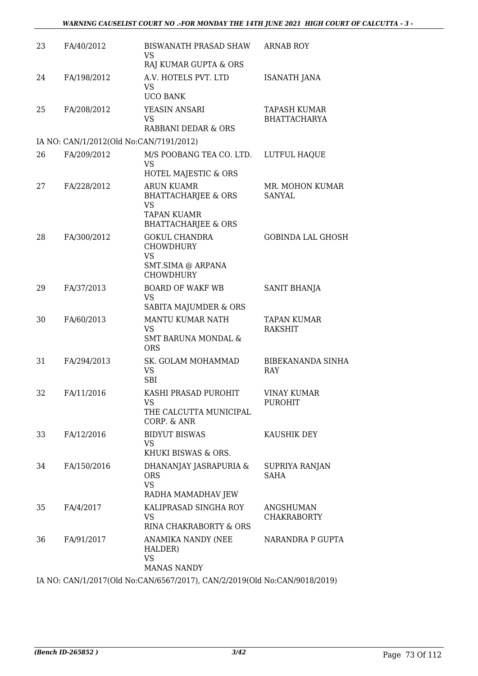| 23 | FA/40/2012                              | BISWANATH PRASAD SHAW<br>VS<br>RAJ KUMAR GUPTA & ORS                                    | <b>ARNAB ROY</b>                     |
|----|-----------------------------------------|-----------------------------------------------------------------------------------------|--------------------------------------|
| 24 | FA/198/2012                             | A.V. HOTELS PVT. LTD<br>VS<br><b>UCO BANK</b>                                           | <b>ISANATH JANA</b>                  |
| 25 | FA/208/2012                             | YEASIN ANSARI<br>VS<br>RABBANI DEDAR & ORS                                              | TAPASH KUMAR<br><b>BHATTACHARYA</b>  |
|    | IA NO: CAN/1/2012(Old No:CAN/7191/2012) |                                                                                         |                                      |
| 26 | FA/209/2012                             | M/S POOBANG TEA CO. LTD.<br><b>VS</b><br>HOTEL MAJESTIC & ORS                           | LUTFUL HAQUE                         |
| 27 | FA/228/2012                             | <b>ARUN KUAMR</b><br><b>BHATTACHARJEE &amp; ORS</b><br><b>VS</b>                        | MR. MOHON KUMAR<br><b>SANYAL</b>     |
|    |                                         | <b>TAPAN KUAMR</b><br><b>BHATTACHARJEE &amp; ORS</b>                                    |                                      |
| 28 | FA/300/2012                             | <b>GOKUL CHANDRA</b><br><b>CHOWDHURY</b><br>VS<br>SMT.SIMA @ ARPANA<br><b>CHOWDHURY</b> | <b>GOBINDA LAL GHOSH</b>             |
| 29 | FA/37/2013                              | <b>BOARD OF WAKF WB</b><br><b>VS</b><br>SABITA MAJUMDER & ORS                           | SANIT BHANJA                         |
| 30 | FA/60/2013                              | MANTU KUMAR NATH<br><b>VS</b><br>SMT BARUNA MONDAL &<br><b>ORS</b>                      | <b>TAPAN KUMAR</b><br><b>RAKSHIT</b> |
| 31 | FA/294/2013                             | SK. GOLAM MOHAMMAD<br><b>VS</b><br><b>SBI</b>                                           | <b>BIBEKANANDA SINHA</b><br>RAY      |
| 32 | FA/11/2016                              | KASHI PRASAD PUROHIT<br>VS<br>THE CALCUTTA MUNICIPAL<br>CORP. & ANR                     | <b>VINAY KUMAR</b><br><b>PUROHIT</b> |
| 33 | FA/12/2016                              | <b>BIDYUT BISWAS</b><br>VS<br>KHUKI BISWAS & ORS.                                       | KAUSHIK DEY                          |
| 34 | FA/150/2016                             | DHANANJAY JASRAPURIA &<br><b>ORS</b><br><b>VS</b><br>RADHA MAMADHAV JEW                 | SUPRIYA RANJAN<br>SAHA               |
| 35 | FA/4/2017                               | KALIPRASAD SINGHA ROY<br>VS.<br>RINA CHAKRABORTY & ORS                                  | ANGSHUMAN<br><b>CHAKRABORTY</b>      |
| 36 | FA/91/2017                              | ANAMIKA NANDY (NEE<br>HALDER)<br><b>VS</b><br><b>MANAS NANDY</b>                        | NARANDRA P GUPTA                     |

IA NO: CAN/1/2017(Old No:CAN/6567/2017), CAN/2/2019(Old No:CAN/9018/2019)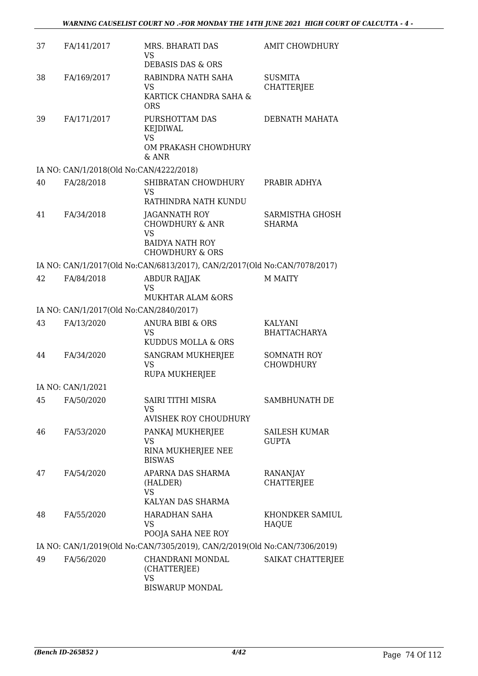| 37 | FA/141/2017                             | MRS. BHARATI DAS<br>VS                                                    | <b>AMIT CHOWDHURY</b>                  |
|----|-----------------------------------------|---------------------------------------------------------------------------|----------------------------------------|
|    |                                         | DEBASIS DAS & ORS                                                         |                                        |
| 38 | FA/169/2017                             | RABINDRA NATH SAHA<br>VS.<br>KARTICK CHANDRA SAHA &                       | <b>SUSMITA</b><br><b>CHATTERJEE</b>    |
|    |                                         | <b>ORS</b>                                                                |                                        |
| 39 | FA/171/2017                             | PURSHOTTAM DAS<br><b>KEJDIWAL</b>                                         | DEBNATH MAHATA                         |
|    |                                         | <b>VS</b><br>OM PRAKASH CHOWDHURY<br>$&$ ANR                              |                                        |
|    | IA NO: CAN/1/2018(Old No:CAN/4222/2018) |                                                                           |                                        |
| 40 | FA/28/2018                              | SHIBRATAN CHOWDHURY<br>VS                                                 | PRABIR ADHYA                           |
|    |                                         | RATHINDRA NATH KUNDU                                                      |                                        |
| 41 | FA/34/2018                              | JAGANNATH ROY<br><b>CHOWDHURY &amp; ANR</b>                               | SARMISTHA GHOSH<br><b>SHARMA</b>       |
|    |                                         | <b>VS</b><br><b>BAIDYA NATH ROY</b><br><b>CHOWDHURY &amp; ORS</b>         |                                        |
|    |                                         | IA NO: CAN/1/2017(Old No:CAN/6813/2017), CAN/2/2017(Old No:CAN/7078/2017) |                                        |
| 42 | FA/84/2018                              | <b>ABDUR RAJJAK</b><br>VS                                                 | M MAITY                                |
|    |                                         | <b>MUKHTAR ALAM &amp;ORS</b>                                              |                                        |
|    | IA NO: CAN/1/2017(Old No:CAN/2840/2017) |                                                                           |                                        |
| 43 | FA/13/2020                              | <b>ANURA BIBI &amp; ORS</b><br>VS<br>KUDDUS MOLLA & ORS                   | KALYANI<br><b>BHATTACHARYA</b>         |
| 44 | FA/34/2020                              | SANGRAM MUKHERJEE<br><b>VS</b><br><b>RUPA MUKHERJEE</b>                   | <b>SOMNATH ROY</b><br><b>CHOWDHURY</b> |
|    | IA NO: CAN/1/2021                       |                                                                           |                                        |
| 45 | FA/50/2020                              | <b>SAIRI TITHI MISRA</b><br>VS                                            | SAMBHUNATH DE                          |
|    |                                         | <b>AVISHEK ROY CHOUDHURY</b>                                              |                                        |
| 46 | FA/53/2020                              | PANKAJ MUKHERJEE                                                          | SAILESH KUMAR                          |
|    |                                         | VS<br>RINA MUKHERJEE NEE<br><b>BISWAS</b>                                 | <b>GUPTA</b>                           |
| 47 | FA/54/2020                              | APARNA DAS SHARMA<br>(HALDER)<br><b>VS</b><br>KALYAN DAS SHARMA           | RANANJAY<br><b>CHATTERJEE</b>          |
| 48 | FA/55/2020                              | <b>HARADHAN SAHA</b><br>VS                                                | KHONDKER SAMIUL<br><b>HAQUE</b>        |
|    |                                         | POOJA SAHA NEE ROY                                                        |                                        |
|    |                                         | IA NO: CAN/1/2019(Old No:CAN/7305/2019), CAN/2/2019(Old No:CAN/7306/2019) |                                        |
| 49 | FA/56/2020                              | CHANDRANI MONDAL<br>(CHATTERJEE)<br>VS                                    | SAIKAT CHATTERJEE                      |
|    |                                         | <b>BISWARUP MONDAL</b>                                                    |                                        |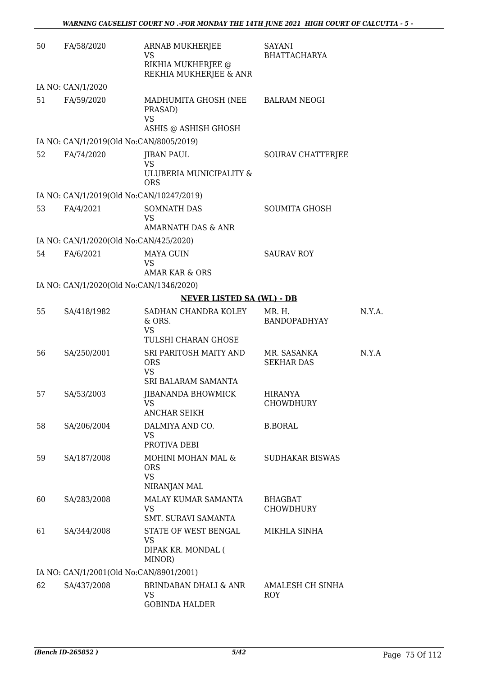| 50 | FA/58/2020                               | ARNAB MUKHERJEE<br>VS<br>RIKHIA MUKHERJEE @<br>REKHIA MUKHERJEE & ANR | SAYANI<br><b>BHATTACHARYA</b>      |        |
|----|------------------------------------------|-----------------------------------------------------------------------|------------------------------------|--------|
|    | IA NO: CAN/1/2020                        |                                                                       |                                    |        |
| 51 | FA/59/2020                               | MADHUMITA GHOSH (NEE<br>PRASAD)<br><b>VS</b>                          | <b>BALRAM NEOGI</b>                |        |
|    | IA NO: CAN/1/2019(Old No:CAN/8005/2019)  | ASHIS @ ASHISH GHOSH                                                  |                                    |        |
| 52 | FA/74/2020                               | <b>JIBAN PAUL</b>                                                     | SOURAV CHATTERJEE                  |        |
|    |                                          | <b>VS</b><br>ULUBERIA MUNICIPALITY &<br><b>ORS</b>                    |                                    |        |
|    | IA NO: CAN/1/2019(Old No:CAN/10247/2019) |                                                                       |                                    |        |
| 53 | FA/4/2021                                | SOMNATH DAS<br><b>VS</b><br>AMARNATH DAS & ANR                        | <b>SOUMITA GHOSH</b>               |        |
|    | IA NO: CAN/1/2020(Old No:CAN/425/2020)   |                                                                       |                                    |        |
| 54 | FA/6/2021                                | <b>MAYA GUIN</b><br><b>VS</b><br><b>AMAR KAR &amp; ORS</b>            | <b>SAURAV ROY</b>                  |        |
|    | IA NO: CAN/1/2020(Old No:CAN/1346/2020)  |                                                                       |                                    |        |
|    |                                          | <b>NEVER LISTED SA (WL) - DB</b>                                      |                                    |        |
| 55 | SA/418/1982                              | SADHAN CHANDRA KOLEY<br>& ORS.<br><b>VS</b>                           | MR. H.<br><b>BANDOPADHYAY</b>      | N.Y.A. |
|    |                                          | TULSHI CHARAN GHOSE                                                   |                                    |        |
| 56 | SA/250/2001                              | SRI PARITOSH MAITY AND<br><b>ORS</b><br><b>VS</b>                     | MR. SASANKA<br><b>SEKHAR DAS</b>   | N.Y.A  |
|    |                                          | <b>SRI BALARAM SAMANTA</b>                                            |                                    |        |
| 57 | SA/53/2003                               | JIBANANDA BHOWMICK<br>VS.<br>ANCHAR SEIKH                             | <b>HIRANYA</b><br><b>CHOWDHURY</b> |        |
| 58 | SA/206/2004                              | DALMIYA AND CO.<br><b>VS</b><br>PROTIVA DEBI                          | <b>B.BORAL</b>                     |        |
| 59 | SA/187/2008                              | MOHINI MOHAN MAL &<br><b>ORS</b><br><b>VS</b><br>NIRANJAN MAL         | <b>SUDHAKAR BISWAS</b>             |        |
| 60 | SA/283/2008                              | MALAY KUMAR SAMANTA<br><b>VS</b><br>SMT. SURAVI SAMANTA               | BHAGBAT<br><b>CHOWDHURY</b>        |        |
| 61 | SA/344/2008                              | STATE OF WEST BENGAL<br><b>VS</b><br>DIPAK KR. MONDAL (<br>MINOR)     | MIKHLA SINHA                       |        |
|    | IA NO: CAN/1/2001(Old No:CAN/8901/2001)  |                                                                       |                                    |        |
| 62 | SA/437/2008                              | BRINDABAN DHALI & ANR<br>VS<br><b>GOBINDA HALDER</b>                  | AMALESH CH SINHA<br>ROY            |        |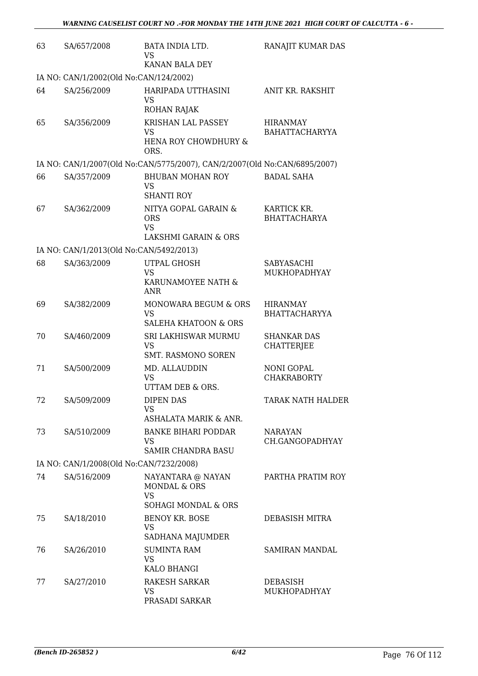| 63 | SA/657/2008                             | BATA INDIA LTD.<br>VS                                                     | RANAJIT KUMAR DAS                        |
|----|-----------------------------------------|---------------------------------------------------------------------------|------------------------------------------|
|    |                                         | KANAN BALA DEY                                                            |                                          |
|    | IA NO: CAN/1/2002(Old No:CAN/124/2002)  |                                                                           |                                          |
| 64 | SA/256/2009                             | HARIPADA UTTHASINI<br><b>VS</b>                                           | ANIT KR. RAKSHIT                         |
|    |                                         | ROHAN RAJAK                                                               |                                          |
| 65 | SA/356/2009                             | KRISHAN LAL PASSEY<br><b>VS</b>                                           | <b>HIRANMAY</b><br><b>BAHATTACHARYYA</b> |
|    |                                         | HENA ROY CHOWDHURY &<br>ORS.                                              |                                          |
|    |                                         | IA NO: CAN/1/2007(Old No:CAN/5775/2007), CAN/2/2007(Old No:CAN/6895/2007) |                                          |
| 66 | SA/357/2009                             | <b>BHUBAN MOHAN ROY</b><br><b>VS</b><br><b>SHANTI ROY</b>                 | <b>BADAL SAHA</b>                        |
| 67 | SA/362/2009                             | NITYA GOPAL GARAIN &                                                      | KARTICK KR.                              |
|    |                                         | <b>ORS</b>                                                                | <b>BHATTACHARYA</b>                      |
|    |                                         | <b>VS</b><br><b>LAKSHMI GARAIN &amp; ORS</b>                              |                                          |
|    | IA NO: CAN/1/2013(Old No:CAN/5492/2013) |                                                                           |                                          |
| 68 | SA/363/2009                             | UTPAL GHOSH                                                               | SABYASACHI                               |
|    |                                         | <b>VS</b>                                                                 | MUKHOPADHYAY                             |
|    |                                         | KARUNAMOYEE NATH &<br><b>ANR</b>                                          |                                          |
| 69 | SA/382/2009                             | MONOWARA BEGUM & ORS                                                      | <b>HIRANMAY</b>                          |
|    |                                         | <b>VS</b><br><b>SALEHA KHATOON &amp; ORS</b>                              | <b>BHATTACHARYYA</b>                     |
| 70 | SA/460/2009                             | SRI LAKHISWAR MURMU                                                       | <b>SHANKAR DAS</b>                       |
|    |                                         | <b>VS</b>                                                                 | <b>CHATTERJEE</b>                        |
|    |                                         | SMT. RASMONO SOREN                                                        |                                          |
| 71 | SA/500/2009                             | MD. ALLAUDDIN<br><b>VS</b>                                                | <b>NONI GOPAL</b><br><b>CHAKRABORTY</b>  |
|    |                                         | UTTAM DEB & ORS.                                                          |                                          |
| 72 | SA/509/2009                             | <b>DIPEN DAS</b>                                                          | TARAK NATH HALDER                        |
|    |                                         | VS<br>ASHALATA MARIK & ANR.                                               |                                          |
| 73 | SA/510/2009                             | <b>BANKE BIHARI PODDAR</b>                                                | <b>NARAYAN</b>                           |
|    |                                         | <b>VS</b>                                                                 | CH.GANGOPADHYAY                          |
|    |                                         | <b>SAMIR CHANDRA BASU</b>                                                 |                                          |
|    | IA NO: CAN/1/2008(Old No:CAN/7232/2008) |                                                                           |                                          |
| 74 | SA/516/2009                             | NAYANTARA @ NAYAN<br>MONDAL & ORS<br><b>VS</b>                            | PARTHA PRATIM ROY                        |
|    |                                         | SOHAGI MONDAL & ORS                                                       |                                          |
| 75 | SA/18/2010                              | <b>BENOY KR. BOSE</b><br><b>VS</b><br>SADHANA MAJUMDER                    | DEBASISH MITRA                           |
| 76 | SA/26/2010                              | <b>SUMINTA RAM</b>                                                        | SAMIRAN MANDAL                           |
|    |                                         | <b>VS</b>                                                                 |                                          |
|    |                                         | KALO BHANGI                                                               |                                          |
| 77 | SA/27/2010                              | RAKESH SARKAR<br>VS                                                       | <b>DEBASISH</b><br>MUKHOPADHYAY          |
|    |                                         | PRASADI SARKAR                                                            |                                          |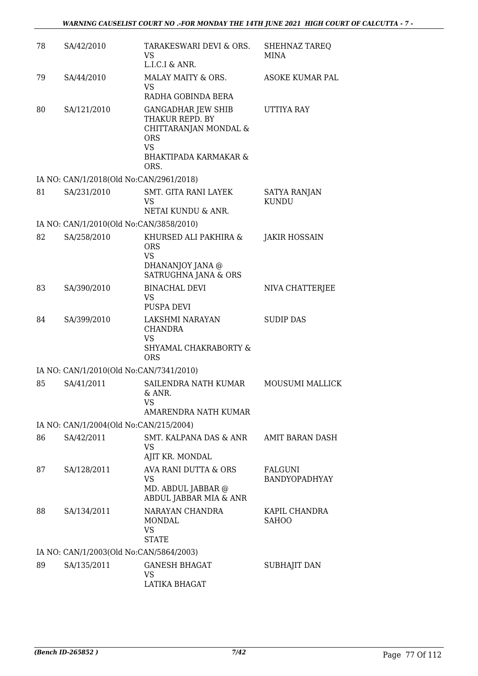| 78 | SA/42/2010                              | TARAKESWARI DEVI & ORS.<br>VS<br>L.I.C.I & ANR.                                                                                              | SHEHNAZ TAREQ<br>MINA               |
|----|-----------------------------------------|----------------------------------------------------------------------------------------------------------------------------------------------|-------------------------------------|
| 79 | SA/44/2010                              | MALAY MAITY & ORS.<br>VS<br>RADHA GOBINDA BERA                                                                                               | ASOKE KUMAR PAL                     |
| 80 | SA/121/2010                             | <b>GANGADHAR JEW SHIB</b><br>THAKUR REPD. BY<br>CHITTARANJAN MONDAL &<br><b>ORS</b><br><b>VS</b><br><b>BHAKTIPADA KARMAKAR &amp;</b><br>ORS. | UTTIYA RAY                          |
|    | IA NO: CAN/1/2018(Old No:CAN/2961/2018) |                                                                                                                                              |                                     |
| 81 | SA/231/2010                             | <b>SMT. GITA RANI LAYEK</b><br>VS<br>NETAI KUNDU & ANR.                                                                                      | <b>SATYA RANJAN</b><br><b>KUNDU</b> |
|    | IA NO: CAN/1/2010(Old No:CAN/3858/2010) |                                                                                                                                              |                                     |
| 82 | SA/258/2010                             | KHURSED ALI PAKHIRA &<br><b>ORS</b><br><b>VS</b><br>DHANANJOY JANA @<br>SATRUGHNA JANA & ORS                                                 | JAKIR HOSSAIN                       |
| 83 | SA/390/2010                             | <b>BINACHAL DEVI</b><br>VS<br><b>PUSPA DEVI</b>                                                                                              | NIVA CHATTERJEE                     |
| 84 | SA/399/2010                             | LAKSHMI NARAYAN<br><b>CHANDRA</b><br><b>VS</b><br>SHYAMAL CHAKRABORTY &<br><b>ORS</b>                                                        | <b>SUDIP DAS</b>                    |
|    | IA NO: CAN/1/2010(Old No:CAN/7341/2010) |                                                                                                                                              |                                     |
| 85 | SA/41/2011                              | SAILENDRA NATH KUMAR<br>& ANR.<br>VS<br>AMARENDRA NATH KUMAR                                                                                 | <b>MOUSUMI MALLICK</b>              |
|    | IA NO: CAN/1/2004(Old No:CAN/215/2004)  |                                                                                                                                              |                                     |
| 86 | SA/42/2011                              | SMT. KALPANA DAS & ANR<br>VS<br>AJIT KR. MONDAL                                                                                              | AMIT BARAN DASH                     |
| 87 | SA/128/2011                             | AVA RANI DUTTA & ORS<br><b>VS</b><br>MD. ABDUL JABBAR @<br>ABDUL JABBAR MIA & ANR                                                            | FALGUNI<br><b>BANDYOPADHYAY</b>     |
| 88 | SA/134/2011                             | NARAYAN CHANDRA<br>MONDAL<br><b>VS</b><br><b>STATE</b>                                                                                       | KAPIL CHANDRA<br><b>SAHOO</b>       |
|    | IA NO: CAN/1/2003(Old No:CAN/5864/2003) |                                                                                                                                              |                                     |
| 89 | SA/135/2011                             | <b>GANESH BHAGAT</b><br>VS<br>LATIKA BHAGAT                                                                                                  | SUBHAJIT DAN                        |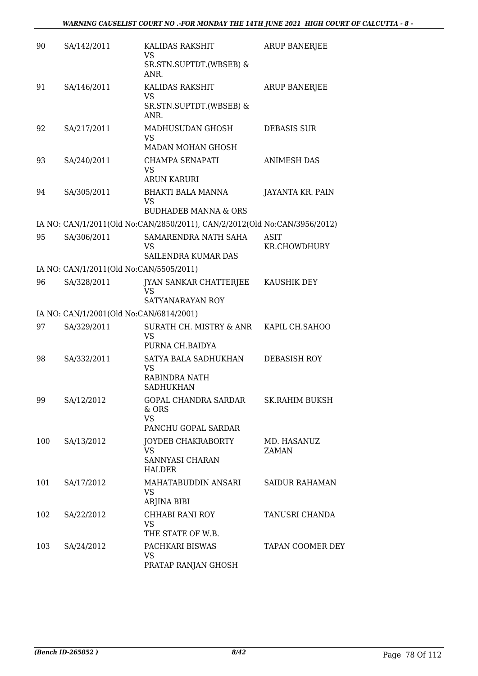| 90  | SA/142/2011                             | KALIDAS RAKSHIT                                                           | ARUP BANERJEE               |
|-----|-----------------------------------------|---------------------------------------------------------------------------|-----------------------------|
|     |                                         | VS<br>SR.STN.SUPTDT.(WBSEB) &<br>ANR.                                     |                             |
| 91  | SA/146/2011                             | KALIDAS RAKSHIT<br>VS<br>SR.STN.SUPTDT.(WBSEB) &                          | <b>ARUP BANERJEE</b>        |
|     |                                         | ANR.                                                                      |                             |
| 92  | SA/217/2011                             | MADHUSUDAN GHOSH<br><b>VS</b><br>MADAN MOHAN GHOSH                        | <b>DEBASIS SUR</b>          |
| 93  | SA/240/2011                             | CHAMPA SENAPATI<br>VS<br><b>ARUN KARURI</b>                               | <b>ANIMESH DAS</b>          |
| 94  | SA/305/2011                             | BHAKTI BALA MANNA<br>VS<br><b>BUDHADEB MANNA &amp; ORS</b>                | JAYANTA KR. PAIN            |
|     |                                         | IA NO: CAN/1/2011(Old No:CAN/2850/2011), CAN/2/2012(Old No:CAN/3956/2012) |                             |
| 95  | SA/306/2011                             | SAMARENDRA NATH SAHA<br>VS<br>SAILENDRA KUMAR DAS                         | <b>ASIT</b><br>KR.CHOWDHURY |
|     | IA NO: CAN/1/2011(Old No:CAN/5505/2011) |                                                                           |                             |
| 96  | SA/328/2011                             | JYAN SANKAR CHATTERJEE<br><b>VS</b>                                       | KAUSHIK DEY                 |
|     |                                         | SATYANARAYAN ROY                                                          |                             |
|     | IA NO: CAN/1/2001(Old No:CAN/6814/2001) |                                                                           |                             |
| 97  | SA/329/2011                             | SURATH CH. MISTRY & ANR<br>VS<br>PURNA CH.BAIDYA                          | KAPIL CH.SAHOO              |
| 98  | SA/332/2011                             | SATYA BALA SADHUKHAN<br>VS<br><b>RABINDRA NATH</b><br><b>SADHUKHAN</b>    | DEBASISH ROY                |
| 99  | SA/12/2012                              | GOPAL CHANDRA SARDAR<br>& ORS<br><b>VS</b><br>PANCHU GOPAL SARDAR         | SK.RAHIM BUKSH              |
| 100 | SA/13/2012                              | <b>JOYDEB CHAKRABORTY</b><br><b>VS</b><br>SANNYASI CHARAN<br>HALDER       | MD. HASANUZ<br>ZAMAN        |
| 101 | SA/17/2012                              | MAHATABUDDIN ANSARI<br>VS.<br>ARJINA BIBI                                 | <b>SAIDUR RAHAMAN</b>       |
| 102 | SA/22/2012                              | CHHABI RANI ROY<br>VS<br>THE STATE OF W.B.                                | TANUSRI CHANDA              |
| 103 | SA/24/2012                              | PACHKARI BISWAS<br><b>VS</b><br>PRATAP RANJAN GHOSH                       | TAPAN COOMER DEY            |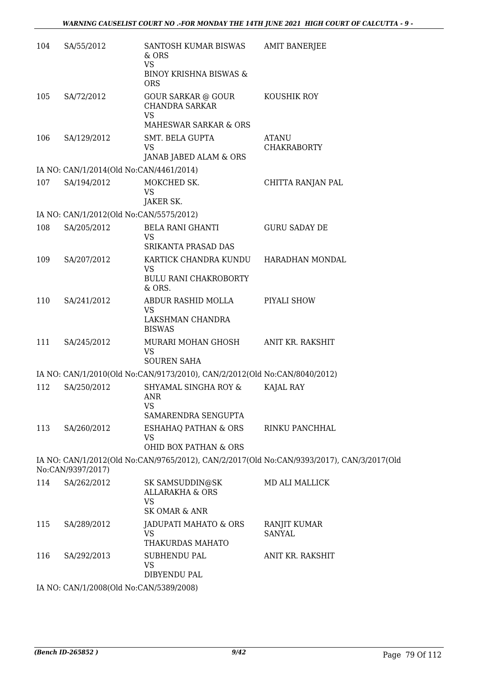| 104 | SA/55/2012                              | SANTOSH KUMAR BISWAS<br>& ORS                                                            | <b>AMIT BANERJEE</b>                                                                      |
|-----|-----------------------------------------|------------------------------------------------------------------------------------------|-------------------------------------------------------------------------------------------|
|     |                                         | <b>VS</b><br><b>BINOY KRISHNA BISWAS &amp;</b><br><b>ORS</b>                             |                                                                                           |
| 105 | SA/72/2012                              | <b>GOUR SARKAR @ GOUR</b><br><b>CHANDRA SARKAR</b><br><b>VS</b><br>MAHESWAR SARKAR & ORS | KOUSHIK ROY                                                                               |
| 106 | SA/129/2012                             | SMT. BELA GUPTA<br>VS<br>JANAB JABED ALAM & ORS                                          | ATANU<br><b>CHAKRABORTY</b>                                                               |
|     | IA NO: CAN/1/2014(Old No:CAN/4461/2014) |                                                                                          |                                                                                           |
| 107 | SA/194/2012                             | MOKCHED SK.<br><b>VS</b><br>JAKER SK.                                                    | CHITTA RANJAN PAL                                                                         |
|     | IA NO: CAN/1/2012(Old No:CAN/5575/2012) |                                                                                          |                                                                                           |
| 108 | SA/205/2012                             | BELA RANI GHANTI<br><b>VS</b><br><b>SRIKANTA PRASAD DAS</b>                              | <b>GURU SADAY DE</b>                                                                      |
| 109 | SA/207/2012                             | KARTICK CHANDRA KUNDU<br><b>VS</b>                                                       | HARADHAN MONDAL                                                                           |
|     |                                         | BULU RANI CHAKROBORTY<br>& ORS.                                                          |                                                                                           |
| 110 | SA/241/2012                             | ABDUR RASHID MOLLA<br>VS<br>LAKSHMAN CHANDRA<br><b>BISWAS</b>                            | PIYALI SHOW                                                                               |
| 111 | SA/245/2012                             | MURARI MOHAN GHOSH<br><b>VS</b><br><b>SOUREN SAHA</b>                                    | ANIT KR. RAKSHIT                                                                          |
|     |                                         | IA NO: CAN/1/2010(Old No:CAN/9173/2010), CAN/2/2012(Old No:CAN/8040/2012)                |                                                                                           |
| 112 | SA/250/2012                             | SHYAMAL SINGHA ROY &<br><b>ANR</b><br>VS                                                 | KAJAL RAY                                                                                 |
|     |                                         | SAMARENDRA SENGUPTA                                                                      |                                                                                           |
| 113 | SA/260/2012                             | ESHAHAQ PATHAN & ORS<br><b>VS</b>                                                        | RINKU PANCHHAL                                                                            |
|     |                                         | OHID BOX PATHAN & ORS                                                                    |                                                                                           |
|     | No:CAN/9397/2017)                       |                                                                                          | IA NO: CAN/1/2012(Old No:CAN/9765/2012), CAN/2/2017(Old No:CAN/9393/2017), CAN/3/2017(Old |
| 114 | SA/262/2012                             | SK SAMSUDDIN@SK<br><b>ALLARAKHA &amp; ORS</b><br><b>VS</b>                               | MD ALI MALLICK                                                                            |
|     |                                         | <b>SK OMAR &amp; ANR</b>                                                                 |                                                                                           |
| 115 | SA/289/2012                             | JADUPATI MAHATO & ORS<br>VS                                                              | RANJIT KUMAR<br><b>SANYAL</b>                                                             |
|     |                                         | THAKURDAS MAHATO                                                                         |                                                                                           |
| 116 | SA/292/2013                             | <b>SUBHENDU PAL</b><br><b>VS</b><br>DIBYENDU PAL                                         | ANIT KR. RAKSHIT                                                                          |
|     | IA NO: CAN/1/2008(Old No:CAN/5389/2008) |                                                                                          |                                                                                           |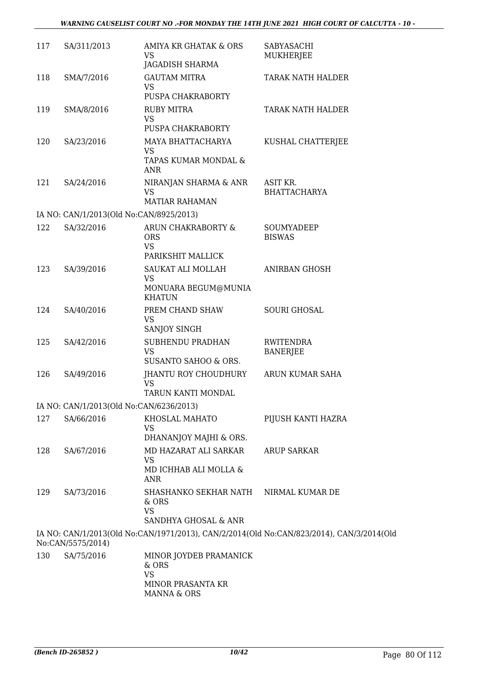| 117 | SA/311/2013                             | AMIYA KR GHATAK & ORS<br>VS<br>JAGADISH SHARMA                      | SABYASACHI<br>MUKHERJEE                                                                  |
|-----|-----------------------------------------|---------------------------------------------------------------------|------------------------------------------------------------------------------------------|
| 118 | SMA/7/2016                              | <b>GAUTAM MITRA</b><br>VS<br>PUSPA CHAKRABORTY                      | TARAK NATH HALDER                                                                        |
| 119 | SMA/8/2016                              | <b>RUBY MITRA</b><br><b>VS</b><br>PUSPA CHAKRABORTY                 | TARAK NATH HALDER                                                                        |
| 120 | SA/23/2016                              | MAYA BHATTACHARYA<br>VS<br>TAPAS KUMAR MONDAL &<br>ANR              | KUSHAL CHATTERJEE                                                                        |
| 121 | SA/24/2016                              | NIRANJAN SHARMA & ANR<br><b>VS</b><br><b>MATIAR RAHAMAN</b>         | ASIT KR.<br><b>BHATTACHARYA</b>                                                          |
|     | IA NO: CAN/1/2013(Old No:CAN/8925/2013) |                                                                     |                                                                                          |
| 122 | SA/32/2016                              | ARUN CHAKRABORTY &<br><b>ORS</b><br><b>VS</b><br>PARIKSHIT MALLICK  | SOUMYADEEP<br><b>BISWAS</b>                                                              |
| 123 | SA/39/2016                              | SAUKAT ALI MOLLAH<br>VS<br>MONUARA BEGUM@MUNIA<br><b>KHATUN</b>     | <b>ANIRBAN GHOSH</b>                                                                     |
| 124 | SA/40/2016                              | PREM CHAND SHAW<br><b>VS</b><br>SANJOY SINGH                        | <b>SOURI GHOSAL</b>                                                                      |
| 125 | SA/42/2016                              | SUBHENDU PRADHAN<br><b>VS</b><br>SUSANTO SAHOO & ORS.               | <b>RWITENDRA</b><br><b>BANERJEE</b>                                                      |
| 126 | SA/49/2016                              | JHANTU ROY CHOUDHURY<br><b>VS</b><br>TARUN KANTI MONDAL             | ARUN KUMAR SAHA                                                                          |
|     | IA NO: CAN/1/2013(Old No:CAN/6236/2013) |                                                                     |                                                                                          |
| 127 | SA/66/2016                              | KHOSLAL MAHATO<br>VS<br>DHANANJOY MAJHI & ORS.                      | PIJUSH KANTI HAZRA                                                                       |
| 128 | SA/67/2016                              | MD HAZARAT ALI SARKAR<br>VS<br>MD ICHHAB ALI MOLLA &<br><b>ANR</b>  | <b>ARUP SARKAR</b>                                                                       |
| 129 | SA/73/2016                              | SHASHANKO SEKHAR NATH<br>& ORS<br><b>VS</b><br>SANDHYA GHOSAL & ANR | NIRMAL KUMAR DE                                                                          |
|     | No:CAN/5575/2014)                       |                                                                     | IA NO: CAN/1/2013(Old No:CAN/1971/2013), CAN/2/2014(Old No:CAN/823/2014), CAN/3/2014(Old |
| 130 | SA/75/2016                              | MINOR JOYDEB PRAMANICK<br>& ORS<br>VS<br>MINIOD DDACANTA VD         |                                                                                          |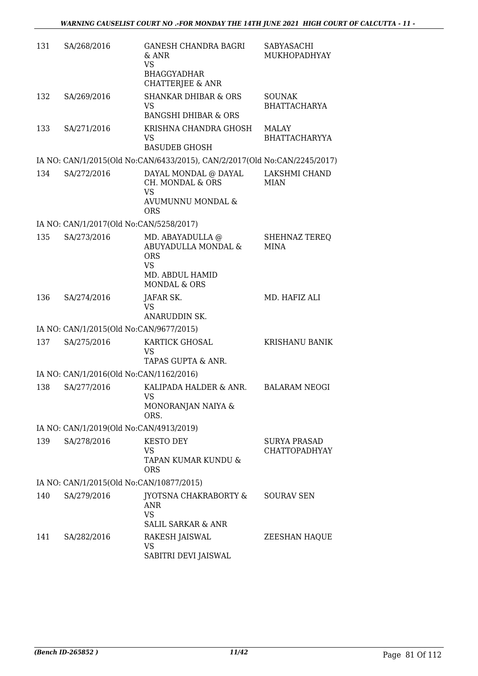| 131 | SA/268/2016                              | <b>GANESH CHANDRA BAGRI</b><br>$&$ ANR<br><b>VS</b><br><b>BHAGGYADHAR</b><br>CHATTERJEE & ANR | SABYASACHI<br>MUKHOPADHYAY                  |
|-----|------------------------------------------|-----------------------------------------------------------------------------------------------|---------------------------------------------|
| 132 | SA/269/2016                              | <b>SHANKAR DHIBAR &amp; ORS</b><br><b>VS</b><br><b>BANGSHI DHIBAR &amp; ORS</b>               | <b>SOUNAK</b><br><b>BHATTACHARYA</b>        |
| 133 | SA/271/2016                              | KRISHNA CHANDRA GHOSH<br>VS<br><b>BASUDEB GHOSH</b>                                           | MALAY<br><b>BHATTACHARYYA</b>               |
|     |                                          | IA NO: CAN/1/2015(Old No:CAN/6433/2015), CAN/2/2017(Old No:CAN/2245/2017)                     |                                             |
| 134 | SA/272/2016                              | DAYAL MONDAL @ DAYAL<br>CH. MONDAL & ORS<br><b>VS</b>                                         | LAKSHMI CHAND<br><b>MIAN</b>                |
|     |                                          | AVUMUNNU MONDAL &<br><b>ORS</b>                                                               |                                             |
|     | IA NO: CAN/1/2017(Old No:CAN/5258/2017)  |                                                                                               |                                             |
| 135 | SA/273/2016                              | MD. ABAYADULLA @<br>ABUYADULLA MONDAL &<br><b>ORS</b><br><b>VS</b>                            | <b>SHEHNAZ TEREQ</b><br><b>MINA</b>         |
|     |                                          | MD. ABDUL HAMID<br><b>MONDAL &amp; ORS</b>                                                    |                                             |
| 136 | SA/274/2016                              | JAFAR SK.<br><b>VS</b><br>ANARUDDIN SK.                                                       | MD. HAFIZ ALI                               |
|     | IA NO: CAN/1/2015(Old No:CAN/9677/2015)  |                                                                                               |                                             |
| 137 | SA/275/2016                              | KARTICK GHOSAL<br><b>VS</b><br>TAPAS GUPTA & ANR.                                             | KRISHANU BANIK                              |
|     | IA NO: CAN/1/2016(Old No:CAN/1162/2016)  |                                                                                               |                                             |
| 138 | SA/277/2016                              | KALIPADA HALDER & ANR.<br><b>VS</b>                                                           | <b>BALARAM NEOGI</b>                        |
|     |                                          | MONORANJAN NAIYA &<br>ORS.                                                                    |                                             |
|     | IA NO: CAN/1/2019(Old No:CAN/4913/2019)  |                                                                                               |                                             |
| 139 | SA/278/2016                              | <b>KESTO DEY</b><br>VS                                                                        | <b>SURYA PRASAD</b><br><b>CHATTOPADHYAY</b> |
|     |                                          | TAPAN KUMAR KUNDU &<br><b>ORS</b>                                                             |                                             |
|     | IA NO: CAN/1/2015(Old No:CAN/10877/2015) |                                                                                               |                                             |
| 140 | SA/279/2016                              | <b>JYOTSNA CHAKRABORTY &amp;</b><br>ANR<br><b>VS</b>                                          | SOURAV SEN                                  |
|     |                                          | <b>SALIL SARKAR &amp; ANR</b>                                                                 |                                             |
| 141 | SA/282/2016                              | RAKESH JAISWAL<br>VS<br>SABITRI DEVI JAISWAL                                                  | ZEESHAN HAQUE                               |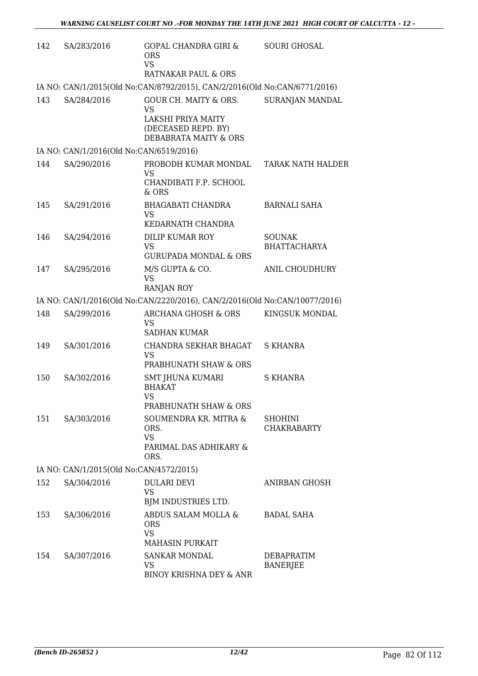| 142 | SA/283/2016                             | <b>GOPAL CHANDRA GIRI &amp;</b><br><b>ORS</b><br><b>VS</b><br>RATNAKAR PAUL & ORS                        | <b>SOURI GHOSAL</b>                  |
|-----|-----------------------------------------|----------------------------------------------------------------------------------------------------------|--------------------------------------|
|     |                                         | IA NO: CAN/1/2015(Old No:CAN/8792/2015), CAN/2/2016(Old No:CAN/6771/2016)                                |                                      |
| 143 | SA/284/2016                             | GOUR CH. MAITY & ORS.<br><b>VS</b><br>LAKSHI PRIYA MAITY<br>(DECEASED REPD. BY)<br>DEBABRATA MAITY & ORS | SURANJAN MANDAL                      |
|     | IA NO: CAN/1/2016(Old No:CAN/6519/2016) |                                                                                                          |                                      |
| 144 | SA/290/2016                             | PROBODH KUMAR MONDAL TARAK NATH HALDER<br>VS<br>CHANDIBATI F.P. SCHOOL<br>& ORS                          |                                      |
| 145 | SA/291/2016                             | BHAGABATI CHANDRA<br>VS<br>KEDARNATH CHANDRA                                                             | <b>BARNALI SAHA</b>                  |
| 146 | SA/294/2016                             | <b>DILIP KUMAR ROY</b><br><b>VS</b><br><b>GURUPADA MONDAL &amp; ORS</b>                                  | <b>SOUNAK</b><br><b>BHATTACHARYA</b> |
| 147 | SA/295/2016                             | M/S GUPTA & CO.<br><b>VS</b><br><b>RANJAN ROY</b>                                                        | ANIL CHOUDHURY                       |
|     |                                         | IA NO: CAN/1/2016(Old No:CAN/2220/2016), CAN/2/2016(Old No:CAN/10077/2016)                               |                                      |
| 148 | SA/299/2016                             | <b>ARCHANA GHOSH &amp; ORS</b><br><b>VS</b><br><b>SADHAN KUMAR</b>                                       | KINGSUK MONDAL                       |
| 149 | SA/301/2016                             | CHANDRA SEKHAR BHAGAT<br><b>VS</b><br>PRABHUNATH SHAW & ORS                                              | S KHANRA                             |
| 150 | SA/302/2016                             | SMT JHUNA KUMARI<br><b>BHAKAT</b><br><b>VS</b><br>PRABHUNATH SHAW & ORS                                  | <b>S KHANRA</b>                      |
| 151 | SA/303/2016                             | SOUMENDRA KR. MITRA &<br>ORS.<br><b>VS</b><br>PARIMAL DAS ADHIKARY &<br>ORS.                             | <b>SHOHINI</b><br><b>CHAKRABARTY</b> |
|     | IA NO: CAN/1/2015(Old No:CAN/4572/2015) |                                                                                                          |                                      |
| 152 | SA/304/2016                             | <b>DULARI DEVI</b><br><b>VS</b><br>BJM INDUSTRIES LTD.                                                   | <b>ANIRBAN GHOSH</b>                 |
| 153 | SA/306/2016                             | ABDUS SALAM MOLLA &<br><b>ORS</b><br><b>VS</b><br><b>MAHASIN PURKAIT</b>                                 | <b>BADAL SAHA</b>                    |
| 154 | SA/307/2016                             | <b>SANKAR MONDAL</b><br>VS<br>BINOY KRISHNA DEY & ANR                                                    | DEBAPRATIM<br><b>BANERJEE</b>        |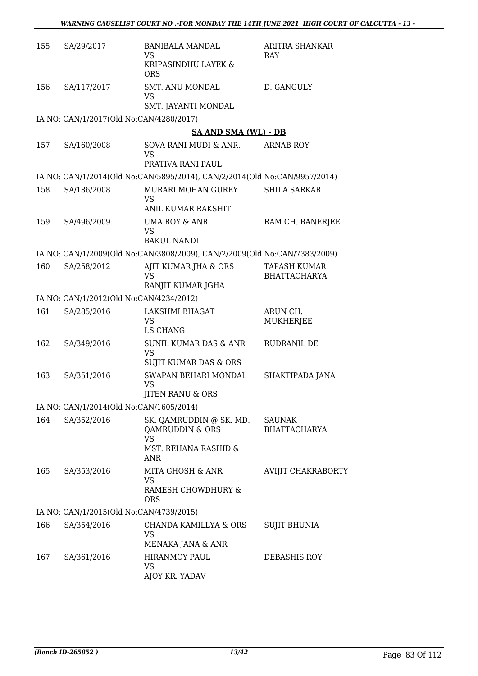| 155 | SA/29/2017                              | <b>BANIBALA MANDAL</b><br>VS.<br>KRIPASINDHU LAYEK &<br><b>ORS</b>                     | <b>ARITRA SHANKAR</b><br>RAY               |
|-----|-----------------------------------------|----------------------------------------------------------------------------------------|--------------------------------------------|
| 156 | SA/117/2017                             | <b>SMT. ANU MONDAL</b><br>VS<br>SMT. JAYANTI MONDAL                                    | D. GANGULY                                 |
|     | IA NO: CAN/1/2017(Old No:CAN/4280/2017) |                                                                                        |                                            |
|     |                                         | <b>SA AND SMA (WL) - DB</b>                                                            |                                            |
| 157 | SA/160/2008                             | SOVA RANI MUDI & ANR.<br>VS<br>PRATIVA RANI PAUL                                       | <b>ARNAB ROY</b>                           |
|     |                                         | IA NO: CAN/1/2014(Old No:CAN/5895/2014), CAN/2/2014(Old No:CAN/9957/2014)              |                                            |
| 158 | SA/186/2008                             | MURARI MOHAN GUREY<br><b>VS</b><br>ANIL KUMAR RAKSHIT                                  | <b>SHILA SARKAR</b>                        |
| 159 | SA/496/2009                             | UMA ROY & ANR.<br><b>VS</b><br><b>BAKUL NANDI</b>                                      | RAM CH. BANERJEE                           |
|     |                                         | IA NO: CAN/1/2009(Old No:CAN/3808/2009), CAN/2/2009(Old No:CAN/7383/2009)              |                                            |
| 160 | SA/258/2012                             | AJIT KUMAR JHA & ORS<br><b>VS</b><br>RANJIT KUMAR JGHA                                 | <b>TAPASH KUMAR</b><br><b>BHATTACHARYA</b> |
|     | IA NO: CAN/1/2012(Old No:CAN/4234/2012) |                                                                                        |                                            |
| 161 | SA/285/2016                             | LAKSHMI BHAGAT<br>VS<br><b>I.S CHANG</b>                                               | ARUN CH.<br><b>MUKHERJEE</b>               |
| 162 | SA/349/2016                             | <b>SUNIL KUMAR DAS &amp; ANR</b><br>VS.<br>SUJIT KUMAR DAS & ORS                       | RUDRANIL DE                                |
| 163 | SA/351/2016                             | SWAPAN BEHARI MONDAL<br><b>VS</b><br><b>JITEN RANU &amp; ORS</b>                       | SHAKTIPADA JANA                            |
|     | IA NO: CAN/1/2014(Old No:CAN/1605/2014) |                                                                                        |                                            |
| 164 | SA/352/2016                             | SK. QAMRUDDIN @ SK. MD.<br>QAMRUDDIN & ORS<br>VS<br>MST. REHANA RASHID &<br><b>ANR</b> | <b>SAUNAK</b><br><b>BHATTACHARYA</b>       |
| 165 | SA/353/2016                             | MITA GHOSH & ANR<br>VS<br>RAMESH CHOWDHURY &<br><b>ORS</b>                             | AVIJIT CHAKRABORTY                         |
|     | IA NO: CAN/1/2015(Old No:CAN/4739/2015) |                                                                                        |                                            |
| 166 | SA/354/2016                             | CHANDA KAMILLYA & ORS<br>VS<br>MENAKA JANA & ANR                                       | <b>SUJIT BHUNIA</b>                        |
| 167 | SA/361/2016                             | <b>HIRANMOY PAUL</b><br>VS<br>AJOY KR. YADAV                                           | DEBASHIS ROY                               |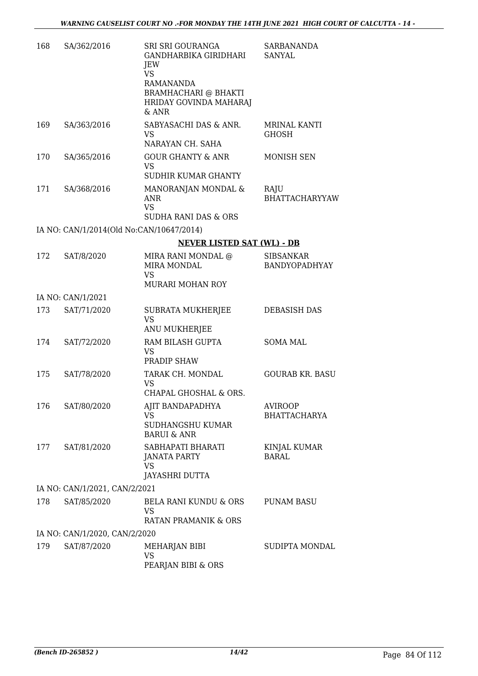| 168 | SA/362/2016                              | SRI SRI GOURANGA<br>GANDHARBIKA GIRIDHARI<br>JEW<br><b>VS</b><br>RAMANANDA<br><b>BRAMHACHARI @ BHAKTI</b><br>HRIDAY GOVINDA MAHARAJ<br>& ANR | <b>SARBANANDA</b><br>SANYAL           |
|-----|------------------------------------------|----------------------------------------------------------------------------------------------------------------------------------------------|---------------------------------------|
| 169 | SA/363/2016                              | SABYASACHI DAS & ANR.<br>VS<br>NARAYAN CH. SAHA                                                                                              | MRINAL KANTI<br><b>GHOSH</b>          |
| 170 | SA/365/2016                              | <b>GOUR GHANTY &amp; ANR</b><br>VS<br><b>SUDHIR KUMAR GHANTY</b>                                                                             | MONISH SEN                            |
| 171 | SA/368/2016                              | MANORANJAN MONDAL &<br><b>ANR</b><br><b>VS</b><br><b>SUDHA RANI DAS &amp; ORS</b>                                                            | RAJU<br><b>BHATTACHARYYAW</b>         |
|     | IA NO: CAN/1/2014(Old No:CAN/10647/2014) |                                                                                                                                              |                                       |
|     |                                          | <b>NEVER LISTED SAT (WL) - DB</b>                                                                                                            |                                       |
| 172 | SAT/8/2020                               | MIRA RANI MONDAL @<br>MIRA MONDAL<br><b>VS</b><br>MURARI MOHAN ROY                                                                           | <b>SIBSANKAR</b><br>BANDYOPADHYAY     |
|     | IA NO: CAN/1/2021                        |                                                                                                                                              |                                       |
| 173 | SAT/71/2020                              | SUBRATA MUKHERJEE<br><b>VS</b><br>ANU MUKHERJEE                                                                                              | DEBASISH DAS                          |
| 174 | SAT/72/2020                              | RAM BILASH GUPTA<br>VS<br>PRADIP SHAW                                                                                                        | <b>SOMA MAL</b>                       |
| 175 | SAT/78/2020                              | TARAK CH. MONDAL<br>VS<br>CHAPAL GHOSHAL & ORS.                                                                                              | <b>GOURAB KR. BASU</b>                |
| 176 | SAT/80/2020                              | AJIT BANDAPADHYA<br>VS<br>SUDHANGSHU KUMAR<br><b>BARUI &amp; ANR</b>                                                                         | <b>AVIROOP</b><br><b>BHATTACHARYA</b> |
| 177 | SAT/81/2020                              | SABHAPATI BHARATI<br><b>JANATA PARTY</b><br>VS<br>JAYASHRI DUTTA                                                                             | KINJAL KUMAR<br><b>BARAL</b>          |
|     | IA NO: CAN/1/2021, CAN/2/2021            |                                                                                                                                              |                                       |
| 178 | SAT/85/2020                              | BELA RANI KUNDU & ORS<br>VS<br>RATAN PRAMANIK & ORS                                                                                          | <b>PUNAM BASU</b>                     |
|     | IA NO: CAN/1/2020, CAN/2/2020            |                                                                                                                                              |                                       |
| 179 | SAT/87/2020                              | MEHARJAN BIBI<br>VS<br>PEARJAN BIBI & ORS                                                                                                    | SUDIPTA MONDAL                        |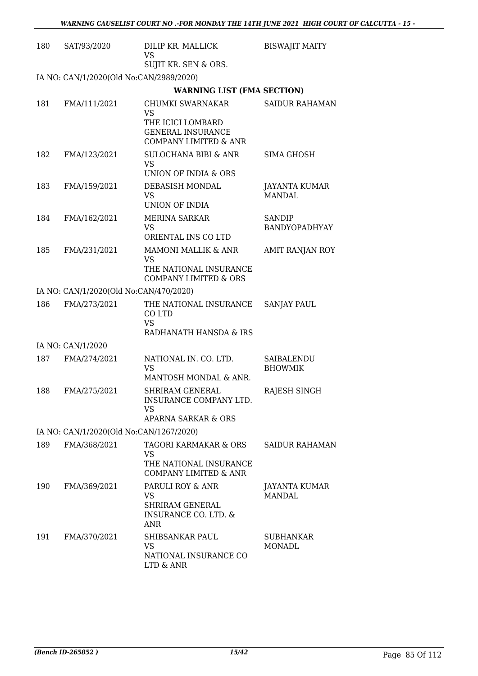| 180 | SAT/93/2020                             | DILIP KR. MALLICK                                                                                                         | <b>BISWAJIT MAITY</b>               |
|-----|-----------------------------------------|---------------------------------------------------------------------------------------------------------------------------|-------------------------------------|
|     |                                         | <b>VS</b>                                                                                                                 |                                     |
|     |                                         | SUJIT KR. SEN & ORS.                                                                                                      |                                     |
|     | IA NO: CAN/1/2020(Old No:CAN/2989/2020) |                                                                                                                           |                                     |
|     |                                         | <b>WARNING LIST (FMA SECTION)</b>                                                                                         |                                     |
| 181 | FMA/111/2021                            | <b>CHUMKI SWARNAKAR</b><br><b>VS</b><br>THE ICICI LOMBARD<br><b>GENERAL INSURANCE</b><br><b>COMPANY LIMITED &amp; ANR</b> | <b>SAIDUR RAHAMAN</b>               |
| 182 | FMA/123/2021                            | <b>SULOCHANA BIBI &amp; ANR</b><br><b>VS</b><br>UNION OF INDIA & ORS                                                      | SIMA GHOSH                          |
| 183 | FMA/159/2021                            | DEBASISH MONDAL<br>VS<br>UNION OF INDIA                                                                                   | JAYANTA KUMAR<br>MANDAL             |
| 184 | FMA/162/2021                            | <b>MERINA SARKAR</b><br><b>VS</b><br>ORIENTAL INS CO LTD                                                                  | <b>SANDIP</b><br>BANDYOPADHYAY      |
| 185 | FMA/231/2021                            | <b>MAMONI MALLIK &amp; ANR</b><br>VS<br>THE NATIONAL INSURANCE<br><b>COMPANY LIMITED &amp; ORS</b>                        | AMIT RANJAN ROY                     |
|     | IA NO: CAN/1/2020(Old No:CAN/470/2020)  |                                                                                                                           |                                     |
| 186 | FMA/273/2021                            | THE NATIONAL INSURANCE<br>CO LTD<br><b>VS</b><br>RADHANATH HANSDA & IRS                                                   | <b>SANJAY PAUL</b>                  |
|     | IA NO: CAN/1/2020                       |                                                                                                                           |                                     |
| 187 | FMA/274/2021                            | NATIONAL IN. CO. LTD.<br><b>VS</b><br>MANTOSH MONDAL & ANR.                                                               | <b>SAIBALENDU</b><br><b>BHOWMIK</b> |
| 188 | FMA/275/2021                            | SHRIRAM GENERAL<br>INSURANCE COMPANY LTD.<br><b>VS</b><br>APARNA SARKAR & ORS                                             | RAJESH SINGH                        |
|     | IA NO: CAN/1/2020(Old No:CAN/1267/2020) |                                                                                                                           |                                     |
| 189 | FMA/368/2021                            | TAGORI KARMAKAR & ORS<br>VS<br>THE NATIONAL INSURANCE<br><b>COMPANY LIMITED &amp; ANR</b>                                 | <b>SAIDUR RAHAMAN</b>               |
| 190 | FMA/369/2021                            | PARULI ROY & ANR<br>VS<br><b>SHRIRAM GENERAL</b><br><b>INSURANCE CO. LTD. &amp;</b><br><b>ANR</b>                         | JAYANTA KUMAR<br><b>MANDAL</b>      |
| 191 | FMA/370/2021                            | SHIBSANKAR PAUL<br><b>VS</b><br>NATIONAL INSURANCE CO<br>LTD & ANR                                                        | <b>SUBHANKAR</b><br><b>MONADL</b>   |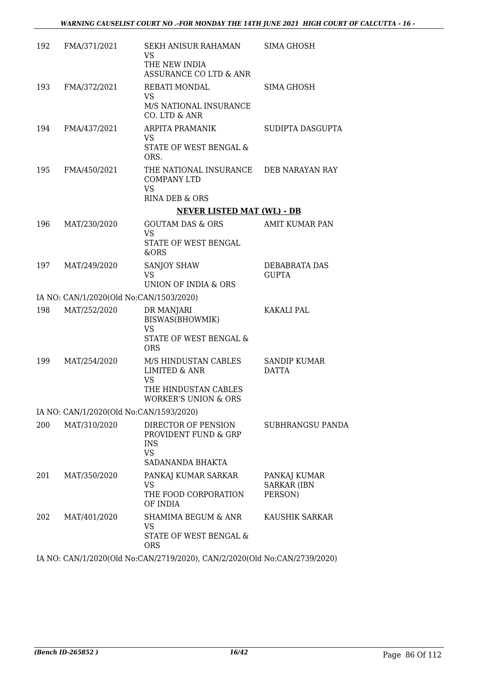| 192 | FMA/371/2021                            | SEKH ANISUR RAHAMAN<br>VS<br>THE NEW INDIA                | SIMA GHOSH                          |
|-----|-----------------------------------------|-----------------------------------------------------------|-------------------------------------|
|     |                                         | ASSURANCE CO LTD & ANR                                    |                                     |
| 193 | FMA/372/2021                            | <b>REBATI MONDAL</b><br><b>VS</b>                         | SIMA GHOSH                          |
|     |                                         | M/S NATIONAL INSURANCE<br>CO. LTD & ANR                   |                                     |
| 194 | FMA/437/2021                            | <b>ARPITA PRAMANIK</b><br><b>VS</b>                       | SUDIPTA DASGUPTA                    |
|     |                                         | STATE OF WEST BENGAL &<br>ORS.                            |                                     |
| 195 | FMA/450/2021                            | THE NATIONAL INSURANCE<br><b>COMPANY LTD</b><br><b>VS</b> | DEB NARAYAN RAY                     |
|     |                                         | RINA DEB & ORS                                            |                                     |
|     |                                         | <b>NEVER LISTED MAT (WL) - DB</b>                         |                                     |
| 196 | MAT/230/2020                            | <b>GOUTAM DAS &amp; ORS</b>                               | AMIT KUMAR PAN                      |
|     |                                         | <b>VS</b><br>STATE OF WEST BENGAL<br>&ORS                 |                                     |
| 197 | MAT/249/2020                            | SANJOY SHAW                                               | DEBABRATA DAS                       |
|     |                                         | <b>VS</b><br>UNION OF INDIA & ORS                         | <b>GUPTA</b>                        |
|     | IA NO: CAN/1/2020(Old No:CAN/1503/2020) |                                                           |                                     |
| 198 | MAT/252/2020                            | DR MANJARI                                                | KAKALI PAL                          |
|     |                                         | BISWAS(BHOWMIK)<br><b>VS</b>                              |                                     |
|     |                                         | STATE OF WEST BENGAL &<br><b>ORS</b>                      |                                     |
| 199 | MAT/254/2020                            | M/S HINDUSTAN CABLES<br><b>LIMITED &amp; ANR</b>          | <b>SANDIP KUMAR</b><br><b>DATTA</b> |
|     |                                         | <b>VS</b><br>THE HINDUSTAN CABLES<br>WORKER'S UNION & ORS |                                     |
|     | IA NO: CAN/1/2020(Old No:CAN/1593/2020) |                                                           |                                     |
| 200 | MAT/310/2020                            | DIRECTOR OF PENSION                                       | SUBHRANGSU PANDA                    |
|     |                                         | PROVIDENT FUND & GRP<br><b>INS</b><br><b>VS</b>           |                                     |
|     |                                         | SADANANDA BHAKTA                                          |                                     |
| 201 | MAT/350/2020                            | PANKAJ KUMAR SARKAR                                       | PANKAJ KUMAR                        |
|     |                                         | <b>VS</b><br>THE FOOD CORPORATION<br>OF INDIA             | <b>SARKAR (IBN</b><br>PERSON)       |
| 202 | MAT/401/2020                            | SHAMIMA BEGUM & ANR<br><b>VS</b>                          | KAUSHIK SARKAR                      |
|     |                                         | STATE OF WEST BENGAL &<br><b>ORS</b>                      |                                     |

IA NO: CAN/1/2020(Old No:CAN/2719/2020), CAN/2/2020(Old No:CAN/2739/2020)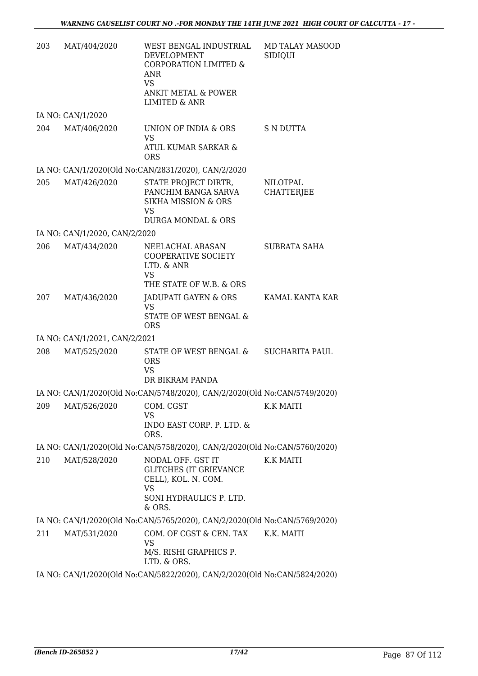| 203 | MAT/404/2020                  | WEST BENGAL INDUSTRIAL<br><b>DEVELOPMENT</b><br><b>CORPORATION LIMITED &amp;</b><br>ANR<br><b>VS</b><br>ANKIT METAL & POWER<br><b>LIMITED &amp; ANR</b> | <b>MD TALAY MASOOD</b><br>SIDIQUI |
|-----|-------------------------------|---------------------------------------------------------------------------------------------------------------------------------------------------------|-----------------------------------|
|     | IA NO: CAN/1/2020             |                                                                                                                                                         |                                   |
| 204 | MAT/406/2020                  | UNION OF INDIA & ORS<br><b>VS</b><br>ATUL KUMAR SARKAR &<br><b>ORS</b>                                                                                  | S N DUTTA                         |
|     |                               | IA NO: CAN/1/2020(Old No:CAN/2831/2020), CAN/2/2020                                                                                                     |                                   |
| 205 | MAT/426/2020                  | STATE PROJECT DIRTR,<br>PANCHIM BANGA SARVA<br><b>SIKHA MISSION &amp; ORS</b><br>VS<br><b>DURGA MONDAL &amp; ORS</b>                                    | NILOTPAL<br><b>CHATTERJEE</b>     |
|     | IA NO: CAN/1/2020, CAN/2/2020 |                                                                                                                                                         |                                   |
| 206 | MAT/434/2020                  | NEELACHAL ABASAN<br>COOPERATIVE SOCIETY<br>LTD. & ANR<br><b>VS</b>                                                                                      | <b>SUBRATA SAHA</b>               |
|     |                               | THE STATE OF W.B. & ORS                                                                                                                                 |                                   |
| 207 | MAT/436/2020                  | JADUPATI GAYEN & ORS<br><b>VS</b><br>STATE OF WEST BENGAL &<br><b>ORS</b>                                                                               | KAMAL KANTA KAR                   |
|     | IA NO: CAN/1/2021, CAN/2/2021 |                                                                                                                                                         |                                   |
| 208 | MAT/525/2020                  | STATE OF WEST BENGAL &<br><b>ORS</b><br><b>VS</b><br>DR BIKRAM PANDA                                                                                    | <b>SUCHARITA PAUL</b>             |
|     |                               | IA NO: CAN/1/2020(Old No:CAN/5748/2020), CAN/2/2020(Old No:CAN/5749/2020)                                                                               |                                   |
| 209 | MAT/526/2020                  | COM. CGST<br><b>VS</b><br>INDO EAST CORP. P. LTD. &<br>ORS.                                                                                             | K.K MAITI                         |
|     |                               | IA NO: CAN/1/2020(Old No:CAN/5758/2020), CAN/2/2020(Old No:CAN/5760/2020)                                                                               |                                   |
| 210 | MAT/528/2020                  | NODAL OFF. GST IT<br><b>GLITCHES (IT GRIEVANCE</b><br>CELL), KOL. N. COM.<br><b>VS</b><br>SONI HYDRAULICS P. LTD.<br>& ORS.                             | K.K MAITI                         |
|     |                               | IA NO: CAN/1/2020(Old No:CAN/5765/2020), CAN/2/2020(Old No:CAN/5769/2020)                                                                               |                                   |
| 211 | MAT/531/2020                  | COM. OF CGST & CEN. TAX<br>VS<br>M/S. RISHI GRAPHICS P.<br>LTD. & ORS.                                                                                  | K.K. MAITI                        |
|     |                               | IA NO: CAN/1/2020(Old No:CAN/5822/2020), CAN/2/2020(Old No:CAN/5824/2020)                                                                               |                                   |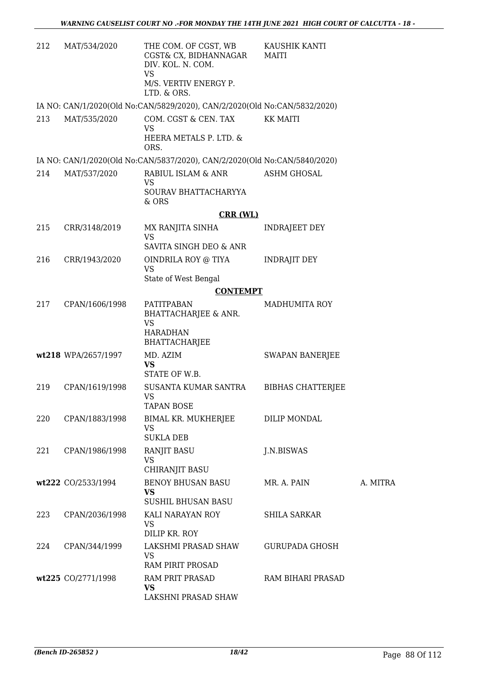| 212 | MAT/534/2020        | THE COM. OF CGST, WB<br>CGST& CX, BIDHANNAGAR<br>DIV. KOL. N. COM.<br><b>VS</b> | KAUSHIK KANTI<br>MAITI   |          |
|-----|---------------------|---------------------------------------------------------------------------------|--------------------------|----------|
|     |                     | M/S. VERTIV ENERGY P.<br>LTD. & ORS.                                            |                          |          |
|     |                     | IA NO: CAN/1/2020(Old No:CAN/5829/2020), CAN/2/2020(Old No:CAN/5832/2020)       |                          |          |
| 213 | MAT/535/2020        | COM. CGST & CEN. TAX<br><b>VS</b><br>HEERA METALS P. LTD. &<br>ORS.             | <b>KK MAITI</b>          |          |
|     |                     | IA NO: CAN/1/2020(Old No:CAN/5837/2020), CAN/2/2020(Old No:CAN/5840/2020)       |                          |          |
| 214 | MAT/537/2020        | RABIUL ISLAM & ANR                                                              | <b>ASHM GHOSAL</b>       |          |
|     |                     | <b>VS</b><br>SOURAV BHATTACHARYYA<br>& ORS                                      |                          |          |
|     |                     | <b>CRR (WL)</b>                                                                 |                          |          |
| 215 | CRR/3148/2019       | MX RANJITA SINHA<br><b>VS</b>                                                   | <b>INDRAJEET DEY</b>     |          |
|     |                     | <b>SAVITA SINGH DEO &amp; ANR</b>                                               |                          |          |
| 216 | CRR/1943/2020       | OINDRILA ROY @ TIYA<br><b>VS</b><br>State of West Bengal                        | <b>INDRAJIT DEY</b>      |          |
|     |                     | <b>CONTEMPT</b>                                                                 |                          |          |
| 217 | CPAN/1606/1998      | <b>PATITPABAN</b><br><b>BHATTACHARJEE &amp; ANR.</b>                            | <b>MADHUMITA ROY</b>     |          |
|     |                     | <b>VS</b><br><b>HARADHAN</b><br><b>BHATTACHARJEE</b>                            |                          |          |
|     | wt218 WPA/2657/1997 | MD. AZIM<br><b>VS</b><br>STATE OF W.B.                                          | <b>SWAPAN BANERJEE</b>   |          |
| 219 | CPAN/1619/1998      | SUSANTA KUMAR SANTRA<br>VS<br><b>TAPAN BOSE</b>                                 | <b>BIBHAS CHATTERJEE</b> |          |
| 220 | CPAN/1883/1998      | BIMAL KR. MUKHERJEE<br><b>VS</b>                                                | DILIP MONDAL             |          |
|     |                     | <b>SUKLA DEB</b>                                                                |                          |          |
| 221 | CPAN/1986/1998      | <b>RANJIT BASU</b><br><b>VS</b><br>CHIRANJIT BASU                               | J.N.BISWAS               |          |
|     | wt222 CO/2533/1994  | <b>BENOY BHUSAN BASU</b><br><b>VS</b>                                           | MR. A. PAIN              | A. MITRA |
| 223 | CPAN/2036/1998      | <b>SUSHIL BHUSAN BASU</b><br>KALI NARAYAN ROY<br>VS                             | <b>SHILA SARKAR</b>      |          |
|     |                     | DILIP KR, ROY                                                                   |                          |          |
| 224 | CPAN/344/1999       | LAKSHMI PRASAD SHAW<br><b>VS</b>                                                | <b>GURUPADA GHOSH</b>    |          |
|     |                     | RAM PIRIT PROSAD                                                                |                          |          |
|     | wt225 CO/2771/1998  | RAM PRIT PRASAD<br>VS<br>LAKSHNI PRASAD SHAW                                    | RAM BIHARI PRASAD        |          |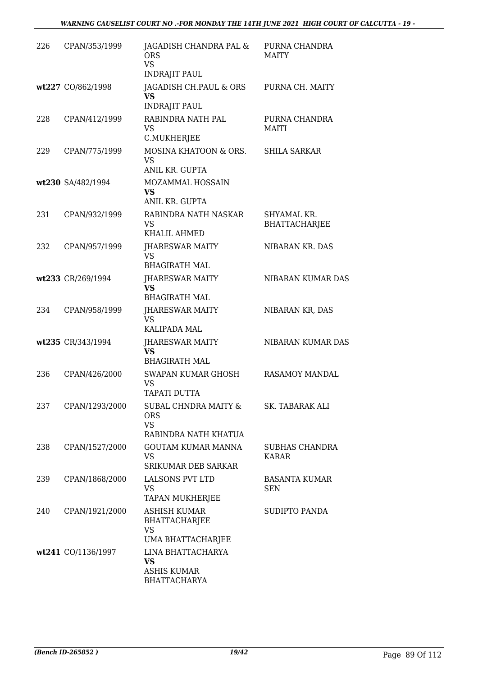| 226 | CPAN/353/1999      | JAGADISH CHANDRA PAL &<br><b>ORS</b><br><b>VS</b><br><b>INDRAJIT PAUL</b>     | PURNA CHANDRA<br><b>MAITY</b>       |
|-----|--------------------|-------------------------------------------------------------------------------|-------------------------------------|
|     | wt227 CO/862/1998  | JAGADISH CH.PAUL & ORS<br>VS<br><b>INDRAJIT PAUL</b>                          | PURNA CH. MAITY                     |
| 228 | CPAN/412/1999      | RABINDRA NATH PAL<br><b>VS</b><br>C.MUKHERJEE                                 | PURNA CHANDRA<br>MAITI              |
| 229 | CPAN/775/1999      | MOSINA KHATOON & ORS.<br><b>VS</b><br>ANIL KR. GUPTA                          | <b>SHILA SARKAR</b>                 |
|     | wt230 SA/482/1994  | MOZAMMAL HOSSAIN<br><b>VS</b><br>ANIL KR. GUPTA                               |                                     |
| 231 | CPAN/932/1999      | RABINDRA NATH NASKAR<br><b>VS</b><br>KHALIL AHMED                             | SHYAMAL KR.<br><b>BHATTACHARJEE</b> |
| 232 | CPAN/957/1999      | JHARESWAR MAITY<br><b>VS</b><br><b>BHAGIRATH MAL</b>                          | NIBARAN KR. DAS                     |
|     | wt233 CR/269/1994  | JHARESWAR MAITY<br><b>VS</b><br><b>BHAGIRATH MAL</b>                          | NIBARAN KUMAR DAS                   |
| 234 | CPAN/958/1999      | JHARESWAR MAITY<br><b>VS</b><br><b>KALIPADA MAL</b>                           | NIBARAN KR, DAS                     |
|     | wt235 CR/343/1994  | JHARESWAR MAITY<br><b>VS</b><br><b>BHAGIRATH MAL</b>                          | NIBARAN KUMAR DAS                   |
| 236 | CPAN/426/2000      | SWAPAN KUMAR GHOSH<br>VS<br>TAPATI DUTTA                                      | <b>RASAMOY MANDAL</b>               |
| 237 | CPAN/1293/2000     | SUBAL CHNDRA MAITY &<br><b>ORS</b><br><b>VS</b><br>RABINDRA NATH KHATUA       | SK. TABARAK ALI                     |
| 238 | CPAN/1527/2000     | <b>GOUTAM KUMAR MANNA</b><br>VS<br>SRIKUMAR DEB SARKAR                        | <b>SUBHAS CHANDRA</b><br>KARAR      |
| 239 | CPAN/1868/2000     | <b>LALSONS PVT LTD</b><br><b>VS</b><br>TAPAN MUKHERJEE                        | <b>BASANTA KUMAR</b><br><b>SEN</b>  |
| 240 | CPAN/1921/2000     | <b>ASHISH KUMAR</b><br><b>BHATTACHARJEE</b><br><b>VS</b><br>UMA BHATTACHARJEE | SUDIPTO PANDA                       |
|     | wt241 CO/1136/1997 | LINA BHATTACHARYA<br><b>VS</b><br><b>ASHIS KUMAR</b><br><b>BHATTACHARYA</b>   |                                     |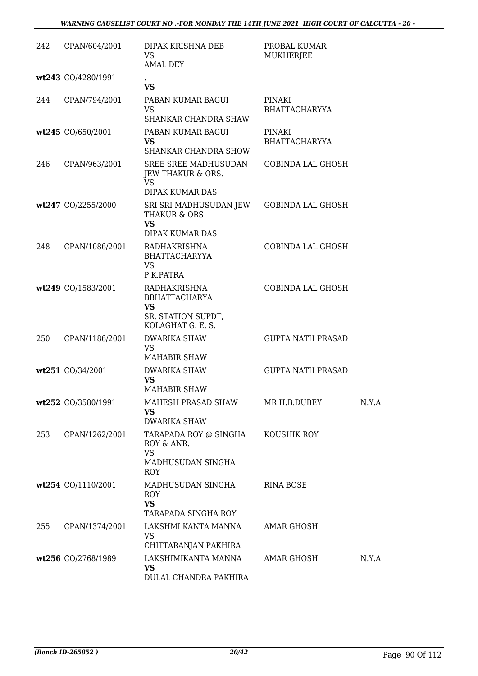| 242 | CPAN/604/2001      | DIPAK KRISHNA DEB<br><b>VS</b><br><b>AMAL DEY</b>                                            | PROBAL KUMAR<br><b>MUKHERJEE</b> |        |
|-----|--------------------|----------------------------------------------------------------------------------------------|----------------------------------|--------|
|     | wt243 CO/4280/1991 | <b>VS</b>                                                                                    |                                  |        |
| 244 | CPAN/794/2001      | PABAN KUMAR BAGUI<br><b>VS</b><br>SHANKAR CHANDRA SHAW                                       | PINAKI<br><b>BHATTACHARYYA</b>   |        |
|     | wt245 CO/650/2001  | PABAN KUMAR BAGUI<br><b>VS</b><br><b>SHANKAR CHANDRA SHOW</b>                                | PINAKI<br><b>BHATTACHARYYA</b>   |        |
| 246 | CPAN/963/2001      | <b>SREE SREE MADHUSUDAN</b><br>JEW THAKUR & ORS.<br><b>VS</b><br>DIPAK KUMAR DAS             | <b>GOBINDA LAL GHOSH</b>         |        |
|     | wt247 CO/2255/2000 | SRI SRI MADHUSUDAN JEW<br><b>THAKUR &amp; ORS</b><br><b>VS</b><br>DIPAK KUMAR DAS            | <b>GOBINDA LAL GHOSH</b>         |        |
| 248 | CPAN/1086/2001     | <b>RADHAKRISHNA</b><br><b>BHATTACHARYYA</b><br><b>VS</b><br>P.K.PATRA                        | <b>GOBINDA LAL GHOSH</b>         |        |
|     | wt249 CO/1583/2001 | RADHAKRISHNA<br><b>BBHATTACHARYA</b><br><b>VS</b><br>SR. STATION SUPDT,<br>KOLAGHAT G. E. S. | <b>GOBINDA LAL GHOSH</b>         |        |
| 250 | CPAN/1186/2001     | <b>DWARIKA SHAW</b><br><b>VS</b><br><b>MAHABIR SHAW</b>                                      | <b>GUPTA NATH PRASAD</b>         |        |
|     | wt251 CO/34/2001   | <b>DWARIKA SHAW</b><br><b>VS</b><br><b>MAHABIR SHAW</b>                                      | <b>GUPTA NATH PRASAD</b>         |        |
|     | wt252 CO/3580/1991 | MAHESH PRASAD SHAW<br><b>VS</b><br><b>DWARIKA SHAW</b>                                       | MR H.B.DUBEY                     | N.Y.A. |
| 253 | CPAN/1262/2001     | TARAPADA ROY @ SINGHA<br>ROY & ANR.<br><b>VS</b><br>MADHUSUDAN SINGHA<br><b>ROY</b>          | KOUSHIK ROY                      |        |
|     | wt254 CO/1110/2001 | MADHUSUDAN SINGHA<br>ROY<br><b>VS</b><br>TARAPADA SINGHA ROY                                 | <b>RINA BOSE</b>                 |        |
| 255 | CPAN/1374/2001     | LAKSHMI KANTA MANNA<br>VS<br>CHITTARANJAN PAKHIRA                                            | AMAR GHOSH                       |        |
|     | wt256 CO/2768/1989 | LAKSHIMIKANTA MANNA<br><b>VS</b><br>DULAL CHANDRA PAKHIRA                                    | AMAR GHOSH                       | N.Y.A. |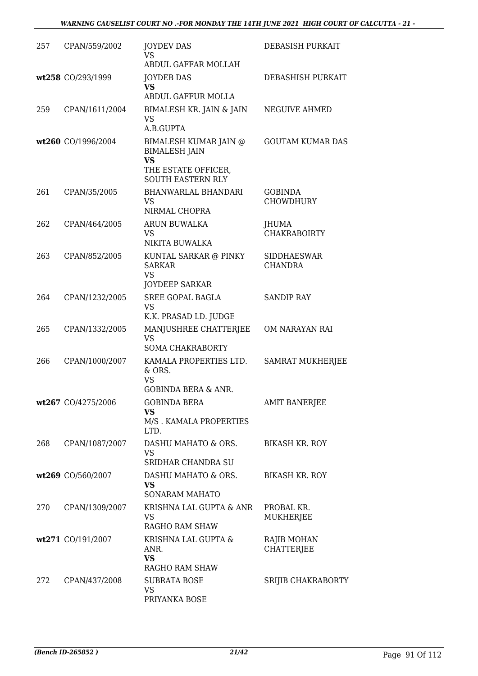| 257 | CPAN/559/2002      | <b>JOYDEV DAS</b><br>VS<br>ABDUL GAFFAR MOLLAH                                                                | DEBASISH PURKAIT                     |
|-----|--------------------|---------------------------------------------------------------------------------------------------------------|--------------------------------------|
|     | wt258 CO/293/1999  | <b>JOYDEB DAS</b><br><b>VS</b><br>ABDUL GAFFUR MOLLA                                                          | DEBASHISH PURKAIT                    |
| 259 | CPAN/1611/2004     | BIMALESH KR. JAIN & JAIN<br>VS<br>A.B.GUPTA                                                                   | NEGUIVE AHMED                        |
|     | wt260 CO/1996/2004 | BIMALESH KUMAR JAIN @<br><b>BIMALESH JAIN</b><br><b>VS</b><br>THE ESTATE OFFICER,<br><b>SOUTH EASTERN RLY</b> | <b>GOUTAM KUMAR DAS</b>              |
| 261 | CPAN/35/2005       | <b>BHANWARLAL BHANDARI</b><br><b>VS</b><br>NIRMAL CHOPRA                                                      | <b>GOBINDA</b><br><b>CHOWDHURY</b>   |
| 262 | CPAN/464/2005      | ARUN BUWALKA<br>VS<br>NIKITA BUWALKA                                                                          | JHUMA<br><b>CHAKRABOIRTY</b>         |
| 263 | CPAN/852/2005      | KUNTAL SARKAR @ PINKY<br><b>SARKAR</b><br><b>VS</b><br><b>JOYDEEP SARKAR</b>                                  | <b>SIDDHAESWAR</b><br><b>CHANDRA</b> |
| 264 | CPAN/1232/2005     | <b>SREE GOPAL BAGLA</b><br>VS<br>K.K. PRASAD LD. JUDGE                                                        | <b>SANDIP RAY</b>                    |
| 265 | CPAN/1332/2005     | MANJUSHREE CHATTERJEE<br><b>VS</b><br><b>SOMA CHAKRABORTY</b>                                                 | OM NARAYAN RAI                       |
| 266 | CPAN/1000/2007     | KAMALA PROPERTIES LTD.<br>& ORS.<br>VS                                                                        | <b>SAMRAT MUKHERJEE</b>              |
|     | wt267 CO/4275/2006 | GOBINDA BERA & ANR.<br><b>GOBINDA BERA</b><br><b>VS</b><br>M/S. KAMALA PROPERTIES<br>LTD.                     | <b>AMIT BANERJEE</b>                 |
| 268 | CPAN/1087/2007     | DASHU MAHATO & ORS.<br>VS.<br>SRIDHAR CHANDRA SU                                                              | <b>BIKASH KR. ROY</b>                |
|     | wt269 CO/560/2007  | DASHU MAHATO & ORS.<br><b>VS</b><br><b>SONARAM MAHATO</b>                                                     | <b>BIKASH KR. ROY</b>                |
| 270 | CPAN/1309/2007     | KRISHNA LAL GUPTA & ANR<br>VS.<br>RAGHO RAM SHAW                                                              | PROBAL KR.<br>MUKHERJEE              |
|     | wt271 CO/191/2007  | KRISHNA LAL GUPTA &<br>ANR.<br><b>VS</b><br>RAGHO RAM SHAW                                                    | RAJIB MOHAN<br><b>CHATTERJEE</b>     |
| 272 | CPAN/437/2008      | <b>SUBRATA BOSE</b><br>VS<br>PRIYANKA BOSE                                                                    | SRIJIB CHAKRABORTY                   |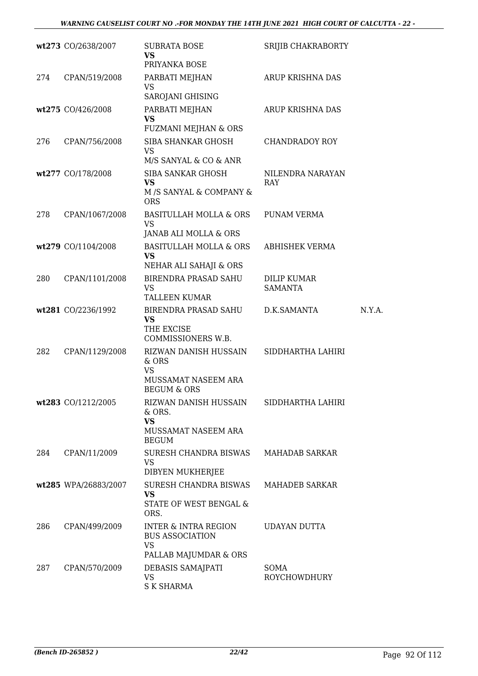|     | wt273 CO/2638/2007   | <b>SUBRATA BOSE</b><br><b>VS</b><br>PRIYANKA BOSE                                               | SRIJIB CHAKRABORTY             |        |
|-----|----------------------|-------------------------------------------------------------------------------------------------|--------------------------------|--------|
| 274 | CPAN/519/2008        | PARBATI MEJHAN<br><b>VS</b><br>SAROJANI GHISING                                                 | ARUP KRISHNA DAS               |        |
|     | wt275 CO/426/2008    | PARBATI MEJHAN<br>VS<br>FUZMANI MEJHAN & ORS                                                    | ARUP KRISHNA DAS               |        |
| 276 | CPAN/756/2008        | SIBA SHANKAR GHOSH<br><b>VS</b><br>M/S SANYAL & CO & ANR                                        | <b>CHANDRADOY ROY</b>          |        |
|     | wt277 CO/178/2008    | <b>SIBA SANKAR GHOSH</b><br><b>VS</b><br>M /S SANYAL & COMPANY &<br><b>ORS</b>                  | NILENDRA NARAYAN<br><b>RAY</b> |        |
| 278 | CPAN/1067/2008       | <b>BASITULLAH MOLLA &amp; ORS</b><br><b>VS</b><br>JANAB ALI MOLLA & ORS                         | PUNAM VERMA                    |        |
|     | wt279 CO/1104/2008   | <b>BASITULLAH MOLLA &amp; ORS</b><br>VS<br>NEHAR ALI SAHAJI & ORS                               | ABHISHEK VERMA                 |        |
| 280 | CPAN/1101/2008       | <b>BIRENDRA PRASAD SAHU</b><br>VS<br><b>TALLEEN KUMAR</b>                                       | DILIP KUMAR<br><b>SAMANTA</b>  |        |
|     | wt281 CO/2236/1992   | BIRENDRA PRASAD SAHU<br><b>VS</b><br>THE EXCISE<br>COMMISSIONERS W.B.                           | D.K.SAMANTA                    | N.Y.A. |
| 282 | CPAN/1129/2008       | RIZWAN DANISH HUSSAIN<br>& ORS<br><b>VS</b><br>MUSSAMAT NASEEM ARA<br><b>BEGUM &amp; ORS</b>    | SIDDHARTHA LAHIRI              |        |
|     | wt283 CO/1212/2005   | RIZWAN DANISH HUSSAIN<br>& ORS.<br><b>VS</b><br>MUSSAMAT NASEEM ARA<br><b>BEGUM</b>             | SIDDHARTHA LAHIRI              |        |
| 284 | CPAN/11/2009         | SURESH CHANDRA BISWAS<br><b>VS</b><br>DIBYEN MUKHERJEE                                          | MAHADAB SARKAR                 |        |
|     | wt285 WPA/26883/2007 | <b>SURESH CHANDRA BISWAS</b><br>VS<br>STATE OF WEST BENGAL &<br>ORS.                            | <b>MAHADEB SARKAR</b>          |        |
| 286 | CPAN/499/2009        | <b>INTER &amp; INTRA REGION</b><br><b>BUS ASSOCIATION</b><br><b>VS</b><br>PALLAB MAJUMDAR & ORS | <b>UDAYAN DUTTA</b>            |        |
| 287 | CPAN/570/2009        | DEBASIS SAMAJPATI<br><b>VS</b><br><b>S K SHARMA</b>                                             | SOMA<br><b>ROYCHOWDHURY</b>    |        |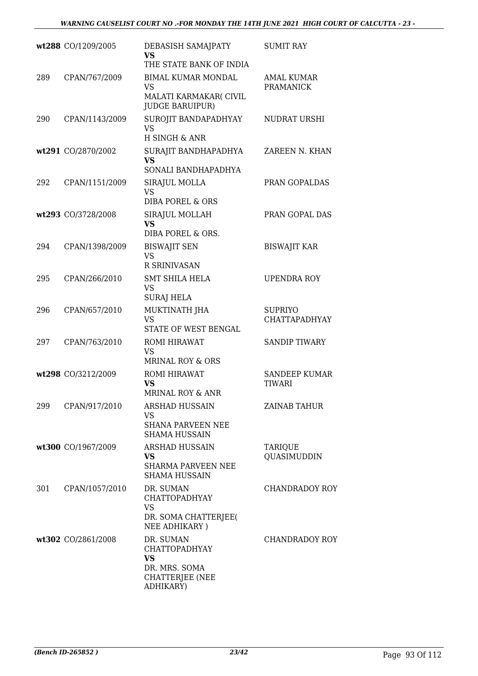|     | wt288 CO/1209/2005 | DEBASISH SAMAJPATY<br><b>VS</b><br>THE STATE BANK OF INDIA                                      | <b>SUMIT RAY</b>                       |
|-----|--------------------|-------------------------------------------------------------------------------------------------|----------------------------------------|
| 289 | CPAN/767/2009      | <b>BIMAL KUMAR MONDAL</b><br>VS<br>MALATI KARMAKAR( CIVIL<br><b>JUDGE BARUIPUR)</b>             | <b>AMAL KUMAR</b><br><b>PRAMANICK</b>  |
| 290 | CPAN/1143/2009     | SUROJIT BANDAPADHYAY<br>VS<br>H SINGH & ANR                                                     | NUDRAT URSHI                           |
|     | wt291 CO/2870/2002 | SURAJIT BANDHAPADHYA<br><b>VS</b><br>SONALI BANDHAPADHYA                                        | ZAREEN N. KHAN                         |
| 292 | CPAN/1151/2009     | SIRAJUL MOLLA<br>VS<br><b>DIBA POREL &amp; ORS</b>                                              | PRAN GOPALDAS                          |
|     | wt293 CO/3728/2008 | SIRAJUL MOLLAH<br><b>VS</b><br>DIBA POREL & ORS.                                                | PRAN GOPAL DAS                         |
| 294 | CPAN/1398/2009     | <b>BISWAJIT SEN</b><br><b>VS</b><br><b>R SRINIVASAN</b>                                         | <b>BISWAJIT KAR</b>                    |
| 295 | CPAN/266/2010      | <b>SMT SHILA HELA</b><br><b>VS</b><br>SURAJ HELA                                                | UPENDRA ROY                            |
| 296 | CPAN/657/2010      | MUKTINATH JHA<br><b>VS</b><br>STATE OF WEST BENGAL                                              | <b>SUPRIYO</b><br><b>CHATTAPADHYAY</b> |
| 297 | CPAN/763/2010      | ROMI HIRAWAT<br><b>VS</b><br><b>MRINAL ROY &amp; ORS</b>                                        | <b>SANDIP TIWARY</b>                   |
|     | wt298 CO/3212/2009 | ROMI HIRAWAT<br>VS<br><b>MRINAL ROY &amp; ANR</b>                                               | <b>SANDEEP KUMAR</b><br><b>TIWARI</b>  |
| 299 | CPAN/917/2010      | <b>ARSHAD HUSSAIN</b><br><b>VS</b><br><b>SHANA PARVEEN NEE</b><br><b>SHAMA HUSSAIN</b>          | <b>ZAINAB TAHUR</b>                    |
|     | wt300 CO/1967/2009 | ARSHAD HUSSAIN<br>VS<br><b>SHARMA PARVEEN NEE</b><br>SHAMA HUSSAIN                              | <b>TARIQUE</b><br>QUASIMUDDIN          |
| 301 | CPAN/1057/2010     | DR. SUMAN<br><b>CHATTOPADHYAY</b><br><b>VS</b><br>DR. SOMA CHATTERJEE(<br>NEE ADHIKARY)         | <b>CHANDRADOY ROY</b>                  |
|     | wt302 CO/2861/2008 | DR. SUMAN<br><b>CHATTOPADHYAY</b><br><b>VS</b><br>DR. MRS. SOMA<br>CHATTERJEE (NEE<br>ADHIKARY) | CHANDRADOY ROY                         |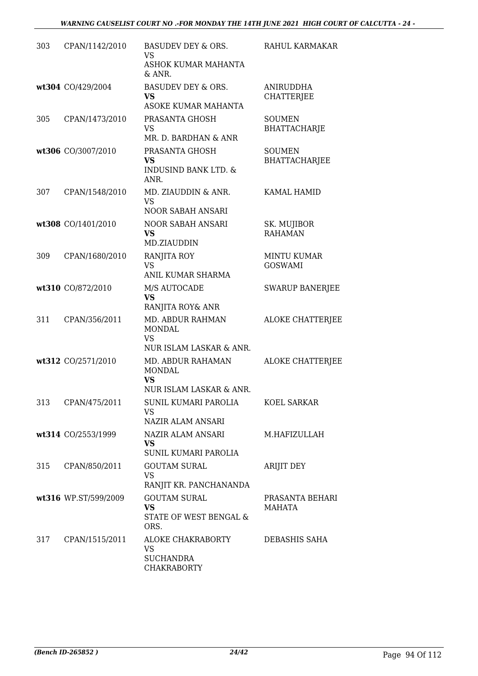| 303 | CPAN/1142/2010       | BASUDEV DEY & ORS.<br>VS<br>ASHOK KUMAR MAHANTA                                                       | RAHUL KARMAKAR                        |
|-----|----------------------|-------------------------------------------------------------------------------------------------------|---------------------------------------|
|     | wt304 CO/429/2004    | & ANR.<br>BASUDEV DEY & ORS.<br>VS<br>ASOKE KUMAR MAHANTA                                             | <b>ANIRUDDHA</b><br><b>CHATTERJEE</b> |
| 305 | CPAN/1473/2010       | PRASANTA GHOSH<br>VS<br>MR. D. BARDHAN & ANR                                                          | <b>SOUMEN</b><br><b>BHATTACHARJE</b>  |
|     | wt306 CO/3007/2010   | PRASANTA GHOSH<br><b>VS</b><br><b>INDUSIND BANK LTD. &amp;</b><br>ANR.                                | <b>SOUMEN</b><br><b>BHATTACHARJEE</b> |
| 307 | CPAN/1548/2010       | MD. ZIAUDDIN & ANR.<br><b>VS</b><br>NOOR SABAH ANSARI                                                 | KAMAL HAMID                           |
|     | wt308 CO/1401/2010   | NOOR SABAH ANSARI<br><b>VS</b><br>MD.ZIAUDDIN                                                         | SK. MUJIBOR<br><b>RAHAMAN</b>         |
| 309 | CPAN/1680/2010       | RANJITA ROY<br>VS<br>ANIL KUMAR SHARMA                                                                | <b>MINTU KUMAR</b><br><b>GOSWAMI</b>  |
|     | wt310 CO/872/2010    | M/S AUTOCADE<br><b>VS</b><br>RANJITA ROY& ANR                                                         | <b>SWARUP BANERJEE</b>                |
| 311 | CPAN/356/2011        | MD. ABDUR RAHMAN<br><b>MONDAL</b><br><b>VS</b>                                                        | <b>ALOKE CHATTERJEE</b>               |
|     | wt312 CO/2571/2010   | NUR ISLAM LASKAR & ANR.<br>MD. ABDUR RAHAMAN<br><b>MONDAL</b><br><b>VS</b><br>NUR ISLAM LASKAR & ANR. | <b>ALOKE CHATTERJEE</b>               |
| 313 | CPAN/475/2011        | SUNIL KUMARI PAROLIA<br><b>VS</b><br><b>NAZIR ALAM ANSARI</b>                                         | KOEL SARKAR                           |
|     | wt314 CO/2553/1999   | NAZIR ALAM ANSARI<br><b>VS</b><br>SUNIL KUMARI PAROLIA                                                | M.HAFIZULLAH                          |
| 315 | CPAN/850/2011        | <b>GOUTAM SURAL</b><br><b>VS</b><br>RANJIT KR. PANCHANANDA                                            | <b>ARIJIT DEY</b>                     |
|     | wt316 WP.ST/599/2009 | <b>GOUTAM SURAL</b><br><b>VS</b><br>STATE OF WEST BENGAL &<br>ORS.                                    | PRASANTA BEHARI<br>MAHATA             |
| 317 | CPAN/1515/2011       | ALOKE CHAKRABORTY<br><b>VS</b><br><b>SUCHANDRA</b><br><b>CHAKRABORTY</b>                              | DEBASHIS SAHA                         |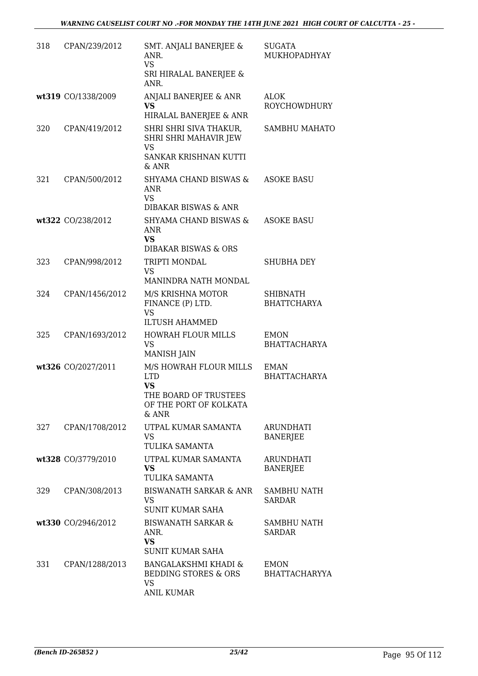| 318 | CPAN/239/2012      | SMT. ANJALI BANERJEE &<br>ANR.<br><b>VS</b><br>SRI HIRALAL BANERJEE &<br>ANR.                                 | <b>SUGATA</b><br>MUKHOPADHYAY       |
|-----|--------------------|---------------------------------------------------------------------------------------------------------------|-------------------------------------|
|     | wt319 CO/1338/2009 | ANJALI BANERJEE & ANR<br><b>VS</b><br>HIRALAL BANERJEE & ANR                                                  | <b>ALOK</b><br>ROYCHOWDHURY         |
| 320 | CPAN/419/2012      | SHRI SHRI SIVA THAKUR,<br>SHRI SHRI MAHAVIR JEW<br>VS<br>SANKAR KRISHNAN KUTTI<br>& ANR                       | <b>SAMBHU MAHATO</b>                |
| 321 | CPAN/500/2012      | SHYAMA CHAND BISWAS &<br>ANR<br><b>VS</b><br><b>DIBAKAR BISWAS &amp; ANR</b>                                  | <b>ASOKE BASU</b>                   |
|     | wt322 CO/238/2012  | SHYAMA CHAND BISWAS &<br><b>ANR</b><br><b>VS</b><br><b>DIBAKAR BISWAS &amp; ORS</b>                           | <b>ASOKE BASU</b>                   |
| 323 | CPAN/998/2012      | TRIPTI MONDAL<br><b>VS</b><br>MANINDRA NATH MONDAL                                                            | <b>SHUBHA DEY</b>                   |
| 324 | CPAN/1456/2012     | M/S KRISHNA MOTOR<br>FINANCE (P) LTD.<br><b>VS</b><br><b>ILTUSH AHAMMED</b>                                   | SHIBNATH<br><b>BHATTCHARYA</b>      |
| 325 | CPAN/1693/2012     | <b>HOWRAH FLOUR MILLS</b><br><b>VS</b><br><b>MANISH JAIN</b>                                                  | <b>EMON</b><br><b>BHATTACHARYA</b>  |
|     | wt326 CO/2027/2011 | M/S HOWRAH FLOUR MILLS<br><b>LTD</b><br><b>VS</b><br>THE BOARD OF TRUSTEES<br>OF THE PORT OF KOLKATA<br>& ANR | <b>EMAN</b><br><b>BHATTACHARYA</b>  |
| 327 | CPAN/1708/2012     | UTPAL KUMAR SAMANTA<br><b>VS</b><br>TULIKA SAMANTA                                                            | <b>ARUNDHATI</b><br><b>BANERJEE</b> |
|     | wt328 CO/3779/2010 | UTPAL KUMAR SAMANTA<br><b>VS</b><br>TULIKA SAMANTA                                                            | ARUNDHATI<br><b>BANERJEE</b>        |
| 329 | CPAN/308/2013      | BISWANATH SARKAR & ANR<br><b>VS</b><br><b>SUNIT KUMAR SAHA</b>                                                | <b>SAMBHU NATH</b><br>SARDAR        |
|     | wt330 CO/2946/2012 | <b>BISWANATH SARKAR &amp;</b><br>ANR.<br><b>VS</b><br>SUNIT KUMAR SAHA                                        | SAMBHU NATH<br>SARDAR               |
| 331 | CPAN/1288/2013     | BANGALAKSHMI KHADI &<br>BEDDING STORES & ORS<br><b>VS</b><br><b>ANIL KUMAR</b>                                | <b>EMON</b><br><b>BHATTACHARYYA</b> |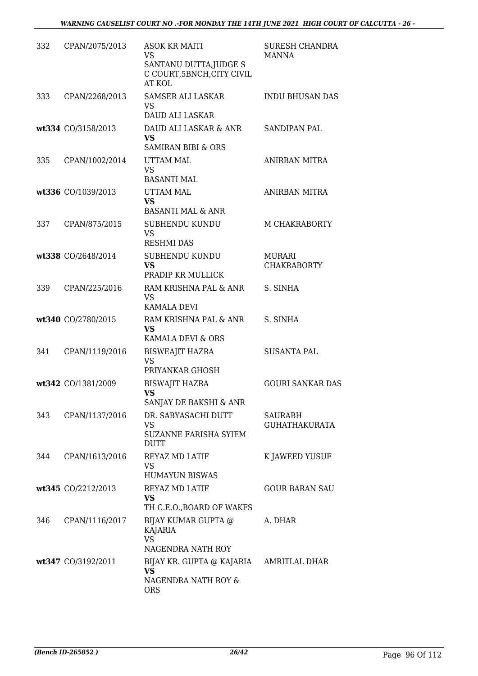| 332 | CPAN/2075/2013     | <b>ASOK KR MAITI</b><br><b>VS</b><br>SANTANU DUTTA, JUDGE S<br>C COURT, 5BNCH, CITY CIVIL<br>AT KOL | <b>SURESH CHANDRA</b><br>MANNA      |
|-----|--------------------|-----------------------------------------------------------------------------------------------------|-------------------------------------|
| 333 | CPAN/2268/2013     | SAMSER ALI LASKAR<br>VS<br><b>DAUD ALI LASKAR</b>                                                   | <b>INDU BHUSAN DAS</b>              |
|     | wt334 CO/3158/2013 | DAUD ALI LASKAR & ANR<br><b>VS</b><br><b>SAMIRAN BIBI &amp; ORS</b>                                 | <b>SANDIPAN PAL</b>                 |
| 335 | CPAN/1002/2014     | UTTAM MAL<br><b>VS</b><br><b>BASANTI MAL</b>                                                        | <b>ANIRBAN MITRA</b>                |
|     | wt336 CO/1039/2013 | UTTAM MAL<br><b>VS</b><br><b>BASANTI MAL &amp; ANR</b>                                              | <b>ANIRBAN MITRA</b>                |
| 337 | CPAN/875/2015      | SUBHENDU KUNDU<br><b>VS</b><br><b>RESHMI DAS</b>                                                    | M CHAKRABORTY                       |
|     | wt338 CO/2648/2014 | SUBHENDU KUNDU<br><b>VS</b><br>PRADIP KR MULLICK                                                    | <b>MURARI</b><br><b>CHAKRABORTY</b> |
| 339 | CPAN/225/2016      | RAM KRISHNA PAL & ANR<br>VS<br>KAMALA DEVI                                                          | S. SINHA                            |
|     | wt340 CO/2780/2015 | RAM KRISHNA PAL & ANR<br><b>VS</b><br>KAMALA DEVI & ORS                                             | S. SINHA                            |
| 341 | CPAN/1119/2016     | <b>BISWEAJIT HAZRA</b><br>VS<br>PRIYANKAR GHOSH                                                     | <b>SUSANTA PAL</b>                  |
|     | wt342 CO/1381/2009 | <b>BISWAJIT HAZRA</b><br><b>VS</b><br>SANJAY DE BAKSHI & ANR                                        | <b>GOURI SANKAR DAS</b>             |
| 343 | CPAN/1137/2016     | DR. SABYASACHI DUTT<br>VS<br>SUZANNE FARISHA SYIEM<br><b>DUTT</b>                                   | SAURABH<br><b>GUHATHAKURATA</b>     |
| 344 | CPAN/1613/2016     | <b>REYAZ MD LATIF</b><br>VS<br><b>HUMAYUN BISWAS</b>                                                | K JAWEED YUSUF                      |
|     | wt345 CO/2212/2013 | <b>REYAZ MD LATIF</b><br><b>VS</b><br>TH C.E.O., BOARD OF WAKFS                                     | <b>GOUR BARAN SAU</b>               |
| 346 | CPAN/1116/2017     | BIJAY KUMAR GUPTA @<br>KAJARIA<br><b>VS</b><br>NAGENDRA NATH ROY                                    | A. DHAR                             |
|     | wt347 CO/3192/2011 | BIJAY KR. GUPTA @ KAJARIA AMRITLAL DHAR<br>VS<br>NAGENDRA NATH ROY &<br><b>ORS</b>                  |                                     |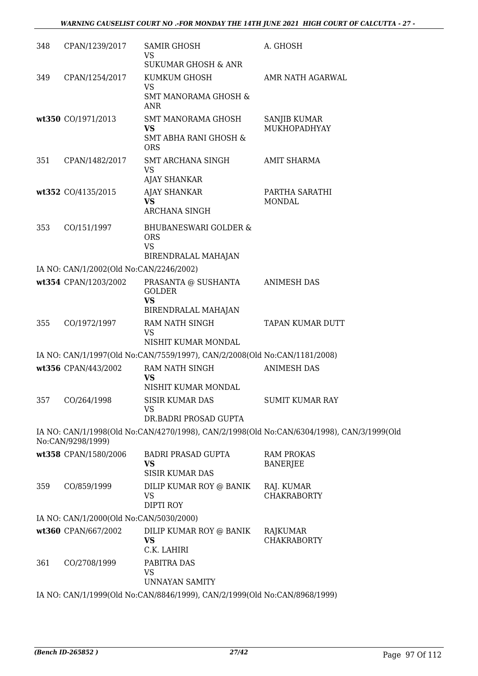| 348 | CPAN/1239/2017                          | SAMIR GHOSH<br>VS<br><b>SUKUMAR GHOSH &amp; ANR</b>                                                       | A. GHOSH                                                                                  |
|-----|-----------------------------------------|-----------------------------------------------------------------------------------------------------------|-------------------------------------------------------------------------------------------|
| 349 | CPAN/1254/2017                          | KUMKUM GHOSH<br><b>VS</b><br><b>SMT MANORAMA GHOSH &amp;</b>                                              | AMR NATH AGARWAL                                                                          |
|     | wt350 CO/1971/2013                      | ANR<br><b>SMT MANORAMA GHOSH</b><br><b>VS</b><br><b>SMT ABHA RANI GHOSH &amp;</b><br><b>ORS</b>           | <b>SANJIB KUMAR</b><br>MUKHOPADHYAY                                                       |
| 351 | CPAN/1482/2017                          | SMT ARCHANA SINGH<br><b>VS</b><br>AJAY SHANKAR                                                            | <b>AMIT SHARMA</b>                                                                        |
|     | wt352 CO/4135/2015                      | <b>AJAY SHANKAR</b><br><b>VS</b><br><b>ARCHANA SINGH</b>                                                  | PARTHA SARATHI<br><b>MONDAL</b>                                                           |
| 353 | CO/151/1997                             | <b>BHUBANESWARI GOLDER &amp;</b><br><b>ORS</b><br><b>VS</b><br>BIRENDRALAL MAHAJAN                        |                                                                                           |
|     | IA NO: CAN/1/2002(Old No:CAN/2246/2002) |                                                                                                           |                                                                                           |
|     |                                         | wt354 CPAN/1203/2002 PRASANTA @ SUSHANTA ANIMESH DAS<br><b>GOLDER</b><br><b>VS</b><br>BIRENDRALAL MAHAJAN |                                                                                           |
| 355 | CO/1972/1997                            | RAM NATH SINGH<br>VS<br>NISHIT KUMAR MONDAL                                                               | TAPAN KUMAR DUTT                                                                          |
|     |                                         | IA NO: CAN/1/1997(Old No:CAN/7559/1997), CAN/2/2008(Old No:CAN/1181/2008)                                 |                                                                                           |
|     | wt356 CPAN/443/2002                     | RAM NATH SINGH<br><b>VS</b><br>NISHIT KUMAR MONDAL                                                        | <b>ANIMESH DAS</b>                                                                        |
|     | 357 CO/264/1998                         | <b>SISIR KUMAR DAS</b><br>VS<br>DR.BADRI PROSAD GUPTA                                                     | <b>SUMIT KUMAR RAY</b>                                                                    |
|     | No:CAN/9298/1999)                       |                                                                                                           | IA NO: CAN/1/1998(Old No:CAN/4270/1998), CAN/2/1998(Old No:CAN/6304/1998), CAN/3/1999(Old |
|     | wt358 CPAN/1580/2006                    | <b>BADRI PRASAD GUPTA</b><br>VS<br><b>SISIR KUMAR DAS</b>                                                 | <b>RAM PROKAS</b><br><b>BANERJEE</b>                                                      |
| 359 | CO/859/1999                             | DILIP KUMAR ROY @ BANIK<br>VS<br>DIPTI ROY                                                                | RAJ. KUMAR<br><b>CHAKRABORTY</b>                                                          |
|     | IA NO: CAN/1/2000(Old No:CAN/5030/2000) |                                                                                                           |                                                                                           |
|     | wt360 CPAN/667/2002                     | DILIP KUMAR ROY @ BANIK<br>VS<br>C.K. LAHIRI                                                              | RAJKUMAR<br><b>CHAKRABORTY</b>                                                            |
| 361 | CO/2708/1999                            | PABITRA DAS<br><b>VS</b><br><b>UNNAYAN SAMITY</b>                                                         |                                                                                           |
|     |                                         | IA NO: CAN/1/1999(Old No:CAN/8846/1999), CAN/2/1999(Old No:CAN/8968/1999)                                 |                                                                                           |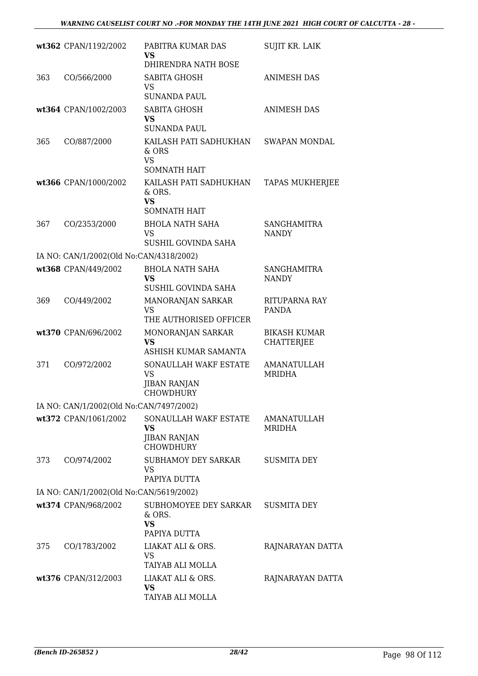|     | wt362 CPAN/1192/2002                    | PABITRA KUMAR DAS<br><b>VS</b><br>DHIRENDRA NATH BOSE                         | <b>SUJIT KR. LAIK</b>                    |
|-----|-----------------------------------------|-------------------------------------------------------------------------------|------------------------------------------|
| 363 | CO/566/2000                             | <b>SABITA GHOSH</b><br>VS<br><b>SUNANDA PAUL</b>                              | <b>ANIMESH DAS</b>                       |
|     | wt364 CPAN/1002/2003                    | SABITA GHOSH<br><b>VS</b><br><b>SUNANDA PAUL</b>                              | <b>ANIMESH DAS</b>                       |
| 365 | CO/887/2000                             | KAILASH PATI SADHUKHAN<br>& ORS<br><b>VS</b><br><b>SOMNATH HAIT</b>           | <b>SWAPAN MONDAL</b>                     |
|     | wt366 CPAN/1000/2002                    | KAILASH PATI SADHUKHAN<br>& ORS.<br><b>VS</b><br><b>SOMNATH HAIT</b>          | <b>TAPAS MUKHERJEE</b>                   |
| 367 | CO/2353/2000                            | <b>BHOLA NATH SAHA</b><br><b>VS</b><br><b>SUSHIL GOVINDA SAHA</b>             | <b>SANGHAMITRA</b><br><b>NANDY</b>       |
|     | IA NO: CAN/1/2002(Old No:CAN/4318/2002) |                                                                               |                                          |
|     | wt368 CPAN/449/2002                     | <b>BHOLA NATH SAHA</b><br><b>VS</b><br>SUSHIL GOVINDA SAHA                    | <b>SANGHAMITRA</b><br><b>NANDY</b>       |
| 369 | CO/449/2002                             | MANORANJAN SARKAR<br><b>VS</b><br>THE AUTHORISED OFFICER                      | RITUPARNA RAY<br><b>PANDA</b>            |
|     | wt370 CPAN/696/2002                     | MONORANJAN SARKAR<br><b>VS</b><br>ASHISH KUMAR SAMANTA                        | <b>BIKASH KUMAR</b><br><b>CHATTERJEE</b> |
| 371 | CO/972/2002                             | SONAULLAH WAKF ESTATE<br><b>VS</b><br><b>JIBAN RANJAN</b><br><b>CHOWDHURY</b> | <b>AMANATULLAH</b><br>MRIDHA             |
|     | IA NO: CAN/1/2002(Old No:CAN/7497/2002) |                                                                               |                                          |
|     | wt372 CPAN/1061/2002                    | SONAULLAH WAKF ESTATE<br><b>VS</b><br><b>JIBAN RANJAN</b><br><b>CHOWDHURY</b> | AMANATULLAH<br>MRIDHA                    |
| 373 | CO/974/2002                             | <b>SUBHAMOY DEY SARKAR</b><br><b>VS</b><br>PAPIYA DUTTA                       | <b>SUSMITA DEY</b>                       |
|     | IA NO: CAN/1/2002(Old No:CAN/5619/2002) |                                                                               |                                          |
|     | wt374 CPAN/968/2002                     | SUBHOMOYEE DEY SARKAR<br>& ORS.<br><b>VS</b><br>PAPIYA DUTTA                  | <b>SUSMITA DEY</b>                       |
| 375 | CO/1783/2002                            | LIAKAT ALI & ORS.<br>VS<br>TAIYAB ALI MOLLA                                   | RAJNARAYAN DATTA                         |
|     | wt376 CPAN/312/2003                     | LIAKAT ALI & ORS.<br><b>VS</b><br>TAIYAB ALI MOLLA                            | RAJNARAYAN DATTA                         |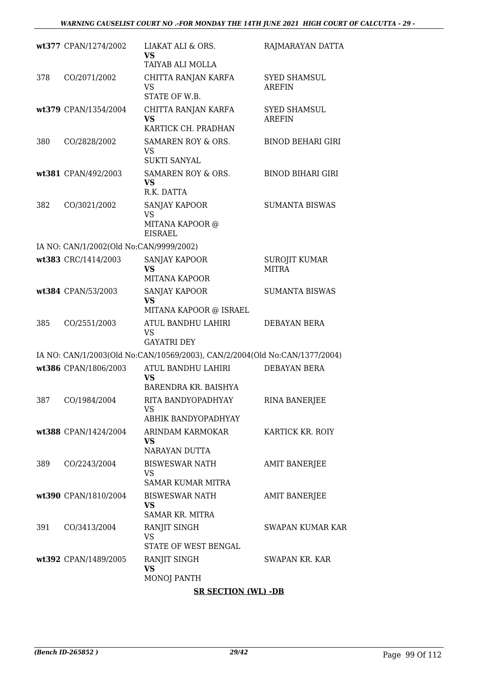|     | wt377 CPAN/1274/2002                    | LIAKAT ALI & ORS.<br>VS<br>TAIYAB ALI MOLLA                                | RAJMARAYAN DATTA                     |
|-----|-----------------------------------------|----------------------------------------------------------------------------|--------------------------------------|
| 378 | CO/2071/2002                            | CHITTA RANJAN KARFA<br><b>VS</b><br>STATE OF W.B.                          | <b>SYED SHAMSUL</b><br><b>AREFIN</b> |
|     | wt379 CPAN/1354/2004                    | CHITTA RANJAN KARFA<br>VS<br>KARTICK CH. PRADHAN                           | SYED SHAMSUL<br><b>AREFIN</b>        |
| 380 | CO/2828/2002                            | SAMAREN ROY & ORS.<br>VS<br><b>SUKTI SANYAL</b>                            | <b>BINOD BEHARI GIRI</b>             |
|     | wt381 CPAN/492/2003                     | SAMAREN ROY & ORS.<br>VS.<br>R.K. DATTA                                    | <b>BINOD BIHARI GIRI</b>             |
| 382 | CO/3021/2002                            | <b>SANJAY KAPOOR</b><br>VS<br>MITANA KAPOOR @<br><b>EISRAEL</b>            | <b>SUMANTA BISWAS</b>                |
|     | IA NO: CAN/1/2002(Old No:CAN/9999/2002) |                                                                            |                                      |
|     | wt383 CRC/1414/2003                     | SANJAY KAPOOR<br>VS<br><b>MITANA KAPOOR</b>                                | SUROJIT KUMAR<br><b>MITRA</b>        |
|     | wt384 CPAN/53/2003                      | SANJAY KAPOOR<br><b>VS</b><br>MITANA KAPOOR @ ISRAEL                       | <b>SUMANTA BISWAS</b>                |
| 385 | CO/2551/2003                            | ATUL BANDHU LAHIRI<br>VS<br><b>GAYATRI DEY</b>                             | DEBAYAN BERA                         |
|     |                                         | IA NO: CAN/1/2003(Old No:CAN/10569/2003), CAN/2/2004(Old No:CAN/1377/2004) |                                      |
|     | wt386 CPAN/1806/2003                    | ATUL BANDHU LAHIRI<br>VS<br>BARENDRA KR. BAISHYA                           | DEBAYAN BERA                         |
| 387 | CO/1984/2004                            | RITA BANDYOPADHYAY<br><b>VS</b><br>ABHIK BANDYOPADHYAY                     | <b>RINA BANERJEE</b>                 |
|     | wt388 CPAN/1424/2004                    | ARINDAM KARMOKAR<br>VS<br>NARAYAN DUTTA                                    | KARTICK KR. ROIY                     |
| 389 | CO/2243/2004                            | <b>BISWESWAR NATH</b><br>VS.<br><b>SAMAR KUMAR MITRA</b>                   | <b>AMIT BANERJEE</b>                 |
|     | wt390 CPAN/1810/2004                    | <b>BISWESWAR NATH</b><br><b>VS</b><br><b>SAMAR KR. MITRA</b>               | <b>AMIT BANERJEE</b>                 |
| 391 | CO/3413/2004                            | RANJIT SINGH<br><b>VS</b><br>STATE OF WEST BENGAL                          | <b>SWAPAN KUMAR KAR</b>              |
|     | wt392 CPAN/1489/2005                    | RANJIT SINGH<br><b>VS</b><br>MONOJ PANTH                                   | SWAPAN KR. KAR                       |
|     |                                         | <b>SR SECTION (WL) -DB</b>                                                 |                                      |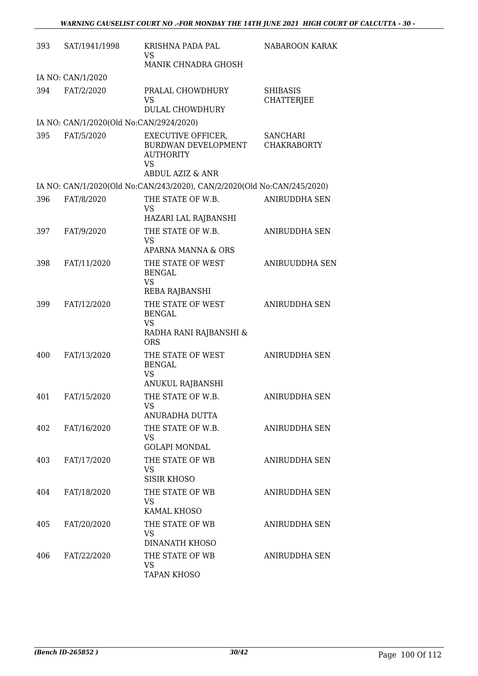| 393 | SAT/1941/1998                           | KRISHNA PADA PAL<br><b>VS</b>                                                                                    | NABAROON KARAK                        |
|-----|-----------------------------------------|------------------------------------------------------------------------------------------------------------------|---------------------------------------|
|     |                                         | MANIK CHNADRA GHOSH                                                                                              |                                       |
|     | IA NO: CAN/1/2020                       |                                                                                                                  |                                       |
| 394 | FAT/2/2020                              | PRALAL CHOWDHURY<br><b>VS</b><br><b>DULAL CHOWDHURY</b>                                                          | <b>SHIBASIS</b><br><b>CHATTERJEE</b>  |
|     |                                         |                                                                                                                  |                                       |
|     | IA NO: CAN/1/2020(Old No:CAN/2924/2020) |                                                                                                                  |                                       |
| 395 | FAT/5/2020                              | <b>EXECUTIVE OFFICER,</b><br>BURDWAN DEVELOPMENT<br><b>AUTHORITY</b><br><b>VS</b><br><b>ABDUL AZIZ &amp; ANR</b> | <b>SANCHARI</b><br><b>CHAKRABORTY</b> |
|     |                                         | IA NO: CAN/1/2020(Old No:CAN/243/2020), CAN/2/2020(Old No:CAN/245/2020)                                          |                                       |
| 396 | FAT/8/2020                              | THE STATE OF W.B.                                                                                                | <b>ANIRUDDHA SEN</b>                  |
|     |                                         | <b>VS</b><br>HAZARI LAL RAJBANSHI                                                                                |                                       |
| 397 | FAT/9/2020                              | THE STATE OF W.B.                                                                                                | <b>ANIRUDDHA SEN</b>                  |
|     |                                         | <b>VS</b><br><b>APARNA MANNA &amp; ORS</b>                                                                       |                                       |
| 398 | FAT/11/2020                             | THE STATE OF WEST                                                                                                | <b>ANIRUUDDHA SEN</b>                 |
|     |                                         | <b>BENGAL</b><br><b>VS</b><br>REBA RAJBANSHI                                                                     |                                       |
| 399 | FAT/12/2020                             | THE STATE OF WEST                                                                                                | <b>ANIRUDDHA SEN</b>                  |
|     |                                         | <b>BENGAL</b><br><b>VS</b><br>RADHA RANI RAJBANSHI &<br><b>ORS</b>                                               |                                       |
| 400 | FAT/13/2020                             | THE STATE OF WEST<br><b>BENGAL</b><br><b>VS</b>                                                                  | <b>ANIRUDDHA SEN</b>                  |
|     |                                         | ANUKUL RAJBANSHI                                                                                                 |                                       |
| 401 | FAT/15/2020                             | THE STATE OF W.B.<br>VS                                                                                          | ANIRUDDHA SEN                         |
|     |                                         | ANURADHA DUTTA                                                                                                   |                                       |
| 402 | FAT/16/2020                             | THE STATE OF W.B.<br>VS<br><b>GOLAPI MONDAL</b>                                                                  | ANIRUDDHA SEN                         |
| 403 |                                         | THE STATE OF WB                                                                                                  | <b>ANIRUDDHA SEN</b>                  |
|     | FAT/17/2020                             | <b>VS</b><br><b>SISIR KHOSO</b>                                                                                  |                                       |
| 404 | FAT/18/2020                             | THE STATE OF WB<br>VS                                                                                            | <b>ANIRUDDHA SEN</b>                  |
|     |                                         | KAMAL KHOSO                                                                                                      |                                       |
| 405 | FAT/20/2020                             | THE STATE OF WB<br>VS                                                                                            | ANIRUDDHA SEN                         |
|     |                                         | DINANATH KHOSO                                                                                                   |                                       |
| 406 | FAT/22/2020                             | THE STATE OF WB<br><b>VS</b><br><b>TAPAN KHOSO</b>                                                               | ANIRUDDHA SEN                         |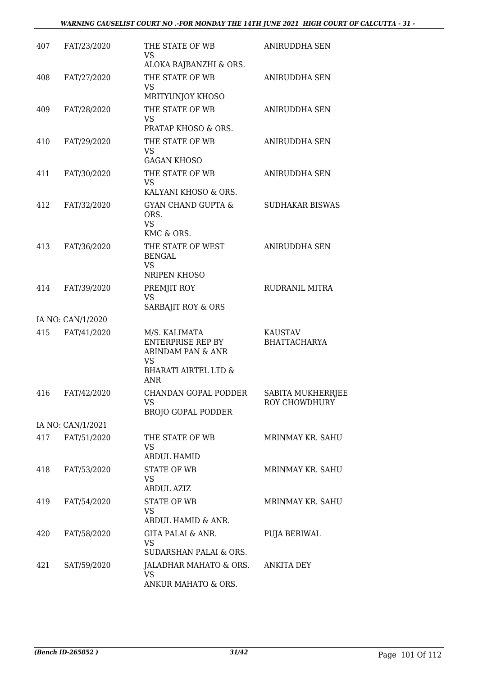| 407 | FAT/23/2020       | THE STATE OF WB<br><b>VS</b>                                         | ANIRUDDHA SEN                      |
|-----|-------------------|----------------------------------------------------------------------|------------------------------------|
|     |                   | ALOKA RAJBANZHI & ORS.                                               |                                    |
| 408 | FAT/27/2020       | THE STATE OF WB<br><b>VS</b><br>MRITYUNJOY KHOSO                     | ANIRUDDHA SEN                      |
|     |                   |                                                                      |                                    |
| 409 | FAT/28/2020       | THE STATE OF WB<br><b>VS</b><br>PRATAP KHOSO & ORS.                  | <b>ANIRUDDHA SEN</b>               |
| 410 | FAT/29/2020       | THE STATE OF WB<br>VS                                                | <b>ANIRUDDHA SEN</b>               |
|     |                   | <b>GAGAN KHOSO</b>                                                   |                                    |
| 411 | FAT/30/2020       | THE STATE OF WB<br><b>VS</b>                                         | <b>ANIRUDDHA SEN</b>               |
|     |                   | KALYANI KHOSO & ORS.                                                 |                                    |
| 412 | FAT/32/2020       | <b>GYAN CHAND GUPTA &amp;</b><br>ORS.<br><b>VS</b><br>KMC & ORS.     | <b>SUDHAKAR BISWAS</b>             |
| 413 | FAT/36/2020       | THE STATE OF WEST<br><b>BENGAL</b><br><b>VS</b>                      | <b>ANIRUDDHA SEN</b>               |
|     |                   | NRIPEN KHOSO                                                         |                                    |
| 414 | FAT/39/2020       | PREMJIT ROY<br><b>VS</b>                                             | <b>RUDRANIL MITRA</b>              |
|     |                   | SARBAJIT ROY & ORS                                                   |                                    |
|     | IA NO: CAN/1/2020 |                                                                      |                                    |
| 415 | FAT/41/2020       | M/S. KALIMATA<br>ENTERPRISE REP BY<br>ARINDAM PAN & ANR<br><b>VS</b> | KAUSTAV<br><b>BHATTACHARYA</b>     |
|     |                   | <b>BHARATI AIRTEL LTD &amp;</b><br>ANR                               |                                    |
| 416 | FAT/42/2020       | CHANDAN GOPAL PODDER<br><b>VS</b><br><b>BROJO GOPAL PODDER</b>       | SABITA MUKHERRJEE<br>ROY CHOWDHURY |
|     | IA NO: CAN/1/2021 |                                                                      |                                    |
| 417 | FAT/51/2020       | THE STATE OF WB<br>VS                                                | MRINMAY KR. SAHU                   |
|     |                   | <b>ABDUL HAMID</b>                                                   |                                    |
| 418 | FAT/53/2020       | <b>STATE OF WB</b><br><b>VS</b><br><b>ABDUL AZIZ</b>                 | MRINMAY KR. SAHU                   |
| 419 | FAT/54/2020       | <b>STATE OF WB</b><br>VS                                             | MRINMAY KR. SAHU                   |
|     |                   | ABDUL HAMID & ANR.                                                   |                                    |
| 420 | FAT/58/2020       | GITA PALAI & ANR.<br>VS<br>SUDARSHAN PALAI & ORS.                    | PUJA BERIWAL                       |
|     |                   |                                                                      |                                    |
| 421 | SAT/59/2020       | JALADHAR MAHATO & ORS.<br><b>VS</b><br>ANKUR MAHATO & ORS.           | <b>ANKITA DEY</b>                  |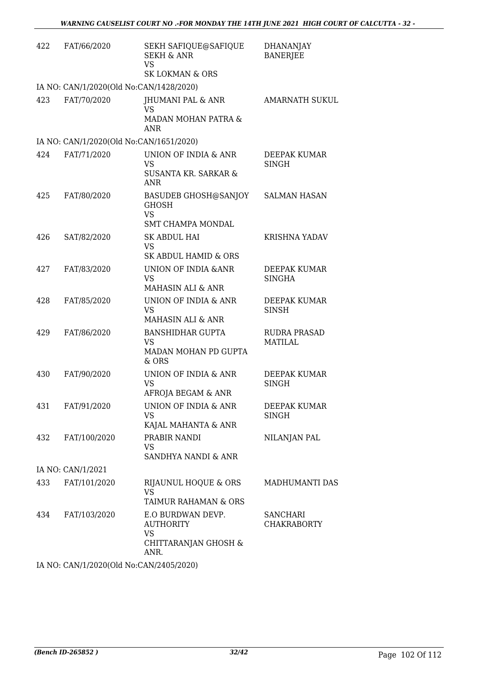| 422               | FAT/66/2020                             | SEKH SAFIQUE@SAFIQUE<br><b>SEKH &amp; ANR</b><br><b>VS</b><br><b>SK LOKMAN &amp; ORS</b> | <b>DHANANJAY</b><br><b>BANERJEE</b>   |  |  |
|-------------------|-----------------------------------------|------------------------------------------------------------------------------------------|---------------------------------------|--|--|
|                   | IA NO: CAN/1/2020(Old No:CAN/1428/2020) |                                                                                          |                                       |  |  |
| 423               | FAT/70/2020                             | JHUMANI PAL & ANR<br><b>VS</b><br>MADAN MOHAN PATRA &<br>ANR                             | AMARNATH SUKUL                        |  |  |
|                   | IA NO: CAN/1/2020(Old No:CAN/1651/2020) |                                                                                          |                                       |  |  |
| 42.4              | FAT/71/2020                             | UNION OF INDIA & ANR<br><b>VS</b><br>SUSANTA KR. SARKAR &<br><b>ANR</b>                  | DEEPAK KUMAR<br><b>SINGH</b>          |  |  |
| 425               | FAT/80/2020                             | <b>BASUDEB GHOSH@SANJOY</b><br><b>GHOSH</b><br><b>VS</b><br><b>SMT CHAMPA MONDAL</b>     | <b>SALMAN HASAN</b>                   |  |  |
| 426               | SAT/82/2020                             | SK ABDUL HAI<br><b>VS</b><br>SK ABDUL HAMID & ORS                                        | <b>KRISHNA YADAV</b>                  |  |  |
| 42.7              | FAT/83/2020                             | UNION OF INDIA & ANR<br><b>VS</b><br>MAHASIN ALI & ANR                                   | DEEPAK KUMAR<br><b>SINGHA</b>         |  |  |
| 428               | FAT/85/2020                             | UNION OF INDIA & ANR<br><b>VS</b><br>MAHASIN ALI & ANR                                   | DEEPAK KUMAR<br><b>SINSH</b>          |  |  |
| 429               | FAT/86/2020                             | <b>BANSHIDHAR GUPTA</b><br>VS<br>MADAN MOHAN PD GUPTA<br>& ORS                           | <b>RUDRA PRASAD</b><br><b>MATILAL</b> |  |  |
| 430               | FAT/90/2020                             | UNION OF INDIA & ANR<br><b>VS</b><br>AFROJA BEGAM & ANR                                  | DEEPAK KUMAR<br>SINGH                 |  |  |
| 431               | FAT/91/2020                             | UNION OF INDIA & ANR<br><b>VS</b><br>KAJAL MAHANTA & ANR                                 | DEEPAK KUMAR<br><b>SINGH</b>          |  |  |
| 432               | FAT/100/2020                            | PRABIR NANDI<br>VS<br>SANDHYA NANDI & ANR                                                | NILANJAN PAL                          |  |  |
| IA NO: CAN/1/2021 |                                         |                                                                                          |                                       |  |  |
| 433               | FAT/101/2020                            | RIJAUNUL HOQUE & ORS<br><b>VS</b><br>TAIMUR RAHAMAN & ORS                                | MADHUMANTI DAS                        |  |  |
| 434               | FAT/103/2020                            | E.O BURDWAN DEVP.<br><b>AUTHORITY</b><br>VS<br>CHITTARANJAN GHOSH &<br>ANR.              | SANCHARI<br><b>CHAKRABORTY</b>        |  |  |

IA NO: CAN/1/2020(Old No:CAN/2405/2020)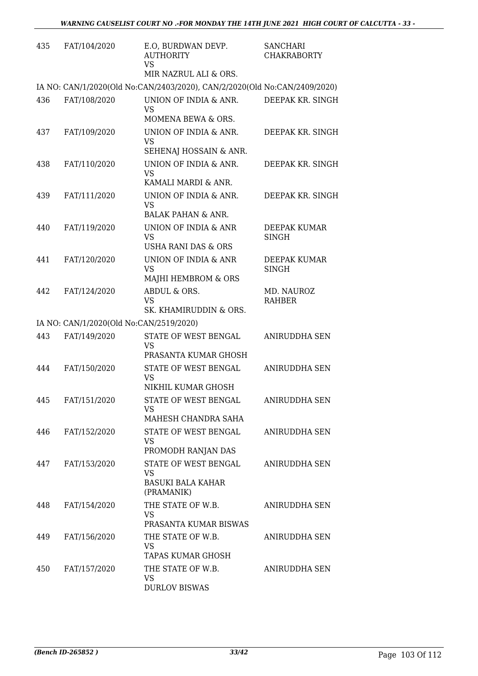| 435 | FAT/104/2020                            | E.O, BURDWAN DEVP.<br><b>AUTHORITY</b><br><b>VS</b><br>MIR NAZRUL ALI & ORS. | <b>SANCHARI</b><br><b>CHAKRABORTY</b> |
|-----|-----------------------------------------|------------------------------------------------------------------------------|---------------------------------------|
|     |                                         | IA NO: CAN/1/2020(Old No:CAN/2403/2020), CAN/2/2020(Old No:CAN/2409/2020)    |                                       |
| 436 | FAT/108/2020                            | UNION OF INDIA & ANR.<br>VS                                                  | DEEPAK KR. SINGH                      |
|     |                                         | MOMENA BEWA & ORS.                                                           |                                       |
| 437 | FAT/109/2020                            | UNION OF INDIA & ANR.<br><b>VS</b><br>SEHENAJ HOSSAIN & ANR.                 | DEEPAK KR. SINGH                      |
| 438 | FAT/110/2020                            | UNION OF INDIA & ANR.<br><b>VS</b>                                           | DEEPAK KR. SINGH                      |
|     |                                         | KAMALI MARDI & ANR.                                                          |                                       |
| 439 | FAT/111/2020                            | UNION OF INDIA & ANR.<br><b>VS</b><br><b>BALAK PAHAN &amp; ANR.</b>          | DEEPAK KR. SINGH                      |
| 440 | FAT/119/2020                            | UNION OF INDIA & ANR                                                         | DEEPAK KUMAR                          |
|     |                                         | <b>VS</b><br><b>USHA RANI DAS &amp; ORS</b>                                  | <b>SINGH</b>                          |
| 441 | FAT/120/2020                            | UNION OF INDIA & ANR<br><b>VS</b>                                            | DEEPAK KUMAR<br>SINGH                 |
|     |                                         | MAJHI HEMBROM & ORS                                                          |                                       |
| 442 | FAT/124/2020                            | ABDUL & ORS.<br><b>VS</b>                                                    | MD. NAUROZ<br><b>RAHBER</b>           |
|     |                                         | SK. KHAMIRUDDIN & ORS.                                                       |                                       |
|     | IA NO: CAN/1/2020(Old No:CAN/2519/2020) |                                                                              |                                       |
| 443 | FAT/149/2020                            | STATE OF WEST BENGAL<br>VS<br>PRASANTA KUMAR GHOSH                           | ANIRUDDHA SEN                         |
| 444 | FAT/150/2020                            | STATE OF WEST BENGAL                                                         | <b>ANIRUDDHA SEN</b>                  |
|     |                                         | <b>VS</b><br>NIKHIL KUMAR GHOSH                                              |                                       |
| 445 | FAT/151/2020                            | STATE OF WEST BENGAL                                                         | ANIRUDDHA SEN                         |
|     |                                         | VS<br>MAHESH CHANDRA SAHA                                                    |                                       |
| 446 | FAT/152/2020                            | STATE OF WEST BENGAL<br><b>VS</b>                                            | ANIRUDDHA SEN                         |
|     |                                         | PROMODH RANJAN DAS                                                           |                                       |
| 447 | FAT/153/2020                            | STATE OF WEST BENGAL<br><b>VS</b>                                            | ANIRUDDHA SEN                         |
|     |                                         | <b>BASUKI BALA KAHAR</b><br>(PRAMANIK)                                       |                                       |
| 448 | FAT/154/2020                            | THE STATE OF W.B.<br>VS.<br>PRASANTA KUMAR BISWAS                            | ANIRUDDHA SEN                         |
| 449 | FAT/156/2020                            | THE STATE OF W.B.                                                            | ANIRUDDHA SEN                         |
|     |                                         | <b>VS</b><br>TAPAS KUMAR GHOSH                                               |                                       |
| 450 | FAT/157/2020                            | THE STATE OF W.B.<br><b>VS</b><br><b>DURLOV BISWAS</b>                       | ANIRUDDHA SEN                         |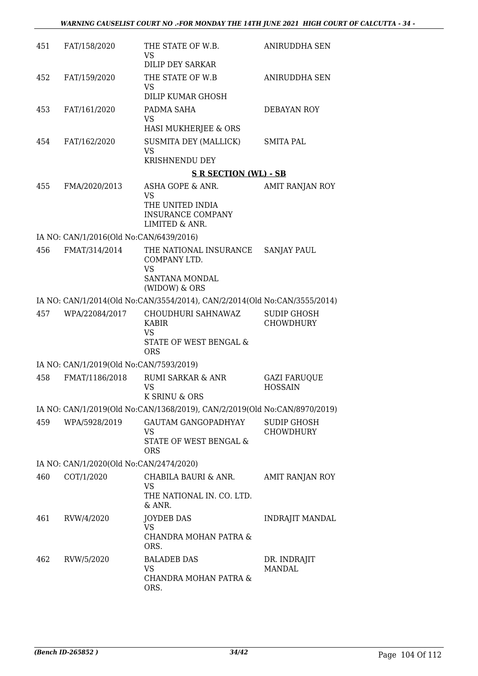| 451 | FAT/158/2020                            | THE STATE OF W.B.<br>VS                                                                 | ANIRUDDHA SEN                          |
|-----|-----------------------------------------|-----------------------------------------------------------------------------------------|----------------------------------------|
|     |                                         | <b>DILIP DEY SARKAR</b>                                                                 |                                        |
| 452 | FAT/159/2020                            | THE STATE OF W.B<br>VS                                                                  | ANIRUDDHA SEN                          |
|     |                                         | DILIP KUMAR GHOSH                                                                       |                                        |
| 453 | FAT/161/2020                            | PADMA SAHA<br>VS<br>HASI MUKHERJEE & ORS                                                | DEBAYAN ROY                            |
| 454 | FAT/162/2020                            | <b>SUSMITA DEY (MALLICK)</b><br><b>VS</b>                                               | <b>SMITA PAL</b>                       |
|     |                                         | <b>KRISHNENDU DEY</b>                                                                   |                                        |
|     |                                         | <b>S R SECTION (WL) - SB</b>                                                            |                                        |
| 455 | FMA/2020/2013                           | ASHA GOPE & ANR.<br>VS<br>THE UNITED INDIA<br><b>INSURANCE COMPANY</b>                  | AMIT RANJAN ROY                        |
|     |                                         | LIMITED & ANR.                                                                          |                                        |
|     | IA NO: CAN/1/2016(Old No:CAN/6439/2016) |                                                                                         |                                        |
| 456 | FMAT/314/2014                           | THE NATIONAL INSURANCE<br>COMPANY LTD.<br><b>VS</b><br>SANTANA MONDAL<br>(WIDOW) & ORS  | <b>SANJAY PAUL</b>                     |
|     |                                         | IA NO: CAN/1/2014(Old No:CAN/3554/2014), CAN/2/2014(Old No:CAN/3555/2014)               |                                        |
| 457 | WPA/22084/2017                          | CHOUDHURI SAHNAWAZ<br><b>KABIR</b><br><b>VS</b><br>STATE OF WEST BENGAL &<br><b>ORS</b> | <b>SUDIP GHOSH</b><br><b>CHOWDHURY</b> |
|     | IA NO: CAN/1/2019(Old No:CAN/7593/2019) |                                                                                         |                                        |
| 458 | FMAT/1186/2018                          | <b>RUMI SARKAR &amp; ANR</b>                                                            | <b>GAZI FARUQUE</b>                    |
|     |                                         | VS<br>K SRINU & ORS                                                                     | <b>HOSSAIN</b>                         |
|     |                                         | IA NO: CAN/1/2019(Old No:CAN/1368/2019), CAN/2/2019(Old No:CAN/8970/2019)               |                                        |
| 459 | WPA/5928/2019                           | GAUTAM GANGOPADHYAY<br>VS<br>STATE OF WEST BENGAL &<br><b>ORS</b>                       | <b>SUDIP GHOSH</b><br><b>CHOWDHURY</b> |
|     | IA NO: CAN/1/2020(Old No:CAN/2474/2020) |                                                                                         |                                        |
| 460 | COT/1/2020                              | CHABILA BAURI & ANR.<br><b>VS</b><br>THE NATIONAL IN. CO. LTD.<br>& ANR.                | <b>AMIT RANJAN ROY</b>                 |
| 461 | RVW/4/2020                              | <b>JOYDEB DAS</b><br>VS<br>CHANDRA MOHAN PATRA &<br>ORS.                                | <b>INDRAJIT MANDAL</b>                 |
| 462 | RVW/5/2020                              | <b>BALADEB DAS</b><br>VS<br>CHANDRA MOHAN PATRA &<br>ORS.                               | DR. INDRAJIT<br><b>MANDAL</b>          |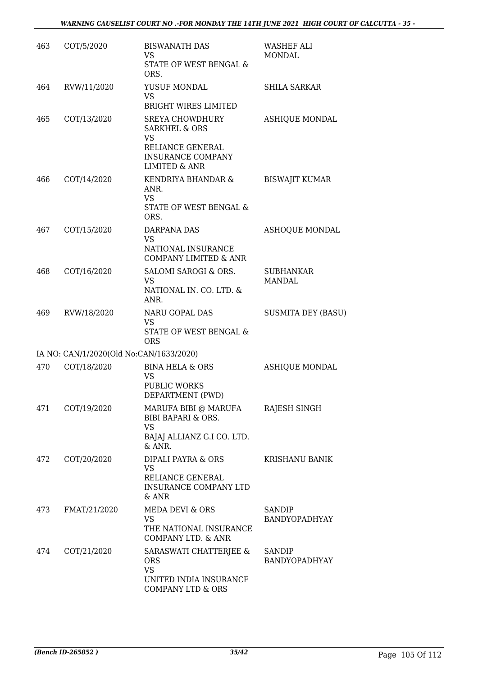| 463 | COT/5/2020                              | <b>BISWANATH DAS</b><br>VS.<br>STATE OF WEST BENGAL &<br>ORS.                                                                        | <b>WASHEF ALI</b><br><b>MONDAL</b> |
|-----|-----------------------------------------|--------------------------------------------------------------------------------------------------------------------------------------|------------------------------------|
| 464 | RVW/11/2020                             | YUSUF MONDAL<br><b>VS</b><br>BRIGHT WIRES LIMITED                                                                                    | <b>SHILA SARKAR</b>                |
| 465 | COT/13/2020                             | <b>SREYA CHOWDHURY</b><br><b>SARKHEL &amp; ORS</b><br>VS<br>RELIANCE GENERAL<br><b>INSURANCE COMPANY</b><br><b>LIMITED &amp; ANR</b> | <b>ASHIQUE MONDAL</b>              |
| 466 | COT/14/2020                             | KENDRIYA BHANDAR &<br>ANR.<br><b>VS</b><br>STATE OF WEST BENGAL &<br>ORS.                                                            | <b>BISWAJIT KUMAR</b>              |
| 467 | COT/15/2020                             | DARPANA DAS<br><b>VS</b><br>NATIONAL INSURANCE<br><b>COMPANY LIMITED &amp; ANR</b>                                                   | <b>ASHOQUE MONDAL</b>              |
| 468 | COT/16/2020                             | SALOMI SAROGI & ORS.<br><b>VS</b><br>NATIONAL IN. CO. LTD. &<br>ANR.                                                                 | <b>SUBHANKAR</b><br>MANDAL         |
| 469 | RVW/18/2020                             | NARU GOPAL DAS<br><b>VS</b><br>STATE OF WEST BENGAL &<br><b>ORS</b>                                                                  | <b>SUSMITA DEY (BASU)</b>          |
|     | IA NO: CAN/1/2020(Old No:CAN/1633/2020) |                                                                                                                                      |                                    |
| 470 | COT/18/2020                             | <b>BINA HELA &amp; ORS</b><br>VS<br>PUBLIC WORKS<br>DEPARTMENT (PWD)                                                                 | <b>ASHIQUE MONDAL</b>              |
| 471 | COT/19/2020                             | MARUFA BIBI @ MARUFA<br><b>BIBI BAPARI &amp; ORS.</b><br><b>VS</b><br>BAJAJ ALLIANZ G.I CO. LTD.<br>& ANR.                           | RAJESH SINGH                       |
| 472 | COT/20/2020                             | DIPALI PAYRA & ORS<br>VS<br>RELIANCE GENERAL<br>INSURANCE COMPANY LTD<br>$&$ ANR                                                     | <b>KRISHANU BANIK</b>              |
| 473 | FMAT/21/2020                            | MEDA DEVI & ORS<br><b>VS</b><br>THE NATIONAL INSURANCE<br>COMPANY LTD. & ANR                                                         | SANDIP<br>BANDYOPADHYAY            |
| 474 | COT/21/2020                             | SARASWATI CHATTERJEE &<br><b>ORS</b><br><b>VS</b><br>UNITED INDIA INSURANCE<br>COMPANY LTD & ORS                                     | SANDIP<br><b>BANDYOPADHYAY</b>     |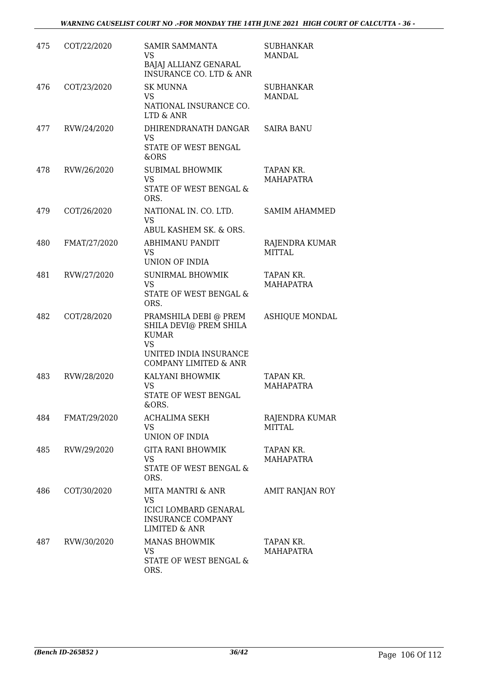| 475 | COT/22/2020  | <b>SAMIR SAMMANTA</b><br><b>VS</b><br>BAJAJ ALLIANZ GENARAL<br><b>INSURANCE CO. LTD &amp; ANR</b>                               | <b>SUBHANKAR</b><br>MANDAL             |
|-----|--------------|---------------------------------------------------------------------------------------------------------------------------------|----------------------------------------|
| 476 | COT/23/2020  | <b>SK MUNNA</b><br><b>VS</b><br>NATIONAL INSURANCE CO.<br>LTD & ANR                                                             | <b>SUBHANKAR</b><br>MANDAL             |
| 477 | RVW/24/2020  | DHIRENDRANATH DANGAR<br><b>VS</b><br>STATE OF WEST BENGAL<br>&ORS                                                               | <b>SAIRA BANU</b>                      |
| 478 | RVW/26/2020  | <b>SUBIMAL BHOWMIK</b><br>VS<br>STATE OF WEST BENGAL &<br>ORS.                                                                  | TAPAN KR.<br><b>MAHAPATRA</b>          |
| 479 | COT/26/2020  | NATIONAL IN. CO. LTD.<br><b>VS</b><br>ABUL KASHEM SK. & ORS.                                                                    | <b>SAMIM AHAMMED</b>                   |
| 480 | FMAT/27/2020 | <b>ABHIMANU PANDIT</b><br>VS.<br><b>UNION OF INDIA</b>                                                                          | <b>RAJENDRA KUMAR</b><br><b>MITTAL</b> |
| 481 | RVW/27/2020  | <b>SUNIRMAL BHOWMIK</b><br>VS<br>STATE OF WEST BENGAL &<br>ORS.                                                                 | TAPAN KR.<br>MAHAPATRA                 |
| 482 | COT/28/2020  | PRAMSHILA DEBI @ PREM<br>SHILA DEVI@ PREM SHILA<br><b>KUMAR</b><br><b>VS</b><br>UNITED INDIA INSURANCE<br>COMPANY LIMITED & ANR | <b>ASHIQUE MONDAL</b>                  |
| 483 | RVW/28/2020  | KALYANI BHOWMIK<br><b>VS</b><br>STATE OF WEST BENGAL<br>&ORS.                                                                   | TAPAN KR.<br><b>MAHAPATRA</b>          |
| 484 | FMAT/29/2020 | <b>ACHALIMA SEKH</b><br>VS<br>UNION OF INDIA                                                                                    | RAJENDRA KUMAR<br><b>MITTAL</b>        |
| 485 | RVW/29/2020  | <b>GITA RANI BHOWMIK</b><br><b>VS</b><br>STATE OF WEST BENGAL &<br>ORS.                                                         | TAPAN KR.<br><b>MAHAPATRA</b>          |
| 486 | COT/30/2020  | MITA MANTRI & ANR<br><b>VS</b><br><b>ICICI LOMBARD GENARAL</b><br><b>INSURANCE COMPANY</b><br><b>LIMITED &amp; ANR</b>          | AMIT RANJAN ROY                        |
| 487 | RVW/30/2020  | <b>MANAS BHOWMIK</b><br>VS<br>STATE OF WEST BENGAL &<br>ORS.                                                                    | TAPAN KR.<br><b>MAHAPATRA</b>          |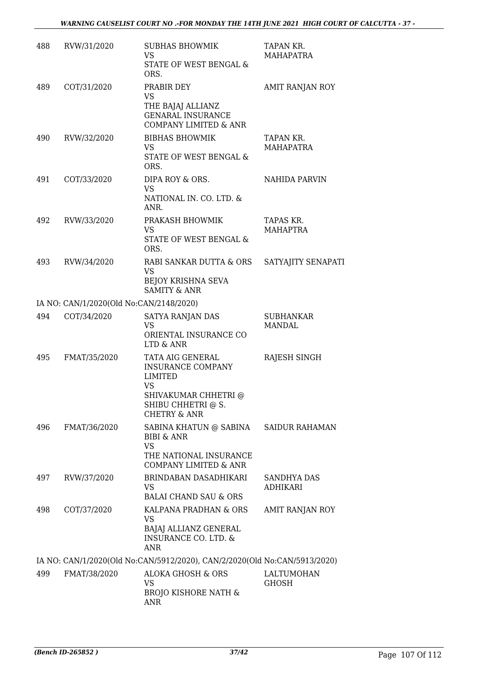| 488 | RVW/31/2020                             | <b>SUBHAS BHOWMIK</b><br><b>VS</b><br>STATE OF WEST BENGAL &<br>ORS.                                                                          | TAPAN KR.<br><b>MAHAPATRA</b>     |
|-----|-----------------------------------------|-----------------------------------------------------------------------------------------------------------------------------------------------|-----------------------------------|
| 489 | COT/31/2020                             | PRABIR DEY<br>VS<br>THE BAJAJ ALLIANZ<br><b>GENARAL INSURANCE</b><br><b>COMPANY LIMITED &amp; ANR</b>                                         | AMIT RANJAN ROY                   |
| 490 | RVW/32/2020                             | <b>BIBHAS BHOWMIK</b><br>VS<br>STATE OF WEST BENGAL &<br>ORS.                                                                                 | TAPAN KR.<br><b>MAHAPATRA</b>     |
| 491 | COT/33/2020                             | DIPA ROY & ORS.<br>VS<br>NATIONAL IN. CO. LTD. &<br>ANR.                                                                                      | NAHIDA PARVIN                     |
| 492 | RVW/33/2020                             | PRAKASH BHOWMIK<br>VS<br><b>STATE OF WEST BENGAL &amp;</b><br>ORS.                                                                            | TAPAS KR.<br><b>MAHAPTRA</b>      |
| 493 | RVW/34/2020                             | RABI SANKAR DUTTA & ORS<br>VS<br><b>BEJOY KRISHNA SEVA</b><br><b>SAMITY &amp; ANR</b>                                                         | SATYAJITY SENAPATI                |
|     | IA NO: CAN/1/2020(Old No:CAN/2148/2020) |                                                                                                                                               |                                   |
| 494 | COT/34/2020                             | SATYA RANJAN DAS<br><b>VS</b><br>ORIENTAL INSURANCE CO<br>LTD & ANR                                                                           | <b>SUBHANKAR</b><br><b>MANDAL</b> |
| 495 | FMAT/35/2020                            | TATA AIG GENERAL<br><b>INSURANCE COMPANY</b><br><b>LIMITED</b><br>VS<br>SHIVAKUMAR CHHETRI @<br>SHIBU CHHETRI @ S.<br><b>CHETRY &amp; ANR</b> | RAJESH SINGH                      |
| 496 | FMAT/36/2020                            | SABINA KHATUN @ SABINA<br>BIBI & ANR<br><b>VS</b><br>THE NATIONAL INSURANCE<br>COMPANY LIMITED & ANR                                          | SAIDUR RAHAMAN                    |
| 497 | RVW/37/2020                             | BRINDABAN DASADHIKARI<br>VS<br><b>BALAI CHAND SAU &amp; ORS</b>                                                                               | SANDHYA DAS<br>ADHIKARI           |
| 498 | COT/37/2020                             | KALPANA PRADHAN & ORS<br><b>VS</b><br>BAJAJ ALLIANZ GENERAL<br><b>INSURANCE CO. LTD. &amp;</b><br>ANR                                         | AMIT RANJAN ROY                   |
|     |                                         | IA NO: CAN/1/2020(Old No:CAN/5912/2020), CAN/2/2020(Old No:CAN/5913/2020)                                                                     |                                   |
| 499 | FMAT/38/2020                            | <b>ALOKA GHOSH &amp; ORS</b><br>VS<br><b>BROJO KISHORE NATH &amp;</b><br>ANR                                                                  | <b>LALTUMOHAN</b><br><b>GHOSH</b> |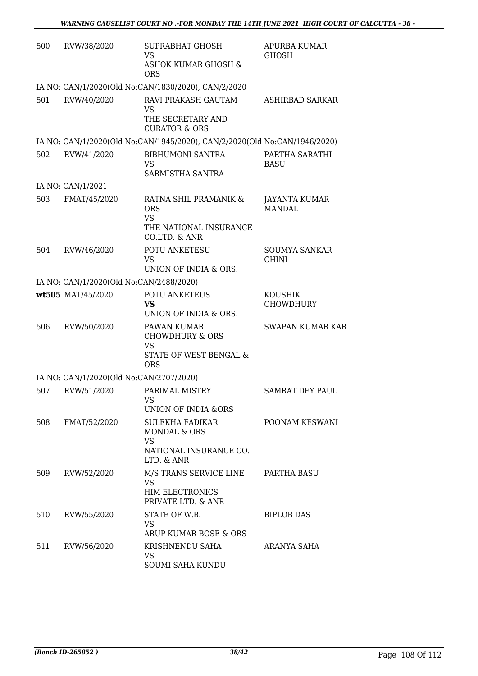| 500 | RVW/38/2020                             | SUPRABHAT GHOSH<br>VS<br>ASHOK KUMAR GHOSH &<br><b>ORS</b>                                  | <b>APURBA KUMAR</b><br><b>GHOSH</b>  |
|-----|-----------------------------------------|---------------------------------------------------------------------------------------------|--------------------------------------|
|     |                                         | IA NO: CAN/1/2020(Old No:CAN/1830/2020), CAN/2/2020                                         |                                      |
| 501 | RVW/40/2020                             | RAVI PRAKASH GAUTAM<br>VS<br>THE SECRETARY AND<br><b>CURATOR &amp; ORS</b>                  | ASHIRBAD SARKAR                      |
|     |                                         | IA NO: CAN/1/2020(Old No:CAN/1945/2020), CAN/2/2020(Old No:CAN/1946/2020)                   |                                      |
| 502 | RVW/41/2020                             | <b>BIBHUMONI SANTRA</b><br>VS<br>SARMISTHA SANTRA                                           | PARTHA SARATHI<br><b>BASU</b>        |
|     | IA NO: CAN/1/2021                       |                                                                                             |                                      |
| 503 | FMAT/45/2020                            | RATNA SHIL PRAMANIK &<br><b>ORS</b><br><b>VS</b><br>THE NATIONAL INSURANCE<br>CO.LTD. & ANR | JAYANTA KUMAR<br><b>MANDAL</b>       |
| 504 | RVW/46/2020                             | POTU ANKETESU<br><b>VS</b><br>UNION OF INDIA & ORS.                                         | <b>SOUMYA SANKAR</b><br><b>CHINI</b> |
|     | IA NO: CAN/1/2020(Old No:CAN/2488/2020) |                                                                                             |                                      |
|     | wt505 MAT/45/2020                       | POTU ANKETEUS<br>vs<br>UNION OF INDIA & ORS.                                                | <b>KOUSHIK</b><br>CHOWDHURY          |
| 506 | RVW/50/2020                             | PAWAN KUMAR<br><b>CHOWDHURY &amp; ORS</b><br>VS<br>STATE OF WEST BENGAL &<br><b>ORS</b>     | <b>SWAPAN KUMAR KAR</b>              |
|     | IA NO: CAN/1/2020(Old No:CAN/2707/2020) |                                                                                             |                                      |
| 507 | RVW/51/2020                             | PARIMAL MISTRY<br>VS —<br>UNION OF INDIA &ORS                                               | <b>SAMRAT DEY PAUL</b>               |
| 508 | FMAT/52/2020                            | SULEKHA FADIKAR<br>MONDAL & ORS<br><b>VS</b><br>NATIONAL INSURANCE CO.<br>LTD. & ANR        | POONAM KESWANI                       |
| 509 | RVW/52/2020                             | M/S TRANS SERVICE LINE<br><b>VS</b><br><b>HIM ELECTRONICS</b><br>PRIVATE LTD. & ANR         | PARTHA BASU                          |
| 510 | RVW/55/2020                             | STATE OF W.B.<br>VS.<br>ARUP KUMAR BOSE & ORS                                               | <b>BIPLOB DAS</b>                    |
| 511 | RVW/56/2020                             | KRISHNENDU SAHA<br>VS<br><b>SOUMI SAHA KUNDU</b>                                            | ARANYA SAHA                          |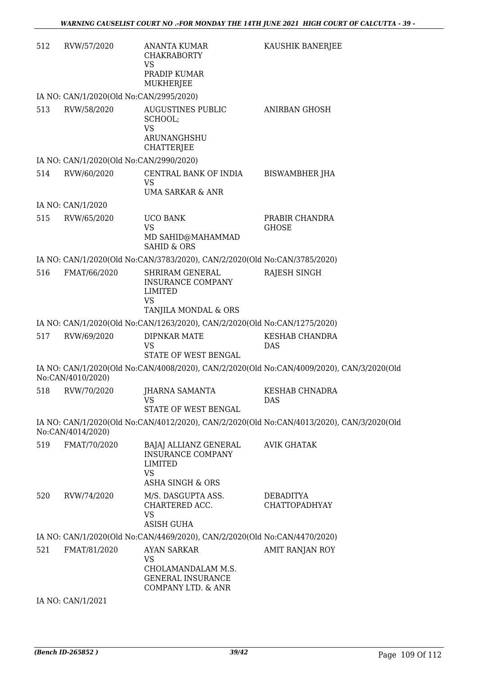| 512                                                                                                            | RVW/57/2020                             | ANANTA KUMAR<br><b>CHAKRABORTY</b><br><b>VS</b><br>PRADIP KUMAR<br>MUKHERJEE                             | KAUSHIK BANERJEE                                                                          |
|----------------------------------------------------------------------------------------------------------------|-----------------------------------------|----------------------------------------------------------------------------------------------------------|-------------------------------------------------------------------------------------------|
|                                                                                                                | IA NO: CAN/1/2020(Old No:CAN/2995/2020) |                                                                                                          |                                                                                           |
| 513                                                                                                            | RVW/58/2020                             | <b>AUGUSTINES PUBLIC</b><br>SCHOOL;<br><b>VS</b><br>ARUNANGHSHU<br><b>CHATTERJEE</b>                     | <b>ANIRBAN GHOSH</b>                                                                      |
|                                                                                                                | IA NO: CAN/1/2020(Old No:CAN/2990/2020) |                                                                                                          |                                                                                           |
| 514                                                                                                            | RVW/60/2020                             | CENTRAL BANK OF INDIA<br>VS<br><b>UMA SARKAR &amp; ANR</b>                                               | <b>BISWAMBHER JHA</b>                                                                     |
|                                                                                                                | IA NO: CAN/1/2020                       |                                                                                                          |                                                                                           |
| 515                                                                                                            | RVW/65/2020                             | <b>UCO BANK</b><br><b>VS</b><br>MD SAHID@MAHAMMAD                                                        | PRABIR CHANDRA<br><b>GHOSE</b>                                                            |
|                                                                                                                |                                         | <b>SAHID &amp; ORS</b>                                                                                   |                                                                                           |
|                                                                                                                |                                         | IA NO: CAN/1/2020(Old No:CAN/3783/2020), CAN/2/2020(Old No:CAN/3785/2020)                                |                                                                                           |
| 516                                                                                                            | FMAT/66/2020                            | SHRIRAM GENERAL<br><b>INSURANCE COMPANY</b><br>LIMITED<br>VS<br>TANJILA MONDAL & ORS                     | RAJESH SINGH                                                                              |
|                                                                                                                |                                         | IA NO: CAN/1/2020(Old No:CAN/1263/2020), CAN/2/2020(Old No:CAN/1275/2020)                                |                                                                                           |
| 517                                                                                                            | RVW/69/2020                             | DIPNKAR MATE<br>VS<br>STATE OF WEST BENGAL                                                               | KESHAB CHANDRA<br><b>DAS</b>                                                              |
|                                                                                                                | No:CAN/4010/2020)                       |                                                                                                          | IA NO: CAN/1/2020(Old No:CAN/4008/2020), CAN/2/2020(Old No:CAN/4009/2020), CAN/3/2020(Old |
| 518                                                                                                            | RVW/70/2020                             | JHARNA SAMANTA<br>VS FOR THE VIOLENCE STREET<br>STATE OF WEST BENGAL                                     | KESHAB CHNADRA<br>DAS                                                                     |
| IA NO: CAN/1/2020(Old No:CAN/4012/2020), CAN/2/2020(Old No:CAN/4013/2020), CAN/3/2020(Old<br>No:CAN/4014/2020) |                                         |                                                                                                          |                                                                                           |
| 519                                                                                                            | FMAT/70/2020                            | BAJAJ ALLIANZ GENERAL<br><b>INSURANCE COMPANY</b><br>LIMITED<br><b>VS</b><br><b>ASHA SINGH &amp; ORS</b> | <b>AVIK GHATAK</b>                                                                        |
| 520                                                                                                            | RVW/74/2020                             | M/S. DASGUPTA ASS.<br>CHARTERED ACC.<br><b>VS</b><br>ASISH GUHA                                          | <b>DEBADITYA</b><br><b>CHATTOPADHYAY</b>                                                  |
| IA NO: CAN/1/2020(Old No:CAN/4469/2020), CAN/2/2020(Old No:CAN/4470/2020)                                      |                                         |                                                                                                          |                                                                                           |
| 521                                                                                                            | FMAT/81/2020                            | <b>AYAN SARKAR</b><br><b>VS</b><br>CHOLAMANDALAM M.S.<br><b>GENERAL INSURANCE</b><br>COMPANY LTD. & ANR  | <b>AMIT RANJAN ROY</b>                                                                    |
|                                                                                                                | IA NO: CAN/1/2021                       |                                                                                                          |                                                                                           |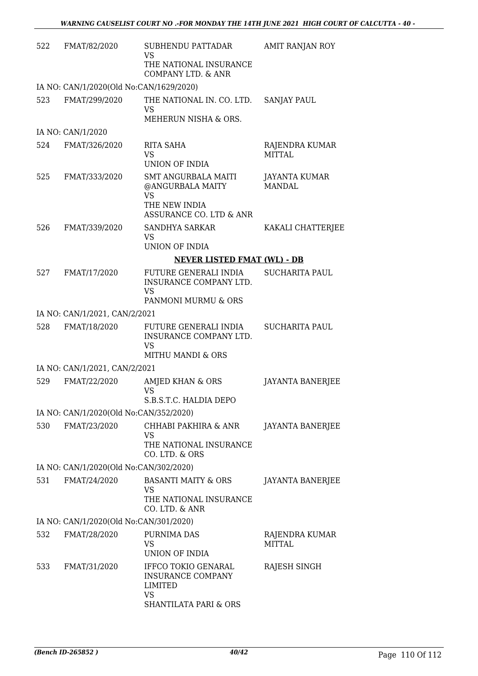| 522 | FMAT/82/2020                            | SUBHENDU PATTADAR<br><b>VS</b><br>THE NATIONAL INSURANCE                                                    | AMIT RANJAN ROY                       |
|-----|-----------------------------------------|-------------------------------------------------------------------------------------------------------------|---------------------------------------|
|     |                                         | COMPANY LTD. & ANR                                                                                          |                                       |
|     | IA NO: CAN/1/2020(Old No:CAN/1629/2020) |                                                                                                             |                                       |
| 523 | FMAT/299/2020                           | THE NATIONAL IN. CO. LTD.<br><b>VS</b>                                                                      | <b>SANJAY PAUL</b>                    |
|     |                                         | MEHERUN NISHA & ORS.                                                                                        |                                       |
|     | IA NO: CAN/1/2020                       |                                                                                                             |                                       |
| 524 | FMAT/326/2020                           | RITA SAHA<br><b>VS</b>                                                                                      | RAJENDRA KUMAR<br><b>MITTAL</b>       |
|     |                                         | UNION OF INDIA                                                                                              |                                       |
| 525 | FMAT/333/2020                           | <b>SMT ANGURBALA MAITI</b><br>@ANGURBALA MAITY<br><b>VS</b>                                                 | <b>JAYANTA KUMAR</b><br><b>MANDAL</b> |
|     |                                         | THE NEW INDIA<br>ASSURANCE CO. LTD & ANR                                                                    |                                       |
| 526 | FMAT/339/2020                           | <b>SANDHYA SARKAR</b><br><b>VS</b>                                                                          | KAKALI CHATTERJEE                     |
|     |                                         | <b>UNION OF INDIA</b>                                                                                       |                                       |
|     |                                         | <b>NEVER LISTED FMAT (WL) - DB</b>                                                                          |                                       |
| 527 | FMAT/17/2020                            | FUTURE GENERALI INDIA<br>INSURANCE COMPANY LTD.<br><b>VS</b><br>PANMONI MURMU & ORS                         | <b>SUCHARITA PAUL</b>                 |
|     | IA NO: CAN/1/2021, CAN/2/2021           |                                                                                                             |                                       |
| 528 | FMAT/18/2020                            | FUTURE GENERALI INDIA                                                                                       | <b>SUCHARITA PAUL</b>                 |
|     |                                         | INSURANCE COMPANY LTD.<br>VS                                                                                |                                       |
|     |                                         | <b>MITHU MANDI &amp; ORS</b>                                                                                |                                       |
|     | IA NO: CAN/1/2021, CAN/2/2021           |                                                                                                             |                                       |
| 529 | FMAT/22/2020                            | AMJED KHAN & ORS<br>VS<br>S.B.S.T.C. HALDIA DEPO                                                            | <b>JAYANTA BANERJEE</b>               |
|     | IA NO: CAN/1/2020(Old No:CAN/352/2020)  |                                                                                                             |                                       |
| 530 | FMAT/23/2020                            | CHHABI PAKHIRA & ANR<br>VS                                                                                  | JAYANTA BANERJEE                      |
|     |                                         | THE NATIONAL INSURANCE<br>CO. LTD. & ORS                                                                    |                                       |
|     | IA NO: CAN/1/2020(Old No:CAN/302/2020)  |                                                                                                             |                                       |
| 531 | FMAT/24/2020                            | <b>BASANTI MAITY &amp; ORS</b><br><b>VS</b>                                                                 | <b>JAYANTA BANERJEE</b>               |
|     |                                         | THE NATIONAL INSURANCE<br>CO. LTD. & ANR                                                                    |                                       |
|     | IA NO: CAN/1/2020(Old No:CAN/301/2020)  |                                                                                                             |                                       |
| 532 | FMAT/28/2020                            | PURNIMA DAS<br>VS<br>UNION OF INDIA                                                                         | RAJENDRA KUMAR<br><b>MITTAL</b>       |
| 533 | FMAT/31/2020                            | IFFCO TOKIO GENARAL<br><b>INSURANCE COMPANY</b><br>LIMITED<br><b>VS</b><br><b>SHANTILATA PARI &amp; ORS</b> | RAJESH SINGH                          |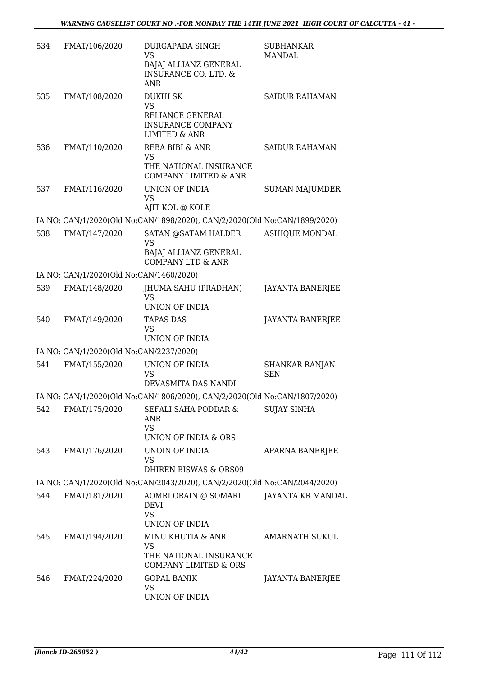| 534 | FMAT/106/2020                           | <b>DURGAPADA SINGH</b><br><b>VS</b><br>BAJAJ ALLIANZ GENERAL<br><b>INSURANCE CO. LTD. &amp;</b><br><b>ANR</b> | <b>SUBHANKAR</b><br>MANDAL |
|-----|-----------------------------------------|---------------------------------------------------------------------------------------------------------------|----------------------------|
| 535 | FMAT/108/2020                           | <b>DUKHI SK</b><br><b>VS</b><br>RELIANCE GENERAL<br><b>INSURANCE COMPANY</b><br><b>LIMITED &amp; ANR</b>      | <b>SAIDUR RAHAMAN</b>      |
| 536 | FMAT/110/2020                           | REBA BIBI & ANR<br><b>VS</b><br>THE NATIONAL INSURANCE<br><b>COMPANY LIMITED &amp; ANR</b>                    | SAIDUR RAHAMAN             |
| 537 | FMAT/116/2020                           | UNION OF INDIA<br><b>VS</b><br>AJIT KOL @ KOLE                                                                | <b>SUMAN MAJUMDER</b>      |
|     |                                         | IA NO: CAN/1/2020(Old No:CAN/1898/2020), CAN/2/2020(Old No:CAN/1899/2020)                                     |                            |
| 538 | FMAT/147/2020                           | SATAN @SATAM HALDER<br><b>VS</b><br>BAJAJ ALLIANZ GENERAL<br><b>COMPANY LTD &amp; ANR</b>                     | <b>ASHIQUE MONDAL</b>      |
|     | IA NO: CAN/1/2020(Old No:CAN/1460/2020) |                                                                                                               |                            |
| 539 | FMAT/148/2020                           | JHUMA SAHU (PRADHAN)<br>VS                                                                                    | <b>JAYANTA BANERJEE</b>    |
|     |                                         | UNION OF INDIA                                                                                                |                            |
| 540 | FMAT/149/2020                           | <b>TAPAS DAS</b><br><b>VS</b><br>UNION OF INDIA                                                               | <b>JAYANTA BANERJEE</b>    |
|     | IA NO: CAN/1/2020(Old No:CAN/2237/2020) |                                                                                                               |                            |
| 541 | FMAT/155/2020                           | UNION OF INDIA                                                                                                | <b>SHANKAR RANJAN</b>      |
|     |                                         | <b>VS</b><br>DEVASMITA DAS NANDI                                                                              | <b>SEN</b>                 |
|     |                                         | IA NO: CAN/1/2020(Old No:CAN/1806/2020), CAN/2/2020(Old No:CAN/1807/2020)                                     |                            |
| 542 | FMAT/175/2020                           | SEFALI SAHA PODDAR &<br>ANR<br><b>VS</b>                                                                      | <b>SUJAY SINHA</b>         |
|     |                                         | UNION OF INDIA & ORS                                                                                          |                            |
| 543 | FMAT/176/2020                           | UNOIN OF INDIA<br>VS                                                                                          | APARNA BANERJEE            |
|     |                                         | <b>DHIREN BISWAS &amp; ORS09</b>                                                                              |                            |
|     |                                         | IA NO: CAN/1/2020(Old No:CAN/2043/2020), CAN/2/2020(Old No:CAN/2044/2020)                                     |                            |
| 544 | FMAT/181/2020                           | AOMRI ORAIN @ SOMARI<br><b>DEVI</b><br><b>VS</b><br>UNION OF INDIA                                            | JAYANTA KR MANDAL          |
| 545 | FMAT/194/2020                           | MINU KHUTIA & ANR<br><b>VS</b><br>THE NATIONAL INSURANCE<br><b>COMPANY LIMITED &amp; ORS</b>                  | <b>AMARNATH SUKUL</b>      |
| 546 | FMAT/224/2020                           | <b>GOPAL BANIK</b><br><b>VS</b><br>UNION OF INDIA                                                             | JAYANTA BANERJEE           |